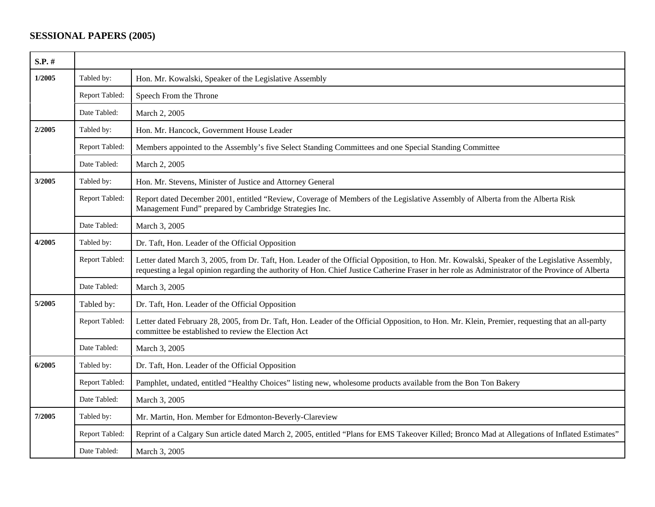## **SESSIONAL PAPERS (2005)**

| $S.P.$ # |                |                                                                                                                                                                                                                                                                                                    |
|----------|----------------|----------------------------------------------------------------------------------------------------------------------------------------------------------------------------------------------------------------------------------------------------------------------------------------------------|
| 1/2005   | Tabled by:     | Hon. Mr. Kowalski, Speaker of the Legislative Assembly                                                                                                                                                                                                                                             |
|          | Report Tabled: | Speech From the Throne                                                                                                                                                                                                                                                                             |
|          | Date Tabled:   | March 2, 2005                                                                                                                                                                                                                                                                                      |
| 2/2005   | Tabled by:     | Hon. Mr. Hancock, Government House Leader                                                                                                                                                                                                                                                          |
|          | Report Tabled: | Members appointed to the Assembly's five Select Standing Committees and one Special Standing Committee                                                                                                                                                                                             |
|          | Date Tabled:   | March 2, 2005                                                                                                                                                                                                                                                                                      |
| 3/2005   | Tabled by:     | Hon. Mr. Stevens, Minister of Justice and Attorney General                                                                                                                                                                                                                                         |
|          | Report Tabled: | Report dated December 2001, entitled "Review, Coverage of Members of the Legislative Assembly of Alberta from the Alberta Risk<br>Management Fund" prepared by Cambridge Strategies Inc.                                                                                                           |
|          | Date Tabled:   | March 3, 2005                                                                                                                                                                                                                                                                                      |
| 4/2005   | Tabled by:     | Dr. Taft, Hon. Leader of the Official Opposition                                                                                                                                                                                                                                                   |
|          | Report Tabled: | Letter dated March 3, 2005, from Dr. Taft, Hon. Leader of the Official Opposition, to Hon. Mr. Kowalski, Speaker of the Legislative Assembly,<br>requesting a legal opinion regarding the authority of Hon. Chief Justice Catherine Fraser in her role as Administrator of the Province of Alberta |
|          | Date Tabled:   | March 3, 2005                                                                                                                                                                                                                                                                                      |
| 5/2005   | Tabled by:     | Dr. Taft, Hon. Leader of the Official Opposition                                                                                                                                                                                                                                                   |
|          | Report Tabled: | Letter dated February 28, 2005, from Dr. Taft, Hon. Leader of the Official Opposition, to Hon. Mr. Klein, Premier, requesting that an all-party<br>committee be established to review the Election Act                                                                                             |
|          | Date Tabled:   | March 3, 2005                                                                                                                                                                                                                                                                                      |
| 6/2005   | Tabled by:     | Dr. Taft, Hon. Leader of the Official Opposition                                                                                                                                                                                                                                                   |
|          | Report Tabled: | Pamphlet, undated, entitled "Healthy Choices" listing new, wholesome products available from the Bon Ton Bakery                                                                                                                                                                                    |
|          | Date Tabled:   | March 3, 2005                                                                                                                                                                                                                                                                                      |
| 7/2005   | Tabled by:     | Mr. Martin, Hon. Member for Edmonton-Beverly-Clareview                                                                                                                                                                                                                                             |
|          | Report Tabled: | Reprint of a Calgary Sun article dated March 2, 2005, entitled "Plans for EMS Takeover Killed; Bronco Mad at Allegations of Inflated Estimates"                                                                                                                                                    |
|          | Date Tabled:   | March 3, 2005                                                                                                                                                                                                                                                                                      |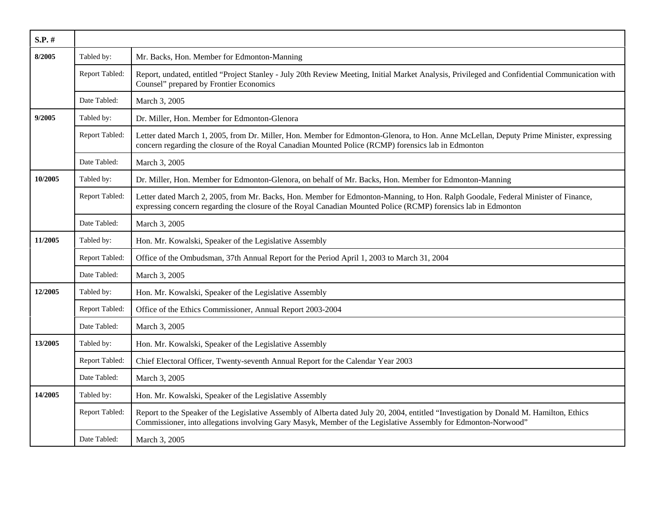| $S.P.$ # |                |                                                                                                                                                                                                                                                          |
|----------|----------------|----------------------------------------------------------------------------------------------------------------------------------------------------------------------------------------------------------------------------------------------------------|
| 8/2005   | Tabled by:     | Mr. Backs, Hon. Member for Edmonton-Manning                                                                                                                                                                                                              |
|          | Report Tabled: | Report, undated, entitled "Project Stanley - July 20th Review Meeting, Initial Market Analysis, Privileged and Confidential Communication with<br>Counsel" prepared by Frontier Economics                                                                |
|          | Date Tabled:   | March 3, 2005                                                                                                                                                                                                                                            |
| 9/2005   | Tabled by:     | Dr. Miller, Hon. Member for Edmonton-Glenora                                                                                                                                                                                                             |
|          | Report Tabled: | Letter dated March 1, 2005, from Dr. Miller, Hon. Member for Edmonton-Glenora, to Hon. Anne McLellan, Deputy Prime Minister, expressing<br>concern regarding the closure of the Royal Canadian Mounted Police (RCMP) forensics lab in Edmonton           |
|          | Date Tabled:   | March 3, 2005                                                                                                                                                                                                                                            |
| 10/2005  | Tabled by:     | Dr. Miller, Hon. Member for Edmonton-Glenora, on behalf of Mr. Backs, Hon. Member for Edmonton-Manning                                                                                                                                                   |
|          | Report Tabled: | Letter dated March 2, 2005, from Mr. Backs, Hon. Member for Edmonton-Manning, to Hon. Ralph Goodale, Federal Minister of Finance,<br>expressing concern regarding the closure of the Royal Canadian Mounted Police (RCMP) forensics lab in Edmonton      |
|          | Date Tabled:   | March 3, 2005                                                                                                                                                                                                                                            |
| 11/2005  | Tabled by:     | Hon. Mr. Kowalski, Speaker of the Legislative Assembly                                                                                                                                                                                                   |
|          | Report Tabled: | Office of the Ombudsman, 37th Annual Report for the Period April 1, 2003 to March 31, 2004                                                                                                                                                               |
|          | Date Tabled:   | March 3, 2005                                                                                                                                                                                                                                            |
| 12/2005  | Tabled by:     | Hon. Mr. Kowalski, Speaker of the Legislative Assembly                                                                                                                                                                                                   |
|          | Report Tabled: | Office of the Ethics Commissioner, Annual Report 2003-2004                                                                                                                                                                                               |
|          | Date Tabled:   | March 3, 2005                                                                                                                                                                                                                                            |
| 13/2005  | Tabled by:     | Hon. Mr. Kowalski, Speaker of the Legislative Assembly                                                                                                                                                                                                   |
|          | Report Tabled: | Chief Electoral Officer, Twenty-seventh Annual Report for the Calendar Year 2003                                                                                                                                                                         |
|          | Date Tabled:   | March 3, 2005                                                                                                                                                                                                                                            |
| 14/2005  | Tabled by:     | Hon. Mr. Kowalski, Speaker of the Legislative Assembly                                                                                                                                                                                                   |
|          | Report Tabled: | Report to the Speaker of the Legislative Assembly of Alberta dated July 20, 2004, entitled "Investigation by Donald M. Hamilton, Ethics<br>Commissioner, into allegations involving Gary Masyk, Member of the Legislative Assembly for Edmonton-Norwood" |
|          | Date Tabled:   | March 3, 2005                                                                                                                                                                                                                                            |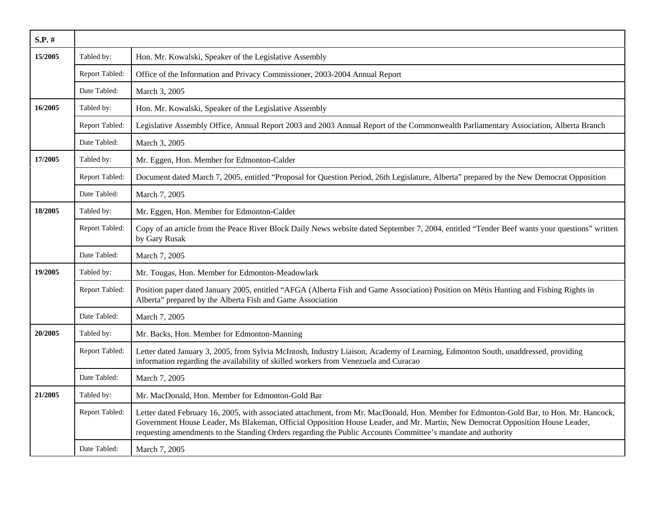| $S.P.$ # |                |                                                                                                                                                                                                                                                                                                                                                                                          |
|----------|----------------|------------------------------------------------------------------------------------------------------------------------------------------------------------------------------------------------------------------------------------------------------------------------------------------------------------------------------------------------------------------------------------------|
| 15/2005  | Tabled by:     | Hon. Mr. Kowalski, Speaker of the Legislative Assembly                                                                                                                                                                                                                                                                                                                                   |
|          | Report Tabled: | Office of the Information and Privacy Commissioner, 2003-2004 Annual Report                                                                                                                                                                                                                                                                                                              |
|          | Date Tabled:   | March 3, 2005                                                                                                                                                                                                                                                                                                                                                                            |
| 16/2005  | Tabled by:     | Hon. Mr. Kowalski, Speaker of the Legislative Assembly                                                                                                                                                                                                                                                                                                                                   |
|          | Report Tabled: | Legislative Assembly Office, Annual Report 2003 and 2003 Annual Report of the Commonwealth Parliamentary Association, Alberta Branch                                                                                                                                                                                                                                                     |
|          | Date Tabled:   | March 3, 2005                                                                                                                                                                                                                                                                                                                                                                            |
| 17/2005  | Tabled by:     | Mr. Eggen, Hon. Member for Edmonton-Calder                                                                                                                                                                                                                                                                                                                                               |
|          | Report Tabled: | Document dated March 7, 2005, entitled "Proposal for Question Period, 26th Legislature, Alberta" prepared by the New Democrat Opposition                                                                                                                                                                                                                                                 |
|          | Date Tabled:   | March 7, 2005                                                                                                                                                                                                                                                                                                                                                                            |
| 18/2005  | Tabled by:     | Mr. Eggen, Hon. Member for Edmonton-Calder                                                                                                                                                                                                                                                                                                                                               |
|          | Report Tabled: | Copy of an article from the Peace River Block Daily News website dated September 7, 2004, entitled "Tender Beef wants your questions" written<br>by Gary Rusak                                                                                                                                                                                                                           |
|          | Date Tabled:   | March 7, 2005                                                                                                                                                                                                                                                                                                                                                                            |
| 19/2005  | Tabled by:     | Mr. Tougas, Hon. Member for Edmonton-Meadowlark                                                                                                                                                                                                                                                                                                                                          |
|          | Report Tabled: | Position paper dated January 2005, entitled "AFGA (Alberta Fish and Game Association) Position on Métis Hunting and Fishing Rights in<br>Alberta" prepared by the Alberta Fish and Game Association                                                                                                                                                                                      |
|          | Date Tabled:   | March 7, 2005                                                                                                                                                                                                                                                                                                                                                                            |
| 20/2005  | Tabled by:     | Mr. Backs, Hon. Member for Edmonton-Manning                                                                                                                                                                                                                                                                                                                                              |
|          | Report Tabled: | Letter dated January 3, 2005, from Sylvia McIntosh, Industry Liaison, Academy of Learning, Edmonton South, unaddressed, providing<br>information regarding the availability of skilled workers from Venezuela and Curacao                                                                                                                                                                |
|          | Date Tabled:   | March 7, 2005                                                                                                                                                                                                                                                                                                                                                                            |
| 21/2005  | Tabled by:     | Mr. MacDonald, Hon. Member for Edmonton-Gold Bar                                                                                                                                                                                                                                                                                                                                         |
|          | Report Tabled: | Letter dated February 16, 2005, with associated attachment, from Mr. MacDonald, Hon. Member for Edmonton-Gold Bar, to Hon. Mr. Hancock,<br>Government House Leader, Ms Blakeman, Official Opposition House Leader, and Mr. Martin, New Democrat Opposition House Leader,<br>requesting amendments to the Standing Orders regarding the Public Accounts Committee's mandate and authority |
|          | Date Tabled:   | March 7, 2005                                                                                                                                                                                                                                                                                                                                                                            |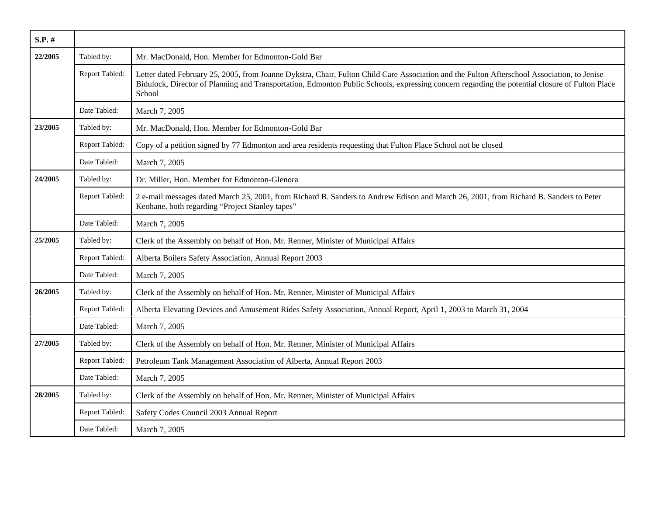| $S.P.$ # |                |                                                                                                                                                                                                                                                                                                         |
|----------|----------------|---------------------------------------------------------------------------------------------------------------------------------------------------------------------------------------------------------------------------------------------------------------------------------------------------------|
| 22/2005  | Tabled by:     | Mr. MacDonald, Hon. Member for Edmonton-Gold Bar                                                                                                                                                                                                                                                        |
|          | Report Tabled: | Letter dated February 25, 2005, from Joanne Dykstra, Chair, Fulton Child Care Association and the Fulton Afterschool Association, to Jenise<br>Bidulock, Director of Planning and Transportation, Edmonton Public Schools, expressing concern regarding the potential closure of Fulton Place<br>School |
|          | Date Tabled:   | March 7, 2005                                                                                                                                                                                                                                                                                           |
| 23/2005  | Tabled by:     | Mr. MacDonald, Hon. Member for Edmonton-Gold Bar                                                                                                                                                                                                                                                        |
|          | Report Tabled: | Copy of a petition signed by 77 Edmonton and area residents requesting that Fulton Place School not be closed                                                                                                                                                                                           |
|          | Date Tabled:   | March 7, 2005                                                                                                                                                                                                                                                                                           |
| 24/2005  | Tabled by:     | Dr. Miller, Hon. Member for Edmonton-Glenora                                                                                                                                                                                                                                                            |
|          | Report Tabled: | 2 e-mail messages dated March 25, 2001, from Richard B. Sanders to Andrew Edison and March 26, 2001, from Richard B. Sanders to Peter<br>Keohane, both regarding "Project Stanley tapes"                                                                                                                |
|          | Date Tabled:   | March 7, 2005                                                                                                                                                                                                                                                                                           |
| 25/2005  | Tabled by:     | Clerk of the Assembly on behalf of Hon. Mr. Renner, Minister of Municipal Affairs                                                                                                                                                                                                                       |
|          | Report Tabled: | Alberta Boilers Safety Association, Annual Report 2003                                                                                                                                                                                                                                                  |
|          | Date Tabled:   | March 7, 2005                                                                                                                                                                                                                                                                                           |
| 26/2005  | Tabled by:     | Clerk of the Assembly on behalf of Hon. Mr. Renner, Minister of Municipal Affairs                                                                                                                                                                                                                       |
|          | Report Tabled: | Alberta Elevating Devices and Amusement Rides Safety Association, Annual Report, April 1, 2003 to March 31, 2004                                                                                                                                                                                        |
|          | Date Tabled:   | March 7, 2005                                                                                                                                                                                                                                                                                           |
| 27/2005  | Tabled by:     | Clerk of the Assembly on behalf of Hon. Mr. Renner, Minister of Municipal Affairs                                                                                                                                                                                                                       |
|          | Report Tabled: | Petroleum Tank Management Association of Alberta, Annual Report 2003                                                                                                                                                                                                                                    |
|          | Date Tabled:   | March 7, 2005                                                                                                                                                                                                                                                                                           |
| 28/2005  | Tabled by:     | Clerk of the Assembly on behalf of Hon. Mr. Renner, Minister of Municipal Affairs                                                                                                                                                                                                                       |
|          | Report Tabled: | Safety Codes Council 2003 Annual Report                                                                                                                                                                                                                                                                 |
|          | Date Tabled:   | March 7, 2005                                                                                                                                                                                                                                                                                           |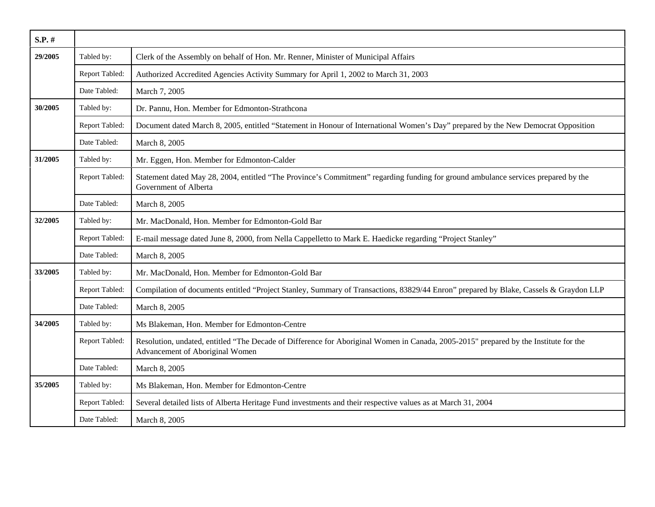| $S.P.$ # |                |                                                                                                                                                                         |
|----------|----------------|-------------------------------------------------------------------------------------------------------------------------------------------------------------------------|
| 29/2005  | Tabled by:     | Clerk of the Assembly on behalf of Hon. Mr. Renner, Minister of Municipal Affairs                                                                                       |
|          | Report Tabled: | Authorized Accredited Agencies Activity Summary for April 1, 2002 to March 31, 2003                                                                                     |
|          | Date Tabled:   | March 7, 2005                                                                                                                                                           |
| 30/2005  | Tabled by:     | Dr. Pannu, Hon. Member for Edmonton-Strathcona                                                                                                                          |
|          | Report Tabled: | Document dated March 8, 2005, entitled "Statement in Honour of International Women's Day" prepared by the New Democrat Opposition                                       |
|          | Date Tabled:   | March 8, 2005                                                                                                                                                           |
| 31/2005  | Tabled by:     | Mr. Eggen, Hon. Member for Edmonton-Calder                                                                                                                              |
|          | Report Tabled: | Statement dated May 28, 2004, entitled "The Province's Commitment" regarding funding for ground ambulance services prepared by the<br>Government of Alberta             |
|          | Date Tabled:   | March 8, 2005                                                                                                                                                           |
| 32/2005  | Tabled by:     | Mr. MacDonald, Hon. Member for Edmonton-Gold Bar                                                                                                                        |
|          | Report Tabled: | E-mail message dated June 8, 2000, from Nella Cappelletto to Mark E. Haedicke regarding "Project Stanley"                                                               |
|          | Date Tabled:   | March 8, 2005                                                                                                                                                           |
| 33/2005  | Tabled by:     | Mr. MacDonald, Hon. Member for Edmonton-Gold Bar                                                                                                                        |
|          | Report Tabled: | Compilation of documents entitled "Project Stanley, Summary of Transactions, 83829/44 Enron" prepared by Blake, Cassels & Graydon LLP                                   |
|          | Date Tabled:   | March 8, 2005                                                                                                                                                           |
| 34/2005  | Tabled by:     | Ms Blakeman, Hon. Member for Edmonton-Centre                                                                                                                            |
|          | Report Tabled: | Resolution, undated, entitled "The Decade of Difference for Aboriginal Women in Canada, 2005-2015" prepared by the Institute for the<br>Advancement of Aboriginal Women |
|          | Date Tabled:   | March 8, 2005                                                                                                                                                           |
| 35/2005  | Tabled by:     | Ms Blakeman, Hon. Member for Edmonton-Centre                                                                                                                            |
|          | Report Tabled: | Several detailed lists of Alberta Heritage Fund investments and their respective values as at March 31, 2004                                                            |
|          | Date Tabled:   | March 8, 2005                                                                                                                                                           |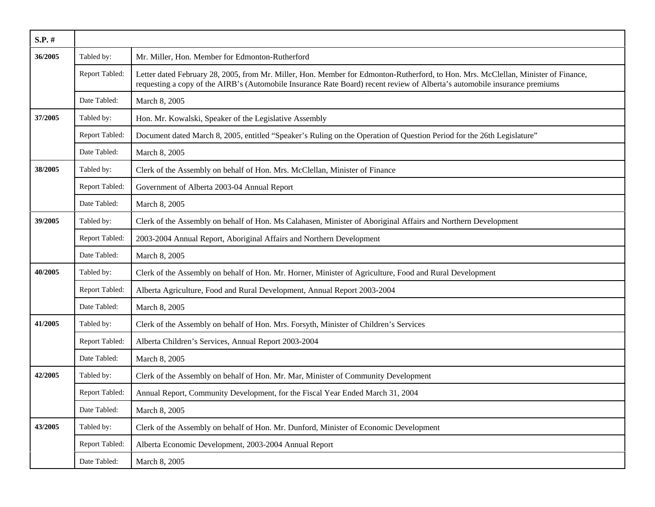| S.P. #  |                |                                                                                                                                                                                                                                                                  |
|---------|----------------|------------------------------------------------------------------------------------------------------------------------------------------------------------------------------------------------------------------------------------------------------------------|
| 36/2005 | Tabled by:     | Mr. Miller, Hon. Member for Edmonton-Rutherford                                                                                                                                                                                                                  |
|         | Report Tabled: | Letter dated February 28, 2005, from Mr. Miller, Hon. Member for Edmonton-Rutherford, to Hon. Mrs. McClellan, Minister of Finance,<br>requesting a copy of the AIRB's (Automobile Insurance Rate Board) recent review of Alberta's automobile insurance premiums |
|         | Date Tabled:   | March 8, 2005                                                                                                                                                                                                                                                    |
| 37/2005 | Tabled by:     | Hon. Mr. Kowalski, Speaker of the Legislative Assembly                                                                                                                                                                                                           |
|         | Report Tabled: | Document dated March 8, 2005, entitled "Speaker's Ruling on the Operation of Question Period for the 26th Legislature"                                                                                                                                           |
|         | Date Tabled:   | March 8, 2005                                                                                                                                                                                                                                                    |
| 38/2005 | Tabled by:     | Clerk of the Assembly on behalf of Hon. Mrs. McClellan, Minister of Finance                                                                                                                                                                                      |
|         | Report Tabled: | Government of Alberta 2003-04 Annual Report                                                                                                                                                                                                                      |
|         | Date Tabled:   | March 8, 2005                                                                                                                                                                                                                                                    |
| 39/2005 | Tabled by:     | Clerk of the Assembly on behalf of Hon. Ms Calahasen, Minister of Aboriginal Affairs and Northern Development                                                                                                                                                    |
|         | Report Tabled: | 2003-2004 Annual Report, Aboriginal Affairs and Northern Development                                                                                                                                                                                             |
|         | Date Tabled:   | March 8, 2005                                                                                                                                                                                                                                                    |
| 40/2005 | Tabled by:     | Clerk of the Assembly on behalf of Hon. Mr. Horner, Minister of Agriculture, Food and Rural Development                                                                                                                                                          |
|         | Report Tabled: | Alberta Agriculture, Food and Rural Development, Annual Report 2003-2004                                                                                                                                                                                         |
|         | Date Tabled:   | March 8, 2005                                                                                                                                                                                                                                                    |
| 41/2005 | Tabled by:     | Clerk of the Assembly on behalf of Hon. Mrs. Forsyth, Minister of Children's Services                                                                                                                                                                            |
|         | Report Tabled: | Alberta Children's Services, Annual Report 2003-2004                                                                                                                                                                                                             |
|         | Date Tabled:   | March 8, 2005                                                                                                                                                                                                                                                    |
| 42/2005 | Tabled by:     | Clerk of the Assembly on behalf of Hon. Mr. Mar, Minister of Community Development                                                                                                                                                                               |
|         | Report Tabled: | Annual Report, Community Development, for the Fiscal Year Ended March 31, 2004                                                                                                                                                                                   |
|         | Date Tabled:   | March 8, 2005                                                                                                                                                                                                                                                    |
| 43/2005 | Tabled by:     | Clerk of the Assembly on behalf of Hon. Mr. Dunford, Minister of Economic Development                                                                                                                                                                            |
|         | Report Tabled: | Alberta Economic Development, 2003-2004 Annual Report                                                                                                                                                                                                            |
|         | Date Tabled:   | March 8, 2005                                                                                                                                                                                                                                                    |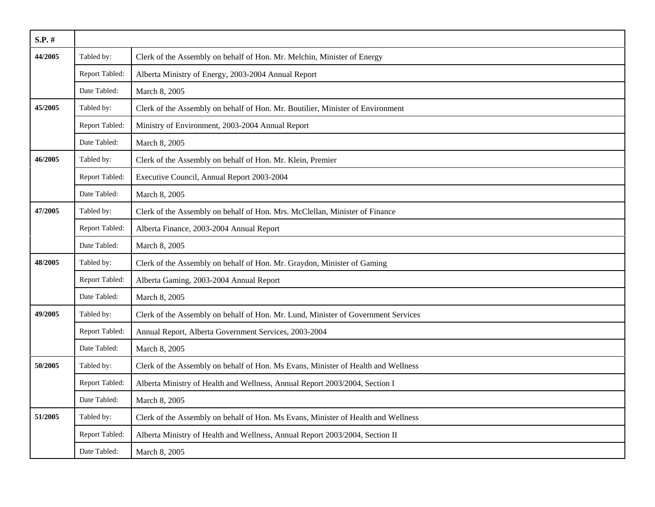| $S.P.$ # |                |                                                                                   |
|----------|----------------|-----------------------------------------------------------------------------------|
| 44/2005  | Tabled by:     | Clerk of the Assembly on behalf of Hon. Mr. Melchin, Minister of Energy           |
|          | Report Tabled: | Alberta Ministry of Energy, 2003-2004 Annual Report                               |
|          | Date Tabled:   | March 8, 2005                                                                     |
| 45/2005  | Tabled by:     | Clerk of the Assembly on behalf of Hon. Mr. Boutilier, Minister of Environment    |
|          | Report Tabled: | Ministry of Environment, 2003-2004 Annual Report                                  |
|          | Date Tabled:   | March 8, 2005                                                                     |
| 46/2005  | Tabled by:     | Clerk of the Assembly on behalf of Hon. Mr. Klein, Premier                        |
|          | Report Tabled: | Executive Council, Annual Report 2003-2004                                        |
|          | Date Tabled:   | March 8, 2005                                                                     |
| 47/2005  | Tabled by:     | Clerk of the Assembly on behalf of Hon. Mrs. McClellan, Minister of Finance       |
|          | Report Tabled: | Alberta Finance, 2003-2004 Annual Report                                          |
|          | Date Tabled:   | March 8, 2005                                                                     |
| 48/2005  | Tabled by:     | Clerk of the Assembly on behalf of Hon. Mr. Graydon, Minister of Gaming           |
|          | Report Tabled: | Alberta Gaming, 2003-2004 Annual Report                                           |
|          | Date Tabled:   | March 8, 2005                                                                     |
| 49/2005  | Tabled by:     | Clerk of the Assembly on behalf of Hon. Mr. Lund, Minister of Government Services |
|          | Report Tabled: | Annual Report, Alberta Government Services, 2003-2004                             |
|          | Date Tabled:   | March 8, 2005                                                                     |
| 50/2005  | Tabled by:     | Clerk of the Assembly on behalf of Hon. Ms Evans, Minister of Health and Wellness |
|          | Report Tabled: | Alberta Ministry of Health and Wellness, Annual Report 2003/2004, Section I       |
|          | Date Tabled:   | March 8, 2005                                                                     |
| 51/2005  | Tabled by:     | Clerk of the Assembly on behalf of Hon. Ms Evans, Minister of Health and Wellness |
|          | Report Tabled: | Alberta Ministry of Health and Wellness, Annual Report 2003/2004, Section II      |
|          | Date Tabled:   | March 8, 2005                                                                     |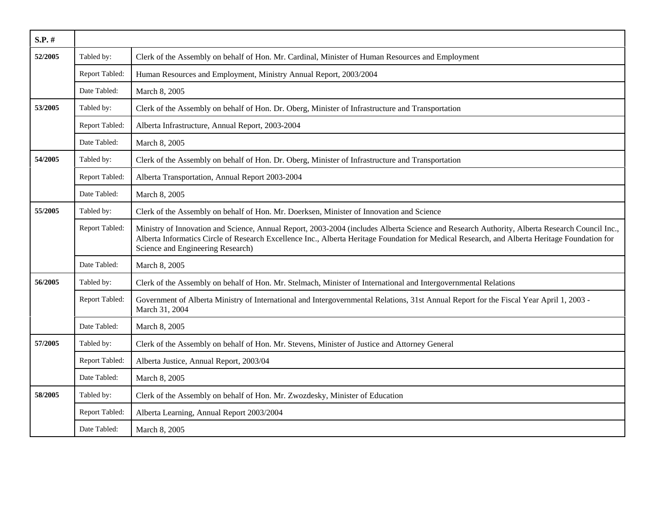| $S.P.$ # |                |                                                                                                                                                                                                                                                                                                                                     |
|----------|----------------|-------------------------------------------------------------------------------------------------------------------------------------------------------------------------------------------------------------------------------------------------------------------------------------------------------------------------------------|
| 52/2005  | Tabled by:     | Clerk of the Assembly on behalf of Hon. Mr. Cardinal, Minister of Human Resources and Employment                                                                                                                                                                                                                                    |
|          | Report Tabled: | Human Resources and Employment, Ministry Annual Report, 2003/2004                                                                                                                                                                                                                                                                   |
|          | Date Tabled:   | March 8, 2005                                                                                                                                                                                                                                                                                                                       |
| 53/2005  | Tabled by:     | Clerk of the Assembly on behalf of Hon. Dr. Oberg, Minister of Infrastructure and Transportation                                                                                                                                                                                                                                    |
|          | Report Tabled: | Alberta Infrastructure, Annual Report, 2003-2004                                                                                                                                                                                                                                                                                    |
|          | Date Tabled:   | March 8, 2005                                                                                                                                                                                                                                                                                                                       |
| 54/2005  | Tabled by:     | Clerk of the Assembly on behalf of Hon. Dr. Oberg, Minister of Infrastructure and Transportation                                                                                                                                                                                                                                    |
|          | Report Tabled: | Alberta Transportation, Annual Report 2003-2004                                                                                                                                                                                                                                                                                     |
|          | Date Tabled:   | March 8, 2005                                                                                                                                                                                                                                                                                                                       |
| 55/2005  | Tabled by:     | Clerk of the Assembly on behalf of Hon. Mr. Doerksen, Minister of Innovation and Science                                                                                                                                                                                                                                            |
|          | Report Tabled: | Ministry of Innovation and Science, Annual Report, 2003-2004 (includes Alberta Science and Research Authority, Alberta Research Council Inc.,<br>Alberta Informatics Circle of Research Excellence Inc., Alberta Heritage Foundation for Medical Research, and Alberta Heritage Foundation for<br>Science and Engineering Research) |
|          | Date Tabled:   | March 8, 2005                                                                                                                                                                                                                                                                                                                       |
| 56/2005  | Tabled by:     | Clerk of the Assembly on behalf of Hon. Mr. Stelmach, Minister of International and Intergovernmental Relations                                                                                                                                                                                                                     |
|          | Report Tabled: | Government of Alberta Ministry of International and Intergovernmental Relations, 31st Annual Report for the Fiscal Year April 1, 2003 -<br>March 31, 2004                                                                                                                                                                           |
|          | Date Tabled:   | March 8, 2005                                                                                                                                                                                                                                                                                                                       |
| 57/2005  | Tabled by:     | Clerk of the Assembly on behalf of Hon. Mr. Stevens, Minister of Justice and Attorney General                                                                                                                                                                                                                                       |
|          | Report Tabled: | Alberta Justice, Annual Report, 2003/04                                                                                                                                                                                                                                                                                             |
|          | Date Tabled:   | March 8, 2005                                                                                                                                                                                                                                                                                                                       |
| 58/2005  | Tabled by:     | Clerk of the Assembly on behalf of Hon. Mr. Zwozdesky, Minister of Education                                                                                                                                                                                                                                                        |
|          | Report Tabled: | Alberta Learning, Annual Report 2003/2004                                                                                                                                                                                                                                                                                           |
|          | Date Tabled:   | March 8, 2005                                                                                                                                                                                                                                                                                                                       |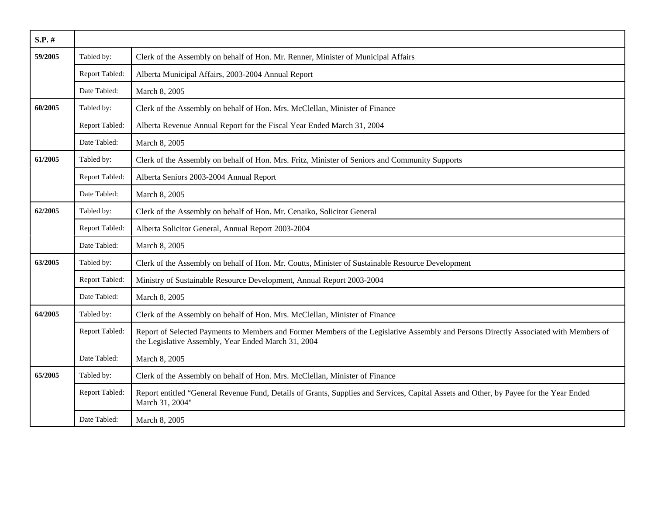| S.P. #  |                |                                                                                                                                                                                              |
|---------|----------------|----------------------------------------------------------------------------------------------------------------------------------------------------------------------------------------------|
| 59/2005 | Tabled by:     | Clerk of the Assembly on behalf of Hon. Mr. Renner, Minister of Municipal Affairs                                                                                                            |
|         | Report Tabled: | Alberta Municipal Affairs, 2003-2004 Annual Report                                                                                                                                           |
|         | Date Tabled:   | March 8, 2005                                                                                                                                                                                |
| 60/2005 | Tabled by:     | Clerk of the Assembly on behalf of Hon. Mrs. McClellan, Minister of Finance                                                                                                                  |
|         | Report Tabled: | Alberta Revenue Annual Report for the Fiscal Year Ended March 31, 2004                                                                                                                       |
|         | Date Tabled:   | March 8, 2005                                                                                                                                                                                |
| 61/2005 | Tabled by:     | Clerk of the Assembly on behalf of Hon. Mrs. Fritz, Minister of Seniors and Community Supports                                                                                               |
|         | Report Tabled: | Alberta Seniors 2003-2004 Annual Report                                                                                                                                                      |
|         | Date Tabled:   | March 8, 2005                                                                                                                                                                                |
| 62/2005 | Tabled by:     | Clerk of the Assembly on behalf of Hon. Mr. Cenaiko, Solicitor General                                                                                                                       |
|         | Report Tabled: | Alberta Solicitor General, Annual Report 2003-2004                                                                                                                                           |
|         | Date Tabled:   | March 8, 2005                                                                                                                                                                                |
| 63/2005 | Tabled by:     | Clerk of the Assembly on behalf of Hon. Mr. Coutts, Minister of Sustainable Resource Development                                                                                             |
|         | Report Tabled: | Ministry of Sustainable Resource Development, Annual Report 2003-2004                                                                                                                        |
|         | Date Tabled:   | March 8, 2005                                                                                                                                                                                |
| 64/2005 | Tabled by:     | Clerk of the Assembly on behalf of Hon. Mrs. McClellan, Minister of Finance                                                                                                                  |
|         | Report Tabled: | Report of Selected Payments to Members and Former Members of the Legislative Assembly and Persons Directly Associated with Members of<br>the Legislative Assembly, Year Ended March 31, 2004 |
|         | Date Tabled:   | March 8, 2005                                                                                                                                                                                |
| 65/2005 | Tabled by:     | Clerk of the Assembly on behalf of Hon. Mrs. McClellan, Minister of Finance                                                                                                                  |
|         | Report Tabled: | Report entitled "General Revenue Fund, Details of Grants, Supplies and Services, Capital Assets and Other, by Payee for the Year Ended<br>March 31, 2004"                                    |
|         | Date Tabled:   | March 8, 2005                                                                                                                                                                                |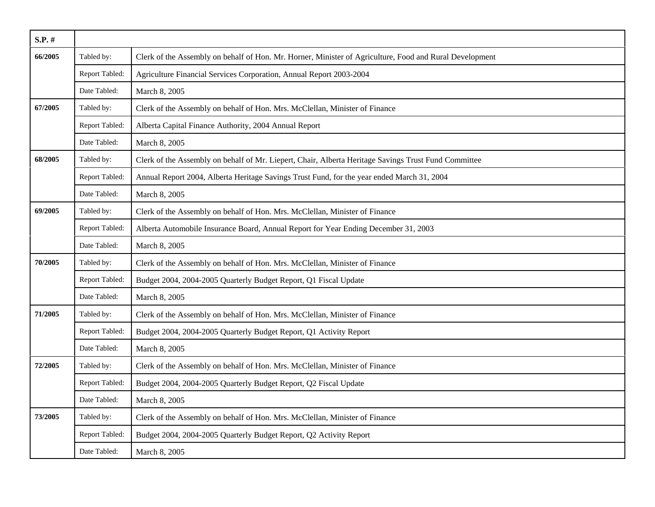| $S.P.$ # |                |                                                                                                         |
|----------|----------------|---------------------------------------------------------------------------------------------------------|
| 66/2005  | Tabled by:     | Clerk of the Assembly on behalf of Hon. Mr. Horner, Minister of Agriculture, Food and Rural Development |
|          | Report Tabled: | Agriculture Financial Services Corporation, Annual Report 2003-2004                                     |
|          | Date Tabled:   | March 8, 2005                                                                                           |
| 67/2005  | Tabled by:     | Clerk of the Assembly on behalf of Hon. Mrs. McClellan, Minister of Finance                             |
|          | Report Tabled: | Alberta Capital Finance Authority, 2004 Annual Report                                                   |
|          | Date Tabled:   | March 8, 2005                                                                                           |
| 68/2005  | Tabled by:     | Clerk of the Assembly on behalf of Mr. Liepert, Chair, Alberta Heritage Savings Trust Fund Committee    |
|          | Report Tabled: | Annual Report 2004, Alberta Heritage Savings Trust Fund, for the year ended March 31, 2004              |
|          | Date Tabled:   | March 8, 2005                                                                                           |
| 69/2005  | Tabled by:     | Clerk of the Assembly on behalf of Hon. Mrs. McClellan, Minister of Finance                             |
|          | Report Tabled: | Alberta Automobile Insurance Board, Annual Report for Year Ending December 31, 2003                     |
|          | Date Tabled:   | March 8, 2005                                                                                           |
| 70/2005  | Tabled by:     | Clerk of the Assembly on behalf of Hon. Mrs. McClellan, Minister of Finance                             |
|          | Report Tabled: | Budget 2004, 2004-2005 Quarterly Budget Report, Q1 Fiscal Update                                        |
|          | Date Tabled:   | March 8, 2005                                                                                           |
| 71/2005  | Tabled by:     | Clerk of the Assembly on behalf of Hon. Mrs. McClellan, Minister of Finance                             |
|          | Report Tabled: | Budget 2004, 2004-2005 Quarterly Budget Report, Q1 Activity Report                                      |
|          | Date Tabled:   | March 8, 2005                                                                                           |
| 72/2005  | Tabled by:     | Clerk of the Assembly on behalf of Hon. Mrs. McClellan, Minister of Finance                             |
|          | Report Tabled: | Budget 2004, 2004-2005 Quarterly Budget Report, Q2 Fiscal Update                                        |
|          | Date Tabled:   | March 8, 2005                                                                                           |
| 73/2005  | Tabled by:     | Clerk of the Assembly on behalf of Hon. Mrs. McClellan, Minister of Finance                             |
|          | Report Tabled: | Budget 2004, 2004-2005 Quarterly Budget Report, Q2 Activity Report                                      |
|          | Date Tabled:   | March 8, 2005                                                                                           |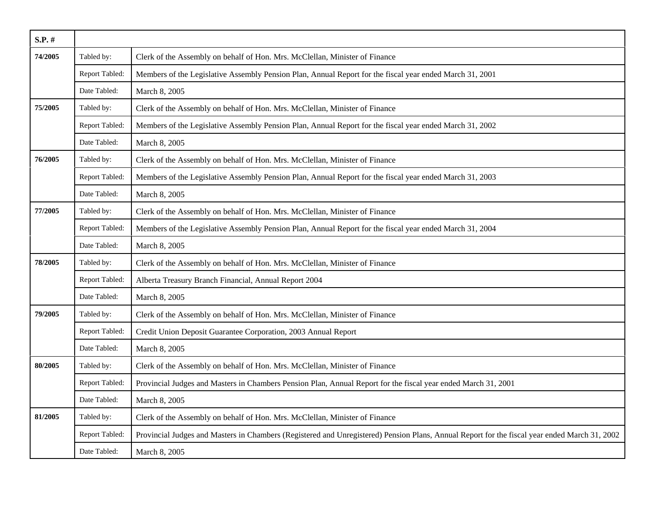| S.P. #  |                |                                                                                                                                               |
|---------|----------------|-----------------------------------------------------------------------------------------------------------------------------------------------|
| 74/2005 | Tabled by:     | Clerk of the Assembly on behalf of Hon. Mrs. McClellan, Minister of Finance                                                                   |
|         | Report Tabled: | Members of the Legislative Assembly Pension Plan, Annual Report for the fiscal year ended March 31, 2001                                      |
|         | Date Tabled:   | March 8, 2005                                                                                                                                 |
| 75/2005 | Tabled by:     | Clerk of the Assembly on behalf of Hon. Mrs. McClellan, Minister of Finance                                                                   |
|         | Report Tabled: | Members of the Legislative Assembly Pension Plan, Annual Report for the fiscal year ended March 31, 2002                                      |
|         | Date Tabled:   | March 8, 2005                                                                                                                                 |
| 76/2005 | Tabled by:     | Clerk of the Assembly on behalf of Hon. Mrs. McClellan, Minister of Finance                                                                   |
|         | Report Tabled: | Members of the Legislative Assembly Pension Plan, Annual Report for the fiscal year ended March 31, 2003                                      |
|         | Date Tabled:   | March 8, 2005                                                                                                                                 |
| 77/2005 | Tabled by:     | Clerk of the Assembly on behalf of Hon. Mrs. McClellan, Minister of Finance                                                                   |
|         | Report Tabled: | Members of the Legislative Assembly Pension Plan, Annual Report for the fiscal year ended March 31, 2004                                      |
|         | Date Tabled:   | March 8, 2005                                                                                                                                 |
| 78/2005 | Tabled by:     | Clerk of the Assembly on behalf of Hon. Mrs. McClellan, Minister of Finance                                                                   |
|         | Report Tabled: | Alberta Treasury Branch Financial, Annual Report 2004                                                                                         |
|         | Date Tabled:   | March 8, 2005                                                                                                                                 |
| 79/2005 | Tabled by:     | Clerk of the Assembly on behalf of Hon. Mrs. McClellan, Minister of Finance                                                                   |
|         | Report Tabled: | Credit Union Deposit Guarantee Corporation, 2003 Annual Report                                                                                |
|         | Date Tabled:   | March 8, 2005                                                                                                                                 |
| 80/2005 | Tabled by:     | Clerk of the Assembly on behalf of Hon. Mrs. McClellan, Minister of Finance                                                                   |
|         | Report Tabled: | Provincial Judges and Masters in Chambers Pension Plan, Annual Report for the fiscal year ended March 31, 2001                                |
|         | Date Tabled:   | March 8, 2005                                                                                                                                 |
| 81/2005 | Tabled by:     | Clerk of the Assembly on behalf of Hon. Mrs. McClellan, Minister of Finance                                                                   |
|         | Report Tabled: | Provincial Judges and Masters in Chambers (Registered and Unregistered) Pension Plans, Annual Report for the fiscal year ended March 31, 2002 |
|         | Date Tabled:   | March 8, 2005                                                                                                                                 |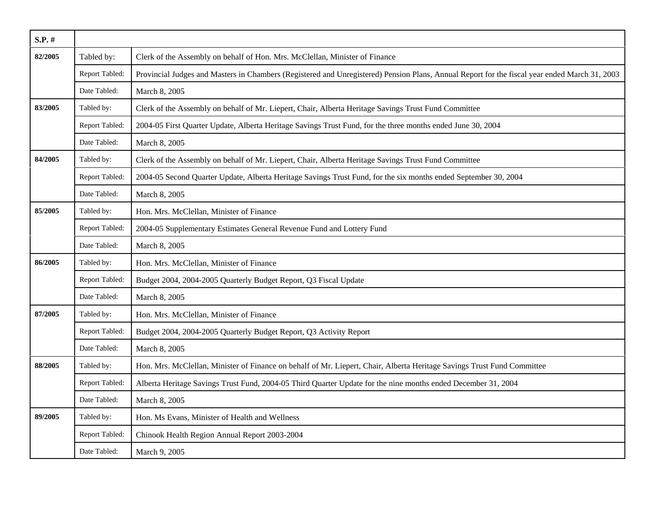| S.P. #  |                |                                                                                                                                               |
|---------|----------------|-----------------------------------------------------------------------------------------------------------------------------------------------|
| 82/2005 | Tabled by:     | Clerk of the Assembly on behalf of Hon. Mrs. McClellan, Minister of Finance                                                                   |
|         | Report Tabled: | Provincial Judges and Masters in Chambers (Registered and Unregistered) Pension Plans, Annual Report for the fiscal year ended March 31, 2003 |
|         | Date Tabled:   | March 8, 2005                                                                                                                                 |
| 83/2005 | Tabled by:     | Clerk of the Assembly on behalf of Mr. Liepert, Chair, Alberta Heritage Savings Trust Fund Committee                                          |
|         | Report Tabled: | 2004-05 First Quarter Update, Alberta Heritage Savings Trust Fund, for the three months ended June 30, 2004                                   |
|         | Date Tabled:   | March 8, 2005                                                                                                                                 |
| 84/2005 | Tabled by:     | Clerk of the Assembly on behalf of Mr. Liepert, Chair, Alberta Heritage Savings Trust Fund Committee                                          |
|         | Report Tabled: | 2004-05 Second Quarter Update, Alberta Heritage Savings Trust Fund, for the six months ended September 30, 2004                               |
|         | Date Tabled:   | March 8, 2005                                                                                                                                 |
| 85/2005 | Tabled by:     | Hon. Mrs. McClellan, Minister of Finance                                                                                                      |
|         | Report Tabled: | 2004-05 Supplementary Estimates General Revenue Fund and Lottery Fund                                                                         |
|         | Date Tabled:   | March 8, 2005                                                                                                                                 |
| 86/2005 | Tabled by:     | Hon. Mrs. McClellan, Minister of Finance                                                                                                      |
|         | Report Tabled: | Budget 2004, 2004-2005 Quarterly Budget Report, Q3 Fiscal Update                                                                              |
|         | Date Tabled:   | March 8, 2005                                                                                                                                 |
| 87/2005 | Tabled by:     | Hon. Mrs. McClellan, Minister of Finance                                                                                                      |
|         | Report Tabled: | Budget 2004, 2004-2005 Quarterly Budget Report, Q3 Activity Report                                                                            |
|         | Date Tabled:   | March 8, 2005                                                                                                                                 |
| 88/2005 | Tabled by:     | Hon. Mrs. McClellan, Minister of Finance on behalf of Mr. Liepert, Chair, Alberta Heritage Savings Trust Fund Committee                       |
|         | Report Tabled: | Alberta Heritage Savings Trust Fund, 2004-05 Third Quarter Update for the nine months ended December 31, 2004                                 |
|         | Date Tabled:   | March 8, 2005                                                                                                                                 |
| 89/2005 | Tabled by:     | Hon. Ms Evans, Minister of Health and Wellness                                                                                                |
|         | Report Tabled: | Chinook Health Region Annual Report 2003-2004                                                                                                 |
|         | Date Tabled:   | March 9, 2005                                                                                                                                 |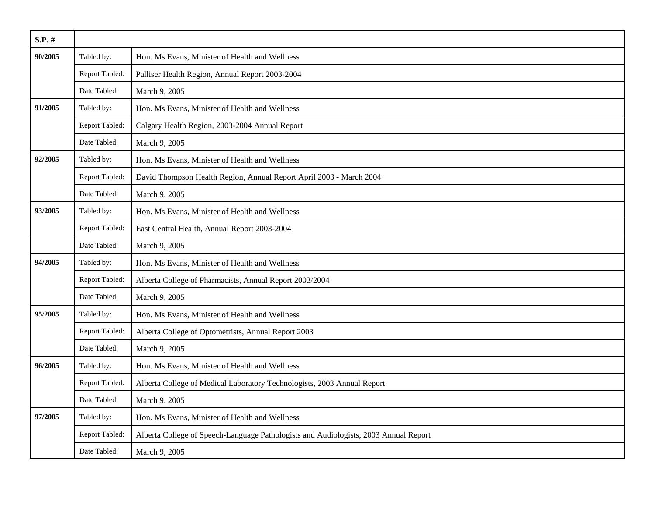| $S.P.$ # |                |                                                                                      |
|----------|----------------|--------------------------------------------------------------------------------------|
| 90/2005  | Tabled by:     | Hon. Ms Evans, Minister of Health and Wellness                                       |
|          | Report Tabled: | Palliser Health Region, Annual Report 2003-2004                                      |
|          | Date Tabled:   | March 9, 2005                                                                        |
| 91/2005  | Tabled by:     | Hon. Ms Evans, Minister of Health and Wellness                                       |
|          | Report Tabled: | Calgary Health Region, 2003-2004 Annual Report                                       |
|          | Date Tabled:   | March 9, 2005                                                                        |
| 92/2005  | Tabled by:     | Hon. Ms Evans, Minister of Health and Wellness                                       |
|          | Report Tabled: | David Thompson Health Region, Annual Report April 2003 - March 2004                  |
|          | Date Tabled:   | March 9, 2005                                                                        |
| 93/2005  | Tabled by:     | Hon. Ms Evans, Minister of Health and Wellness                                       |
|          | Report Tabled: | East Central Health, Annual Report 2003-2004                                         |
|          | Date Tabled:   | March 9, 2005                                                                        |
| 94/2005  | Tabled by:     | Hon. Ms Evans, Minister of Health and Wellness                                       |
|          | Report Tabled: | Alberta College of Pharmacists, Annual Report 2003/2004                              |
|          | Date Tabled:   | March 9, 2005                                                                        |
| 95/2005  | Tabled by:     | Hon. Ms Evans, Minister of Health and Wellness                                       |
|          | Report Tabled: | Alberta College of Optometrists, Annual Report 2003                                  |
|          | Date Tabled:   | March 9, 2005                                                                        |
| 96/2005  | Tabled by:     | Hon. Ms Evans, Minister of Health and Wellness                                       |
|          | Report Tabled: | Alberta College of Medical Laboratory Technologists, 2003 Annual Report              |
|          | Date Tabled:   | March 9, 2005                                                                        |
| 97/2005  | Tabled by:     | Hon. Ms Evans, Minister of Health and Wellness                                       |
|          | Report Tabled: | Alberta College of Speech-Language Pathologists and Audiologists, 2003 Annual Report |
|          | Date Tabled:   | March 9, 2005                                                                        |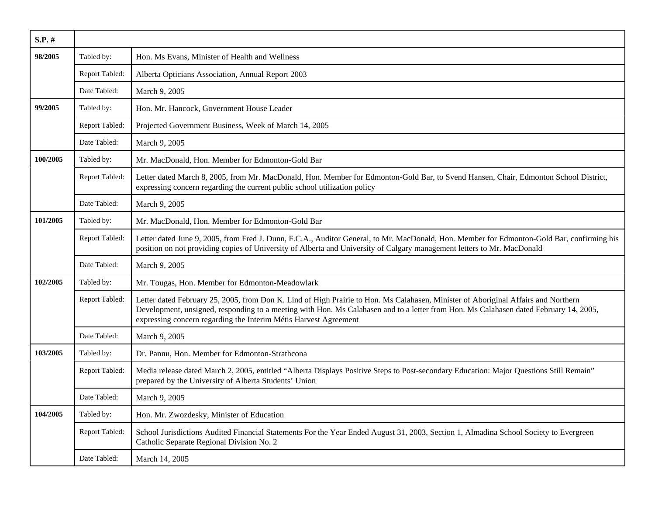| S.P.#    |                |                                                                                                                                                                                                                                                                                                                                                 |
|----------|----------------|-------------------------------------------------------------------------------------------------------------------------------------------------------------------------------------------------------------------------------------------------------------------------------------------------------------------------------------------------|
| 98/2005  | Tabled by:     | Hon. Ms Evans, Minister of Health and Wellness                                                                                                                                                                                                                                                                                                  |
|          | Report Tabled: | Alberta Opticians Association, Annual Report 2003                                                                                                                                                                                                                                                                                               |
|          | Date Tabled:   | March 9, 2005                                                                                                                                                                                                                                                                                                                                   |
| 99/2005  | Tabled by:     | Hon. Mr. Hancock, Government House Leader                                                                                                                                                                                                                                                                                                       |
|          | Report Tabled: | Projected Government Business, Week of March 14, 2005                                                                                                                                                                                                                                                                                           |
|          | Date Tabled:   | March 9, 2005                                                                                                                                                                                                                                                                                                                                   |
| 100/2005 | Tabled by:     | Mr. MacDonald, Hon. Member for Edmonton-Gold Bar                                                                                                                                                                                                                                                                                                |
|          | Report Tabled: | Letter dated March 8, 2005, from Mr. MacDonald, Hon. Member for Edmonton-Gold Bar, to Svend Hansen, Chair, Edmonton School District,<br>expressing concern regarding the current public school utilization policy                                                                                                                               |
|          | Date Tabled:   | March 9, 2005                                                                                                                                                                                                                                                                                                                                   |
| 101/2005 | Tabled by:     | Mr. MacDonald, Hon. Member for Edmonton-Gold Bar                                                                                                                                                                                                                                                                                                |
|          | Report Tabled: | Letter dated June 9, 2005, from Fred J. Dunn, F.C.A., Auditor General, to Mr. MacDonald, Hon. Member for Edmonton-Gold Bar, confirming his<br>position on not providing copies of University of Alberta and University of Calgary management letters to Mr. MacDonald                                                                           |
|          | Date Tabled:   | March 9, 2005                                                                                                                                                                                                                                                                                                                                   |
| 102/2005 | Tabled by:     | Mr. Tougas, Hon. Member for Edmonton-Meadowlark                                                                                                                                                                                                                                                                                                 |
|          | Report Tabled: | Letter dated February 25, 2005, from Don K. Lind of High Prairie to Hon. Ms Calahasen, Minister of Aboriginal Affairs and Northern<br>Development, unsigned, responding to a meeting with Hon. Ms Calahasen and to a letter from Hon. Ms Calahasen dated February 14, 2005,<br>expressing concern regarding the Interim Métis Harvest Agreement |
|          | Date Tabled:   | March 9, 2005                                                                                                                                                                                                                                                                                                                                   |
| 103/2005 | Tabled by:     | Dr. Pannu, Hon. Member for Edmonton-Strathcona                                                                                                                                                                                                                                                                                                  |
|          | Report Tabled: | Media release dated March 2, 2005, entitled "Alberta Displays Positive Steps to Post-secondary Education: Major Questions Still Remain"<br>prepared by the University of Alberta Students' Union                                                                                                                                                |
|          | Date Tabled:   | March 9, 2005                                                                                                                                                                                                                                                                                                                                   |
| 104/2005 | Tabled by:     | Hon. Mr. Zwozdesky, Minister of Education                                                                                                                                                                                                                                                                                                       |
|          | Report Tabled: | School Jurisdictions Audited Financial Statements For the Year Ended August 31, 2003, Section 1, Almadina School Society to Evergreen<br>Catholic Separate Regional Division No. 2                                                                                                                                                              |
|          | Date Tabled:   | March 14, 2005                                                                                                                                                                                                                                                                                                                                  |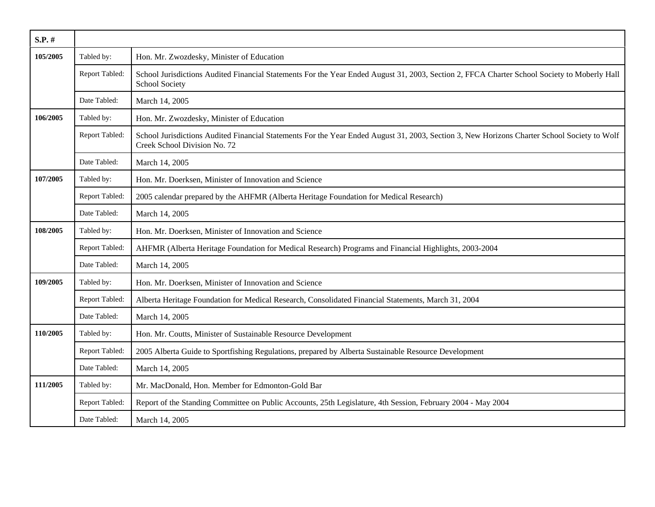| $S.P.$ # |                |                                                                                                                                                                              |
|----------|----------------|------------------------------------------------------------------------------------------------------------------------------------------------------------------------------|
| 105/2005 | Tabled by:     | Hon. Mr. Zwozdesky, Minister of Education                                                                                                                                    |
|          | Report Tabled: | School Jurisdictions Audited Financial Statements For the Year Ended August 31, 2003, Section 2, FFCA Charter School Society to Moberly Hall<br>School Society               |
|          | Date Tabled:   | March 14, 2005                                                                                                                                                               |
| 106/2005 | Tabled by:     | Hon. Mr. Zwozdesky, Minister of Education                                                                                                                                    |
|          | Report Tabled: | School Jurisdictions Audited Financial Statements For the Year Ended August 31, 2003, Section 3, New Horizons Charter School Society to Wolf<br>Creek School Division No. 72 |
|          | Date Tabled:   | March 14, 2005                                                                                                                                                               |
| 107/2005 | Tabled by:     | Hon. Mr. Doerksen, Minister of Innovation and Science                                                                                                                        |
|          | Report Tabled: | 2005 calendar prepared by the AHFMR (Alberta Heritage Foundation for Medical Research)                                                                                       |
|          | Date Tabled:   | March 14, 2005                                                                                                                                                               |
| 108/2005 | Tabled by:     | Hon. Mr. Doerksen, Minister of Innovation and Science                                                                                                                        |
|          | Report Tabled: | AHFMR (Alberta Heritage Foundation for Medical Research) Programs and Financial Highlights, 2003-2004                                                                        |
|          | Date Tabled:   | March 14, 2005                                                                                                                                                               |
| 109/2005 | Tabled by:     | Hon. Mr. Doerksen, Minister of Innovation and Science                                                                                                                        |
|          | Report Tabled: | Alberta Heritage Foundation for Medical Research, Consolidated Financial Statements, March 31, 2004                                                                          |
|          | Date Tabled:   | March 14, 2005                                                                                                                                                               |
| 110/2005 | Tabled by:     | Hon. Mr. Coutts, Minister of Sustainable Resource Development                                                                                                                |
|          | Report Tabled: | 2005 Alberta Guide to Sportfishing Regulations, prepared by Alberta Sustainable Resource Development                                                                         |
|          | Date Tabled:   | March 14, 2005                                                                                                                                                               |
| 111/2005 | Tabled by:     | Mr. MacDonald, Hon. Member for Edmonton-Gold Bar                                                                                                                             |
|          | Report Tabled: | Report of the Standing Committee on Public Accounts, 25th Legislature, 4th Session, February 2004 - May 2004                                                                 |
|          | Date Tabled:   | March 14, 2005                                                                                                                                                               |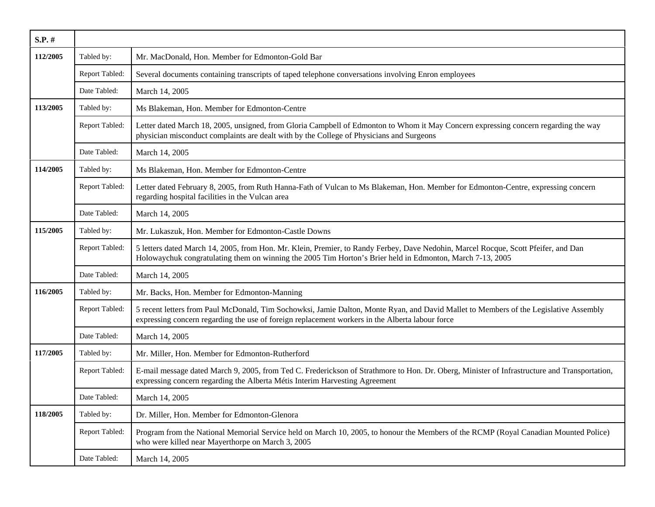| S.P. #   |                |                                                                                                                                                                                                                                                 |
|----------|----------------|-------------------------------------------------------------------------------------------------------------------------------------------------------------------------------------------------------------------------------------------------|
| 112/2005 | Tabled by:     | Mr. MacDonald, Hon. Member for Edmonton-Gold Bar                                                                                                                                                                                                |
|          | Report Tabled: | Several documents containing transcripts of taped telephone conversations involving Enron employees                                                                                                                                             |
|          | Date Tabled:   | March 14, 2005                                                                                                                                                                                                                                  |
| 113/2005 | Tabled by:     | Ms Blakeman, Hon. Member for Edmonton-Centre                                                                                                                                                                                                    |
|          | Report Tabled: | Letter dated March 18, 2005, unsigned, from Gloria Campbell of Edmonton to Whom it May Concern expressing concern regarding the way<br>physician misconduct complaints are dealt with by the College of Physicians and Surgeons                 |
|          | Date Tabled:   | March 14, 2005                                                                                                                                                                                                                                  |
| 114/2005 | Tabled by:     | Ms Blakeman, Hon. Member for Edmonton-Centre                                                                                                                                                                                                    |
|          | Report Tabled: | Letter dated February 8, 2005, from Ruth Hanna-Fath of Vulcan to Ms Blakeman, Hon. Member for Edmonton-Centre, expressing concern<br>regarding hospital facilities in the Vulcan area                                                           |
|          | Date Tabled:   | March 14, 2005                                                                                                                                                                                                                                  |
| 115/2005 | Tabled by:     | Mr. Lukaszuk, Hon. Member for Edmonton-Castle Downs                                                                                                                                                                                             |
|          | Report Tabled: | 5 letters dated March 14, 2005, from Hon. Mr. Klein, Premier, to Randy Ferbey, Dave Nedohin, Marcel Rocque, Scott Pfeifer, and Dan<br>Holowaychuk congratulating them on winning the 2005 Tim Horton's Brier held in Edmonton, March 7-13, 2005 |
|          | Date Tabled:   | March 14, 2005                                                                                                                                                                                                                                  |
| 116/2005 | Tabled by:     | Mr. Backs, Hon. Member for Edmonton-Manning                                                                                                                                                                                                     |
|          | Report Tabled: | 5 recent letters from Paul McDonald, Tim Sochowksi, Jamie Dalton, Monte Ryan, and David Mallet to Members of the Legislative Assembly<br>expressing concern regarding the use of foreign replacement workers in the Alberta labour force        |
|          | Date Tabled:   | March 14, 2005                                                                                                                                                                                                                                  |
| 117/2005 | Tabled by:     | Mr. Miller, Hon. Member for Edmonton-Rutherford                                                                                                                                                                                                 |
|          | Report Tabled: | E-mail message dated March 9, 2005, from Ted C. Frederickson of Strathmore to Hon. Dr. Oberg, Minister of Infrastructure and Transportation,<br>expressing concern regarding the Alberta Métis Interim Harvesting Agreement                     |
|          | Date Tabled:   | March 14, 2005                                                                                                                                                                                                                                  |
| 118/2005 | Tabled by:     | Dr. Miller, Hon. Member for Edmonton-Glenora                                                                                                                                                                                                    |
|          | Report Tabled: | Program from the National Memorial Service held on March 10, 2005, to honour the Members of the RCMP (Royal Canadian Mounted Police)<br>who were killed near Mayerthorpe on March 3, 2005                                                       |
|          | Date Tabled:   | March 14, 2005                                                                                                                                                                                                                                  |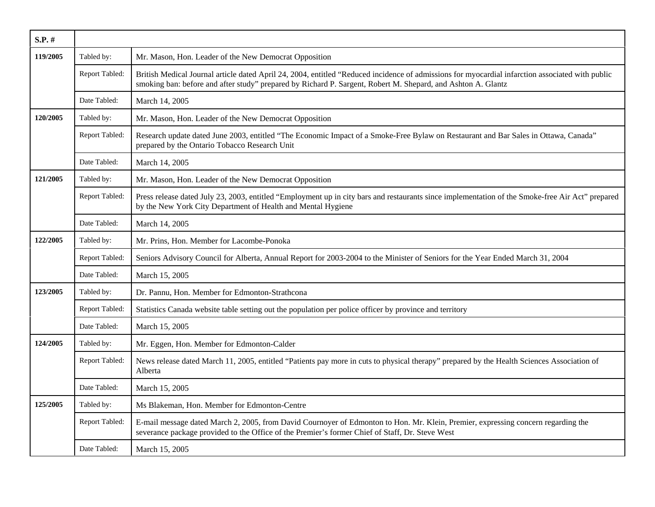| $S.P.$ # |                       |                                                                                                                                                                                                                                                                  |
|----------|-----------------------|------------------------------------------------------------------------------------------------------------------------------------------------------------------------------------------------------------------------------------------------------------------|
| 119/2005 | Tabled by:            | Mr. Mason, Hon. Leader of the New Democrat Opposition                                                                                                                                                                                                            |
|          | Report Tabled:        | British Medical Journal article dated April 24, 2004, entitled "Reduced incidence of admissions for myocardial infarction associated with public<br>smoking ban: before and after study" prepared by Richard P. Sargent, Robert M. Shepard, and Ashton A. Glantz |
|          | Date Tabled:          | March 14, 2005                                                                                                                                                                                                                                                   |
| 120/2005 | Tabled by:            | Mr. Mason, Hon. Leader of the New Democrat Opposition                                                                                                                                                                                                            |
|          | Report Tabled:        | Research update dated June 2003, entitled "The Economic Impact of a Smoke-Free Bylaw on Restaurant and Bar Sales in Ottawa, Canada"<br>prepared by the Ontario Tobacco Research Unit                                                                             |
|          | Date Tabled:          | March 14, 2005                                                                                                                                                                                                                                                   |
| 121/2005 | Tabled by:            | Mr. Mason, Hon. Leader of the New Democrat Opposition                                                                                                                                                                                                            |
|          | <b>Report Tabled:</b> | Press release dated July 23, 2003, entitled "Employment up in city bars and restaurants since implementation of the Smoke-free Air Act" prepared<br>by the New York City Department of Health and Mental Hygiene                                                 |
|          | Date Tabled:          | March 14, 2005                                                                                                                                                                                                                                                   |
| 122/2005 | Tabled by:            | Mr. Prins, Hon. Member for Lacombe-Ponoka                                                                                                                                                                                                                        |
|          | Report Tabled:        | Seniors Advisory Council for Alberta, Annual Report for 2003-2004 to the Minister of Seniors for the Year Ended March 31, 2004                                                                                                                                   |
|          | Date Tabled:          | March 15, 2005                                                                                                                                                                                                                                                   |
| 123/2005 | Tabled by:            | Dr. Pannu, Hon. Member for Edmonton-Strathcona                                                                                                                                                                                                                   |
|          | Report Tabled:        | Statistics Canada website table setting out the population per police officer by province and territory                                                                                                                                                          |
|          | Date Tabled:          | March 15, 2005                                                                                                                                                                                                                                                   |
| 124/2005 | Tabled by:            | Mr. Eggen, Hon. Member for Edmonton-Calder                                                                                                                                                                                                                       |
|          | Report Tabled:        | News release dated March 11, 2005, entitled "Patients pay more in cuts to physical therapy" prepared by the Health Sciences Association of<br>Alberta                                                                                                            |
|          | Date Tabled:          | March 15, 2005                                                                                                                                                                                                                                                   |
| 125/2005 | Tabled by:            | Ms Blakeman, Hon. Member for Edmonton-Centre                                                                                                                                                                                                                     |
|          | Report Tabled:        | E-mail message dated March 2, 2005, from David Cournoyer of Edmonton to Hon. Mr. Klein, Premier, expressing concern regarding the<br>severance package provided to the Office of the Premier's former Chief of Staff, Dr. Steve West                             |
|          | Date Tabled:          | March 15, 2005                                                                                                                                                                                                                                                   |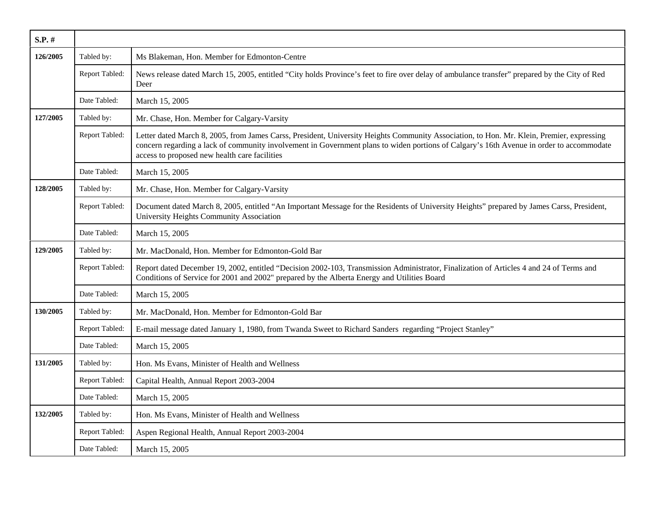| $S.P.$ # |                |                                                                                                                                                                                                                                                                                                                                        |
|----------|----------------|----------------------------------------------------------------------------------------------------------------------------------------------------------------------------------------------------------------------------------------------------------------------------------------------------------------------------------------|
| 126/2005 | Tabled by:     | Ms Blakeman, Hon. Member for Edmonton-Centre                                                                                                                                                                                                                                                                                           |
|          | Report Tabled: | News release dated March 15, 2005, entitled "City holds Province's feet to fire over delay of ambulance transfer" prepared by the City of Red<br>Deer                                                                                                                                                                                  |
|          | Date Tabled:   | March 15, 2005                                                                                                                                                                                                                                                                                                                         |
| 127/2005 | Tabled by:     | Mr. Chase, Hon. Member for Calgary-Varsity                                                                                                                                                                                                                                                                                             |
|          | Report Tabled: | Letter dated March 8, 2005, from James Carss, President, University Heights Community Association, to Hon. Mr. Klein, Premier, expressing<br>concern regarding a lack of community involvement in Government plans to widen portions of Calgary's 16th Avenue in order to accommodate<br>access to proposed new health care facilities |
|          | Date Tabled:   | March 15, 2005                                                                                                                                                                                                                                                                                                                         |
| 128/2005 | Tabled by:     | Mr. Chase, Hon. Member for Calgary-Varsity                                                                                                                                                                                                                                                                                             |
|          | Report Tabled: | Document dated March 8, 2005, entitled "An Important Message for the Residents of University Heights" prepared by James Carss, President,<br>University Heights Community Association                                                                                                                                                  |
|          | Date Tabled:   | March 15, 2005                                                                                                                                                                                                                                                                                                                         |
| 129/2005 | Tabled by:     | Mr. MacDonald, Hon. Member for Edmonton-Gold Bar                                                                                                                                                                                                                                                                                       |
|          | Report Tabled: | Report dated December 19, 2002, entitled "Decision 2002-103, Transmission Administrator, Finalization of Articles 4 and 24 of Terms and<br>Conditions of Service for 2001 and 2002" prepared by the Alberta Energy and Utilities Board                                                                                                 |
|          | Date Tabled:   | March 15, 2005                                                                                                                                                                                                                                                                                                                         |
| 130/2005 | Tabled by:     | Mr. MacDonald, Hon. Member for Edmonton-Gold Bar                                                                                                                                                                                                                                                                                       |
|          | Report Tabled: | E-mail message dated January 1, 1980, from Twanda Sweet to Richard Sanders regarding "Project Stanley"                                                                                                                                                                                                                                 |
|          | Date Tabled:   | March 15, 2005                                                                                                                                                                                                                                                                                                                         |
| 131/2005 | Tabled by:     | Hon. Ms Evans, Minister of Health and Wellness                                                                                                                                                                                                                                                                                         |
|          | Report Tabled: | Capital Health, Annual Report 2003-2004                                                                                                                                                                                                                                                                                                |
|          | Date Tabled:   | March 15, 2005                                                                                                                                                                                                                                                                                                                         |
| 132/2005 | Tabled by:     | Hon. Ms Evans, Minister of Health and Wellness                                                                                                                                                                                                                                                                                         |
|          | Report Tabled: | Aspen Regional Health, Annual Report 2003-2004                                                                                                                                                                                                                                                                                         |
|          | Date Tabled:   | March 15, 2005                                                                                                                                                                                                                                                                                                                         |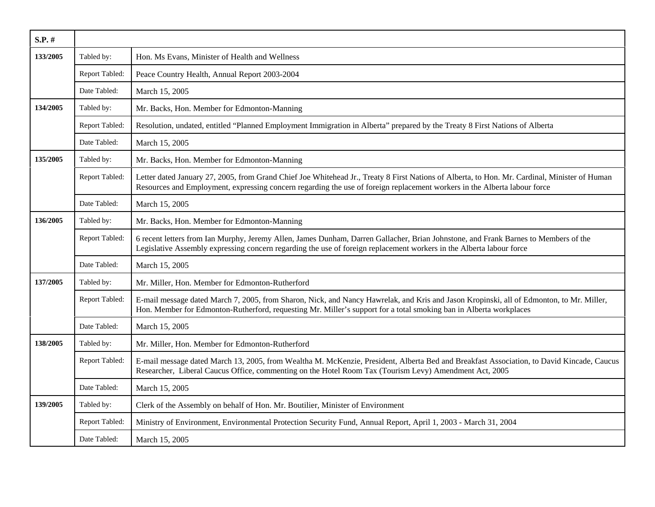| $S.P.$ # |                |                                                                                                                                                                                                                                                                            |
|----------|----------------|----------------------------------------------------------------------------------------------------------------------------------------------------------------------------------------------------------------------------------------------------------------------------|
| 133/2005 | Tabled by:     | Hon. Ms Evans, Minister of Health and Wellness                                                                                                                                                                                                                             |
|          | Report Tabled: | Peace Country Health, Annual Report 2003-2004                                                                                                                                                                                                                              |
|          | Date Tabled:   | March 15, 2005                                                                                                                                                                                                                                                             |
| 134/2005 | Tabled by:     | Mr. Backs, Hon. Member for Edmonton-Manning                                                                                                                                                                                                                                |
|          | Report Tabled: | Resolution, undated, entitled "Planned Employment Immigration in Alberta" prepared by the Treaty 8 First Nations of Alberta                                                                                                                                                |
|          | Date Tabled:   | March 15, 2005                                                                                                                                                                                                                                                             |
| 135/2005 | Tabled by:     | Mr. Backs, Hon. Member for Edmonton-Manning                                                                                                                                                                                                                                |
|          | Report Tabled: | Letter dated January 27, 2005, from Grand Chief Joe Whitehead Jr., Treaty 8 First Nations of Alberta, to Hon. Mr. Cardinal, Minister of Human<br>Resources and Employment, expressing concern regarding the use of foreign replacement workers in the Alberta labour force |
|          | Date Tabled:   | March 15, 2005                                                                                                                                                                                                                                                             |
| 136/2005 | Tabled by:     | Mr. Backs, Hon. Member for Edmonton-Manning                                                                                                                                                                                                                                |
|          | Report Tabled: | 6 recent letters from Ian Murphy, Jeremy Allen, James Dunham, Darren Gallacher, Brian Johnstone, and Frank Barnes to Members of the<br>Legislative Assembly expressing concern regarding the use of foreign replacement workers in the Alberta labour force                |
|          | Date Tabled:   | March 15, 2005                                                                                                                                                                                                                                                             |
| 137/2005 | Tabled by:     | Mr. Miller, Hon. Member for Edmonton-Rutherford                                                                                                                                                                                                                            |
|          | Report Tabled: | E-mail message dated March 7, 2005, from Sharon, Nick, and Nancy Hawrelak, and Kris and Jason Kropinski, all of Edmonton, to Mr. Miller,<br>Hon. Member for Edmonton-Rutherford, requesting Mr. Miller's support for a total smoking ban in Alberta workplaces             |
|          | Date Tabled:   | March 15, 2005                                                                                                                                                                                                                                                             |
| 138/2005 | Tabled by:     | Mr. Miller, Hon. Member for Edmonton-Rutherford                                                                                                                                                                                                                            |
|          | Report Tabled: | E-mail message dated March 13, 2005, from Wealtha M. McKenzie, President, Alberta Bed and Breakfast Association, to David Kincade, Caucus<br>Researcher, Liberal Caucus Office, commenting on the Hotel Room Tax (Tourism Levy) Amendment Act, 2005                        |
|          | Date Tabled:   | March 15, 2005                                                                                                                                                                                                                                                             |
| 139/2005 | Tabled by:     | Clerk of the Assembly on behalf of Hon. Mr. Boutilier, Minister of Environment                                                                                                                                                                                             |
|          | Report Tabled: | Ministry of Environment, Environmental Protection Security Fund, Annual Report, April 1, 2003 - March 31, 2004                                                                                                                                                             |
|          | Date Tabled:   | March 15, 2005                                                                                                                                                                                                                                                             |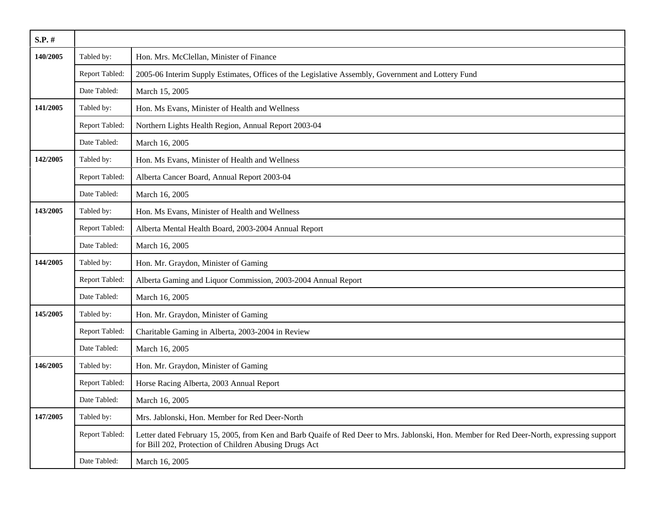| S.P. #   |                |                                                                                                                                                                                                      |
|----------|----------------|------------------------------------------------------------------------------------------------------------------------------------------------------------------------------------------------------|
| 140/2005 | Tabled by:     | Hon. Mrs. McClellan, Minister of Finance                                                                                                                                                             |
|          | Report Tabled: | 2005-06 Interim Supply Estimates, Offices of the Legislative Assembly, Government and Lottery Fund                                                                                                   |
|          | Date Tabled:   | March 15, 2005                                                                                                                                                                                       |
| 141/2005 | Tabled by:     | Hon. Ms Evans, Minister of Health and Wellness                                                                                                                                                       |
|          | Report Tabled: | Northern Lights Health Region, Annual Report 2003-04                                                                                                                                                 |
|          | Date Tabled:   | March 16, 2005                                                                                                                                                                                       |
| 142/2005 | Tabled by:     | Hon. Ms Evans, Minister of Health and Wellness                                                                                                                                                       |
|          | Report Tabled: | Alberta Cancer Board, Annual Report 2003-04                                                                                                                                                          |
|          | Date Tabled:   | March 16, 2005                                                                                                                                                                                       |
| 143/2005 | Tabled by:     | Hon. Ms Evans, Minister of Health and Wellness                                                                                                                                                       |
|          | Report Tabled: | Alberta Mental Health Board, 2003-2004 Annual Report                                                                                                                                                 |
|          | Date Tabled:   | March 16, 2005                                                                                                                                                                                       |
| 144/2005 | Tabled by:     | Hon. Mr. Graydon, Minister of Gaming                                                                                                                                                                 |
|          | Report Tabled: | Alberta Gaming and Liquor Commission, 2003-2004 Annual Report                                                                                                                                        |
|          | Date Tabled:   | March 16, 2005                                                                                                                                                                                       |
| 145/2005 | Tabled by:     | Hon. Mr. Graydon, Minister of Gaming                                                                                                                                                                 |
|          | Report Tabled: | Charitable Gaming in Alberta, 2003-2004 in Review                                                                                                                                                    |
|          | Date Tabled:   | March 16, 2005                                                                                                                                                                                       |
| 146/2005 | Tabled by:     | Hon. Mr. Graydon, Minister of Gaming                                                                                                                                                                 |
|          | Report Tabled: | Horse Racing Alberta, 2003 Annual Report                                                                                                                                                             |
|          | Date Tabled:   | March 16, 2005                                                                                                                                                                                       |
| 147/2005 | Tabled by:     | Mrs. Jablonski, Hon. Member for Red Deer-North                                                                                                                                                       |
|          | Report Tabled: | Letter dated February 15, 2005, from Ken and Barb Quaife of Red Deer to Mrs. Jablonski, Hon. Member for Red Deer-North, expressing support<br>for Bill 202, Protection of Children Abusing Drugs Act |
|          | Date Tabled:   | March 16, 2005                                                                                                                                                                                       |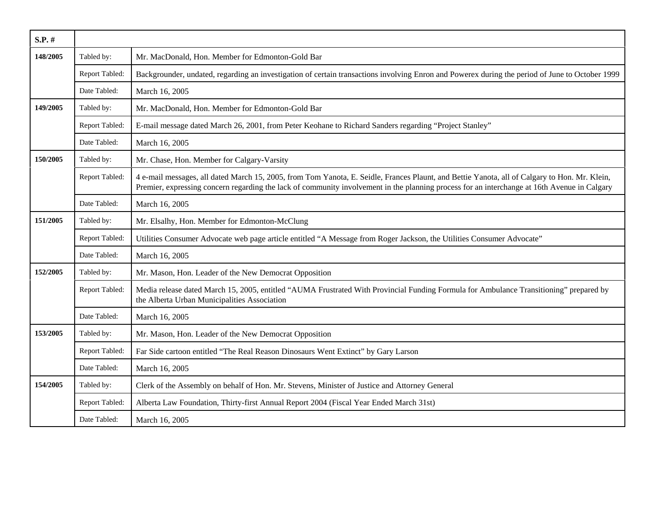| $S.P.$ # |                |                                                                                                                                                                                                                                                                                               |
|----------|----------------|-----------------------------------------------------------------------------------------------------------------------------------------------------------------------------------------------------------------------------------------------------------------------------------------------|
| 148/2005 | Tabled by:     | Mr. MacDonald, Hon. Member for Edmonton-Gold Bar                                                                                                                                                                                                                                              |
|          | Report Tabled: | Backgrounder, undated, regarding an investigation of certain transactions involving Enron and Powerex during the period of June to October 1999                                                                                                                                               |
|          | Date Tabled:   | March 16, 2005                                                                                                                                                                                                                                                                                |
| 149/2005 | Tabled by:     | Mr. MacDonald, Hon. Member for Edmonton-Gold Bar                                                                                                                                                                                                                                              |
|          | Report Tabled: | E-mail message dated March 26, 2001, from Peter Keohane to Richard Sanders regarding "Project Stanley"                                                                                                                                                                                        |
|          | Date Tabled:   | March 16, 2005                                                                                                                                                                                                                                                                                |
| 150/2005 | Tabled by:     | Mr. Chase, Hon. Member for Calgary-Varsity                                                                                                                                                                                                                                                    |
|          | Report Tabled: | 4 e-mail messages, all dated March 15, 2005, from Tom Yanota, E. Seidle, Frances Plaunt, and Bettie Yanota, all of Calgary to Hon. Mr. Klein,<br>Premier, expressing concern regarding the lack of community involvement in the planning process for an interchange at 16th Avenue in Calgary |
|          | Date Tabled:   | March 16, 2005                                                                                                                                                                                                                                                                                |
| 151/2005 | Tabled by:     | Mr. Elsalhy, Hon. Member for Edmonton-McClung                                                                                                                                                                                                                                                 |
|          | Report Tabled: | Utilities Consumer Advocate web page article entitled "A Message from Roger Jackson, the Utilities Consumer Advocate"                                                                                                                                                                         |
|          | Date Tabled:   | March 16, 2005                                                                                                                                                                                                                                                                                |
| 152/2005 | Tabled by:     | Mr. Mason, Hon. Leader of the New Democrat Opposition                                                                                                                                                                                                                                         |
|          | Report Tabled: | Media release dated March 15, 2005, entitled "AUMA Frustrated With Provincial Funding Formula for Ambulance Transitioning" prepared by<br>the Alberta Urban Municipalities Association                                                                                                        |
|          | Date Tabled:   | March 16, 2005                                                                                                                                                                                                                                                                                |
| 153/2005 | Tabled by:     | Mr. Mason, Hon. Leader of the New Democrat Opposition                                                                                                                                                                                                                                         |
|          | Report Tabled: | Far Side cartoon entitled "The Real Reason Dinosaurs Went Extinct" by Gary Larson                                                                                                                                                                                                             |
|          | Date Tabled:   | March 16, 2005                                                                                                                                                                                                                                                                                |
| 154/2005 | Tabled by:     | Clerk of the Assembly on behalf of Hon. Mr. Stevens, Minister of Justice and Attorney General                                                                                                                                                                                                 |
|          | Report Tabled: | Alberta Law Foundation, Thirty-first Annual Report 2004 (Fiscal Year Ended March 31st)                                                                                                                                                                                                        |
|          | Date Tabled:   | March 16, 2005                                                                                                                                                                                                                                                                                |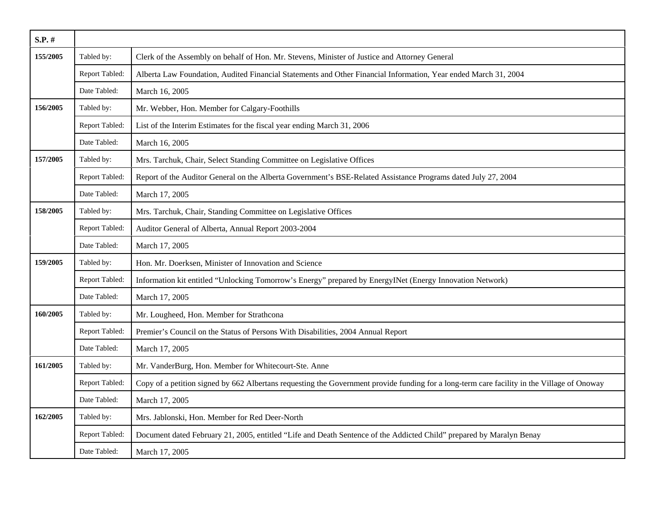| S.P. #   |                |                                                                                                                                             |
|----------|----------------|---------------------------------------------------------------------------------------------------------------------------------------------|
| 155/2005 | Tabled by:     | Clerk of the Assembly on behalf of Hon. Mr. Stevens, Minister of Justice and Attorney General                                               |
|          | Report Tabled: | Alberta Law Foundation, Audited Financial Statements and Other Financial Information, Year ended March 31, 2004                             |
|          | Date Tabled:   | March 16, 2005                                                                                                                              |
| 156/2005 | Tabled by:     | Mr. Webber, Hon. Member for Calgary-Foothills                                                                                               |
|          | Report Tabled: | List of the Interim Estimates for the fiscal year ending March 31, 2006                                                                     |
|          | Date Tabled:   | March 16, 2005                                                                                                                              |
| 157/2005 | Tabled by:     | Mrs. Tarchuk, Chair, Select Standing Committee on Legislative Offices                                                                       |
|          | Report Tabled: | Report of the Auditor General on the Alberta Government's BSE-Related Assistance Programs dated July 27, 2004                               |
|          | Date Tabled:   | March 17, 2005                                                                                                                              |
| 158/2005 | Tabled by:     | Mrs. Tarchuk, Chair, Standing Committee on Legislative Offices                                                                              |
|          | Report Tabled: | Auditor General of Alberta, Annual Report 2003-2004                                                                                         |
|          | Date Tabled:   | March 17, 2005                                                                                                                              |
| 159/2005 | Tabled by:     | Hon. Mr. Doerksen, Minister of Innovation and Science                                                                                       |
|          | Report Tabled: | Information kit entitled "Unlocking Tomorrow's Energy" prepared by EnergyINet (Energy Innovation Network)                                   |
|          | Date Tabled:   | March 17, 2005                                                                                                                              |
| 160/2005 | Tabled by:     | Mr. Lougheed, Hon. Member for Strathcona                                                                                                    |
|          | Report Tabled: | Premier's Council on the Status of Persons With Disabilities, 2004 Annual Report                                                            |
|          | Date Tabled:   | March 17, 2005                                                                                                                              |
| 161/2005 | Tabled by:     | Mr. VanderBurg, Hon. Member for Whitecourt-Ste. Anne                                                                                        |
|          | Report Tabled: | Copy of a petition signed by 662 Albertans requesting the Government provide funding for a long-term care facility in the Village of Onoway |
|          | Date Tabled:   | March 17, 2005                                                                                                                              |
| 162/2005 | Tabled by:     | Mrs. Jablonski, Hon. Member for Red Deer-North                                                                                              |
|          | Report Tabled: | Document dated February 21, 2005, entitled "Life and Death Sentence of the Addicted Child" prepared by Maralyn Benay                        |
|          | Date Tabled:   | March 17, 2005                                                                                                                              |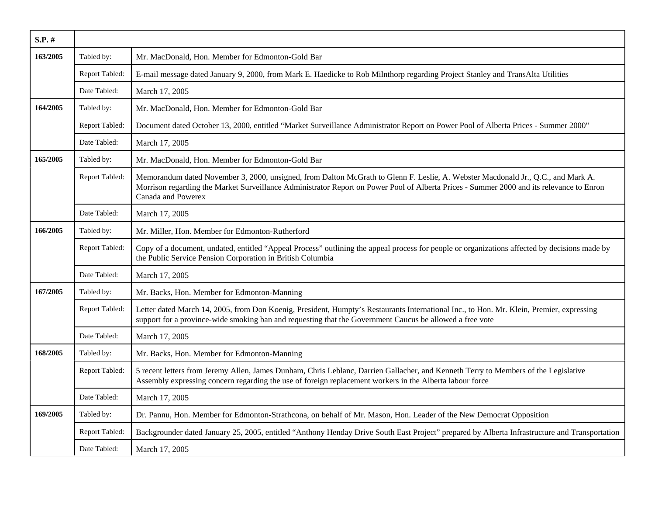| $S.P.$ # |                |                                                                                                                                                                                                                                                                                                    |
|----------|----------------|----------------------------------------------------------------------------------------------------------------------------------------------------------------------------------------------------------------------------------------------------------------------------------------------------|
| 163/2005 | Tabled by:     | Mr. MacDonald, Hon. Member for Edmonton-Gold Bar                                                                                                                                                                                                                                                   |
|          | Report Tabled: | E-mail message dated January 9, 2000, from Mark E. Haedicke to Rob Milnthorp regarding Project Stanley and TransAlta Utilities                                                                                                                                                                     |
|          | Date Tabled:   | March 17, 2005                                                                                                                                                                                                                                                                                     |
| 164/2005 | Tabled by:     | Mr. MacDonald, Hon. Member for Edmonton-Gold Bar                                                                                                                                                                                                                                                   |
|          | Report Tabled: | Document dated October 13, 2000, entitled "Market Surveillance Administrator Report on Power Pool of Alberta Prices - Summer 2000"                                                                                                                                                                 |
|          | Date Tabled:   | March 17, 2005                                                                                                                                                                                                                                                                                     |
| 165/2005 | Tabled by:     | Mr. MacDonald, Hon. Member for Edmonton-Gold Bar                                                                                                                                                                                                                                                   |
|          | Report Tabled: | Memorandum dated November 3, 2000, unsigned, from Dalton McGrath to Glenn F. Leslie, A. Webster Macdonald Jr., Q.C., and Mark A.<br>Morrison regarding the Market Surveillance Administrator Report on Power Pool of Alberta Prices - Summer 2000 and its relevance to Enron<br>Canada and Powerex |
|          | Date Tabled:   | March 17, 2005                                                                                                                                                                                                                                                                                     |
| 166/2005 | Tabled by:     | Mr. Miller, Hon. Member for Edmonton-Rutherford                                                                                                                                                                                                                                                    |
|          | Report Tabled: | Copy of a document, undated, entitled "Appeal Process" outlining the appeal process for people or organizations affected by decisions made by<br>the Public Service Pension Corporation in British Columbia                                                                                        |
|          | Date Tabled:   | March 17, 2005                                                                                                                                                                                                                                                                                     |
| 167/2005 | Tabled by:     | Mr. Backs, Hon. Member for Edmonton-Manning                                                                                                                                                                                                                                                        |
|          | Report Tabled: | Letter dated March 14, 2005, from Don Koenig, President, Humpty's Restaurants International Inc., to Hon. Mr. Klein, Premier, expressing<br>support for a province-wide smoking ban and requesting that the Government Caucus be allowed a free vote                                               |
|          | Date Tabled:   | March 17, 2005                                                                                                                                                                                                                                                                                     |
| 168/2005 | Tabled by:     | Mr. Backs, Hon. Member for Edmonton-Manning                                                                                                                                                                                                                                                        |
|          | Report Tabled: | 5 recent letters from Jeremy Allen, James Dunham, Chris Leblanc, Darrien Gallacher, and Kenneth Terry to Members of the Legislative<br>Assembly expressing concern regarding the use of foreign replacement workers in the Alberta labour force                                                    |
|          | Date Tabled:   | March 17, 2005                                                                                                                                                                                                                                                                                     |
| 169/2005 | Tabled by:     | Dr. Pannu, Hon. Member for Edmonton-Strathcona, on behalf of Mr. Mason, Hon. Leader of the New Democrat Opposition                                                                                                                                                                                 |
|          | Report Tabled: | Backgrounder dated January 25, 2005, entitled "Anthony Henday Drive South East Project" prepared by Alberta Infrastructure and Transportation                                                                                                                                                      |
|          | Date Tabled:   | March 17, 2005                                                                                                                                                                                                                                                                                     |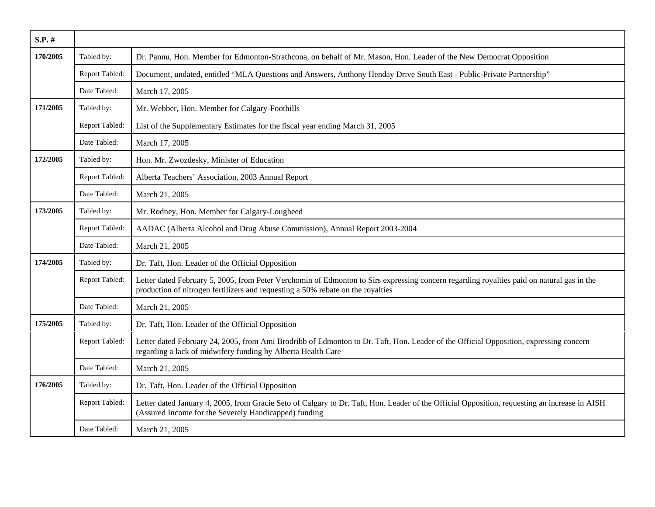| $S.P.$ # |                |                                                                                                                                                                                                                              |
|----------|----------------|------------------------------------------------------------------------------------------------------------------------------------------------------------------------------------------------------------------------------|
| 170/2005 | Tabled by:     | Dr. Pannu, Hon. Member for Edmonton-Strathcona, on behalf of Mr. Mason, Hon. Leader of the New Democrat Opposition                                                                                                           |
|          | Report Tabled: | Document, undated, entitled "MLA Questions and Answers, Anthony Henday Drive South East - Public-Private Partnership"                                                                                                        |
|          | Date Tabled:   | March 17, 2005                                                                                                                                                                                                               |
| 171/2005 | Tabled by:     | Mr. Webber, Hon. Member for Calgary-Foothills                                                                                                                                                                                |
|          | Report Tabled: | List of the Supplementary Estimates for the fiscal year ending March 31, 2005                                                                                                                                                |
|          | Date Tabled:   | March 17, 2005                                                                                                                                                                                                               |
| 172/2005 | Tabled by:     | Hon. Mr. Zwozdesky, Minister of Education                                                                                                                                                                                    |
|          | Report Tabled: | Alberta Teachers' Association, 2003 Annual Report                                                                                                                                                                            |
|          | Date Tabled:   | March 21, 2005                                                                                                                                                                                                               |
| 173/2005 | Tabled by:     | Mr. Rodney, Hon. Member for Calgary-Lougheed                                                                                                                                                                                 |
|          | Report Tabled: | AADAC (Alberta Alcohol and Drug Abuse Commission), Annual Report 2003-2004                                                                                                                                                   |
|          | Date Tabled:   | March 21, 2005                                                                                                                                                                                                               |
| 174/2005 | Tabled by:     | Dr. Taft, Hon. Leader of the Official Opposition                                                                                                                                                                             |
|          | Report Tabled: | Letter dated February 5, 2005, from Peter Verchomin of Edmonton to Sirs expressing concern regarding royalties paid on natural gas in the<br>production of nitrogen fertilizers and requesting a 50% rebate on the royalties |
|          | Date Tabled:   | March 21, 2005                                                                                                                                                                                                               |
| 175/2005 | Tabled by:     | Dr. Taft, Hon. Leader of the Official Opposition                                                                                                                                                                             |
|          | Report Tabled: | Letter dated February 24, 2005, from Ami Brodribb of Edmonton to Dr. Taft, Hon. Leader of the Official Opposition, expressing concern<br>regarding a lack of midwifery funding by Alberta Health Care                        |
|          | Date Tabled:   | March 21, 2005                                                                                                                                                                                                               |
| 176/2005 | Tabled by:     | Dr. Taft, Hon. Leader of the Official Opposition                                                                                                                                                                             |
|          | Report Tabled: | Letter dated January 4, 2005, from Gracie Seto of Calgary to Dr. Taft, Hon. Leader of the Official Opposition, requesting an increase in AISH<br>(Assured Income for the Severely Handicapped) funding                       |
|          | Date Tabled:   | March 21, 2005                                                                                                                                                                                                               |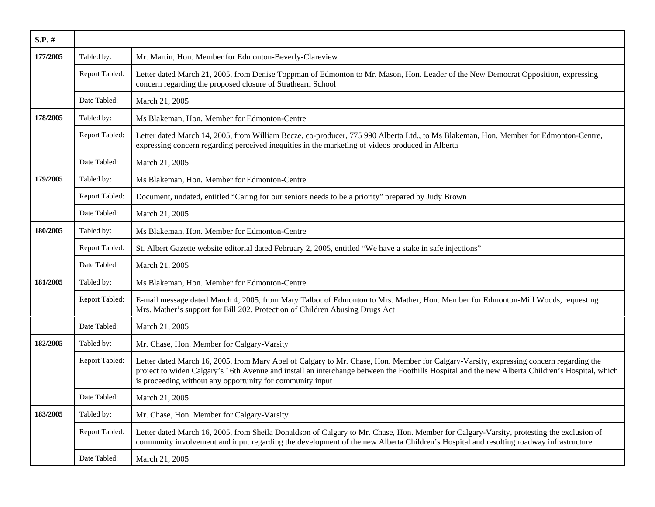| $S.P.$ # |                |                                                                                                                                                                                                                                                                                                                                                        |
|----------|----------------|--------------------------------------------------------------------------------------------------------------------------------------------------------------------------------------------------------------------------------------------------------------------------------------------------------------------------------------------------------|
| 177/2005 | Tabled by:     | Mr. Martin, Hon. Member for Edmonton-Beverly-Clareview                                                                                                                                                                                                                                                                                                 |
|          | Report Tabled: | Letter dated March 21, 2005, from Denise Toppman of Edmonton to Mr. Mason, Hon. Leader of the New Democrat Opposition, expressing<br>concern regarding the proposed closure of Strathearn School                                                                                                                                                       |
|          | Date Tabled:   | March 21, 2005                                                                                                                                                                                                                                                                                                                                         |
| 178/2005 | Tabled by:     | Ms Blakeman, Hon. Member for Edmonton-Centre                                                                                                                                                                                                                                                                                                           |
|          | Report Tabled: | Letter dated March 14, 2005, from William Becze, co-producer, 775 990 Alberta Ltd., to Ms Blakeman, Hon. Member for Edmonton-Centre,<br>expressing concern regarding perceived inequities in the marketing of videos produced in Alberta                                                                                                               |
|          | Date Tabled:   | March 21, 2005                                                                                                                                                                                                                                                                                                                                         |
| 179/2005 | Tabled by:     | Ms Blakeman, Hon. Member for Edmonton-Centre                                                                                                                                                                                                                                                                                                           |
|          | Report Tabled: | Document, undated, entitled "Caring for our seniors needs to be a priority" prepared by Judy Brown                                                                                                                                                                                                                                                     |
|          | Date Tabled:   | March 21, 2005                                                                                                                                                                                                                                                                                                                                         |
| 180/2005 | Tabled by:     | Ms Blakeman, Hon. Member for Edmonton-Centre                                                                                                                                                                                                                                                                                                           |
|          | Report Tabled: | St. Albert Gazette website editorial dated February 2, 2005, entitled "We have a stake in safe injections"                                                                                                                                                                                                                                             |
|          | Date Tabled:   | March 21, 2005                                                                                                                                                                                                                                                                                                                                         |
| 181/2005 | Tabled by:     | Ms Blakeman, Hon. Member for Edmonton-Centre                                                                                                                                                                                                                                                                                                           |
|          | Report Tabled: | E-mail message dated March 4, 2005, from Mary Talbot of Edmonton to Mrs. Mather, Hon. Member for Edmonton-Mill Woods, requesting<br>Mrs. Mather's support for Bill 202, Protection of Children Abusing Drugs Act                                                                                                                                       |
|          | Date Tabled:   | March 21, 2005                                                                                                                                                                                                                                                                                                                                         |
| 182/2005 | Tabled by:     | Mr. Chase, Hon. Member for Calgary-Varsity                                                                                                                                                                                                                                                                                                             |
|          | Report Tabled: | Letter dated March 16, 2005, from Mary Abel of Calgary to Mr. Chase, Hon. Member for Calgary-Varsity, expressing concern regarding the<br>project to widen Calgary's 16th Avenue and install an interchange between the Foothills Hospital and the new Alberta Children's Hospital, which<br>is proceeding without any opportunity for community input |
|          | Date Tabled:   | March 21, 2005                                                                                                                                                                                                                                                                                                                                         |
| 183/2005 | Tabled by:     | Mr. Chase, Hon. Member for Calgary-Varsity                                                                                                                                                                                                                                                                                                             |
|          | Report Tabled: | Letter dated March 16, 2005, from Sheila Donaldson of Calgary to Mr. Chase, Hon. Member for Calgary-Varsity, protesting the exclusion of<br>community involvement and input regarding the development of the new Alberta Children's Hospital and resulting roadway infrastructure                                                                      |
|          | Date Tabled:   | March 21, 2005                                                                                                                                                                                                                                                                                                                                         |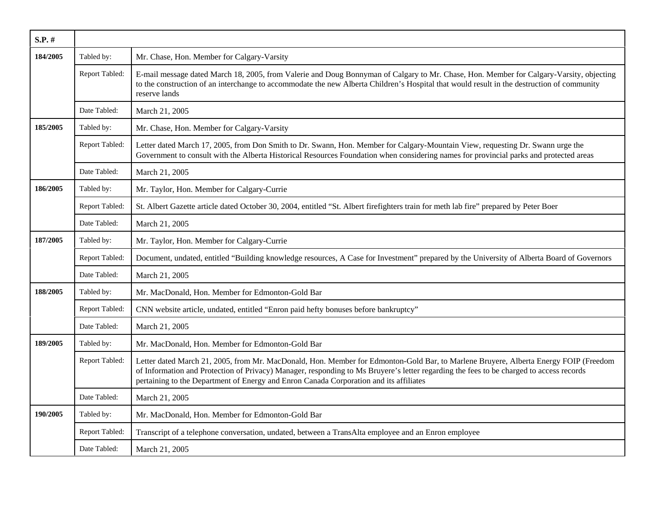| $S.P.$ # |                |                                                                                                                                                                                                                                                                                                                                                                           |
|----------|----------------|---------------------------------------------------------------------------------------------------------------------------------------------------------------------------------------------------------------------------------------------------------------------------------------------------------------------------------------------------------------------------|
| 184/2005 | Tabled by:     | Mr. Chase, Hon. Member for Calgary-Varsity                                                                                                                                                                                                                                                                                                                                |
|          | Report Tabled: | E-mail message dated March 18, 2005, from Valerie and Doug Bonnyman of Calgary to Mr. Chase, Hon. Member for Calgary-Varsity, objecting<br>to the construction of an interchange to accommodate the new Alberta Children's Hospital that would result in the destruction of community<br>reserve lands                                                                    |
|          | Date Tabled:   | March 21, 2005                                                                                                                                                                                                                                                                                                                                                            |
| 185/2005 | Tabled by:     | Mr. Chase, Hon. Member for Calgary-Varsity                                                                                                                                                                                                                                                                                                                                |
|          | Report Tabled: | Letter dated March 17, 2005, from Don Smith to Dr. Swann, Hon. Member for Calgary-Mountain View, requesting Dr. Swann urge the<br>Government to consult with the Alberta Historical Resources Foundation when considering names for provincial parks and protected areas                                                                                                  |
|          | Date Tabled:   | March 21, 2005                                                                                                                                                                                                                                                                                                                                                            |
| 186/2005 | Tabled by:     | Mr. Taylor, Hon. Member for Calgary-Currie                                                                                                                                                                                                                                                                                                                                |
|          | Report Tabled: | St. Albert Gazette article dated October 30, 2004, entitled "St. Albert firefighters train for meth lab fire" prepared by Peter Boer                                                                                                                                                                                                                                      |
|          | Date Tabled:   | March 21, 2005                                                                                                                                                                                                                                                                                                                                                            |
| 187/2005 | Tabled by:     | Mr. Taylor, Hon. Member for Calgary-Currie                                                                                                                                                                                                                                                                                                                                |
|          | Report Tabled: | Document, undated, entitled "Building knowledge resources, A Case for Investment" prepared by the University of Alberta Board of Governors                                                                                                                                                                                                                                |
|          | Date Tabled:   | March 21, 2005                                                                                                                                                                                                                                                                                                                                                            |
| 188/2005 | Tabled by:     | Mr. MacDonald, Hon. Member for Edmonton-Gold Bar                                                                                                                                                                                                                                                                                                                          |
|          | Report Tabled: | CNN website article, undated, entitled "Enron paid hefty bonuses before bankruptcy"                                                                                                                                                                                                                                                                                       |
|          | Date Tabled:   | March 21, 2005                                                                                                                                                                                                                                                                                                                                                            |
| 189/2005 | Tabled by:     | Mr. MacDonald, Hon. Member for Edmonton-Gold Bar                                                                                                                                                                                                                                                                                                                          |
|          | Report Tabled: | Letter dated March 21, 2005, from Mr. MacDonald, Hon. Member for Edmonton-Gold Bar, to Marlene Bruyere, Alberta Energy FOIP (Freedom<br>of Information and Protection of Privacy) Manager, responding to Ms Bruyere's letter regarding the fees to be charged to access records<br>pertaining to the Department of Energy and Enron Canada Corporation and its affiliates |
|          | Date Tabled:   | March 21, 2005                                                                                                                                                                                                                                                                                                                                                            |
| 190/2005 | Tabled by:     | Mr. MacDonald, Hon. Member for Edmonton-Gold Bar                                                                                                                                                                                                                                                                                                                          |
|          | Report Tabled: | Transcript of a telephone conversation, undated, between a TransAlta employee and an Enron employee                                                                                                                                                                                                                                                                       |
|          | Date Tabled:   | March 21, 2005                                                                                                                                                                                                                                                                                                                                                            |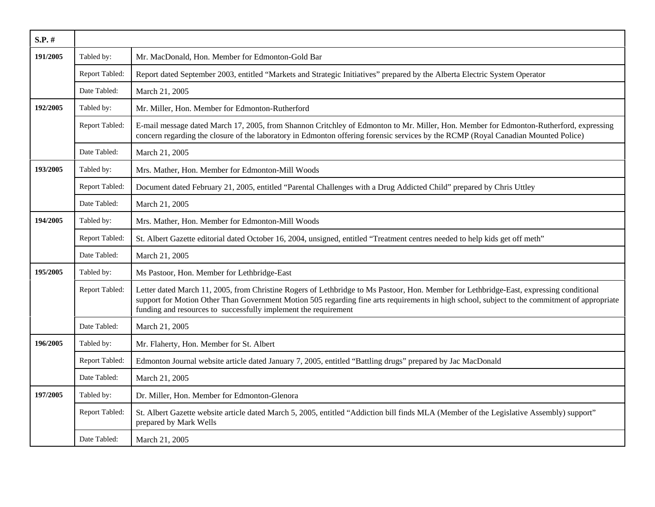| S.P. #   |                |                                                                                                                                                                                                                                                                                                                                                             |
|----------|----------------|-------------------------------------------------------------------------------------------------------------------------------------------------------------------------------------------------------------------------------------------------------------------------------------------------------------------------------------------------------------|
| 191/2005 | Tabled by:     | Mr. MacDonald, Hon. Member for Edmonton-Gold Bar                                                                                                                                                                                                                                                                                                            |
|          | Report Tabled: | Report dated September 2003, entitled "Markets and Strategic Initiatives" prepared by the Alberta Electric System Operator                                                                                                                                                                                                                                  |
|          | Date Tabled:   | March 21, 2005                                                                                                                                                                                                                                                                                                                                              |
| 192/2005 | Tabled by:     | Mr. Miller, Hon. Member for Edmonton-Rutherford                                                                                                                                                                                                                                                                                                             |
|          | Report Tabled: | E-mail message dated March 17, 2005, from Shannon Critchley of Edmonton to Mr. Miller, Hon. Member for Edmonton-Rutherford, expressing<br>concern regarding the closure of the laboratory in Edmonton offering forensic services by the RCMP (Royal Canadian Mounted Police)                                                                                |
|          | Date Tabled:   | March 21, 2005                                                                                                                                                                                                                                                                                                                                              |
| 193/2005 | Tabled by:     | Mrs. Mather, Hon. Member for Edmonton-Mill Woods                                                                                                                                                                                                                                                                                                            |
|          | Report Tabled: | Document dated February 21, 2005, entitled "Parental Challenges with a Drug Addicted Child" prepared by Chris Uttley                                                                                                                                                                                                                                        |
|          | Date Tabled:   | March 21, 2005                                                                                                                                                                                                                                                                                                                                              |
| 194/2005 | Tabled by:     | Mrs. Mather, Hon. Member for Edmonton-Mill Woods                                                                                                                                                                                                                                                                                                            |
|          | Report Tabled: | St. Albert Gazette editorial dated October 16, 2004, unsigned, entitled "Treatment centres needed to help kids get off meth"                                                                                                                                                                                                                                |
|          | Date Tabled:   | March 21, 2005                                                                                                                                                                                                                                                                                                                                              |
| 195/2005 | Tabled by:     | Ms Pastoor, Hon. Member for Lethbridge-East                                                                                                                                                                                                                                                                                                                 |
|          | Report Tabled: | Letter dated March 11, 2005, from Christine Rogers of Lethbridge to Ms Pastoor, Hon. Member for Lethbridge-East, expressing conditional<br>support for Motion Other Than Government Motion 505 regarding fine arts requirements in high school, subject to the commitment of appropriate<br>funding and resources to successfully implement the requirement |
|          | Date Tabled:   | March 21, 2005                                                                                                                                                                                                                                                                                                                                              |
| 196/2005 | Tabled by:     | Mr. Flaherty, Hon. Member for St. Albert                                                                                                                                                                                                                                                                                                                    |
|          | Report Tabled: | Edmonton Journal website article dated January 7, 2005, entitled "Battling drugs" prepared by Jac MacDonald                                                                                                                                                                                                                                                 |
|          | Date Tabled:   | March 21, 2005                                                                                                                                                                                                                                                                                                                                              |
| 197/2005 | Tabled by:     | Dr. Miller, Hon. Member for Edmonton-Glenora                                                                                                                                                                                                                                                                                                                |
|          | Report Tabled: | St. Albert Gazette website article dated March 5, 2005, entitled "Addiction bill finds MLA (Member of the Legislative Assembly) support"<br>prepared by Mark Wells                                                                                                                                                                                          |
|          | Date Tabled:   | March 21, 2005                                                                                                                                                                                                                                                                                                                                              |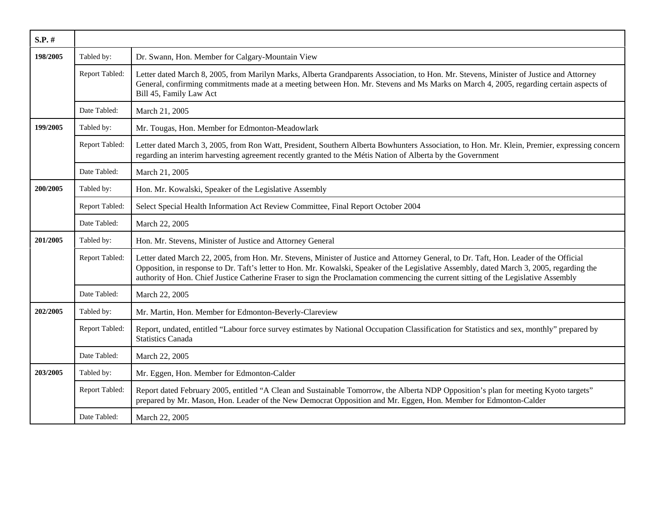| S.P. #   |                |                                                                                                                                                                                                                                                                                                                                                                                                                              |
|----------|----------------|------------------------------------------------------------------------------------------------------------------------------------------------------------------------------------------------------------------------------------------------------------------------------------------------------------------------------------------------------------------------------------------------------------------------------|
| 198/2005 | Tabled by:     | Dr. Swann, Hon. Member for Calgary-Mountain View                                                                                                                                                                                                                                                                                                                                                                             |
|          | Report Tabled: | Letter dated March 8, 2005, from Marilyn Marks, Alberta Grandparents Association, to Hon. Mr. Stevens, Minister of Justice and Attorney<br>General, confirming commitments made at a meeting between Hon. Mr. Stevens and Ms Marks on March 4, 2005, regarding certain aspects of<br>Bill 45, Family Law Act                                                                                                                 |
|          | Date Tabled:   | March 21, 2005                                                                                                                                                                                                                                                                                                                                                                                                               |
| 199/2005 | Tabled by:     | Mr. Tougas, Hon. Member for Edmonton-Meadowlark                                                                                                                                                                                                                                                                                                                                                                              |
|          | Report Tabled: | Letter dated March 3, 2005, from Ron Watt, President, Southern Alberta Bowhunters Association, to Hon. Mr. Klein, Premier, expressing concern<br>regarding an interim harvesting agreement recently granted to the Métis Nation of Alberta by the Government                                                                                                                                                                 |
|          | Date Tabled:   | March 21, 2005                                                                                                                                                                                                                                                                                                                                                                                                               |
| 200/2005 | Tabled by:     | Hon. Mr. Kowalski, Speaker of the Legislative Assembly                                                                                                                                                                                                                                                                                                                                                                       |
|          | Report Tabled: | Select Special Health Information Act Review Committee, Final Report October 2004                                                                                                                                                                                                                                                                                                                                            |
|          | Date Tabled:   | March 22, 2005                                                                                                                                                                                                                                                                                                                                                                                                               |
| 201/2005 | Tabled by:     | Hon. Mr. Stevens, Minister of Justice and Attorney General                                                                                                                                                                                                                                                                                                                                                                   |
|          | Report Tabled: | Letter dated March 22, 2005, from Hon. Mr. Stevens, Minister of Justice and Attorney General, to Dr. Taft, Hon. Leader of the Official<br>Opposition, in response to Dr. Taft's letter to Hon. Mr. Kowalski, Speaker of the Legislative Assembly, dated March 3, 2005, regarding the<br>authority of Hon. Chief Justice Catherine Fraser to sign the Proclamation commencing the current sitting of the Legislative Assembly |
|          | Date Tabled:   | March 22, 2005                                                                                                                                                                                                                                                                                                                                                                                                               |
| 202/2005 | Tabled by:     | Mr. Martin, Hon. Member for Edmonton-Beverly-Clareview                                                                                                                                                                                                                                                                                                                                                                       |
|          | Report Tabled: | Report, undated, entitled "Labour force survey estimates by National Occupation Classification for Statistics and sex, monthly" prepared by<br><b>Statistics Canada</b>                                                                                                                                                                                                                                                      |
|          | Date Tabled:   | March 22, 2005                                                                                                                                                                                                                                                                                                                                                                                                               |
| 203/2005 | Tabled by:     | Mr. Eggen, Hon. Member for Edmonton-Calder                                                                                                                                                                                                                                                                                                                                                                                   |
|          | Report Tabled: | Report dated February 2005, entitled "A Clean and Sustainable Tomorrow, the Alberta NDP Opposition's plan for meeting Kyoto targets"<br>prepared by Mr. Mason, Hon. Leader of the New Democrat Opposition and Mr. Eggen, Hon. Member for Edmonton-Calder                                                                                                                                                                     |
|          | Date Tabled:   | March 22, 2005                                                                                                                                                                                                                                                                                                                                                                                                               |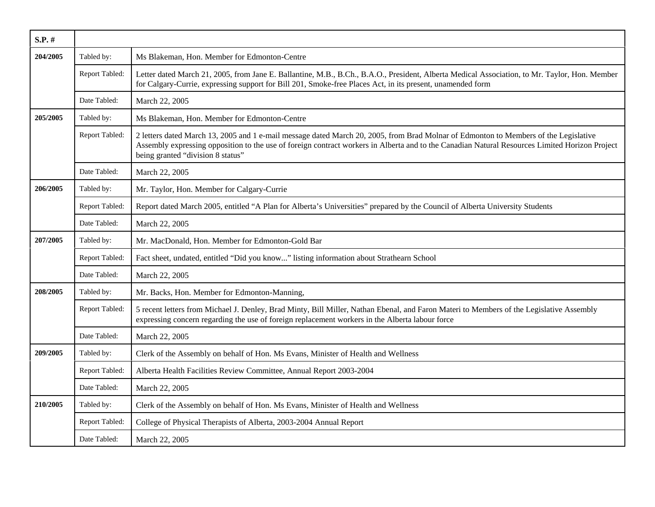| S.P. #   |                |                                                                                                                                                                                                                                                                                                                             |
|----------|----------------|-----------------------------------------------------------------------------------------------------------------------------------------------------------------------------------------------------------------------------------------------------------------------------------------------------------------------------|
| 204/2005 | Tabled by:     | Ms Blakeman, Hon. Member for Edmonton-Centre                                                                                                                                                                                                                                                                                |
|          | Report Tabled: | Letter dated March 21, 2005, from Jane E. Ballantine, M.B., B.Ch., B.A.O., President, Alberta Medical Association, to Mr. Taylor, Hon. Member<br>for Calgary-Currie, expressing support for Bill 201, Smoke-free Places Act, in its present, unamended form                                                                 |
|          | Date Tabled:   | March 22, 2005                                                                                                                                                                                                                                                                                                              |
| 205/2005 | Tabled by:     | Ms Blakeman, Hon. Member for Edmonton-Centre                                                                                                                                                                                                                                                                                |
|          | Report Tabled: | 2 letters dated March 13, 2005 and 1 e-mail message dated March 20, 2005, from Brad Molnar of Edmonton to Members of the Legislative<br>Assembly expressing opposition to the use of foreign contract workers in Alberta and to the Canadian Natural Resources Limited Horizon Project<br>being granted "division 8 status" |
|          | Date Tabled:   | March 22, 2005                                                                                                                                                                                                                                                                                                              |
| 206/2005 | Tabled by:     | Mr. Taylor, Hon. Member for Calgary-Currie                                                                                                                                                                                                                                                                                  |
|          | Report Tabled: | Report dated March 2005, entitled "A Plan for Alberta's Universities" prepared by the Council of Alberta University Students                                                                                                                                                                                                |
|          | Date Tabled:   | March 22, 2005                                                                                                                                                                                                                                                                                                              |
| 207/2005 | Tabled by:     | Mr. MacDonald, Hon. Member for Edmonton-Gold Bar                                                                                                                                                                                                                                                                            |
|          | Report Tabled: | Fact sheet, undated, entitled "Did you know" listing information about Strathearn School                                                                                                                                                                                                                                    |
|          | Date Tabled:   | March 22, 2005                                                                                                                                                                                                                                                                                                              |
| 208/2005 | Tabled by:     | Mr. Backs, Hon. Member for Edmonton-Manning,                                                                                                                                                                                                                                                                                |
|          | Report Tabled: | 5 recent letters from Michael J. Denley, Brad Minty, Bill Miller, Nathan Ebenal, and Faron Materi to Members of the Legislative Assembly<br>expressing concern regarding the use of foreign replacement workers in the Alberta labour force                                                                                 |
|          | Date Tabled:   | March 22, 2005                                                                                                                                                                                                                                                                                                              |
| 209/2005 | Tabled by:     | Clerk of the Assembly on behalf of Hon. Ms Evans, Minister of Health and Wellness                                                                                                                                                                                                                                           |
|          | Report Tabled: | Alberta Health Facilities Review Committee, Annual Report 2003-2004                                                                                                                                                                                                                                                         |
|          | Date Tabled:   | March 22, 2005                                                                                                                                                                                                                                                                                                              |
| 210/2005 | Tabled by:     | Clerk of the Assembly on behalf of Hon. Ms Evans, Minister of Health and Wellness                                                                                                                                                                                                                                           |
|          | Report Tabled: | College of Physical Therapists of Alberta, 2003-2004 Annual Report                                                                                                                                                                                                                                                          |
|          | Date Tabled:   | March 22, 2005                                                                                                                                                                                                                                                                                                              |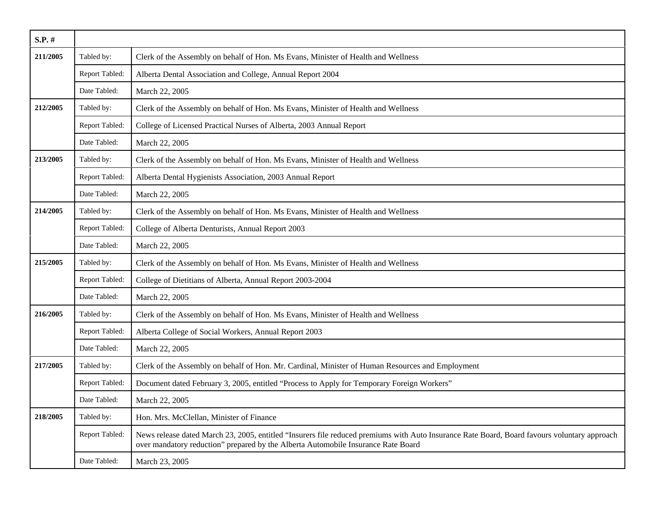| S.P. #   |                |                                                                                                                                                                                                                                   |
|----------|----------------|-----------------------------------------------------------------------------------------------------------------------------------------------------------------------------------------------------------------------------------|
| 211/2005 | Tabled by:     | Clerk of the Assembly on behalf of Hon. Ms Evans, Minister of Health and Wellness                                                                                                                                                 |
|          | Report Tabled: | Alberta Dental Association and College, Annual Report 2004                                                                                                                                                                        |
|          | Date Tabled:   | March 22, 2005                                                                                                                                                                                                                    |
| 212/2005 | Tabled by:     | Clerk of the Assembly on behalf of Hon. Ms Evans, Minister of Health and Wellness                                                                                                                                                 |
|          | Report Tabled: | College of Licensed Practical Nurses of Alberta, 2003 Annual Report                                                                                                                                                               |
|          | Date Tabled:   | March 22, 2005                                                                                                                                                                                                                    |
| 213/2005 | Tabled by:     | Clerk of the Assembly on behalf of Hon. Ms Evans, Minister of Health and Wellness                                                                                                                                                 |
|          | Report Tabled: | Alberta Dental Hygienists Association, 2003 Annual Report                                                                                                                                                                         |
|          | Date Tabled:   | March 22, 2005                                                                                                                                                                                                                    |
| 214/2005 | Tabled by:     | Clerk of the Assembly on behalf of Hon. Ms Evans, Minister of Health and Wellness                                                                                                                                                 |
|          | Report Tabled: | College of Alberta Denturists, Annual Report 2003                                                                                                                                                                                 |
|          | Date Tabled:   | March 22, 2005                                                                                                                                                                                                                    |
| 215/2005 | Tabled by:     | Clerk of the Assembly on behalf of Hon. Ms Evans, Minister of Health and Wellness                                                                                                                                                 |
|          | Report Tabled: | College of Dietitians of Alberta, Annual Report 2003-2004                                                                                                                                                                         |
|          | Date Tabled:   | March 22, 2005                                                                                                                                                                                                                    |
| 216/2005 | Tabled by:     | Clerk of the Assembly on behalf of Hon. Ms Evans, Minister of Health and Wellness                                                                                                                                                 |
|          | Report Tabled: | Alberta College of Social Workers, Annual Report 2003                                                                                                                                                                             |
|          | Date Tabled:   | March 22, 2005                                                                                                                                                                                                                    |
| 217/2005 | Tabled by:     | Clerk of the Assembly on behalf of Hon. Mr. Cardinal, Minister of Human Resources and Employment                                                                                                                                  |
|          | Report Tabled: | Document dated February 3, 2005, entitled "Process to Apply for Temporary Foreign Workers"                                                                                                                                        |
|          | Date Tabled:   | March 22, 2005                                                                                                                                                                                                                    |
| 218/2005 | Tabled by:     | Hon. Mrs. McClellan, Minister of Finance                                                                                                                                                                                          |
|          | Report Tabled: | News release dated March 23, 2005, entitled "Insurers file reduced premiums with Auto Insurance Rate Board, Board favours voluntary approach<br>over mandatory reduction" prepared by the Alberta Automobile Insurance Rate Board |
|          | Date Tabled:   | March 23, 2005                                                                                                                                                                                                                    |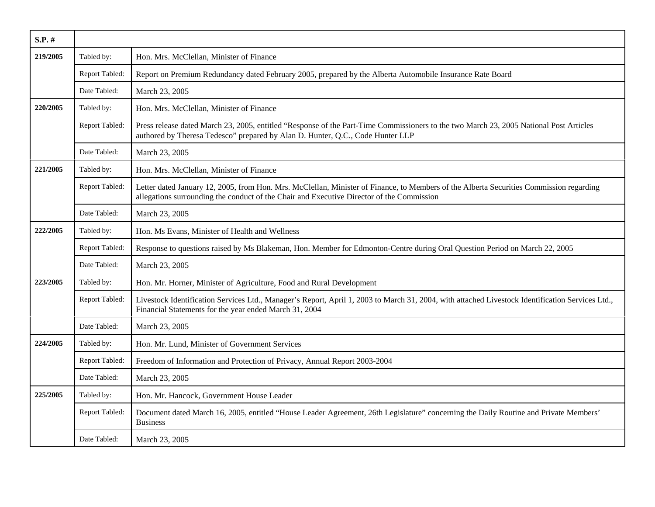| $S.P.$ # |                |                                                                                                                                                                                                                                      |
|----------|----------------|--------------------------------------------------------------------------------------------------------------------------------------------------------------------------------------------------------------------------------------|
| 219/2005 | Tabled by:     | Hon. Mrs. McClellan, Minister of Finance                                                                                                                                                                                             |
|          | Report Tabled: | Report on Premium Redundancy dated February 2005, prepared by the Alberta Automobile Insurance Rate Board                                                                                                                            |
|          | Date Tabled:   | March 23, 2005                                                                                                                                                                                                                       |
| 220/2005 | Tabled by:     | Hon. Mrs. McClellan, Minister of Finance                                                                                                                                                                                             |
|          | Report Tabled: | Press release dated March 23, 2005, entitled "Response of the Part-Time Commissioners to the two March 23, 2005 National Post Articles<br>authored by Theresa Tedesco" prepared by Alan D. Hunter, Q.C., Code Hunter LLP             |
|          | Date Tabled:   | March 23, 2005                                                                                                                                                                                                                       |
| 221/2005 | Tabled by:     | Hon. Mrs. McClellan, Minister of Finance                                                                                                                                                                                             |
|          | Report Tabled: | Letter dated January 12, 2005, from Hon. Mrs. McClellan, Minister of Finance, to Members of the Alberta Securities Commission regarding<br>allegations surrounding the conduct of the Chair and Executive Director of the Commission |
|          | Date Tabled:   | March 23, 2005                                                                                                                                                                                                                       |
| 222/2005 | Tabled by:     | Hon. Ms Evans, Minister of Health and Wellness                                                                                                                                                                                       |
|          | Report Tabled: | Response to questions raised by Ms Blakeman, Hon. Member for Edmonton-Centre during Oral Question Period on March 22, 2005                                                                                                           |
|          | Date Tabled:   | March 23, 2005                                                                                                                                                                                                                       |
| 223/2005 | Tabled by:     | Hon. Mr. Horner, Minister of Agriculture, Food and Rural Development                                                                                                                                                                 |
|          | Report Tabled: | Livestock Identification Services Ltd., Manager's Report, April 1, 2003 to March 31, 2004, with attached Livestock Identification Services Ltd.,<br>Financial Statements for the year ended March 31, 2004                           |
|          | Date Tabled:   | March 23, 2005                                                                                                                                                                                                                       |
| 224/2005 | Tabled by:     | Hon. Mr. Lund, Minister of Government Services                                                                                                                                                                                       |
|          | Report Tabled: | Freedom of Information and Protection of Privacy, Annual Report 2003-2004                                                                                                                                                            |
|          | Date Tabled:   | March 23, 2005                                                                                                                                                                                                                       |
| 225/2005 | Tabled by:     | Hon. Mr. Hancock, Government House Leader                                                                                                                                                                                            |
|          | Report Tabled: | Document dated March 16, 2005, entitled "House Leader Agreement, 26th Legislature" concerning the Daily Routine and Private Members'<br><b>Business</b>                                                                              |
|          | Date Tabled:   | March 23, 2005                                                                                                                                                                                                                       |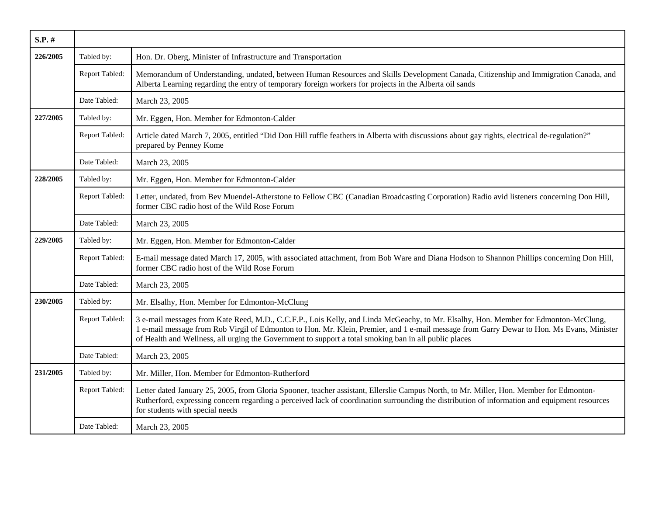| S.P. #   |                |                                                                                                                                                                                                                                                                                                                                                                                           |
|----------|----------------|-------------------------------------------------------------------------------------------------------------------------------------------------------------------------------------------------------------------------------------------------------------------------------------------------------------------------------------------------------------------------------------------|
| 226/2005 | Tabled by:     | Hon. Dr. Oberg, Minister of Infrastructure and Transportation                                                                                                                                                                                                                                                                                                                             |
|          | Report Tabled: | Memorandum of Understanding, undated, between Human Resources and Skills Development Canada, Citizenship and Immigration Canada, and<br>Alberta Learning regarding the entry of temporary foreign workers for projects in the Alberta oil sands                                                                                                                                           |
|          | Date Tabled:   | March 23, 2005                                                                                                                                                                                                                                                                                                                                                                            |
| 227/2005 | Tabled by:     | Mr. Eggen, Hon. Member for Edmonton-Calder                                                                                                                                                                                                                                                                                                                                                |
|          | Report Tabled: | Article dated March 7, 2005, entitled "Did Don Hill ruffle feathers in Alberta with discussions about gay rights, electrical de-regulation?"<br>prepared by Penney Kome                                                                                                                                                                                                                   |
|          | Date Tabled:   | March 23, 2005                                                                                                                                                                                                                                                                                                                                                                            |
| 228/2005 | Tabled by:     | Mr. Eggen, Hon. Member for Edmonton-Calder                                                                                                                                                                                                                                                                                                                                                |
|          | Report Tabled: | Letter, undated, from Bev Muendel-Atherstone to Fellow CBC (Canadian Broadcasting Corporation) Radio avid listeners concerning Don Hill,<br>former CBC radio host of the Wild Rose Forum                                                                                                                                                                                                  |
|          | Date Tabled:   | March 23, 2005                                                                                                                                                                                                                                                                                                                                                                            |
| 229/2005 | Tabled by:     | Mr. Eggen, Hon. Member for Edmonton-Calder                                                                                                                                                                                                                                                                                                                                                |
|          | Report Tabled: | E-mail message dated March 17, 2005, with associated attachment, from Bob Ware and Diana Hodson to Shannon Phillips concerning Don Hill,<br>former CBC radio host of the Wild Rose Forum                                                                                                                                                                                                  |
|          | Date Tabled:   | March 23, 2005                                                                                                                                                                                                                                                                                                                                                                            |
| 230/2005 | Tabled by:     | Mr. Elsalhy, Hon. Member for Edmonton-McClung                                                                                                                                                                                                                                                                                                                                             |
|          | Report Tabled: | 3 e-mail messages from Kate Reed, M.D., C.C.F.P., Lois Kelly, and Linda McGeachy, to Mr. Elsalhy, Hon. Member for Edmonton-McClung,<br>1 e-mail message from Rob Virgil of Edmonton to Hon. Mr. Klein, Premier, and 1 e-mail message from Garry Dewar to Hon. Ms Evans, Minister<br>of Health and Wellness, all urging the Government to support a total smoking ban in all public places |
|          | Date Tabled:   | March 23, 2005                                                                                                                                                                                                                                                                                                                                                                            |
| 231/2005 | Tabled by:     | Mr. Miller, Hon. Member for Edmonton-Rutherford                                                                                                                                                                                                                                                                                                                                           |
|          | Report Tabled: | Letter dated January 25, 2005, from Gloria Spooner, teacher assistant, Ellerslie Campus North, to Mr. Miller, Hon. Member for Edmonton-<br>Rutherford, expressing concern regarding a perceived lack of coordination surrounding the distribution of information and equipment resources<br>for students with special needs                                                               |
|          | Date Tabled:   | March 23, 2005                                                                                                                                                                                                                                                                                                                                                                            |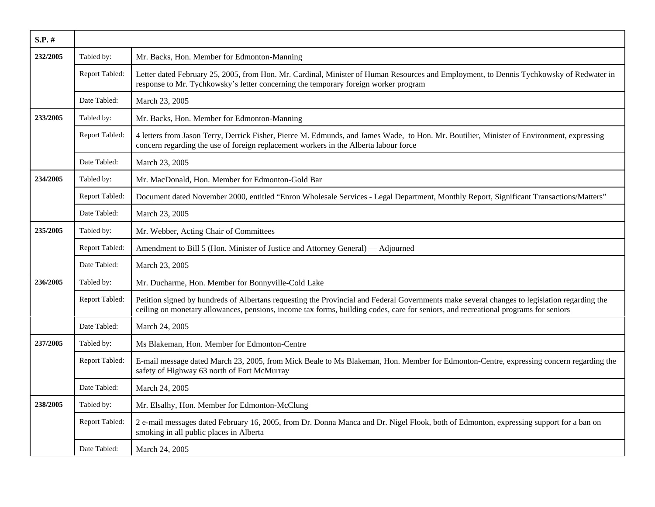| $S.P.$ # |                |                                                                                                                                                                                                                                                                                     |
|----------|----------------|-------------------------------------------------------------------------------------------------------------------------------------------------------------------------------------------------------------------------------------------------------------------------------------|
| 232/2005 | Tabled by:     | Mr. Backs, Hon. Member for Edmonton-Manning                                                                                                                                                                                                                                         |
|          | Report Tabled: | Letter dated February 25, 2005, from Hon. Mr. Cardinal, Minister of Human Resources and Employment, to Dennis Tychkowsky of Redwater in<br>response to Mr. Tychkowsky's letter concerning the temporary foreign worker program                                                      |
|          | Date Tabled:   | March 23, 2005                                                                                                                                                                                                                                                                      |
| 233/2005 | Tabled by:     | Mr. Backs, Hon. Member for Edmonton-Manning                                                                                                                                                                                                                                         |
|          | Report Tabled: | 4 letters from Jason Terry, Derrick Fisher, Pierce M. Edmunds, and James Wade, to Hon. Mr. Boutilier, Minister of Environment, expressing<br>concern regarding the use of foreign replacement workers in the Alberta labour force                                                   |
|          | Date Tabled:   | March 23, 2005                                                                                                                                                                                                                                                                      |
| 234/2005 | Tabled by:     | Mr. MacDonald, Hon. Member for Edmonton-Gold Bar                                                                                                                                                                                                                                    |
|          | Report Tabled: | Document dated November 2000, entitled "Enron Wholesale Services - Legal Department, Monthly Report, Significant Transactions/Matters"                                                                                                                                              |
|          | Date Tabled:   | March 23, 2005                                                                                                                                                                                                                                                                      |
| 235/2005 | Tabled by:     | Mr. Webber, Acting Chair of Committees                                                                                                                                                                                                                                              |
|          | Report Tabled: | Amendment to Bill 5 (Hon. Minister of Justice and Attorney General) — Adjourned                                                                                                                                                                                                     |
|          | Date Tabled:   | March 23, 2005                                                                                                                                                                                                                                                                      |
| 236/2005 | Tabled by:     | Mr. Ducharme, Hon. Member for Bonnyville-Cold Lake                                                                                                                                                                                                                                  |
|          | Report Tabled: | Petition signed by hundreds of Albertans requesting the Provincial and Federal Governments make several changes to legislation regarding the<br>ceiling on monetary allowances, pensions, income tax forms, building codes, care for seniors, and recreational programs for seniors |
|          | Date Tabled:   | March 24, 2005                                                                                                                                                                                                                                                                      |
| 237/2005 | Tabled by:     | Ms Blakeman, Hon. Member for Edmonton-Centre                                                                                                                                                                                                                                        |
|          | Report Tabled: | E-mail message dated March 23, 2005, from Mick Beale to Ms Blakeman, Hon. Member for Edmonton-Centre, expressing concern regarding the<br>safety of Highway 63 north of Fort McMurray                                                                                               |
|          | Date Tabled:   | March 24, 2005                                                                                                                                                                                                                                                                      |
| 238/2005 | Tabled by:     | Mr. Elsalhy, Hon. Member for Edmonton-McClung                                                                                                                                                                                                                                       |
|          | Report Tabled: | 2 e-mail messages dated February 16, 2005, from Dr. Donna Manca and Dr. Nigel Flook, both of Edmonton, expressing support for a ban on<br>smoking in all public places in Alberta                                                                                                   |
|          | Date Tabled:   | March 24, 2005                                                                                                                                                                                                                                                                      |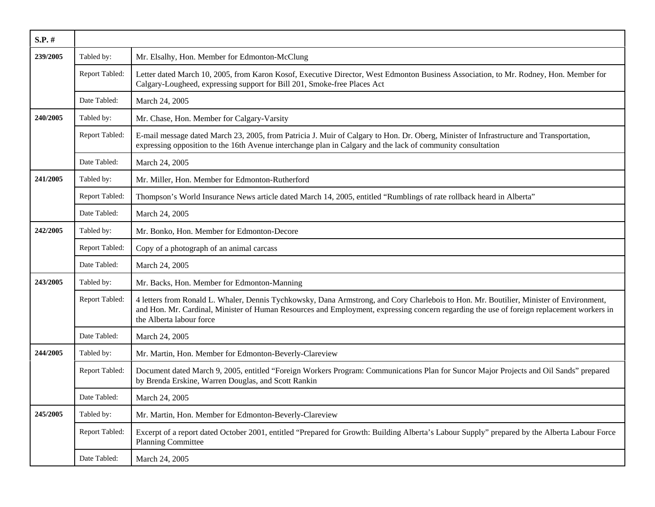| $S.P.$ # |                |                                                                                                                                                                                                                                                                                                                  |
|----------|----------------|------------------------------------------------------------------------------------------------------------------------------------------------------------------------------------------------------------------------------------------------------------------------------------------------------------------|
| 239/2005 | Tabled by:     | Mr. Elsalhy, Hon. Member for Edmonton-McClung                                                                                                                                                                                                                                                                    |
|          | Report Tabled: | Letter dated March 10, 2005, from Karon Kosof, Executive Director, West Edmonton Business Association, to Mr. Rodney, Hon. Member for<br>Calgary-Lougheed, expressing support for Bill 201, Smoke-free Places Act                                                                                                |
|          | Date Tabled:   | March 24, 2005                                                                                                                                                                                                                                                                                                   |
| 240/2005 | Tabled by:     | Mr. Chase, Hon. Member for Calgary-Varsity                                                                                                                                                                                                                                                                       |
|          | Report Tabled: | E-mail message dated March 23, 2005, from Patricia J. Muir of Calgary to Hon. Dr. Oberg, Minister of Infrastructure and Transportation,<br>expressing opposition to the 16th Avenue interchange plan in Calgary and the lack of community consultation                                                           |
|          | Date Tabled:   | March 24, 2005                                                                                                                                                                                                                                                                                                   |
| 241/2005 | Tabled by:     | Mr. Miller, Hon. Member for Edmonton-Rutherford                                                                                                                                                                                                                                                                  |
|          | Report Tabled: | Thompson's World Insurance News article dated March 14, 2005, entitled "Rumblings of rate rollback heard in Alberta"                                                                                                                                                                                             |
|          | Date Tabled:   | March 24, 2005                                                                                                                                                                                                                                                                                                   |
| 242/2005 | Tabled by:     | Mr. Bonko, Hon. Member for Edmonton-Decore                                                                                                                                                                                                                                                                       |
|          | Report Tabled: | Copy of a photograph of an animal carcass                                                                                                                                                                                                                                                                        |
|          | Date Tabled:   | March 24, 2005                                                                                                                                                                                                                                                                                                   |
| 243/2005 | Tabled by:     | Mr. Backs, Hon. Member for Edmonton-Manning                                                                                                                                                                                                                                                                      |
|          | Report Tabled: | 4 letters from Ronald L. Whaler, Dennis Tychkowsky, Dana Armstrong, and Cory Charlebois to Hon. Mr. Boutilier, Minister of Environment,<br>and Hon. Mr. Cardinal, Minister of Human Resources and Employment, expressing concern regarding the use of foreign replacement workers in<br>the Alberta labour force |
|          | Date Tabled:   | March 24, 2005                                                                                                                                                                                                                                                                                                   |
| 244/2005 | Tabled by:     | Mr. Martin, Hon. Member for Edmonton-Beverly-Clareview                                                                                                                                                                                                                                                           |
|          | Report Tabled: | Document dated March 9, 2005, entitled "Foreign Workers Program: Communications Plan for Suncor Major Projects and Oil Sands" prepared<br>by Brenda Erskine, Warren Douglas, and Scott Rankin                                                                                                                    |
|          | Date Tabled:   | March 24, 2005                                                                                                                                                                                                                                                                                                   |
| 245/2005 | Tabled by:     | Mr. Martin, Hon. Member for Edmonton-Beverly-Clareview                                                                                                                                                                                                                                                           |
|          | Report Tabled: | Excerpt of a report dated October 2001, entitled "Prepared for Growth: Building Alberta's Labour Supply" prepared by the Alberta Labour Force<br><b>Planning Committee</b>                                                                                                                                       |
|          | Date Tabled:   | March 24, 2005                                                                                                                                                                                                                                                                                                   |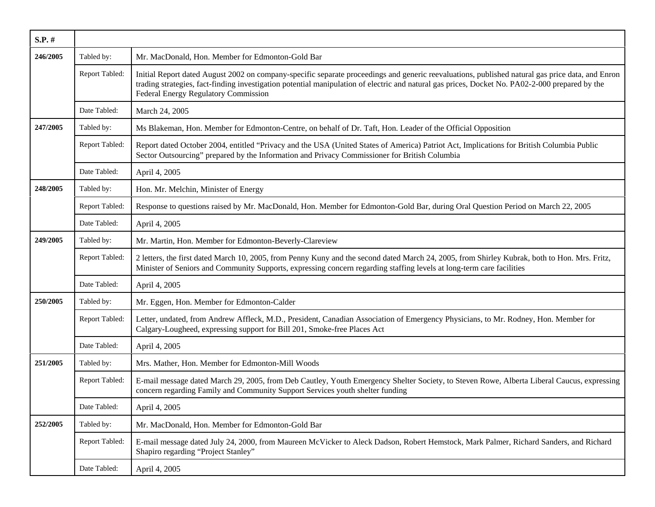| S.P. #   |                |                                                                                                                                                                                                                                                                                                                                             |
|----------|----------------|---------------------------------------------------------------------------------------------------------------------------------------------------------------------------------------------------------------------------------------------------------------------------------------------------------------------------------------------|
| 246/2005 | Tabled by:     | Mr. MacDonald, Hon. Member for Edmonton-Gold Bar                                                                                                                                                                                                                                                                                            |
|          | Report Tabled: | Initial Report dated August 2002 on company-specific separate proceedings and generic reevaluations, published natural gas price data, and Enron<br>trading strategies, fact-finding investigation potential manipulation of electric and natural gas prices, Docket No. PA02-2-000 prepared by the<br>Federal Energy Regulatory Commission |
|          | Date Tabled:   | March 24, 2005                                                                                                                                                                                                                                                                                                                              |
| 247/2005 | Tabled by:     | Ms Blakeman, Hon. Member for Edmonton-Centre, on behalf of Dr. Taft, Hon. Leader of the Official Opposition                                                                                                                                                                                                                                 |
|          | Report Tabled: | Report dated October 2004, entitled "Privacy and the USA (United States of America) Patriot Act, Implications for British Columbia Public<br>Sector Outsourcing" prepared by the Information and Privacy Commissioner for British Columbia                                                                                                  |
|          | Date Tabled:   | April 4, 2005                                                                                                                                                                                                                                                                                                                               |
| 248/2005 | Tabled by:     | Hon. Mr. Melchin, Minister of Energy                                                                                                                                                                                                                                                                                                        |
|          | Report Tabled: | Response to questions raised by Mr. MacDonald, Hon. Member for Edmonton-Gold Bar, during Oral Question Period on March 22, 2005                                                                                                                                                                                                             |
|          | Date Tabled:   | April 4, 2005                                                                                                                                                                                                                                                                                                                               |
| 249/2005 | Tabled by:     | Mr. Martin, Hon. Member for Edmonton-Beverly-Clareview                                                                                                                                                                                                                                                                                      |
|          | Report Tabled: | 2 letters, the first dated March 10, 2005, from Penny Kuny and the second dated March 24, 2005, from Shirley Kubrak, both to Hon. Mrs. Fritz,<br>Minister of Seniors and Community Supports, expressing concern regarding staffing levels at long-term care facilities                                                                      |
|          | Date Tabled:   | April 4, 2005                                                                                                                                                                                                                                                                                                                               |
| 250/2005 | Tabled by:     | Mr. Eggen, Hon. Member for Edmonton-Calder                                                                                                                                                                                                                                                                                                  |
|          | Report Tabled: | Letter, undated, from Andrew Affleck, M.D., President, Canadian Association of Emergency Physicians, to Mr. Rodney, Hon. Member for<br>Calgary-Lougheed, expressing support for Bill 201, Smoke-free Places Act                                                                                                                             |
|          | Date Tabled:   | April 4, 2005                                                                                                                                                                                                                                                                                                                               |
| 251/2005 | Tabled by:     | Mrs. Mather, Hon. Member for Edmonton-Mill Woods                                                                                                                                                                                                                                                                                            |
|          | Report Tabled: | E-mail message dated March 29, 2005, from Deb Cautley, Youth Emergency Shelter Society, to Steven Rowe, Alberta Liberal Caucus, expressing<br>concern regarding Family and Community Support Services youth shelter funding                                                                                                                 |
|          | Date Tabled:   | April 4, 2005                                                                                                                                                                                                                                                                                                                               |
| 252/2005 | Tabled by:     | Mr. MacDonald, Hon. Member for Edmonton-Gold Bar                                                                                                                                                                                                                                                                                            |
|          | Report Tabled: | E-mail message dated July 24, 2000, from Maureen McVicker to Aleck Dadson, Robert Hemstock, Mark Palmer, Richard Sanders, and Richard<br>Shapiro regarding "Project Stanley"                                                                                                                                                                |
|          | Date Tabled:   | April 4, 2005                                                                                                                                                                                                                                                                                                                               |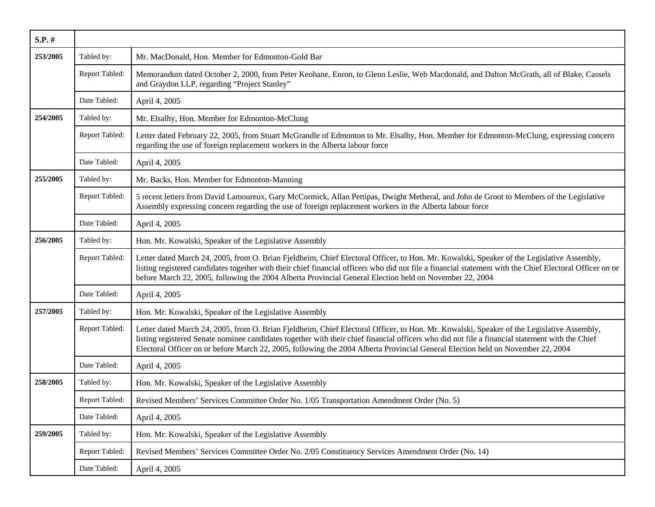| S.P. #   |                |                                                                                                                                                                                                                                                                                                                                                                                                                                 |
|----------|----------------|---------------------------------------------------------------------------------------------------------------------------------------------------------------------------------------------------------------------------------------------------------------------------------------------------------------------------------------------------------------------------------------------------------------------------------|
| 253/2005 | Tabled by:     | Mr. MacDonald, Hon. Member for Edmonton-Gold Bar                                                                                                                                                                                                                                                                                                                                                                                |
|          | Report Tabled: | Memorandum dated October 2, 2000, from Peter Keohane, Enron, to Glenn Leslie, Web Macdonald, and Dalton McGrath, all of Blake, Cassels<br>and Graydon LLP, regarding "Project Stanley"                                                                                                                                                                                                                                          |
|          | Date Tabled:   | April 4, 2005                                                                                                                                                                                                                                                                                                                                                                                                                   |
| 254/2005 | Tabled by:     | Mr. Elsalhy, Hon. Member for Edmonton-McClung                                                                                                                                                                                                                                                                                                                                                                                   |
|          | Report Tabled: | Letter dated February 22, 2005, from Stuart McGrandle of Edmonton to Mr. Elsalhy, Hon. Member for Edmonton-McClung, expressing concern<br>regarding the use of foreign replacement workers in the Alberta labour force                                                                                                                                                                                                          |
|          | Date Tabled:   | April 4, 2005                                                                                                                                                                                                                                                                                                                                                                                                                   |
| 255/2005 | Tabled by:     | Mr. Backs, Hon. Member for Edmonton-Manning                                                                                                                                                                                                                                                                                                                                                                                     |
|          | Report Tabled: | 5 recent letters from David Lamoureux, Gary McCormick, Allan Pettipas, Dwight Metheral, and John de Groot to Members of the Legislative<br>Assembly expressing concern regarding the use of foreign replacement workers in the Alberta labour force                                                                                                                                                                             |
|          | Date Tabled:   | April 4, 2005                                                                                                                                                                                                                                                                                                                                                                                                                   |
| 256/2005 | Tabled by:     | Hon. Mr. Kowalski, Speaker of the Legislative Assembly                                                                                                                                                                                                                                                                                                                                                                          |
|          | Report Tabled: | Letter dated March 24, 2005, from O. Brian Fjeldheim, Chief Electoral Officer, to Hon. Mr. Kowalski, Speaker of the Legislative Assembly,<br>listing registered candidates together with their chief financial officers who did not file a financial statement with the Chief Electoral Officer on or<br>before March 22, 2005, following the 2004 Alberta Provincial General Election held on November 22, 2004                |
|          | Date Tabled:   | April 4, 2005                                                                                                                                                                                                                                                                                                                                                                                                                   |
| 257/2005 | Tabled by:     | Hon. Mr. Kowalski, Speaker of the Legislative Assembly                                                                                                                                                                                                                                                                                                                                                                          |
|          | Report Tabled: | Letter dated March 24, 2005, from O. Brian Fjeldheim, Chief Electoral Officer, to Hon. Mr. Kowalski, Speaker of the Legislative Assembly,<br>listing registered Senate nominee candidates together with their chief financial officers who did not file a financial statement with the Chief<br>Electoral Officer on or before March 22, 2005, following the 2004 Alberta Provincial General Election held on November 22, 2004 |
|          | Date Tabled:   | April 4, 2005                                                                                                                                                                                                                                                                                                                                                                                                                   |
| 258/2005 | Tabled by:     | Hon. Mr. Kowalski, Speaker of the Legislative Assembly                                                                                                                                                                                                                                                                                                                                                                          |
|          | Report Tabled: | Revised Members' Services Committee Order No. 1/05 Transportation Amendment Order (No. 5)                                                                                                                                                                                                                                                                                                                                       |
|          | Date Tabled:   | April 4, 2005                                                                                                                                                                                                                                                                                                                                                                                                                   |
| 259/2005 | Tabled by:     | Hon. Mr. Kowalski, Speaker of the Legislative Assembly                                                                                                                                                                                                                                                                                                                                                                          |
|          | Report Tabled: | Revised Members' Services Committee Order No. 2/05 Constituency Services Amendment Order (No. 14)                                                                                                                                                                                                                                                                                                                               |
|          | Date Tabled:   | April 4, 2005                                                                                                                                                                                                                                                                                                                                                                                                                   |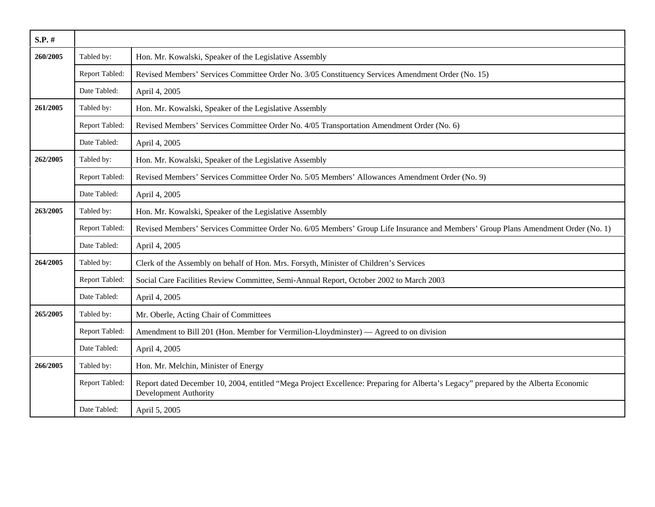| $S.P.$ # |                |                                                                                                                                                                     |
|----------|----------------|---------------------------------------------------------------------------------------------------------------------------------------------------------------------|
| 260/2005 | Tabled by:     | Hon. Mr. Kowalski, Speaker of the Legislative Assembly                                                                                                              |
|          | Report Tabled: | Revised Members' Services Committee Order No. 3/05 Constituency Services Amendment Order (No. 15)                                                                   |
|          | Date Tabled:   | April 4, 2005                                                                                                                                                       |
| 261/2005 | Tabled by:     | Hon. Mr. Kowalski, Speaker of the Legislative Assembly                                                                                                              |
|          | Report Tabled: | Revised Members' Services Committee Order No. 4/05 Transportation Amendment Order (No. 6)                                                                           |
|          | Date Tabled:   | April 4, 2005                                                                                                                                                       |
| 262/2005 | Tabled by:     | Hon. Mr. Kowalski, Speaker of the Legislative Assembly                                                                                                              |
|          | Report Tabled: | Revised Members' Services Committee Order No. 5/05 Members' Allowances Amendment Order (No. 9)                                                                      |
|          | Date Tabled:   | April 4, 2005                                                                                                                                                       |
| 263/2005 | Tabled by:     | Hon. Mr. Kowalski, Speaker of the Legislative Assembly                                                                                                              |
|          | Report Tabled: | Revised Members' Services Committee Order No. 6/05 Members' Group Life Insurance and Members' Group Plans Amendment Order (No. 1)                                   |
|          | Date Tabled:   | April 4, 2005                                                                                                                                                       |
| 264/2005 | Tabled by:     | Clerk of the Assembly on behalf of Hon. Mrs. Forsyth, Minister of Children's Services                                                                               |
|          | Report Tabled: | Social Care Facilities Review Committee, Semi-Annual Report, October 2002 to March 2003                                                                             |
|          | Date Tabled:   | April 4, 2005                                                                                                                                                       |
| 265/2005 | Tabled by:     | Mr. Oberle, Acting Chair of Committees                                                                                                                              |
|          | Report Tabled: | Amendment to Bill 201 (Hon. Member for Vermilion-Lloydminster) — Agreed to on division                                                                              |
|          | Date Tabled:   | April 4, 2005                                                                                                                                                       |
| 266/2005 | Tabled by:     | Hon. Mr. Melchin, Minister of Energy                                                                                                                                |
|          | Report Tabled: | Report dated December 10, 2004, entitled "Mega Project Excellence: Preparing for Alberta's Legacy" prepared by the Alberta Economic<br><b>Development Authority</b> |
|          | Date Tabled:   | April 5, 2005                                                                                                                                                       |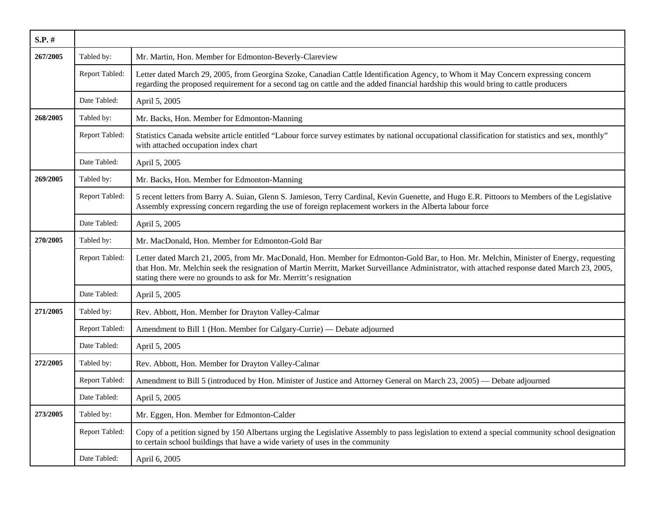| S.P. #   |                |                                                                                                                                                                                                                                                                                                                                                                |
|----------|----------------|----------------------------------------------------------------------------------------------------------------------------------------------------------------------------------------------------------------------------------------------------------------------------------------------------------------------------------------------------------------|
| 267/2005 | Tabled by:     | Mr. Martin, Hon. Member for Edmonton-Beverly-Clareview                                                                                                                                                                                                                                                                                                         |
|          | Report Tabled: | Letter dated March 29, 2005, from Georgina Szoke, Canadian Cattle Identification Agency, to Whom it May Concern expressing concern<br>regarding the proposed requirement for a second tag on cattle and the added financial hardship this would bring to cattle producers                                                                                      |
|          | Date Tabled:   | April 5, 2005                                                                                                                                                                                                                                                                                                                                                  |
| 268/2005 | Tabled by:     | Mr. Backs, Hon. Member for Edmonton-Manning                                                                                                                                                                                                                                                                                                                    |
|          | Report Tabled: | Statistics Canada website article entitled "Labour force survey estimates by national occupational classification for statistics and sex, monthly"<br>with attached occupation index chart                                                                                                                                                                     |
|          | Date Tabled:   | April 5, 2005                                                                                                                                                                                                                                                                                                                                                  |
| 269/2005 | Tabled by:     | Mr. Backs, Hon. Member for Edmonton-Manning                                                                                                                                                                                                                                                                                                                    |
|          | Report Tabled: | 5 recent letters from Barry A. Suian, Glenn S. Jamieson, Terry Cardinal, Kevin Guenette, and Hugo E.R. Pittoors to Members of the Legislative<br>Assembly expressing concern regarding the use of foreign replacement workers in the Alberta labour force                                                                                                      |
|          | Date Tabled:   | April 5, 2005                                                                                                                                                                                                                                                                                                                                                  |
| 270/2005 | Tabled by:     | Mr. MacDonald, Hon. Member for Edmonton-Gold Bar                                                                                                                                                                                                                                                                                                               |
|          | Report Tabled: | Letter dated March 21, 2005, from Mr. MacDonald, Hon. Member for Edmonton-Gold Bar, to Hon. Mr. Melchin, Minister of Energy, requesting<br>that Hon. Mr. Melchin seek the resignation of Martin Merritt, Market Surveillance Administrator, with attached response dated March 23, 2005,<br>stating there were no grounds to ask for Mr. Merritt's resignation |
|          | Date Tabled:   | April 5, 2005                                                                                                                                                                                                                                                                                                                                                  |
| 271/2005 | Tabled by:     | Rev. Abbott, Hon. Member for Drayton Valley-Calmar                                                                                                                                                                                                                                                                                                             |
|          | Report Tabled: | Amendment to Bill 1 (Hon. Member for Calgary-Currie) — Debate adjourned                                                                                                                                                                                                                                                                                        |
|          | Date Tabled:   | April 5, 2005                                                                                                                                                                                                                                                                                                                                                  |
| 272/2005 | Tabled by:     | Rev. Abbott, Hon. Member for Drayton Valley-Calmar                                                                                                                                                                                                                                                                                                             |
|          | Report Tabled: | Amendment to Bill 5 (introduced by Hon. Minister of Justice and Attorney General on March 23, 2005) — Debate adjourned                                                                                                                                                                                                                                         |
|          | Date Tabled:   | April 5, 2005                                                                                                                                                                                                                                                                                                                                                  |
| 273/2005 | Tabled by:     | Mr. Eggen, Hon. Member for Edmonton-Calder                                                                                                                                                                                                                                                                                                                     |
|          | Report Tabled: | Copy of a petition signed by 150 Albertans urging the Legislative Assembly to pass legislation to extend a special community school designation<br>to certain school buildings that have a wide variety of uses in the community                                                                                                                               |
|          | Date Tabled:   | April 6, 2005                                                                                                                                                                                                                                                                                                                                                  |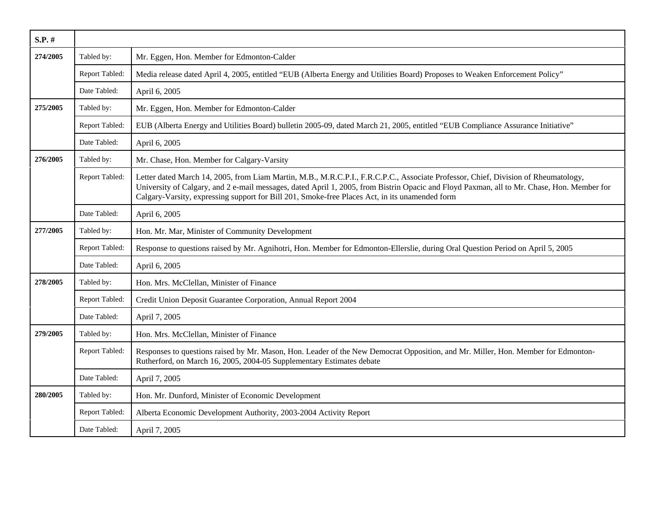| $S.P.$ # |                |                                                                                                                                                                                                                                                                                                                                                                                    |
|----------|----------------|------------------------------------------------------------------------------------------------------------------------------------------------------------------------------------------------------------------------------------------------------------------------------------------------------------------------------------------------------------------------------------|
| 274/2005 | Tabled by:     | Mr. Eggen, Hon. Member for Edmonton-Calder                                                                                                                                                                                                                                                                                                                                         |
|          | Report Tabled: | Media release dated April 4, 2005, entitled "EUB (Alberta Energy and Utilities Board) Proposes to Weaken Enforcement Policy"                                                                                                                                                                                                                                                       |
|          | Date Tabled:   | April 6, 2005                                                                                                                                                                                                                                                                                                                                                                      |
| 275/2005 | Tabled by:     | Mr. Eggen, Hon. Member for Edmonton-Calder                                                                                                                                                                                                                                                                                                                                         |
|          | Report Tabled: | EUB (Alberta Energy and Utilities Board) bulletin 2005-09, dated March 21, 2005, entitled "EUB Compliance Assurance Initiative"                                                                                                                                                                                                                                                    |
|          | Date Tabled:   | April 6, 2005                                                                                                                                                                                                                                                                                                                                                                      |
| 276/2005 | Tabled by:     | Mr. Chase, Hon. Member for Calgary-Varsity                                                                                                                                                                                                                                                                                                                                         |
|          | Report Tabled: | Letter dated March 14, 2005, from Liam Martin, M.B., M.R.C.P.I., F.R.C.P.C., Associate Professor, Chief, Division of Rheumatology,<br>University of Calgary, and 2 e-mail messages, dated April 1, 2005, from Bistrin Opacic and Floyd Paxman, all to Mr. Chase, Hon. Member for<br>Calgary-Varsity, expressing support for Bill 201, Smoke-free Places Act, in its unamended form |
|          | Date Tabled:   | April 6, 2005                                                                                                                                                                                                                                                                                                                                                                      |
| 277/2005 | Tabled by:     | Hon. Mr. Mar, Minister of Community Development                                                                                                                                                                                                                                                                                                                                    |
|          | Report Tabled: | Response to questions raised by Mr. Agnihotri, Hon. Member for Edmonton-Ellerslie, during Oral Question Period on April 5, 2005                                                                                                                                                                                                                                                    |
|          | Date Tabled:   | April 6, 2005                                                                                                                                                                                                                                                                                                                                                                      |
| 278/2005 | Tabled by:     | Hon. Mrs. McClellan, Minister of Finance                                                                                                                                                                                                                                                                                                                                           |
|          | Report Tabled: | Credit Union Deposit Guarantee Corporation, Annual Report 2004                                                                                                                                                                                                                                                                                                                     |
|          | Date Tabled:   | April 7, 2005                                                                                                                                                                                                                                                                                                                                                                      |
| 279/2005 | Tabled by:     | Hon. Mrs. McClellan, Minister of Finance                                                                                                                                                                                                                                                                                                                                           |
|          | Report Tabled: | Responses to questions raised by Mr. Mason, Hon. Leader of the New Democrat Opposition, and Mr. Miller, Hon. Member for Edmonton-<br>Rutherford, on March 16, 2005, 2004-05 Supplementary Estimates debate                                                                                                                                                                         |
|          | Date Tabled:   | April 7, 2005                                                                                                                                                                                                                                                                                                                                                                      |
| 280/2005 | Tabled by:     | Hon. Mr. Dunford, Minister of Economic Development                                                                                                                                                                                                                                                                                                                                 |
|          | Report Tabled: | Alberta Economic Development Authority, 2003-2004 Activity Report                                                                                                                                                                                                                                                                                                                  |
|          | Date Tabled:   | April 7, 2005                                                                                                                                                                                                                                                                                                                                                                      |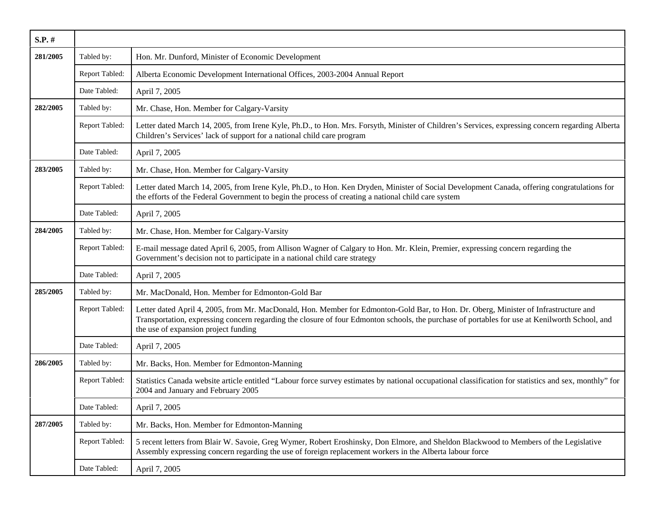| S.P. #   |                |                                                                                                                                                                                                                                                                                                                                |
|----------|----------------|--------------------------------------------------------------------------------------------------------------------------------------------------------------------------------------------------------------------------------------------------------------------------------------------------------------------------------|
| 281/2005 | Tabled by:     | Hon. Mr. Dunford, Minister of Economic Development                                                                                                                                                                                                                                                                             |
|          | Report Tabled: | Alberta Economic Development International Offices, 2003-2004 Annual Report                                                                                                                                                                                                                                                    |
|          | Date Tabled:   | April 7, 2005                                                                                                                                                                                                                                                                                                                  |
| 282/2005 | Tabled by:     | Mr. Chase, Hon. Member for Calgary-Varsity                                                                                                                                                                                                                                                                                     |
|          | Report Tabled: | Letter dated March 14, 2005, from Irene Kyle, Ph.D., to Hon. Mrs. Forsyth, Minister of Children's Services, expressing concern regarding Alberta<br>Children's Services' lack of support for a national child care program                                                                                                     |
|          | Date Tabled:   | April 7, 2005                                                                                                                                                                                                                                                                                                                  |
| 283/2005 | Tabled by:     | Mr. Chase, Hon. Member for Calgary-Varsity                                                                                                                                                                                                                                                                                     |
|          | Report Tabled: | Letter dated March 14, 2005, from Irene Kyle, Ph.D., to Hon. Ken Dryden, Minister of Social Development Canada, offering congratulations for<br>the efforts of the Federal Government to begin the process of creating a national child care system                                                                            |
|          | Date Tabled:   | April 7, 2005                                                                                                                                                                                                                                                                                                                  |
| 284/2005 | Tabled by:     | Mr. Chase, Hon. Member for Calgary-Varsity                                                                                                                                                                                                                                                                                     |
|          | Report Tabled: | E-mail message dated April 6, 2005, from Allison Wagner of Calgary to Hon. Mr. Klein, Premier, expressing concern regarding the<br>Government's decision not to participate in a national child care strategy                                                                                                                  |
|          | Date Tabled:   | April 7, 2005                                                                                                                                                                                                                                                                                                                  |
| 285/2005 | Tabled by:     | Mr. MacDonald, Hon. Member for Edmonton-Gold Bar                                                                                                                                                                                                                                                                               |
|          | Report Tabled: | Letter dated April 4, 2005, from Mr. MacDonald, Hon. Member for Edmonton-Gold Bar, to Hon. Dr. Oberg, Minister of Infrastructure and<br>Transportation, expressing concern regarding the closure of four Edmonton schools, the purchase of portables for use at Kenilworth School, and<br>the use of expansion project funding |
|          | Date Tabled:   | April 7, 2005                                                                                                                                                                                                                                                                                                                  |
| 286/2005 | Tabled by:     | Mr. Backs, Hon. Member for Edmonton-Manning                                                                                                                                                                                                                                                                                    |
|          | Report Tabled: | Statistics Canada website article entitled "Labour force survey estimates by national occupational classification for statistics and sex, monthly" for<br>2004 and January and February 2005                                                                                                                                   |
|          | Date Tabled:   | April 7, 2005                                                                                                                                                                                                                                                                                                                  |
| 287/2005 | Tabled by:     | Mr. Backs, Hon. Member for Edmonton-Manning                                                                                                                                                                                                                                                                                    |
|          | Report Tabled: | 5 recent letters from Blair W. Savoie, Greg Wymer, Robert Eroshinsky, Don Elmore, and Sheldon Blackwood to Members of the Legislative<br>Assembly expressing concern regarding the use of foreign replacement workers in the Alberta labour force                                                                              |
|          | Date Tabled:   | April 7, 2005                                                                                                                                                                                                                                                                                                                  |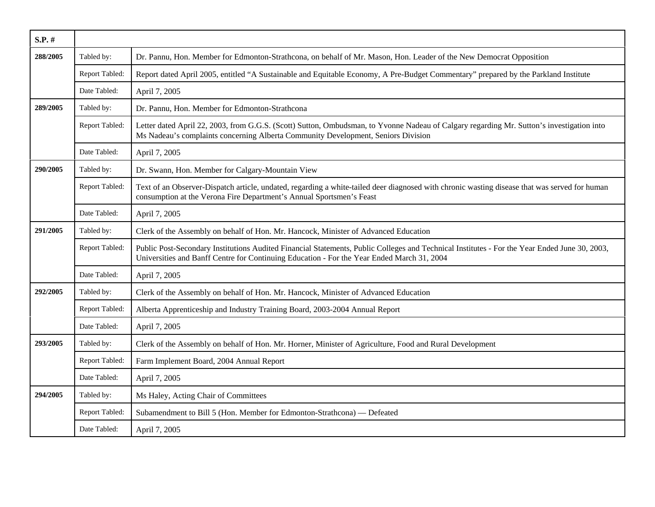| $S.P.$ # |                |                                                                                                                                                                                                                                             |
|----------|----------------|---------------------------------------------------------------------------------------------------------------------------------------------------------------------------------------------------------------------------------------------|
| 288/2005 | Tabled by:     | Dr. Pannu, Hon. Member for Edmonton-Strathcona, on behalf of Mr. Mason, Hon. Leader of the New Democrat Opposition                                                                                                                          |
|          | Report Tabled: | Report dated April 2005, entitled "A Sustainable and Equitable Economy, A Pre-Budget Commentary" prepared by the Parkland Institute                                                                                                         |
|          | Date Tabled:   | April 7, 2005                                                                                                                                                                                                                               |
| 289/2005 | Tabled by:     | Dr. Pannu, Hon. Member for Edmonton-Strathcona                                                                                                                                                                                              |
|          | Report Tabled: | Letter dated April 22, 2003, from G.G.S. (Scott) Sutton, Ombudsman, to Yvonne Nadeau of Calgary regarding Mr. Sutton's investigation into<br>Ms Nadeau's complaints concerning Alberta Community Development, Seniors Division              |
|          | Date Tabled:   | April 7, 2005                                                                                                                                                                                                                               |
| 290/2005 | Tabled by:     | Dr. Swann, Hon. Member for Calgary-Mountain View                                                                                                                                                                                            |
|          | Report Tabled: | Text of an Observer-Dispatch article, undated, regarding a white-tailed deer diagnosed with chronic wasting disease that was served for human<br>consumption at the Verona Fire Department's Annual Sportsmen's Feast                       |
|          | Date Tabled:   | April 7, 2005                                                                                                                                                                                                                               |
| 291/2005 | Tabled by:     | Clerk of the Assembly on behalf of Hon. Mr. Hancock, Minister of Advanced Education                                                                                                                                                         |
|          | Report Tabled: | Public Post-Secondary Institutions Audited Financial Statements, Public Colleges and Technical Institutes - For the Year Ended June 30, 2003,<br>Universities and Banff Centre for Continuing Education - For the Year Ended March 31, 2004 |
|          | Date Tabled:   | April 7, 2005                                                                                                                                                                                                                               |
| 292/2005 | Tabled by:     | Clerk of the Assembly on behalf of Hon. Mr. Hancock, Minister of Advanced Education                                                                                                                                                         |
|          | Report Tabled: | Alberta Apprenticeship and Industry Training Board, 2003-2004 Annual Report                                                                                                                                                                 |
|          | Date Tabled:   | April 7, 2005                                                                                                                                                                                                                               |
| 293/2005 | Tabled by:     | Clerk of the Assembly on behalf of Hon. Mr. Horner, Minister of Agriculture, Food and Rural Development                                                                                                                                     |
|          | Report Tabled: | Farm Implement Board, 2004 Annual Report                                                                                                                                                                                                    |
|          | Date Tabled:   | April 7, 2005                                                                                                                                                                                                                               |
| 294/2005 | Tabled by:     | Ms Haley, Acting Chair of Committees                                                                                                                                                                                                        |
|          | Report Tabled: | Subamendment to Bill 5 (Hon. Member for Edmonton-Strathcona) — Defeated                                                                                                                                                                     |
|          | Date Tabled:   | April 7, 2005                                                                                                                                                                                                                               |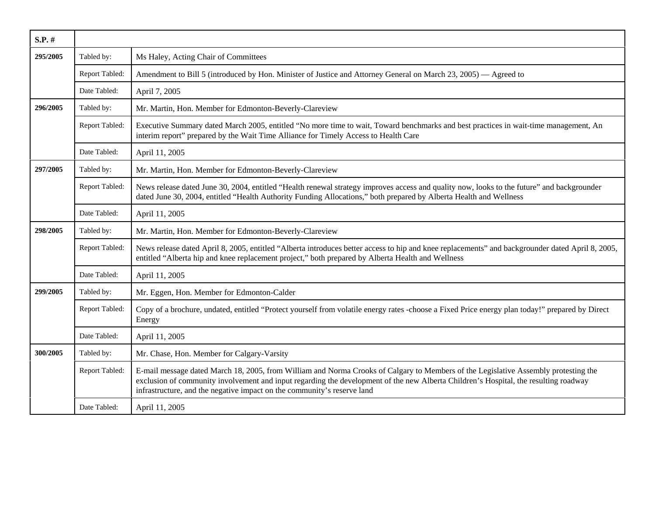| $S.P.$ # |                |                                                                                                                                                                                                                                                                                                                                                        |
|----------|----------------|--------------------------------------------------------------------------------------------------------------------------------------------------------------------------------------------------------------------------------------------------------------------------------------------------------------------------------------------------------|
| 295/2005 | Tabled by:     | Ms Haley, Acting Chair of Committees                                                                                                                                                                                                                                                                                                                   |
|          | Report Tabled: | Amendment to Bill 5 (introduced by Hon. Minister of Justice and Attorney General on March 23, 2005) — Agreed to                                                                                                                                                                                                                                        |
|          | Date Tabled:   | April 7, 2005                                                                                                                                                                                                                                                                                                                                          |
| 296/2005 | Tabled by:     | Mr. Martin, Hon. Member for Edmonton-Beverly-Clareview                                                                                                                                                                                                                                                                                                 |
|          | Report Tabled: | Executive Summary dated March 2005, entitled "No more time to wait, Toward benchmarks and best practices in wait-time management, An<br>interim report" prepared by the Wait Time Alliance for Timely Access to Health Care                                                                                                                            |
|          | Date Tabled:   | April 11, 2005                                                                                                                                                                                                                                                                                                                                         |
| 297/2005 | Tabled by:     | Mr. Martin, Hon. Member for Edmonton-Beverly-Clareview                                                                                                                                                                                                                                                                                                 |
|          | Report Tabled: | News release dated June 30, 2004, entitled "Health renewal strategy improves access and quality now, looks to the future" and backgrounder<br>dated June 30, 2004, entitled "Health Authority Funding Allocations," both prepared by Alberta Health and Wellness                                                                                       |
|          | Date Tabled:   | April 11, 2005                                                                                                                                                                                                                                                                                                                                         |
| 298/2005 | Tabled by:     | Mr. Martin, Hon. Member for Edmonton-Beverly-Clareview                                                                                                                                                                                                                                                                                                 |
|          | Report Tabled: | News release dated April 8, 2005, entitled "Alberta introduces better access to hip and knee replacements" and backgrounder dated April 8, 2005,<br>entitled "Alberta hip and knee replacement project," both prepared by Alberta Health and Wellness                                                                                                  |
|          | Date Tabled:   | April 11, 2005                                                                                                                                                                                                                                                                                                                                         |
| 299/2005 | Tabled by:     | Mr. Eggen, Hon. Member for Edmonton-Calder                                                                                                                                                                                                                                                                                                             |
|          | Report Tabled: | Copy of a brochure, undated, entitled "Protect yourself from volatile energy rates -choose a Fixed Price energy plan today!" prepared by Direct<br>Energy                                                                                                                                                                                              |
|          | Date Tabled:   | April 11, 2005                                                                                                                                                                                                                                                                                                                                         |
| 300/2005 | Tabled by:     | Mr. Chase, Hon. Member for Calgary-Varsity                                                                                                                                                                                                                                                                                                             |
|          | Report Tabled: | E-mail message dated March 18, 2005, from William and Norma Crooks of Calgary to Members of the Legislative Assembly protesting the<br>exclusion of community involvement and input regarding the development of the new Alberta Children's Hospital, the resulting roadway<br>infrastructure, and the negative impact on the community's reserve land |
|          | Date Tabled:   | April 11, 2005                                                                                                                                                                                                                                                                                                                                         |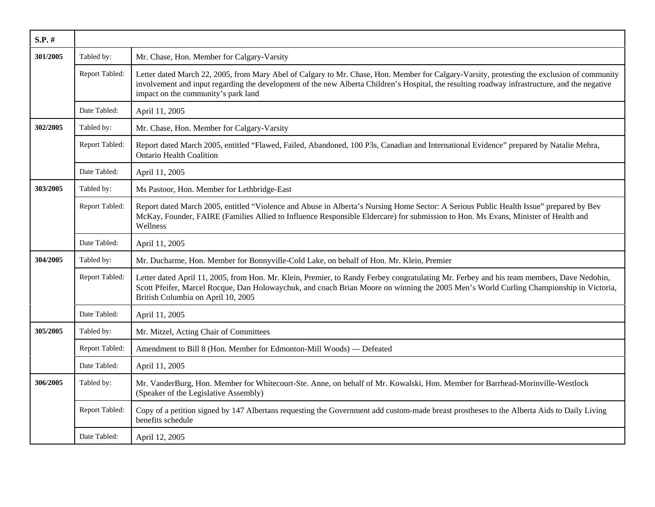| $S.P.$ # |                |                                                                                                                                                                                                                                                                                                                                      |
|----------|----------------|--------------------------------------------------------------------------------------------------------------------------------------------------------------------------------------------------------------------------------------------------------------------------------------------------------------------------------------|
| 301/2005 | Tabled by:     | Mr. Chase, Hon. Member for Calgary-Varsity                                                                                                                                                                                                                                                                                           |
|          | Report Tabled: | Letter dated March 22, 2005, from Mary Abel of Calgary to Mr. Chase, Hon. Member for Calgary-Varsity, protesting the exclusion of community<br>involvement and input regarding the development of the new Alberta Children's Hospital, the resulting roadway infrastructure, and the negative<br>impact on the community's park land |
|          | Date Tabled:   | April 11, 2005                                                                                                                                                                                                                                                                                                                       |
| 302/2005 | Tabled by:     | Mr. Chase, Hon. Member for Calgary-Varsity                                                                                                                                                                                                                                                                                           |
|          | Report Tabled: | Report dated March 2005, entitled "Flawed, Failed, Abandoned, 100 P3s, Canadian and International Evidence" prepared by Natalie Mehra,<br><b>Ontario Health Coalition</b>                                                                                                                                                            |
|          | Date Tabled:   | April 11, 2005                                                                                                                                                                                                                                                                                                                       |
| 303/2005 | Tabled by:     | Ms Pastoor, Hon. Member for Lethbridge-East                                                                                                                                                                                                                                                                                          |
|          | Report Tabled: | Report dated March 2005, entitled "Violence and Abuse in Alberta's Nursing Home Sector: A Serious Public Health Issue" prepared by Bev<br>McKay, Founder, FAIRE (Families Allied to Influence Responsible Eldercare) for submission to Hon. Ms Evans, Minister of Health and<br>Wellness                                             |
|          | Date Tabled:   | April 11, 2005                                                                                                                                                                                                                                                                                                                       |
| 304/2005 | Tabled by:     | Mr. Ducharme, Hon. Member for Bonnyville-Cold Lake, on behalf of Hon. Mr. Klein, Premier                                                                                                                                                                                                                                             |
|          | Report Tabled: | Letter dated April 11, 2005, from Hon. Mr. Klein, Premier, to Randy Ferbey congratulating Mr. Ferbey and his team members, Dave Nedohin,<br>Scott Pfeifer, Marcel Rocque, Dan Holowaychuk, and coach Brian Moore on winning the 2005 Men's World Curling Championship in Victoria,<br>British Columbia on April 10, 2005             |
|          | Date Tabled:   | April 11, 2005                                                                                                                                                                                                                                                                                                                       |
| 305/2005 | Tabled by:     | Mr. Mitzel, Acting Chair of Committees                                                                                                                                                                                                                                                                                               |
|          | Report Tabled: | Amendment to Bill 8 (Hon. Member for Edmonton-Mill Woods) — Defeated                                                                                                                                                                                                                                                                 |
|          | Date Tabled:   | April 11, 2005                                                                                                                                                                                                                                                                                                                       |
| 306/2005 | Tabled by:     | Mr. VanderBurg, Hon. Member for Whitecourt-Ste. Anne, on behalf of Mr. Kowalski, Hon. Member for Barrhead-Morinville-Westlock<br>(Speaker of the Legislative Assembly)                                                                                                                                                               |
|          | Report Tabled: | Copy of a petition signed by 147 Albertans requesting the Government add custom-made breast prostheses to the Alberta Aids to Daily Living<br>benefits schedule                                                                                                                                                                      |
|          | Date Tabled:   | April 12, 2005                                                                                                                                                                                                                                                                                                                       |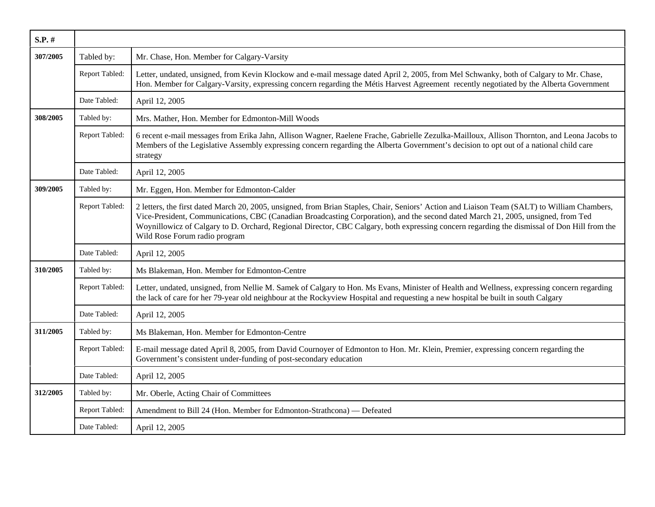| $S.P.$ # |                |                                                                                                                                                                                                                                                                                                                                                                                                                                                                  |
|----------|----------------|------------------------------------------------------------------------------------------------------------------------------------------------------------------------------------------------------------------------------------------------------------------------------------------------------------------------------------------------------------------------------------------------------------------------------------------------------------------|
| 307/2005 | Tabled by:     | Mr. Chase, Hon. Member for Calgary-Varsity                                                                                                                                                                                                                                                                                                                                                                                                                       |
|          | Report Tabled: | Letter, undated, unsigned, from Kevin Klockow and e-mail message dated April 2, 2005, from Mel Schwanky, both of Calgary to Mr. Chase,<br>Hon. Member for Calgary-Varsity, expressing concern regarding the Métis Harvest Agreement recently negotiated by the Alberta Government                                                                                                                                                                                |
|          | Date Tabled:   | April 12, 2005                                                                                                                                                                                                                                                                                                                                                                                                                                                   |
| 308/2005 | Tabled by:     | Mrs. Mather, Hon. Member for Edmonton-Mill Woods                                                                                                                                                                                                                                                                                                                                                                                                                 |
|          | Report Tabled: | 6 recent e-mail messages from Erika Jahn, Allison Wagner, Raelene Frache, Gabrielle Zezulka-Mailloux, Allison Thornton, and Leona Jacobs to<br>Members of the Legislative Assembly expressing concern regarding the Alberta Government's decision to opt out of a national child care<br>strategy                                                                                                                                                                |
|          | Date Tabled:   | April 12, 2005                                                                                                                                                                                                                                                                                                                                                                                                                                                   |
| 309/2005 | Tabled by:     | Mr. Eggen, Hon. Member for Edmonton-Calder                                                                                                                                                                                                                                                                                                                                                                                                                       |
|          | Report Tabled: | 2 letters, the first dated March 20, 2005, unsigned, from Brian Staples, Chair, Seniors' Action and Liaison Team (SALT) to William Chambers,<br>Vice-President, Communications, CBC (Canadian Broadcasting Corporation), and the second dated March 21, 2005, unsigned, from Ted<br>Woynillowicz of Calgary to D. Orchard, Regional Director, CBC Calgary, both expressing concern regarding the dismissal of Don Hill from the<br>Wild Rose Forum radio program |
|          | Date Tabled:   | April 12, 2005                                                                                                                                                                                                                                                                                                                                                                                                                                                   |
| 310/2005 | Tabled by:     | Ms Blakeman, Hon. Member for Edmonton-Centre                                                                                                                                                                                                                                                                                                                                                                                                                     |
|          | Report Tabled: | Letter, undated, unsigned, from Nellie M. Samek of Calgary to Hon. Ms Evans, Minister of Health and Wellness, expressing concern regarding<br>the lack of care for her 79-year old neighbour at the Rockyview Hospital and requesting a new hospital be built in south Calgary                                                                                                                                                                                   |
|          | Date Tabled:   | April 12, 2005                                                                                                                                                                                                                                                                                                                                                                                                                                                   |
| 311/2005 | Tabled by:     | Ms Blakeman, Hon. Member for Edmonton-Centre                                                                                                                                                                                                                                                                                                                                                                                                                     |
|          | Report Tabled: | E-mail message dated April 8, 2005, from David Cournoyer of Edmonton to Hon. Mr. Klein, Premier, expressing concern regarding the<br>Government's consistent under-funding of post-secondary education                                                                                                                                                                                                                                                           |
|          | Date Tabled:   | April 12, 2005                                                                                                                                                                                                                                                                                                                                                                                                                                                   |
| 312/2005 | Tabled by:     | Mr. Oberle, Acting Chair of Committees                                                                                                                                                                                                                                                                                                                                                                                                                           |
|          | Report Tabled: | Amendment to Bill 24 (Hon. Member for Edmonton-Strathcona) — Defeated                                                                                                                                                                                                                                                                                                                                                                                            |
|          | Date Tabled:   | April 12, 2005                                                                                                                                                                                                                                                                                                                                                                                                                                                   |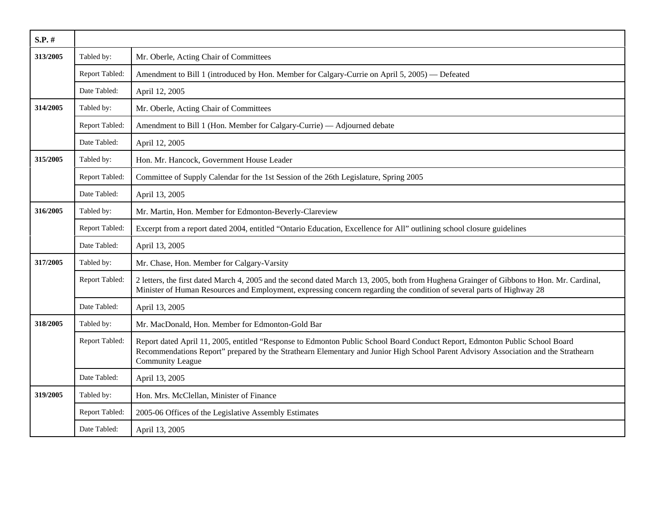| $S.P.$ # |                |                                                                                                                                                                                                                                                                                                |
|----------|----------------|------------------------------------------------------------------------------------------------------------------------------------------------------------------------------------------------------------------------------------------------------------------------------------------------|
| 313/2005 | Tabled by:     | Mr. Oberle, Acting Chair of Committees                                                                                                                                                                                                                                                         |
|          | Report Tabled: | Amendment to Bill 1 (introduced by Hon. Member for Calgary-Currie on April 5, 2005) — Defeated                                                                                                                                                                                                 |
|          | Date Tabled:   | April 12, 2005                                                                                                                                                                                                                                                                                 |
| 314/2005 | Tabled by:     | Mr. Oberle, Acting Chair of Committees                                                                                                                                                                                                                                                         |
|          | Report Tabled: | Amendment to Bill 1 (Hon. Member for Calgary-Currie) — Adjourned debate                                                                                                                                                                                                                        |
|          | Date Tabled:   | April 12, 2005                                                                                                                                                                                                                                                                                 |
| 315/2005 | Tabled by:     | Hon. Mr. Hancock, Government House Leader                                                                                                                                                                                                                                                      |
|          | Report Tabled: | Committee of Supply Calendar for the 1st Session of the 26th Legislature, Spring 2005                                                                                                                                                                                                          |
|          | Date Tabled:   | April 13, 2005                                                                                                                                                                                                                                                                                 |
| 316/2005 | Tabled by:     | Mr. Martin, Hon. Member for Edmonton-Beverly-Clareview                                                                                                                                                                                                                                         |
|          | Report Tabled: | Excerpt from a report dated 2004, entitled "Ontario Education, Excellence for All" outlining school closure guidelines                                                                                                                                                                         |
|          | Date Tabled:   | April 13, 2005                                                                                                                                                                                                                                                                                 |
| 317/2005 | Tabled by:     | Mr. Chase, Hon. Member for Calgary-Varsity                                                                                                                                                                                                                                                     |
|          | Report Tabled: | 2 letters, the first dated March 4, 2005 and the second dated March 13, 2005, both from Hughena Grainger of Gibbons to Hon. Mr. Cardinal,<br>Minister of Human Resources and Employment, expressing concern regarding the condition of several parts of Highway 28                             |
|          | Date Tabled:   | April 13, 2005                                                                                                                                                                                                                                                                                 |
| 318/2005 | Tabled by:     | Mr. MacDonald, Hon. Member for Edmonton-Gold Bar                                                                                                                                                                                                                                               |
|          | Report Tabled: | Report dated April 11, 2005, entitled "Response to Edmonton Public School Board Conduct Report, Edmonton Public School Board<br>Recommendations Report" prepared by the Strathearn Elementary and Junior High School Parent Advisory Association and the Strathearn<br><b>Community League</b> |
|          | Date Tabled:   | April 13, 2005                                                                                                                                                                                                                                                                                 |
| 319/2005 | Tabled by:     | Hon. Mrs. McClellan, Minister of Finance                                                                                                                                                                                                                                                       |
|          | Report Tabled: | 2005-06 Offices of the Legislative Assembly Estimates                                                                                                                                                                                                                                          |
|          | Date Tabled:   | April 13, 2005                                                                                                                                                                                                                                                                                 |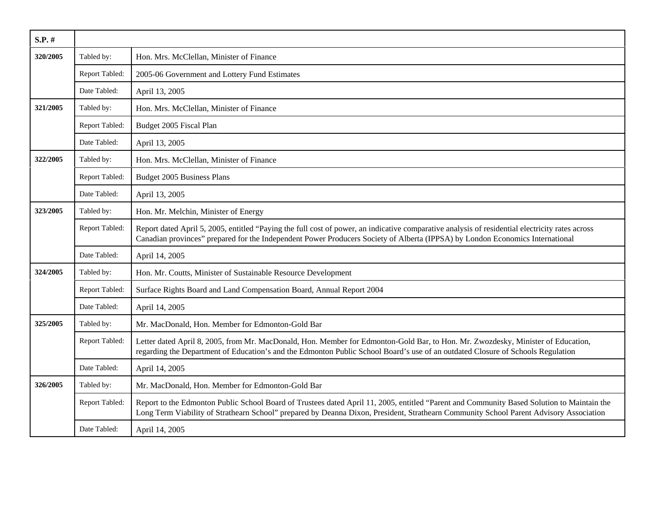| S.P. #   |                |                                                                                                                                                                                                                                                                                      |
|----------|----------------|--------------------------------------------------------------------------------------------------------------------------------------------------------------------------------------------------------------------------------------------------------------------------------------|
| 320/2005 | Tabled by:     | Hon. Mrs. McClellan, Minister of Finance                                                                                                                                                                                                                                             |
|          | Report Tabled: | 2005-06 Government and Lottery Fund Estimates                                                                                                                                                                                                                                        |
|          | Date Tabled:   | April 13, 2005                                                                                                                                                                                                                                                                       |
| 321/2005 | Tabled by:     | Hon. Mrs. McClellan, Minister of Finance                                                                                                                                                                                                                                             |
|          | Report Tabled: | Budget 2005 Fiscal Plan                                                                                                                                                                                                                                                              |
|          | Date Tabled:   | April 13, 2005                                                                                                                                                                                                                                                                       |
| 322/2005 | Tabled by:     | Hon. Mrs. McClellan, Minister of Finance                                                                                                                                                                                                                                             |
|          | Report Tabled: | Budget 2005 Business Plans                                                                                                                                                                                                                                                           |
|          | Date Tabled:   | April 13, 2005                                                                                                                                                                                                                                                                       |
| 323/2005 | Tabled by:     | Hon. Mr. Melchin, Minister of Energy                                                                                                                                                                                                                                                 |
|          | Report Tabled: | Report dated April 5, 2005, entitled "Paying the full cost of power, an indicative comparative analysis of residential electricity rates across<br>Canadian provinces" prepared for the Independent Power Producers Society of Alberta (IPPSA) by London Economics International     |
|          | Date Tabled:   | April 14, 2005                                                                                                                                                                                                                                                                       |
| 324/2005 | Tabled by:     | Hon. Mr. Coutts, Minister of Sustainable Resource Development                                                                                                                                                                                                                        |
|          | Report Tabled: | Surface Rights Board and Land Compensation Board, Annual Report 2004                                                                                                                                                                                                                 |
|          | Date Tabled:   | April 14, 2005                                                                                                                                                                                                                                                                       |
| 325/2005 | Tabled by:     | Mr. MacDonald, Hon. Member for Edmonton-Gold Bar                                                                                                                                                                                                                                     |
|          | Report Tabled: | Letter dated April 8, 2005, from Mr. MacDonald, Hon. Member for Edmonton-Gold Bar, to Hon. Mr. Zwozdesky, Minister of Education,<br>regarding the Department of Education's and the Edmonton Public School Board's use of an outdated Closure of Schools Regulation                  |
|          | Date Tabled:   | April 14, 2005                                                                                                                                                                                                                                                                       |
| 326/2005 | Tabled by:     | Mr. MacDonald, Hon. Member for Edmonton-Gold Bar                                                                                                                                                                                                                                     |
|          | Report Tabled: | Report to the Edmonton Public School Board of Trustees dated April 11, 2005, entitled "Parent and Community Based Solution to Maintain the<br>Long Term Viability of Strathearn School" prepared by Deanna Dixon, President, Strathearn Community School Parent Advisory Association |
|          | Date Tabled:   | April 14, 2005                                                                                                                                                                                                                                                                       |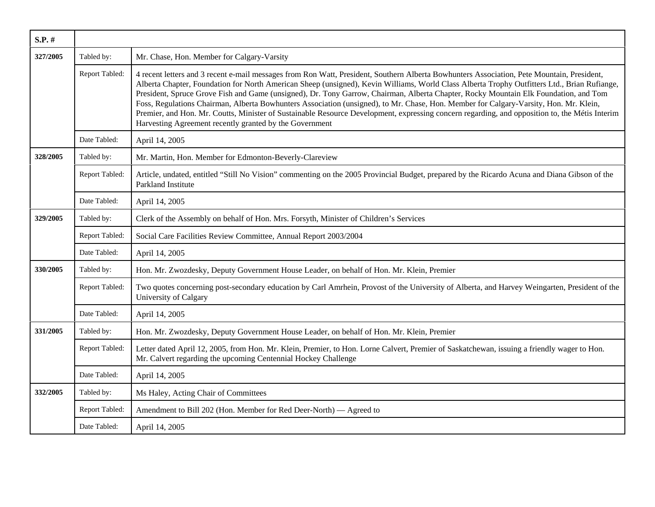| S.P. #   |                |                                                                                                                                                                                                                                                                                                                                                                                                                                                                                                                                                                                                                                                                                                                                                                                          |
|----------|----------------|------------------------------------------------------------------------------------------------------------------------------------------------------------------------------------------------------------------------------------------------------------------------------------------------------------------------------------------------------------------------------------------------------------------------------------------------------------------------------------------------------------------------------------------------------------------------------------------------------------------------------------------------------------------------------------------------------------------------------------------------------------------------------------------|
| 327/2005 | Tabled by:     | Mr. Chase, Hon. Member for Calgary-Varsity                                                                                                                                                                                                                                                                                                                                                                                                                                                                                                                                                                                                                                                                                                                                               |
|          | Report Tabled: | 4 recent letters and 3 recent e-mail messages from Ron Watt, President, Southern Alberta Bowhunters Association, Pete Mountain, President,<br>Alberta Chapter, Foundation for North American Sheep (unsigned), Kevin Williams, World Class Alberta Trophy Outfitters Ltd., Brian Rufiange,<br>President, Spruce Grove Fish and Game (unsigned), Dr. Tony Garrow, Chairman, Alberta Chapter, Rocky Mountain Elk Foundation, and Tom<br>Foss, Regulations Chairman, Alberta Bowhunters Association (unsigned), to Mr. Chase, Hon. Member for Calgary-Varsity, Hon. Mr. Klein,<br>Premier, and Hon. Mr. Coutts, Minister of Sustainable Resource Development, expressing concern regarding, and opposition to, the Métis Interim<br>Harvesting Agreement recently granted by the Government |
|          | Date Tabled:   | April 14, 2005                                                                                                                                                                                                                                                                                                                                                                                                                                                                                                                                                                                                                                                                                                                                                                           |
| 328/2005 | Tabled by:     | Mr. Martin, Hon. Member for Edmonton-Beverly-Clareview                                                                                                                                                                                                                                                                                                                                                                                                                                                                                                                                                                                                                                                                                                                                   |
|          | Report Tabled: | Article, undated, entitled "Still No Vision" commenting on the 2005 Provincial Budget, prepared by the Ricardo Acuna and Diana Gibson of the<br>Parkland Institute                                                                                                                                                                                                                                                                                                                                                                                                                                                                                                                                                                                                                       |
|          | Date Tabled:   | April 14, 2005                                                                                                                                                                                                                                                                                                                                                                                                                                                                                                                                                                                                                                                                                                                                                                           |
| 329/2005 | Tabled by:     | Clerk of the Assembly on behalf of Hon. Mrs. Forsyth, Minister of Children's Services                                                                                                                                                                                                                                                                                                                                                                                                                                                                                                                                                                                                                                                                                                    |
|          | Report Tabled: | Social Care Facilities Review Committee, Annual Report 2003/2004                                                                                                                                                                                                                                                                                                                                                                                                                                                                                                                                                                                                                                                                                                                         |
|          | Date Tabled:   | April 14, 2005                                                                                                                                                                                                                                                                                                                                                                                                                                                                                                                                                                                                                                                                                                                                                                           |
| 330/2005 | Tabled by:     | Hon. Mr. Zwozdesky, Deputy Government House Leader, on behalf of Hon. Mr. Klein, Premier                                                                                                                                                                                                                                                                                                                                                                                                                                                                                                                                                                                                                                                                                                 |
|          | Report Tabled: | Two quotes concerning post-secondary education by Carl Amrhein, Provost of the University of Alberta, and Harvey Weingarten, President of the<br>University of Calgary                                                                                                                                                                                                                                                                                                                                                                                                                                                                                                                                                                                                                   |
|          | Date Tabled:   | April 14, 2005                                                                                                                                                                                                                                                                                                                                                                                                                                                                                                                                                                                                                                                                                                                                                                           |
| 331/2005 | Tabled by:     | Hon. Mr. Zwozdesky, Deputy Government House Leader, on behalf of Hon. Mr. Klein, Premier                                                                                                                                                                                                                                                                                                                                                                                                                                                                                                                                                                                                                                                                                                 |
|          | Report Tabled: | Letter dated April 12, 2005, from Hon. Mr. Klein, Premier, to Hon. Lorne Calvert, Premier of Saskatchewan, issuing a friendly wager to Hon.<br>Mr. Calvert regarding the upcoming Centennial Hockey Challenge                                                                                                                                                                                                                                                                                                                                                                                                                                                                                                                                                                            |
|          | Date Tabled:   | April 14, 2005                                                                                                                                                                                                                                                                                                                                                                                                                                                                                                                                                                                                                                                                                                                                                                           |
| 332/2005 | Tabled by:     | Ms Haley, Acting Chair of Committees                                                                                                                                                                                                                                                                                                                                                                                                                                                                                                                                                                                                                                                                                                                                                     |
|          | Report Tabled: | Amendment to Bill 202 (Hon. Member for Red Deer-North) — Agreed to                                                                                                                                                                                                                                                                                                                                                                                                                                                                                                                                                                                                                                                                                                                       |
|          | Date Tabled:   | April 14, 2005                                                                                                                                                                                                                                                                                                                                                                                                                                                                                                                                                                                                                                                                                                                                                                           |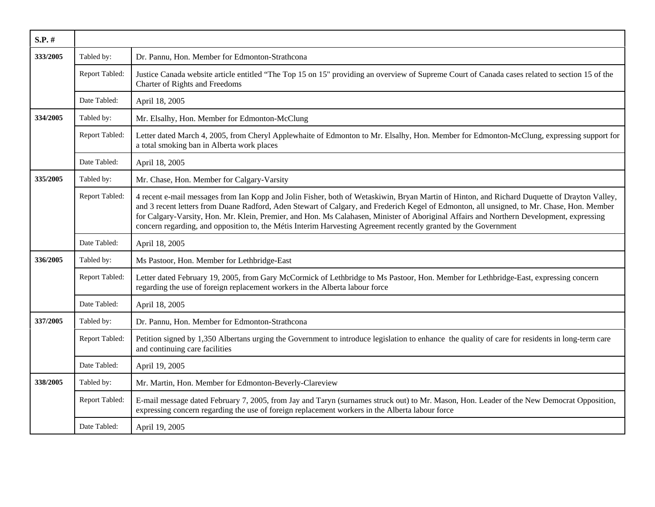| S.P. #   |                |                                                                                                                                                                                                                                                                                                                                                                                                                                                                                                                                                           |
|----------|----------------|-----------------------------------------------------------------------------------------------------------------------------------------------------------------------------------------------------------------------------------------------------------------------------------------------------------------------------------------------------------------------------------------------------------------------------------------------------------------------------------------------------------------------------------------------------------|
| 333/2005 | Tabled by:     | Dr. Pannu, Hon. Member for Edmonton-Strathcona                                                                                                                                                                                                                                                                                                                                                                                                                                                                                                            |
|          | Report Tabled: | Justice Canada website article entitled "The Top 15 on 15" providing an overview of Supreme Court of Canada cases related to section 15 of the<br>Charter of Rights and Freedoms                                                                                                                                                                                                                                                                                                                                                                          |
|          | Date Tabled:   | April 18, 2005                                                                                                                                                                                                                                                                                                                                                                                                                                                                                                                                            |
| 334/2005 | Tabled by:     | Mr. Elsalhy, Hon. Member for Edmonton-McClung                                                                                                                                                                                                                                                                                                                                                                                                                                                                                                             |
|          | Report Tabled: | Letter dated March 4, 2005, from Cheryl Applewhaite of Edmonton to Mr. Elsalhy, Hon. Member for Edmonton-McClung, expressing support for<br>a total smoking ban in Alberta work places                                                                                                                                                                                                                                                                                                                                                                    |
|          | Date Tabled:   | April 18, 2005                                                                                                                                                                                                                                                                                                                                                                                                                                                                                                                                            |
| 335/2005 | Tabled by:     | Mr. Chase, Hon. Member for Calgary-Varsity                                                                                                                                                                                                                                                                                                                                                                                                                                                                                                                |
|          | Report Tabled: | 4 recent e-mail messages from Ian Kopp and Jolin Fisher, both of Wetaskiwin, Bryan Martin of Hinton, and Richard Duquette of Drayton Valley,<br>and 3 recent letters from Duane Radford, Aden Stewart of Calgary, and Frederich Kegel of Edmonton, all unsigned, to Mr. Chase, Hon. Member<br>for Calgary-Varsity, Hon. Mr. Klein, Premier, and Hon. Ms Calahasen, Minister of Aboriginal Affairs and Northern Development, expressing<br>concern regarding, and opposition to, the Métis Interim Harvesting Agreement recently granted by the Government |
|          | Date Tabled:   | April 18, 2005                                                                                                                                                                                                                                                                                                                                                                                                                                                                                                                                            |
| 336/2005 | Tabled by:     | Ms Pastoor, Hon. Member for Lethbridge-East                                                                                                                                                                                                                                                                                                                                                                                                                                                                                                               |
|          | Report Tabled: | Letter dated February 19, 2005, from Gary McCormick of Lethbridge to Ms Pastoor, Hon. Member for Lethbridge-East, expressing concern<br>regarding the use of foreign replacement workers in the Alberta labour force                                                                                                                                                                                                                                                                                                                                      |
|          | Date Tabled:   | April 18, 2005                                                                                                                                                                                                                                                                                                                                                                                                                                                                                                                                            |
| 337/2005 | Tabled by:     | Dr. Pannu, Hon. Member for Edmonton-Strathcona                                                                                                                                                                                                                                                                                                                                                                                                                                                                                                            |
|          | Report Tabled: | Petition signed by 1,350 Albertans urging the Government to introduce legislation to enhance the quality of care for residents in long-term care<br>and continuing care facilities                                                                                                                                                                                                                                                                                                                                                                        |
|          | Date Tabled:   | April 19, 2005                                                                                                                                                                                                                                                                                                                                                                                                                                                                                                                                            |
| 338/2005 | Tabled by:     | Mr. Martin, Hon. Member for Edmonton-Beverly-Clareview                                                                                                                                                                                                                                                                                                                                                                                                                                                                                                    |
|          | Report Tabled: | E-mail message dated February 7, 2005, from Jay and Taryn (surnames struck out) to Mr. Mason, Hon. Leader of the New Democrat Opposition,<br>expressing concern regarding the use of foreign replacement workers in the Alberta labour force                                                                                                                                                                                                                                                                                                              |
|          | Date Tabled:   | April 19, 2005                                                                                                                                                                                                                                                                                                                                                                                                                                                                                                                                            |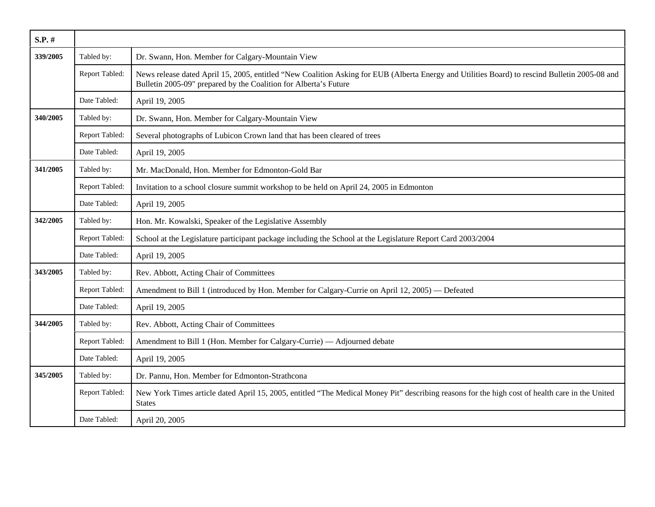| $S.P.$ # |                |                                                                                                                                                                                                                    |
|----------|----------------|--------------------------------------------------------------------------------------------------------------------------------------------------------------------------------------------------------------------|
| 339/2005 | Tabled by:     | Dr. Swann, Hon. Member for Calgary-Mountain View                                                                                                                                                                   |
|          | Report Tabled: | News release dated April 15, 2005, entitled "New Coalition Asking for EUB (Alberta Energy and Utilities Board) to rescind Bulletin 2005-08 and<br>Bulletin 2005-09" prepared by the Coalition for Alberta's Future |
|          | Date Tabled:   | April 19, 2005                                                                                                                                                                                                     |
| 340/2005 | Tabled by:     | Dr. Swann, Hon. Member for Calgary-Mountain View                                                                                                                                                                   |
|          | Report Tabled: | Several photographs of Lubicon Crown land that has been cleared of trees                                                                                                                                           |
|          | Date Tabled:   | April 19, 2005                                                                                                                                                                                                     |
| 341/2005 | Tabled by:     | Mr. MacDonald, Hon. Member for Edmonton-Gold Bar                                                                                                                                                                   |
|          | Report Tabled: | Invitation to a school closure summit workshop to be held on April 24, 2005 in Edmonton                                                                                                                            |
|          | Date Tabled:   | April 19, 2005                                                                                                                                                                                                     |
| 342/2005 | Tabled by:     | Hon. Mr. Kowalski, Speaker of the Legislative Assembly                                                                                                                                                             |
|          | Report Tabled: | School at the Legislature participant package including the School at the Legislature Report Card 2003/2004                                                                                                        |
|          | Date Tabled:   | April 19, 2005                                                                                                                                                                                                     |
| 343/2005 | Tabled by:     | Rev. Abbott, Acting Chair of Committees                                                                                                                                                                            |
|          | Report Tabled: | Amendment to Bill 1 (introduced by Hon. Member for Calgary-Currie on April 12, 2005) — Defeated                                                                                                                    |
|          | Date Tabled:   | April 19, 2005                                                                                                                                                                                                     |
| 344/2005 | Tabled by:     | Rev. Abbott, Acting Chair of Committees                                                                                                                                                                            |
|          | Report Tabled: | Amendment to Bill 1 (Hon. Member for Calgary-Currie) — Adjourned debate                                                                                                                                            |
|          | Date Tabled:   | April 19, 2005                                                                                                                                                                                                     |
| 345/2005 | Tabled by:     | Dr. Pannu, Hon. Member for Edmonton-Strathcona                                                                                                                                                                     |
|          | Report Tabled: | New York Times article dated April 15, 2005, entitled "The Medical Money Pit" describing reasons for the high cost of health care in the United<br><b>States</b>                                                   |
|          | Date Tabled:   | April 20, 2005                                                                                                                                                                                                     |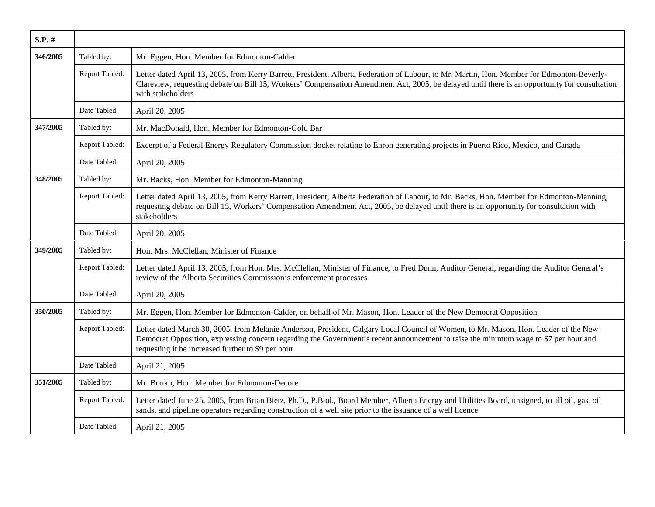| S.P. #   |                |                                                                                                                                                                                                                                                                                                                                   |
|----------|----------------|-----------------------------------------------------------------------------------------------------------------------------------------------------------------------------------------------------------------------------------------------------------------------------------------------------------------------------------|
| 346/2005 | Tabled by:     | Mr. Eggen, Hon. Member for Edmonton-Calder                                                                                                                                                                                                                                                                                        |
|          | Report Tabled: | Letter dated April 13, 2005, from Kerry Barrett, President, Alberta Federation of Labour, to Mr. Martin, Hon. Member for Edmonton-Beverly-<br>Clareview, requesting debate on Bill 15, Workers' Compensation Amendment Act, 2005, be delayed until there is an opportunity for consultation<br>with stakeholders                  |
|          | Date Tabled:   | April 20, 2005                                                                                                                                                                                                                                                                                                                    |
| 347/2005 | Tabled by:     | Mr. MacDonald, Hon. Member for Edmonton-Gold Bar                                                                                                                                                                                                                                                                                  |
|          | Report Tabled: | Excerpt of a Federal Energy Regulatory Commission docket relating to Enron generating projects in Puerto Rico, Mexico, and Canada                                                                                                                                                                                                 |
|          | Date Tabled:   | April 20, 2005                                                                                                                                                                                                                                                                                                                    |
| 348/2005 | Tabled by:     | Mr. Backs, Hon. Member for Edmonton-Manning                                                                                                                                                                                                                                                                                       |
|          | Report Tabled: | Letter dated April 13, 2005, from Kerry Barrett, President, Alberta Federation of Labour, to Mr. Backs, Hon. Member for Edmonton-Manning,<br>requesting debate on Bill 15, Workers' Compensation Amendment Act, 2005, be delayed until there is an opportunity for consultation with<br>stakeholders                              |
|          | Date Tabled:   | April 20, 2005                                                                                                                                                                                                                                                                                                                    |
| 349/2005 | Tabled by:     | Hon. Mrs. McClellan, Minister of Finance                                                                                                                                                                                                                                                                                          |
|          | Report Tabled: | Letter dated April 13, 2005, from Hon. Mrs. McClellan, Minister of Finance, to Fred Dunn, Auditor General, regarding the Auditor General's<br>review of the Alberta Securities Commission's enforcement processes                                                                                                                 |
|          | Date Tabled:   | April 20, 2005                                                                                                                                                                                                                                                                                                                    |
| 350/2005 | Tabled by:     | Mr. Eggen, Hon. Member for Edmonton-Calder, on behalf of Mr. Mason, Hon. Leader of the New Democrat Opposition                                                                                                                                                                                                                    |
|          | Report Tabled: | Letter dated March 30, 2005, from Melanie Anderson, President, Calgary Local Council of Women, to Mr. Mason, Hon. Leader of the New<br>Democrat Opposition, expressing concern regarding the Government's recent announcement to raise the minimum wage to \$7 per hour and<br>requesting it be increased further to \$9 per hour |
|          | Date Tabled:   | April 21, 2005                                                                                                                                                                                                                                                                                                                    |
| 351/2005 | Tabled by:     | Mr. Bonko, Hon. Member for Edmonton-Decore                                                                                                                                                                                                                                                                                        |
|          | Report Tabled: | Letter dated June 25, 2005, from Brian Bietz, Ph.D., P.Biol., Board Member, Alberta Energy and Utilities Board, unsigned, to all oil, gas, oil<br>sands, and pipeline operators regarding construction of a well site prior to the issuance of a well licence                                                                     |
|          | Date Tabled:   | April 21, 2005                                                                                                                                                                                                                                                                                                                    |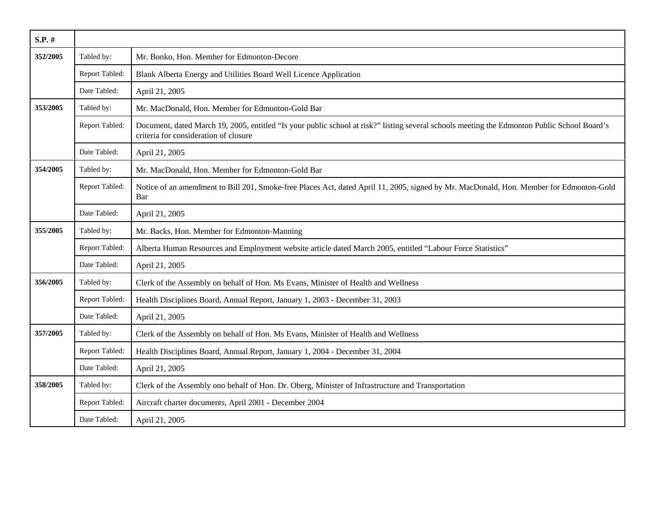| $S.P.$ # |                |                                                                                                                                                                                       |
|----------|----------------|---------------------------------------------------------------------------------------------------------------------------------------------------------------------------------------|
| 352/2005 | Tabled by:     | Mr. Bonko, Hon. Member for Edmonton-Decore                                                                                                                                            |
|          | Report Tabled: | Blank Alberta Energy and Utilities Board Well Licence Application                                                                                                                     |
|          | Date Tabled:   | April 21, 2005                                                                                                                                                                        |
| 353/2005 | Tabled by:     | Mr. MacDonald, Hon. Member for Edmonton-Gold Bar                                                                                                                                      |
|          | Report Tabled: | Document, dated March 19, 2005, entitled "Is your public school at risk?" listing several schools meeting the Edmonton Public School Board's<br>criteria for consideration of closure |
|          | Date Tabled:   | April 21, 2005                                                                                                                                                                        |
| 354/2005 | Tabled by:     | Mr. MacDonald, Hon. Member for Edmonton-Gold Bar                                                                                                                                      |
|          | Report Tabled: | Notice of an amendment to Bill 201, Smoke-free Places Act, dated April 11, 2005, signed by Mr. MacDonald, Hon. Member for Edmonton-Gold<br>Bar                                        |
|          | Date Tabled:   | April 21, 2005                                                                                                                                                                        |
| 355/2005 | Tabled by:     | Mr. Backs, Hon. Member for Edmonton-Manning                                                                                                                                           |
|          | Report Tabled: | Alberta Human Resources and Employment website article dated March 2005, entitled "Labour Force Statistics"                                                                           |
|          | Date Tabled:   | April 21, 2005                                                                                                                                                                        |
| 356/2005 | Tabled by:     | Clerk of the Assembly on behalf of Hon. Ms Evans, Minister of Health and Wellness                                                                                                     |
|          | Report Tabled: | Health Disciplines Board, Annual Report, January 1, 2003 - December 31, 2003                                                                                                          |
|          | Date Tabled:   | April 21, 2005                                                                                                                                                                        |
| 357/2005 | Tabled by:     | Clerk of the Assembly on behalf of Hon. Ms Evans, Minister of Health and Wellness                                                                                                     |
|          | Report Tabled: | Health Disciplines Board, Annual Report, January 1, 2004 - December 31, 2004                                                                                                          |
|          | Date Tabled:   | April 21, 2005                                                                                                                                                                        |
| 358/2005 | Tabled by:     | Clerk of the Assembly ono behalf of Hon. Dr. Oberg, Minister of Infrastructure and Transportation                                                                                     |
|          | Report Tabled: | Aircraft charter documents, April 2001 - December 2004                                                                                                                                |
|          | Date Tabled:   | April 21, 2005                                                                                                                                                                        |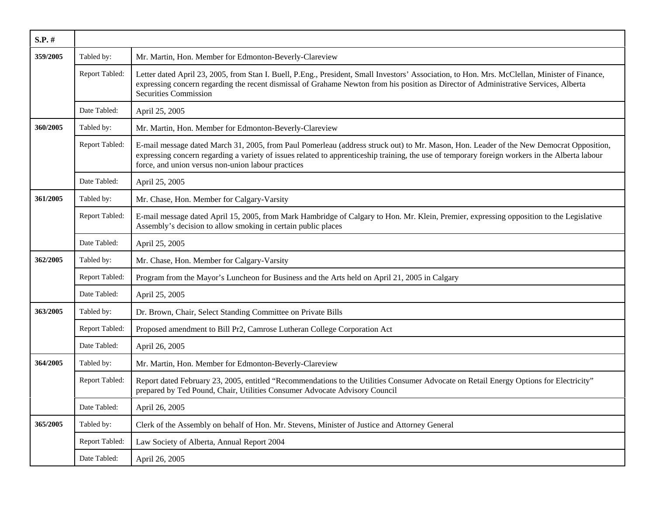| S.P. #          |                |                                                                                                                                                                                                                                                                                                                                                  |
|-----------------|----------------|--------------------------------------------------------------------------------------------------------------------------------------------------------------------------------------------------------------------------------------------------------------------------------------------------------------------------------------------------|
| 359/2005        | Tabled by:     | Mr. Martin, Hon. Member for Edmonton-Beverly-Clareview                                                                                                                                                                                                                                                                                           |
|                 | Report Tabled: | Letter dated April 23, 2005, from Stan I. Buell, P.Eng., President, Small Investors' Association, to Hon. Mrs. McClellan, Minister of Finance,<br>expressing concern regarding the recent dismissal of Grahame Newton from his position as Director of Administrative Services, Alberta<br>Securities Commission                                 |
|                 | Date Tabled:   | April 25, 2005                                                                                                                                                                                                                                                                                                                                   |
| 360/2005        | Tabled by:     | Mr. Martin, Hon. Member for Edmonton-Beverly-Clareview                                                                                                                                                                                                                                                                                           |
|                 | Report Tabled: | E-mail message dated March 31, 2005, from Paul Pomerleau (address struck out) to Mr. Mason, Hon. Leader of the New Democrat Opposition,<br>expressing concern regarding a variety of issues related to apprenticeship training, the use of temporary foreign workers in the Alberta labour<br>force, and union versus non-union labour practices |
|                 | Date Tabled:   | April 25, 2005                                                                                                                                                                                                                                                                                                                                   |
| 361/2005        | Tabled by:     | Mr. Chase, Hon. Member for Calgary-Varsity                                                                                                                                                                                                                                                                                                       |
|                 | Report Tabled: | E-mail message dated April 15, 2005, from Mark Hambridge of Calgary to Hon. Mr. Klein, Premier, expressing opposition to the Legislative<br>Assembly's decision to allow smoking in certain public places                                                                                                                                        |
|                 | Date Tabled:   | April 25, 2005                                                                                                                                                                                                                                                                                                                                   |
| 362/2005        | Tabled by:     | Mr. Chase, Hon. Member for Calgary-Varsity                                                                                                                                                                                                                                                                                                       |
|                 | Report Tabled: | Program from the Mayor's Luncheon for Business and the Arts held on April 21, 2005 in Calgary                                                                                                                                                                                                                                                    |
|                 | Date Tabled:   | April 25, 2005                                                                                                                                                                                                                                                                                                                                   |
| <b>363/2005</b> | Tabled by:     | Dr. Brown, Chair, Select Standing Committee on Private Bills                                                                                                                                                                                                                                                                                     |
|                 | Report Tabled: | Proposed amendment to Bill Pr2, Camrose Lutheran College Corporation Act                                                                                                                                                                                                                                                                         |
|                 | Date Tabled:   | April 26, 2005                                                                                                                                                                                                                                                                                                                                   |
| 364/2005        | Tabled by:     | Mr. Martin, Hon. Member for Edmonton-Beverly-Clareview                                                                                                                                                                                                                                                                                           |
|                 | Report Tabled: | Report dated February 23, 2005, entitled "Recommendations to the Utilities Consumer Advocate on Retail Energy Options for Electricity"<br>prepared by Ted Pound, Chair, Utilities Consumer Advocate Advisory Council                                                                                                                             |
|                 | Date Tabled:   | April 26, 2005                                                                                                                                                                                                                                                                                                                                   |
| 365/2005        | Tabled by:     | Clerk of the Assembly on behalf of Hon. Mr. Stevens, Minister of Justice and Attorney General                                                                                                                                                                                                                                                    |
|                 | Report Tabled: | Law Society of Alberta, Annual Report 2004                                                                                                                                                                                                                                                                                                       |
|                 | Date Tabled:   | April 26, 2005                                                                                                                                                                                                                                                                                                                                   |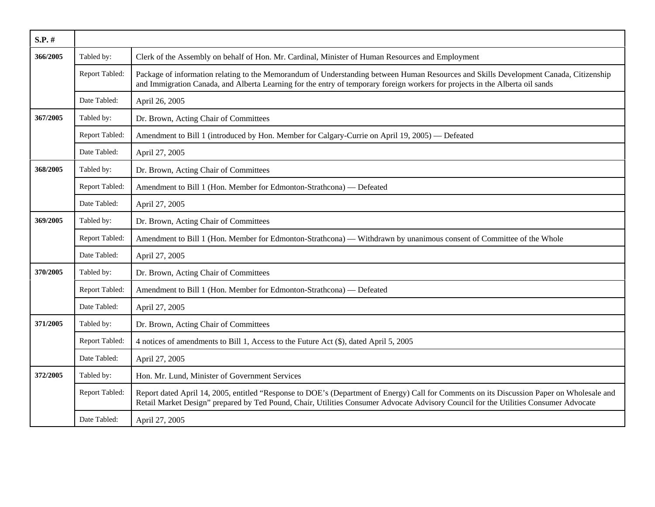| S.P. #   |                |                                                                                                                                                                                                                                                                                    |
|----------|----------------|------------------------------------------------------------------------------------------------------------------------------------------------------------------------------------------------------------------------------------------------------------------------------------|
| 366/2005 | Tabled by:     | Clerk of the Assembly on behalf of Hon. Mr. Cardinal, Minister of Human Resources and Employment                                                                                                                                                                                   |
|          | Report Tabled: | Package of information relating to the Memorandum of Understanding between Human Resources and Skills Development Canada, Citizenship<br>and Immigration Canada, and Alberta Learning for the entry of temporary foreign workers for projects in the Alberta oil sands             |
|          | Date Tabled:   | April 26, 2005                                                                                                                                                                                                                                                                     |
| 367/2005 | Tabled by:     | Dr. Brown, Acting Chair of Committees                                                                                                                                                                                                                                              |
|          | Report Tabled: | Amendment to Bill 1 (introduced by Hon. Member for Calgary-Currie on April 19, 2005) - Defeated                                                                                                                                                                                    |
|          | Date Tabled:   | April 27, 2005                                                                                                                                                                                                                                                                     |
| 368/2005 | Tabled by:     | Dr. Brown, Acting Chair of Committees                                                                                                                                                                                                                                              |
|          | Report Tabled: | Amendment to Bill 1 (Hon. Member for Edmonton-Strathcona) - Defeated                                                                                                                                                                                                               |
|          | Date Tabled:   | April 27, 2005                                                                                                                                                                                                                                                                     |
| 369/2005 | Tabled by:     | Dr. Brown, Acting Chair of Committees                                                                                                                                                                                                                                              |
|          | Report Tabled: | Amendment to Bill 1 (Hon. Member for Edmonton-Strathcona) — Withdrawn by unanimous consent of Committee of the Whole                                                                                                                                                               |
|          | Date Tabled:   | April 27, 2005                                                                                                                                                                                                                                                                     |
| 370/2005 | Tabled by:     | Dr. Brown, Acting Chair of Committees                                                                                                                                                                                                                                              |
|          | Report Tabled: | Amendment to Bill 1 (Hon. Member for Edmonton-Strathcona) — Defeated                                                                                                                                                                                                               |
|          | Date Tabled:   | April 27, 2005                                                                                                                                                                                                                                                                     |
| 371/2005 | Tabled by:     | Dr. Brown, Acting Chair of Committees                                                                                                                                                                                                                                              |
|          | Report Tabled: | 4 notices of amendments to Bill 1, Access to the Future Act (\$), dated April 5, 2005                                                                                                                                                                                              |
|          | Date Tabled:   | April 27, 2005                                                                                                                                                                                                                                                                     |
| 372/2005 | Tabled by:     | Hon. Mr. Lund, Minister of Government Services                                                                                                                                                                                                                                     |
|          | Report Tabled: | Report dated April 14, 2005, entitled "Response to DOE's (Department of Energy) Call for Comments on its Discussion Paper on Wholesale and<br>Retail Market Design" prepared by Ted Pound, Chair, Utilities Consumer Advocate Advisory Council for the Utilities Consumer Advocate |
|          | Date Tabled:   | April 27, 2005                                                                                                                                                                                                                                                                     |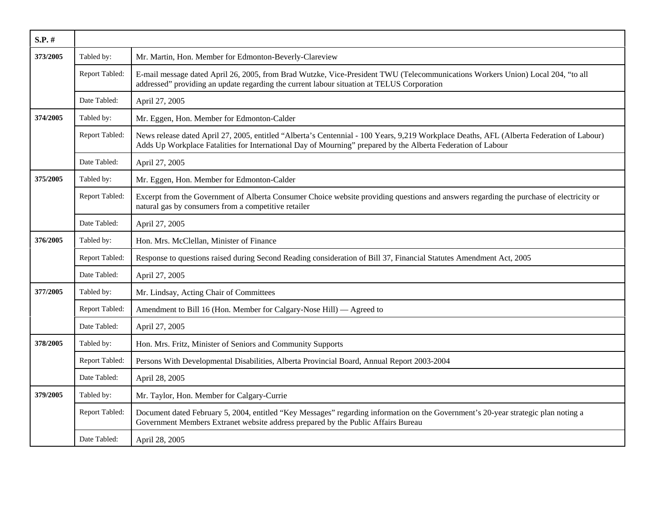| $S.P.$ # |                |                                                                                                                                                                                                                                                           |
|----------|----------------|-----------------------------------------------------------------------------------------------------------------------------------------------------------------------------------------------------------------------------------------------------------|
| 373/2005 | Tabled by:     | Mr. Martin, Hon. Member for Edmonton-Beverly-Clareview                                                                                                                                                                                                    |
|          | Report Tabled: | E-mail message dated April 26, 2005, from Brad Wutzke, Vice-President TWU (Telecommunications Workers Union) Local 204, "to all<br>addressed" providing an update regarding the current labour situation at TELUS Corporation                             |
|          | Date Tabled:   | April 27, 2005                                                                                                                                                                                                                                            |
| 374/2005 | Tabled by:     | Mr. Eggen, Hon. Member for Edmonton-Calder                                                                                                                                                                                                                |
|          | Report Tabled: | News release dated April 27, 2005, entitled "Alberta's Centennial - 100 Years, 9,219 Workplace Deaths, AFL (Alberta Federation of Labour)<br>Adds Up Workplace Fatalities for International Day of Mourning" prepared by the Alberta Federation of Labour |
|          | Date Tabled:   | April 27, 2005                                                                                                                                                                                                                                            |
| 375/2005 | Tabled by:     | Mr. Eggen, Hon. Member for Edmonton-Calder                                                                                                                                                                                                                |
|          | Report Tabled: | Excerpt from the Government of Alberta Consumer Choice website providing questions and answers regarding the purchase of electricity or<br>natural gas by consumers from a competitive retailer                                                           |
|          | Date Tabled:   | April 27, 2005                                                                                                                                                                                                                                            |
| 376/2005 | Tabled by:     | Hon. Mrs. McClellan, Minister of Finance                                                                                                                                                                                                                  |
|          | Report Tabled: | Response to questions raised during Second Reading consideration of Bill 37, Financial Statutes Amendment Act, 2005                                                                                                                                       |
|          | Date Tabled:   | April 27, 2005                                                                                                                                                                                                                                            |
| 377/2005 | Tabled by:     | Mr. Lindsay, Acting Chair of Committees                                                                                                                                                                                                                   |
|          | Report Tabled: | Amendment to Bill 16 (Hon. Member for Calgary-Nose Hill) — Agreed to                                                                                                                                                                                      |
|          | Date Tabled:   | April 27, 2005                                                                                                                                                                                                                                            |
| 378/2005 | Tabled by:     | Hon. Mrs. Fritz, Minister of Seniors and Community Supports                                                                                                                                                                                               |
|          | Report Tabled: | Persons With Developmental Disabilities, Alberta Provincial Board, Annual Report 2003-2004                                                                                                                                                                |
|          | Date Tabled:   | April 28, 2005                                                                                                                                                                                                                                            |
| 379/2005 | Tabled by:     | Mr. Taylor, Hon. Member for Calgary-Currie                                                                                                                                                                                                                |
|          | Report Tabled: | Document dated February 5, 2004, entitled "Key Messages" regarding information on the Government's 20-year strategic plan noting a<br>Government Members Extranet website address prepared by the Public Affairs Bureau                                   |
|          | Date Tabled:   | April 28, 2005                                                                                                                                                                                                                                            |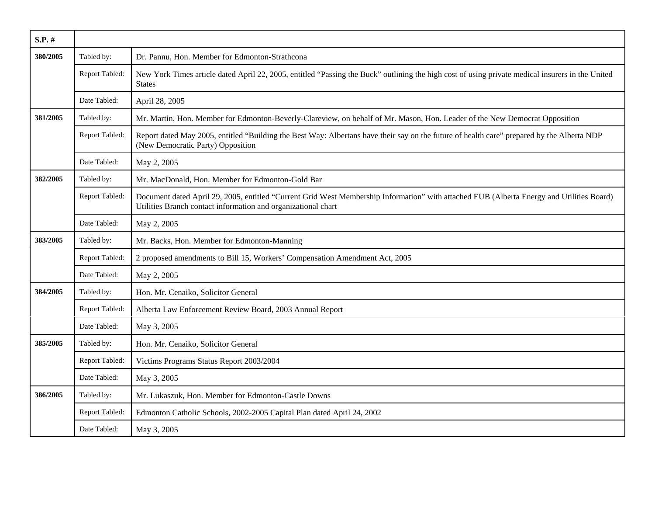| $S.P.$ # |                |                                                                                                                                                                                                            |
|----------|----------------|------------------------------------------------------------------------------------------------------------------------------------------------------------------------------------------------------------|
| 380/2005 | Tabled by:     | Dr. Pannu, Hon. Member for Edmonton-Strathcona                                                                                                                                                             |
|          | Report Tabled: | New York Times article dated April 22, 2005, entitled "Passing the Buck" outlining the high cost of using private medical insurers in the United<br><b>States</b>                                          |
|          | Date Tabled:   | April 28, 2005                                                                                                                                                                                             |
| 381/2005 | Tabled by:     | Mr. Martin, Hon. Member for Edmonton-Beverly-Clareview, on behalf of Mr. Mason, Hon. Leader of the New Democrat Opposition                                                                                 |
|          | Report Tabled: | Report dated May 2005, entitled "Building the Best Way: Albertans have their say on the future of health care" prepared by the Alberta NDP<br>(New Democratic Party) Opposition                            |
|          | Date Tabled:   | May 2, 2005                                                                                                                                                                                                |
| 382/2005 | Tabled by:     | Mr. MacDonald, Hon. Member for Edmonton-Gold Bar                                                                                                                                                           |
|          | Report Tabled: | Document dated April 29, 2005, entitled "Current Grid West Membership Information" with attached EUB (Alberta Energy and Utilities Board)<br>Utilities Branch contact information and organizational chart |
|          | Date Tabled:   | May 2, 2005                                                                                                                                                                                                |
| 383/2005 | Tabled by:     | Mr. Backs, Hon. Member for Edmonton-Manning                                                                                                                                                                |
|          | Report Tabled: | 2 proposed amendments to Bill 15, Workers' Compensation Amendment Act, 2005                                                                                                                                |
|          | Date Tabled:   | May 2, 2005                                                                                                                                                                                                |
| 384/2005 | Tabled by:     | Hon. Mr. Cenaiko, Solicitor General                                                                                                                                                                        |
|          | Report Tabled: | Alberta Law Enforcement Review Board, 2003 Annual Report                                                                                                                                                   |
|          | Date Tabled:   | May 3, 2005                                                                                                                                                                                                |
| 385/2005 | Tabled by:     | Hon. Mr. Cenaiko, Solicitor General                                                                                                                                                                        |
|          | Report Tabled: | Victims Programs Status Report 2003/2004                                                                                                                                                                   |
|          | Date Tabled:   | May 3, 2005                                                                                                                                                                                                |
| 386/2005 | Tabled by:     | Mr. Lukaszuk, Hon. Member for Edmonton-Castle Downs                                                                                                                                                        |
|          | Report Tabled: | Edmonton Catholic Schools, 2002-2005 Capital Plan dated April 24, 2002                                                                                                                                     |
|          | Date Tabled:   | May 3, 2005                                                                                                                                                                                                |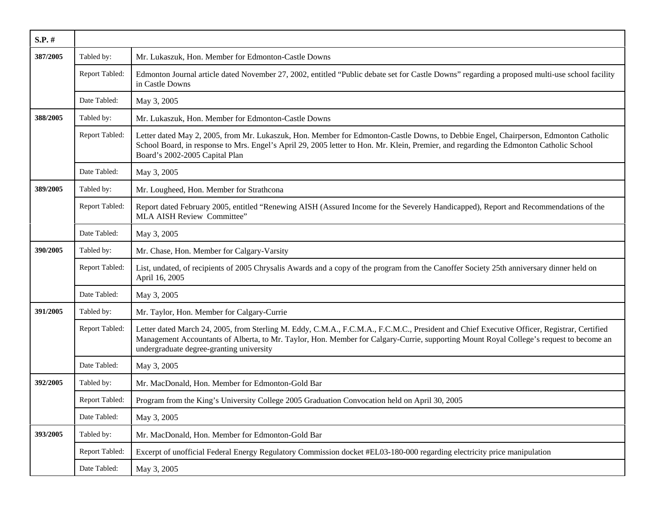| S.P. #          |                |                                                                                                                                                                                                                                                                                                                                    |
|-----------------|----------------|------------------------------------------------------------------------------------------------------------------------------------------------------------------------------------------------------------------------------------------------------------------------------------------------------------------------------------|
| 387/2005        | Tabled by:     | Mr. Lukaszuk, Hon. Member for Edmonton-Castle Downs                                                                                                                                                                                                                                                                                |
|                 | Report Tabled: | Edmonton Journal article dated November 27, 2002, entitled "Public debate set for Castle Downs" regarding a proposed multi-use school facility<br>in Castle Downs                                                                                                                                                                  |
|                 | Date Tabled:   | May 3, 2005                                                                                                                                                                                                                                                                                                                        |
| 388/2005        | Tabled by:     | Mr. Lukaszuk, Hon. Member for Edmonton-Castle Downs                                                                                                                                                                                                                                                                                |
|                 | Report Tabled: | Letter dated May 2, 2005, from Mr. Lukaszuk, Hon. Member for Edmonton-Castle Downs, to Debbie Engel, Chairperson, Edmonton Catholic<br>School Board, in response to Mrs. Engel's April 29, 2005 letter to Hon. Mr. Klein, Premier, and regarding the Edmonton Catholic School<br>Board's 2002-2005 Capital Plan                    |
|                 | Date Tabled:   | May 3, 2005                                                                                                                                                                                                                                                                                                                        |
| 389/2005        | Tabled by:     | Mr. Lougheed, Hon. Member for Strathcona                                                                                                                                                                                                                                                                                           |
|                 | Report Tabled: | Report dated February 2005, entitled "Renewing AISH (Assured Income for the Severely Handicapped), Report and Recommendations of the<br>MLA AISH Review Committee"                                                                                                                                                                 |
|                 | Date Tabled:   | May 3, 2005                                                                                                                                                                                                                                                                                                                        |
| 390/2005        | Tabled by:     | Mr. Chase, Hon. Member for Calgary-Varsity                                                                                                                                                                                                                                                                                         |
|                 | Report Tabled: | List, undated, of recipients of 2005 Chrysalis Awards and a copy of the program from the Canoffer Society 25th anniversary dinner held on<br>April 16, 2005                                                                                                                                                                        |
|                 | Date Tabled:   | May 3, 2005                                                                                                                                                                                                                                                                                                                        |
| <b>391/2005</b> | Tabled by:     | Mr. Taylor, Hon. Member for Calgary-Currie                                                                                                                                                                                                                                                                                         |
|                 | Report Tabled: | Letter dated March 24, 2005, from Sterling M. Eddy, C.M.A., F.C.M.A., F.C.M.C., President and Chief Executive Officer, Registrar, Certified<br>Management Accountants of Alberta, to Mr. Taylor, Hon. Member for Calgary-Currie, supporting Mount Royal College's request to become an<br>undergraduate degree-granting university |
|                 | Date Tabled:   | May 3, 2005                                                                                                                                                                                                                                                                                                                        |
| 392/2005        | Tabled by:     | Mr. MacDonald, Hon. Member for Edmonton-Gold Bar                                                                                                                                                                                                                                                                                   |
|                 | Report Tabled: | Program from the King's University College 2005 Graduation Convocation held on April 30, 2005                                                                                                                                                                                                                                      |
|                 | Date Tabled:   | May 3, 2005                                                                                                                                                                                                                                                                                                                        |
| 393/2005        | Tabled by:     | Mr. MacDonald, Hon. Member for Edmonton-Gold Bar                                                                                                                                                                                                                                                                                   |
|                 | Report Tabled: | Excerpt of unofficial Federal Energy Regulatory Commission docket #EL03-180-000 regarding electricity price manipulation                                                                                                                                                                                                           |
|                 | Date Tabled:   | May 3, 2005                                                                                                                                                                                                                                                                                                                        |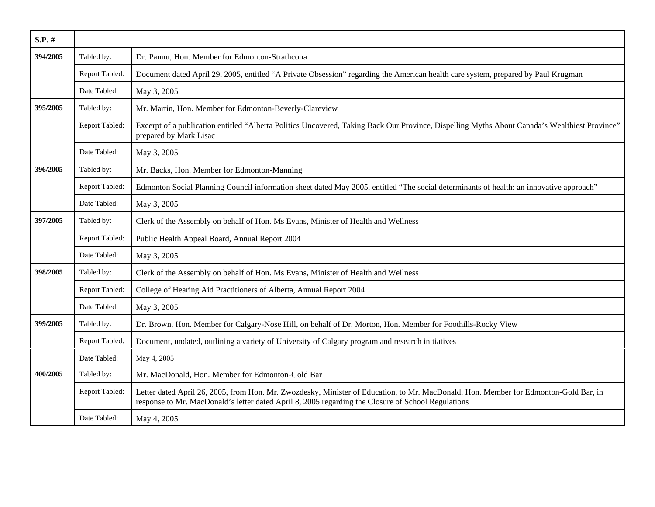| $S.P.$ # |                |                                                                                                                                                                                                                                            |
|----------|----------------|--------------------------------------------------------------------------------------------------------------------------------------------------------------------------------------------------------------------------------------------|
| 394/2005 | Tabled by:     | Dr. Pannu, Hon. Member for Edmonton-Strathcona                                                                                                                                                                                             |
|          | Report Tabled: | Document dated April 29, 2005, entitled "A Private Obsession" regarding the American health care system, prepared by Paul Krugman                                                                                                          |
|          | Date Tabled:   | May 3, 2005                                                                                                                                                                                                                                |
| 395/2005 | Tabled by:     | Mr. Martin, Hon. Member for Edmonton-Beverly-Clareview                                                                                                                                                                                     |
|          | Report Tabled: | Excerpt of a publication entitled "Alberta Politics Uncovered, Taking Back Our Province, Dispelling Myths About Canada's Wealthiest Province"<br>prepared by Mark Lisac                                                                    |
|          | Date Tabled:   | May 3, 2005                                                                                                                                                                                                                                |
| 396/2005 | Tabled by:     | Mr. Backs, Hon. Member for Edmonton-Manning                                                                                                                                                                                                |
|          | Report Tabled: | Edmonton Social Planning Council information sheet dated May 2005, entitled "The social determinants of health: an innovative approach"                                                                                                    |
|          | Date Tabled:   | May 3, 2005                                                                                                                                                                                                                                |
| 397/2005 | Tabled by:     | Clerk of the Assembly on behalf of Hon. Ms Evans, Minister of Health and Wellness                                                                                                                                                          |
|          | Report Tabled: | Public Health Appeal Board, Annual Report 2004                                                                                                                                                                                             |
|          | Date Tabled:   | May 3, 2005                                                                                                                                                                                                                                |
| 398/2005 | Tabled by:     | Clerk of the Assembly on behalf of Hon. Ms Evans, Minister of Health and Wellness                                                                                                                                                          |
|          | Report Tabled: | College of Hearing Aid Practitioners of Alberta, Annual Report 2004                                                                                                                                                                        |
|          | Date Tabled:   | May 3, 2005                                                                                                                                                                                                                                |
| 399/2005 | Tabled by:     | Dr. Brown, Hon. Member for Calgary-Nose Hill, on behalf of Dr. Morton, Hon. Member for Foothills-Rocky View                                                                                                                                |
|          | Report Tabled: | Document, undated, outlining a variety of University of Calgary program and research initiatives                                                                                                                                           |
|          | Date Tabled:   | May 4, 2005                                                                                                                                                                                                                                |
| 400/2005 | Tabled by:     | Mr. MacDonald, Hon. Member for Edmonton-Gold Bar                                                                                                                                                                                           |
|          | Report Tabled: | Letter dated April 26, 2005, from Hon. Mr. Zwozdesky, Minister of Education, to Mr. MacDonald, Hon. Member for Edmonton-Gold Bar, in<br>response to Mr. MacDonald's letter dated April 8, 2005 regarding the Closure of School Regulations |
|          | Date Tabled:   | May 4, 2005                                                                                                                                                                                                                                |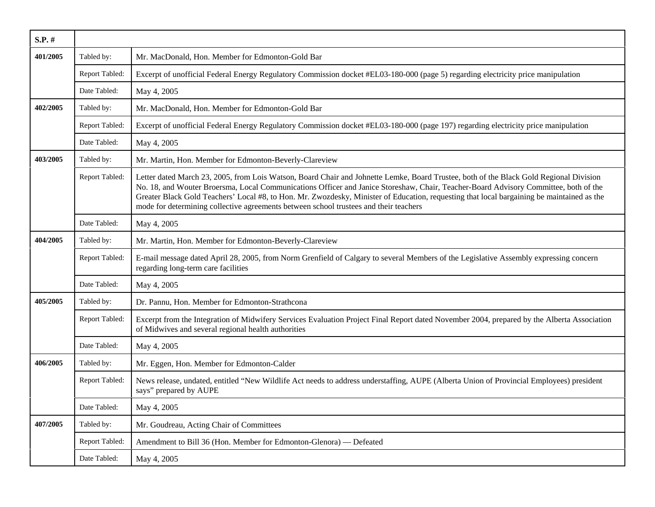| S.P. #   |                |                                                                                                                                                                                                                                                                                                                                                                                                                                                                                                                       |
|----------|----------------|-----------------------------------------------------------------------------------------------------------------------------------------------------------------------------------------------------------------------------------------------------------------------------------------------------------------------------------------------------------------------------------------------------------------------------------------------------------------------------------------------------------------------|
| 401/2005 | Tabled by:     | Mr. MacDonald, Hon. Member for Edmonton-Gold Bar                                                                                                                                                                                                                                                                                                                                                                                                                                                                      |
|          | Report Tabled: | Excerpt of unofficial Federal Energy Regulatory Commission docket #EL03-180-000 (page 5) regarding electricity price manipulation                                                                                                                                                                                                                                                                                                                                                                                     |
|          | Date Tabled:   | May 4, 2005                                                                                                                                                                                                                                                                                                                                                                                                                                                                                                           |
| 402/2005 | Tabled by:     | Mr. MacDonald, Hon. Member for Edmonton-Gold Bar                                                                                                                                                                                                                                                                                                                                                                                                                                                                      |
|          | Report Tabled: | Excerpt of unofficial Federal Energy Regulatory Commission docket #EL03-180-000 (page 197) regarding electricity price manipulation                                                                                                                                                                                                                                                                                                                                                                                   |
|          | Date Tabled:   | May 4, 2005                                                                                                                                                                                                                                                                                                                                                                                                                                                                                                           |
| 403/2005 | Tabled by:     | Mr. Martin, Hon. Member for Edmonton-Beverly-Clareview                                                                                                                                                                                                                                                                                                                                                                                                                                                                |
|          | Report Tabled: | Letter dated March 23, 2005, from Lois Watson, Board Chair and Johnette Lemke, Board Trustee, both of the Black Gold Regional Division<br>No. 18, and Wouter Broersma, Local Communications Officer and Janice Storeshaw, Chair, Teacher-Board Advisory Committee, both of the<br>Greater Black Gold Teachers' Local #8, to Hon. Mr. Zwozdesky, Minister of Education, requesting that local bargaining be maintained as the<br>mode for determining collective agreements between school trustees and their teachers |
|          | Date Tabled:   | May 4, 2005                                                                                                                                                                                                                                                                                                                                                                                                                                                                                                           |
| 404/2005 | Tabled by:     | Mr. Martin, Hon. Member for Edmonton-Beverly-Clareview                                                                                                                                                                                                                                                                                                                                                                                                                                                                |
|          | Report Tabled: | E-mail message dated April 28, 2005, from Norm Grenfield of Calgary to several Members of the Legislative Assembly expressing concern<br>regarding long-term care facilities                                                                                                                                                                                                                                                                                                                                          |
|          | Date Tabled:   | May 4, 2005                                                                                                                                                                                                                                                                                                                                                                                                                                                                                                           |
| 405/2005 | Tabled by:     | Dr. Pannu, Hon. Member for Edmonton-Strathcona                                                                                                                                                                                                                                                                                                                                                                                                                                                                        |
|          | Report Tabled: | Excerpt from the Integration of Midwifery Services Evaluation Project Final Report dated November 2004, prepared by the Alberta Association<br>of Midwives and several regional health authorities                                                                                                                                                                                                                                                                                                                    |
|          | Date Tabled:   | May 4, 2005                                                                                                                                                                                                                                                                                                                                                                                                                                                                                                           |
| 406/2005 | Tabled by:     | Mr. Eggen, Hon. Member for Edmonton-Calder                                                                                                                                                                                                                                                                                                                                                                                                                                                                            |
|          | Report Tabled: | News release, undated, entitled "New Wildlife Act needs to address understaffing, AUPE (Alberta Union of Provincial Employees) president<br>says" prepared by AUPE                                                                                                                                                                                                                                                                                                                                                    |
|          | Date Tabled:   | May 4, 2005                                                                                                                                                                                                                                                                                                                                                                                                                                                                                                           |
| 407/2005 | Tabled by:     | Mr. Goudreau, Acting Chair of Committees                                                                                                                                                                                                                                                                                                                                                                                                                                                                              |
|          | Report Tabled: | Amendment to Bill 36 (Hon. Member for Edmonton-Glenora) — Defeated                                                                                                                                                                                                                                                                                                                                                                                                                                                    |
|          | Date Tabled:   | May 4, 2005                                                                                                                                                                                                                                                                                                                                                                                                                                                                                                           |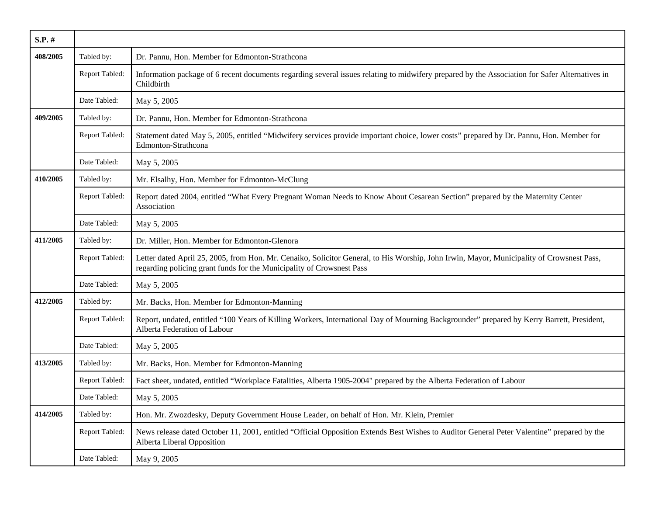| S.P. #   |                |                                                                                                                                                                                                                    |
|----------|----------------|--------------------------------------------------------------------------------------------------------------------------------------------------------------------------------------------------------------------|
| 408/2005 | Tabled by:     | Dr. Pannu, Hon. Member for Edmonton-Strathcona                                                                                                                                                                     |
|          | Report Tabled: | Information package of 6 recent documents regarding several issues relating to midwifery prepared by the Association for Safer Alternatives in<br>Childbirth                                                       |
|          | Date Tabled:   | May 5, 2005                                                                                                                                                                                                        |
| 409/2005 | Tabled by:     | Dr. Pannu, Hon. Member for Edmonton-Strathcona                                                                                                                                                                     |
|          | Report Tabled: | Statement dated May 5, 2005, entitled "Midwifery services provide important choice, lower costs" prepared by Dr. Pannu, Hon. Member for<br>Edmonton-Strathcona                                                     |
|          | Date Tabled:   | May 5, 2005                                                                                                                                                                                                        |
| 410/2005 | Tabled by:     | Mr. Elsalhy, Hon. Member for Edmonton-McClung                                                                                                                                                                      |
|          | Report Tabled: | Report dated 2004, entitled "What Every Pregnant Woman Needs to Know About Cesarean Section" prepared by the Maternity Center<br>Association                                                                       |
|          | Date Tabled:   | May 5, 2005                                                                                                                                                                                                        |
| 411/2005 | Tabled by:     | Dr. Miller, Hon. Member for Edmonton-Glenora                                                                                                                                                                       |
|          | Report Tabled: | Letter dated April 25, 2005, from Hon. Mr. Cenaiko, Solicitor General, to His Worship, John Irwin, Mayor, Municipality of Crowsnest Pass,<br>regarding policing grant funds for the Municipality of Crowsnest Pass |
|          | Date Tabled:   | May 5, 2005                                                                                                                                                                                                        |
| 412/2005 | Tabled by:     | Mr. Backs, Hon. Member for Edmonton-Manning                                                                                                                                                                        |
|          | Report Tabled: | Report, undated, entitled "100 Years of Killing Workers, International Day of Mourning Backgrounder" prepared by Kerry Barrett, President,<br>Alberta Federation of Labour                                         |
|          | Date Tabled:   | May 5, 2005                                                                                                                                                                                                        |
| 413/2005 | Tabled by:     | Mr. Backs, Hon. Member for Edmonton-Manning                                                                                                                                                                        |
|          | Report Tabled: | Fact sheet, undated, entitled "Workplace Fatalities, Alberta 1905-2004" prepared by the Alberta Federation of Labour                                                                                               |
|          | Date Tabled:   | May 5, 2005                                                                                                                                                                                                        |
| 414/2005 | Tabled by:     | Hon. Mr. Zwozdesky, Deputy Government House Leader, on behalf of Hon. Mr. Klein, Premier                                                                                                                           |
|          | Report Tabled: | News release dated October 11, 2001, entitled "Official Opposition Extends Best Wishes to Auditor General Peter Valentine" prepared by the<br>Alberta Liberal Opposition                                           |
|          | Date Tabled:   | May 9, 2005                                                                                                                                                                                                        |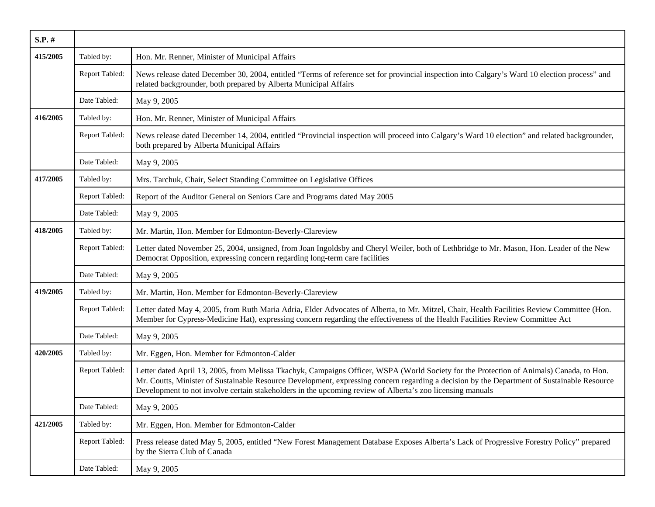| S.P. #          |                |                                                                                                                                                                                                                                                                                                                                                                                                      |
|-----------------|----------------|------------------------------------------------------------------------------------------------------------------------------------------------------------------------------------------------------------------------------------------------------------------------------------------------------------------------------------------------------------------------------------------------------|
| 415/2005        | Tabled by:     | Hon. Mr. Renner, Minister of Municipal Affairs                                                                                                                                                                                                                                                                                                                                                       |
|                 | Report Tabled: | News release dated December 30, 2004, entitled "Terms of reference set for provincial inspection into Calgary's Ward 10 election process" and<br>related backgrounder, both prepared by Alberta Municipal Affairs                                                                                                                                                                                    |
|                 | Date Tabled:   | May 9, 2005                                                                                                                                                                                                                                                                                                                                                                                          |
| 416/2005        | Tabled by:     | Hon. Mr. Renner, Minister of Municipal Affairs                                                                                                                                                                                                                                                                                                                                                       |
|                 | Report Tabled: | News release dated December 14, 2004, entitled "Provincial inspection will proceed into Calgary's Ward 10 election" and related backgrounder,<br>both prepared by Alberta Municipal Affairs                                                                                                                                                                                                          |
|                 | Date Tabled:   | May 9, 2005                                                                                                                                                                                                                                                                                                                                                                                          |
| 417/2005        | Tabled by:     | Mrs. Tarchuk, Chair, Select Standing Committee on Legislative Offices                                                                                                                                                                                                                                                                                                                                |
|                 | Report Tabled: | Report of the Auditor General on Seniors Care and Programs dated May 2005                                                                                                                                                                                                                                                                                                                            |
|                 | Date Tabled:   | May 9, 2005                                                                                                                                                                                                                                                                                                                                                                                          |
| 418/2005        | Tabled by:     | Mr. Martin, Hon. Member for Edmonton-Beverly-Clareview                                                                                                                                                                                                                                                                                                                                               |
|                 | Report Tabled: | Letter dated November 25, 2004, unsigned, from Joan Ingoldsby and Cheryl Weiler, both of Lethbridge to Mr. Mason, Hon. Leader of the New<br>Democrat Opposition, expressing concern regarding long-term care facilities                                                                                                                                                                              |
|                 | Date Tabled:   | May 9, 2005                                                                                                                                                                                                                                                                                                                                                                                          |
| <b>419/2005</b> | Tabled by:     | Mr. Martin, Hon. Member for Edmonton-Beverly-Clareview                                                                                                                                                                                                                                                                                                                                               |
|                 | Report Tabled: | Letter dated May 4, 2005, from Ruth Maria Adria, Elder Advocates of Alberta, to Mr. Mitzel, Chair, Health Facilities Review Committee (Hon.<br>Member for Cypress-Medicine Hat), expressing concern regarding the effectiveness of the Health Facilities Review Committee Act                                                                                                                        |
|                 | Date Tabled:   | May 9, 2005                                                                                                                                                                                                                                                                                                                                                                                          |
| 420/2005        | Tabled by:     | Mr. Eggen, Hon. Member for Edmonton-Calder                                                                                                                                                                                                                                                                                                                                                           |
|                 | Report Tabled: | Letter dated April 13, 2005, from Melissa Tkachyk, Campaigns Officer, WSPA (World Society for the Protection of Animals) Canada, to Hon.<br>Mr. Coutts, Minister of Sustainable Resource Development, expressing concern regarding a decision by the Department of Sustainable Resource<br>Development to not involve certain stakeholders in the upcoming review of Alberta's zoo licensing manuals |
|                 | Date Tabled:   | May 9, 2005                                                                                                                                                                                                                                                                                                                                                                                          |
| 421/2005        | Tabled by:     | Mr. Eggen, Hon. Member for Edmonton-Calder                                                                                                                                                                                                                                                                                                                                                           |
|                 | Report Tabled: | Press release dated May 5, 2005, entitled "New Forest Management Database Exposes Alberta's Lack of Progressive Forestry Policy" prepared<br>by the Sierra Club of Canada                                                                                                                                                                                                                            |
|                 | Date Tabled:   | May 9, 2005                                                                                                                                                                                                                                                                                                                                                                                          |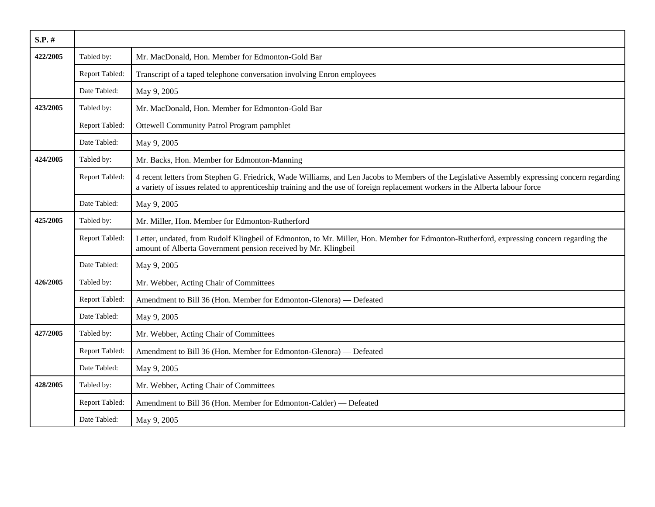| S.P. #   |                |                                                                                                                                                                                                                                                                                |
|----------|----------------|--------------------------------------------------------------------------------------------------------------------------------------------------------------------------------------------------------------------------------------------------------------------------------|
| 422/2005 | Tabled by:     | Mr. MacDonald, Hon. Member for Edmonton-Gold Bar                                                                                                                                                                                                                               |
|          | Report Tabled: | Transcript of a taped telephone conversation involving Enron employees                                                                                                                                                                                                         |
|          | Date Tabled:   | May 9, 2005                                                                                                                                                                                                                                                                    |
| 423/2005 | Tabled by:     | Mr. MacDonald, Hon. Member for Edmonton-Gold Bar                                                                                                                                                                                                                               |
|          | Report Tabled: | Ottewell Community Patrol Program pamphlet                                                                                                                                                                                                                                     |
|          | Date Tabled:   | May 9, 2005                                                                                                                                                                                                                                                                    |
| 424/2005 | Tabled by:     | Mr. Backs, Hon. Member for Edmonton-Manning                                                                                                                                                                                                                                    |
|          | Report Tabled: | 4 recent letters from Stephen G. Friedrick, Wade Williams, and Len Jacobs to Members of the Legislative Assembly expressing concern regarding<br>a variety of issues related to apprenticeship training and the use of foreign replacement workers in the Alberta labour force |
|          | Date Tabled:   | May 9, 2005                                                                                                                                                                                                                                                                    |
| 425/2005 | Tabled by:     | Mr. Miller, Hon. Member for Edmonton-Rutherford                                                                                                                                                                                                                                |
|          | Report Tabled: | Letter, undated, from Rudolf Klingbeil of Edmonton, to Mr. Miller, Hon. Member for Edmonton-Rutherford, expressing concern regarding the<br>amount of Alberta Government pension received by Mr. Klingbeil                                                                     |
|          | Date Tabled:   | May 9, 2005                                                                                                                                                                                                                                                                    |
| 426/2005 | Tabled by:     | Mr. Webber, Acting Chair of Committees                                                                                                                                                                                                                                         |
|          | Report Tabled: | Amendment to Bill 36 (Hon. Member for Edmonton-Glenora) — Defeated                                                                                                                                                                                                             |
|          | Date Tabled:   | May 9, 2005                                                                                                                                                                                                                                                                    |
| 427/2005 | Tabled by:     | Mr. Webber, Acting Chair of Committees                                                                                                                                                                                                                                         |
|          | Report Tabled: | Amendment to Bill 36 (Hon. Member for Edmonton-Glenora) — Defeated                                                                                                                                                                                                             |
|          | Date Tabled:   | May 9, 2005                                                                                                                                                                                                                                                                    |
| 428/2005 | Tabled by:     | Mr. Webber, Acting Chair of Committees                                                                                                                                                                                                                                         |
|          | Report Tabled: | Amendment to Bill 36 (Hon. Member for Edmonton-Calder) — Defeated                                                                                                                                                                                                              |
|          | Date Tabled:   | May 9, 2005                                                                                                                                                                                                                                                                    |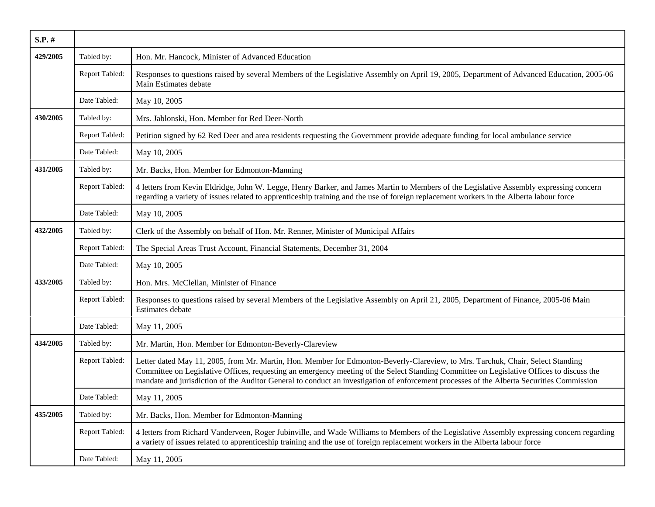| $S.P.$ # |                |                                                                                                                                                                                                                                                                                                                                                                                                                          |
|----------|----------------|--------------------------------------------------------------------------------------------------------------------------------------------------------------------------------------------------------------------------------------------------------------------------------------------------------------------------------------------------------------------------------------------------------------------------|
| 429/2005 | Tabled by:     | Hon. Mr. Hancock, Minister of Advanced Education                                                                                                                                                                                                                                                                                                                                                                         |
|          | Report Tabled: | Responses to questions raised by several Members of the Legislative Assembly on April 19, 2005, Department of Advanced Education, 2005-06<br>Main Estimates debate                                                                                                                                                                                                                                                       |
|          | Date Tabled:   | May 10, 2005                                                                                                                                                                                                                                                                                                                                                                                                             |
| 430/2005 | Tabled by:     | Mrs. Jablonski, Hon. Member for Red Deer-North                                                                                                                                                                                                                                                                                                                                                                           |
|          | Report Tabled: | Petition signed by 62 Red Deer and area residents requesting the Government provide adequate funding for local ambulance service                                                                                                                                                                                                                                                                                         |
|          | Date Tabled:   | May 10, 2005                                                                                                                                                                                                                                                                                                                                                                                                             |
| 431/2005 | Tabled by:     | Mr. Backs, Hon. Member for Edmonton-Manning                                                                                                                                                                                                                                                                                                                                                                              |
|          | Report Tabled: | 4 letters from Kevin Eldridge, John W. Legge, Henry Barker, and James Martin to Members of the Legislative Assembly expressing concern<br>regarding a variety of issues related to apprenticeship training and the use of foreign replacement workers in the Alberta labour force                                                                                                                                        |
|          | Date Tabled:   | May 10, 2005                                                                                                                                                                                                                                                                                                                                                                                                             |
| 432/2005 | Tabled by:     | Clerk of the Assembly on behalf of Hon. Mr. Renner, Minister of Municipal Affairs                                                                                                                                                                                                                                                                                                                                        |
|          | Report Tabled: | The Special Areas Trust Account, Financial Statements, December 31, 2004                                                                                                                                                                                                                                                                                                                                                 |
|          | Date Tabled:   | May 10, 2005                                                                                                                                                                                                                                                                                                                                                                                                             |
| 433/2005 | Tabled by:     | Hon. Mrs. McClellan, Minister of Finance                                                                                                                                                                                                                                                                                                                                                                                 |
|          | Report Tabled: | Responses to questions raised by several Members of the Legislative Assembly on April 21, 2005, Department of Finance, 2005-06 Main<br>Estimates debate                                                                                                                                                                                                                                                                  |
|          | Date Tabled:   | May 11, 2005                                                                                                                                                                                                                                                                                                                                                                                                             |
| 434/2005 | Tabled by:     | Mr. Martin, Hon. Member for Edmonton-Beverly-Clareview                                                                                                                                                                                                                                                                                                                                                                   |
|          | Report Tabled: | Letter dated May 11, 2005, from Mr. Martin, Hon. Member for Edmonton-Beverly-Clareview, to Mrs. Tarchuk, Chair, Select Standing<br>Committee on Legislative Offices, requesting an emergency meeting of the Select Standing Committee on Legislative Offices to discuss the<br>mandate and jurisdiction of the Auditor General to conduct an investigation of enforcement processes of the Alberta Securities Commission |
|          | Date Tabled:   | May 11, 2005                                                                                                                                                                                                                                                                                                                                                                                                             |
| 435/2005 | Tabled by:     | Mr. Backs, Hon. Member for Edmonton-Manning                                                                                                                                                                                                                                                                                                                                                                              |
|          | Report Tabled: | 4 letters from Richard Vanderveen, Roger Jubinville, and Wade Williams to Members of the Legislative Assembly expressing concern regarding<br>a variety of issues related to apprenticeship training and the use of foreign replacement workers in the Alberta labour force                                                                                                                                              |
|          | Date Tabled:   | May 11, 2005                                                                                                                                                                                                                                                                                                                                                                                                             |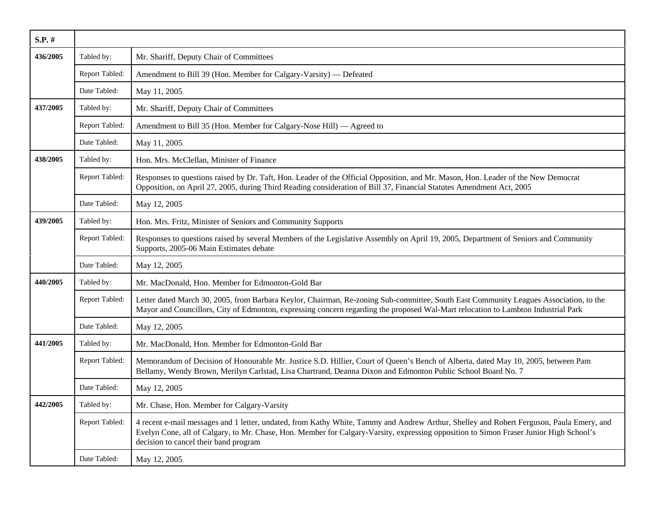| S.P. #   |                |                                                                                                                                                                                                                                                                                                                             |
|----------|----------------|-----------------------------------------------------------------------------------------------------------------------------------------------------------------------------------------------------------------------------------------------------------------------------------------------------------------------------|
| 436/2005 | Tabled by:     | Mr. Shariff, Deputy Chair of Committees                                                                                                                                                                                                                                                                                     |
|          | Report Tabled: | Amendment to Bill 39 (Hon. Member for Calgary-Varsity) — Defeated                                                                                                                                                                                                                                                           |
|          | Date Tabled:   | May 11, 2005                                                                                                                                                                                                                                                                                                                |
| 437/2005 | Tabled by:     | Mr. Shariff, Deputy Chair of Committees                                                                                                                                                                                                                                                                                     |
|          | Report Tabled: | Amendment to Bill 35 (Hon. Member for Calgary-Nose Hill) — Agreed to                                                                                                                                                                                                                                                        |
|          | Date Tabled:   | May 11, 2005                                                                                                                                                                                                                                                                                                                |
| 438/2005 | Tabled by:     | Hon. Mrs. McClellan, Minister of Finance                                                                                                                                                                                                                                                                                    |
|          | Report Tabled: | Responses to questions raised by Dr. Taft, Hon. Leader of the Official Opposition, and Mr. Mason, Hon. Leader of the New Democrat<br>Opposition, on April 27, 2005, during Third Reading consideration of Bill 37, Financial Statutes Amendment Act, 2005                                                                   |
|          | Date Tabled:   | May 12, 2005                                                                                                                                                                                                                                                                                                                |
| 439/2005 | Tabled by:     | Hon. Mrs. Fritz, Minister of Seniors and Community Supports                                                                                                                                                                                                                                                                 |
|          | Report Tabled: | Responses to questions raised by several Members of the Legislative Assembly on April 19, 2005, Department of Seniors and Community<br>Supports, 2005-06 Main Estimates debate                                                                                                                                              |
|          | Date Tabled:   | May 12, 2005                                                                                                                                                                                                                                                                                                                |
| 440/2005 | Tabled by:     | Mr. MacDonald, Hon. Member for Edmonton-Gold Bar                                                                                                                                                                                                                                                                            |
|          | Report Tabled: | Letter dated March 30, 2005, from Barbara Keylor, Chairman, Re-zoning Sub-committee, South East Community Leagues Association, to the<br>Mayor and Councillors, City of Edmonton, expressing concern regarding the proposed Wal-Mart relocation to Lambton Industrial Park                                                  |
|          | Date Tabled:   | May 12, 2005                                                                                                                                                                                                                                                                                                                |
| 441/2005 | Tabled by:     | Mr. MacDonald, Hon. Member for Edmonton-Gold Bar                                                                                                                                                                                                                                                                            |
|          | Report Tabled: | Memorandum of Decision of Honourable Mr. Justice S.D. Hillier, Court of Queen's Bench of Alberta, dated May 10, 2005, between Pam<br>Bellamy, Wendy Brown, Merilyn Carlstad, Lisa Chartrand, Deanna Dixon and Edmonton Public School Board No. 7                                                                            |
|          | Date Tabled:   | May 12, 2005                                                                                                                                                                                                                                                                                                                |
| 442/2005 | Tabled by:     | Mr. Chase, Hon. Member for Calgary-Varsity                                                                                                                                                                                                                                                                                  |
|          | Report Tabled: | 4 recent e-mail messages and 1 letter, undated, from Kathy White, Tammy and Andrew Arthur, Shelley and Robert Ferguson, Paula Emery, and<br>Evelyn Cone, all of Calgary, to Mr. Chase, Hon. Member for Calgary-Varsity, expressing opposition to Simon Fraser Junior High School's<br>decision to cancel their band program |
|          | Date Tabled:   | May 12, 2005                                                                                                                                                                                                                                                                                                                |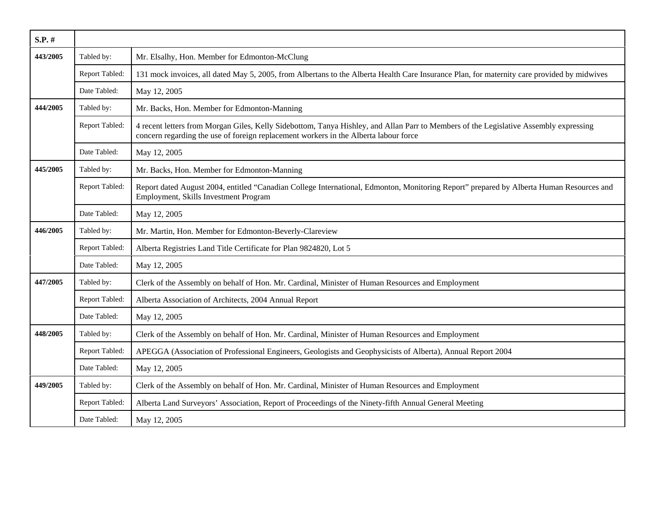| $S.P.$ # |                |                                                                                                                                                                                                                               |
|----------|----------------|-------------------------------------------------------------------------------------------------------------------------------------------------------------------------------------------------------------------------------|
| 443/2005 | Tabled by:     | Mr. Elsalhy, Hon. Member for Edmonton-McClung                                                                                                                                                                                 |
|          | Report Tabled: | 131 mock invoices, all dated May 5, 2005, from Albertans to the Alberta Health Care Insurance Plan, for maternity care provided by midwives                                                                                   |
|          | Date Tabled:   | May 12, 2005                                                                                                                                                                                                                  |
| 444/2005 | Tabled by:     | Mr. Backs, Hon. Member for Edmonton-Manning                                                                                                                                                                                   |
|          | Report Tabled: | 4 recent letters from Morgan Giles, Kelly Sidebottom, Tanya Hishley, and Allan Parr to Members of the Legislative Assembly expressing<br>concern regarding the use of foreign replacement workers in the Alberta labour force |
|          | Date Tabled:   | May 12, 2005                                                                                                                                                                                                                  |
| 445/2005 | Tabled by:     | Mr. Backs, Hon. Member for Edmonton-Manning                                                                                                                                                                                   |
|          | Report Tabled: | Report dated August 2004, entitled "Canadian College International, Edmonton, Monitoring Report" prepared by Alberta Human Resources and<br>Employment, Skills Investment Program                                             |
|          | Date Tabled:   | May 12, 2005                                                                                                                                                                                                                  |
| 446/2005 | Tabled by:     | Mr. Martin, Hon. Member for Edmonton-Beverly-Clareview                                                                                                                                                                        |
|          | Report Tabled: | Alberta Registries Land Title Certificate for Plan 9824820, Lot 5                                                                                                                                                             |
|          | Date Tabled:   | May 12, 2005                                                                                                                                                                                                                  |
| 447/2005 | Tabled by:     | Clerk of the Assembly on behalf of Hon. Mr. Cardinal, Minister of Human Resources and Employment                                                                                                                              |
|          | Report Tabled: | Alberta Association of Architects, 2004 Annual Report                                                                                                                                                                         |
|          | Date Tabled:   | May 12, 2005                                                                                                                                                                                                                  |
| 448/2005 | Tabled by:     | Clerk of the Assembly on behalf of Hon. Mr. Cardinal, Minister of Human Resources and Employment                                                                                                                              |
|          | Report Tabled: | APEGGA (Association of Professional Engineers, Geologists and Geophysicists of Alberta), Annual Report 2004                                                                                                                   |
|          | Date Tabled:   | May 12, 2005                                                                                                                                                                                                                  |
| 449/2005 | Tabled by:     | Clerk of the Assembly on behalf of Hon. Mr. Cardinal, Minister of Human Resources and Employment                                                                                                                              |
|          | Report Tabled: | Alberta Land Surveyors' Association, Report of Proceedings of the Ninety-fifth Annual General Meeting                                                                                                                         |
|          | Date Tabled:   | May 12, 2005                                                                                                                                                                                                                  |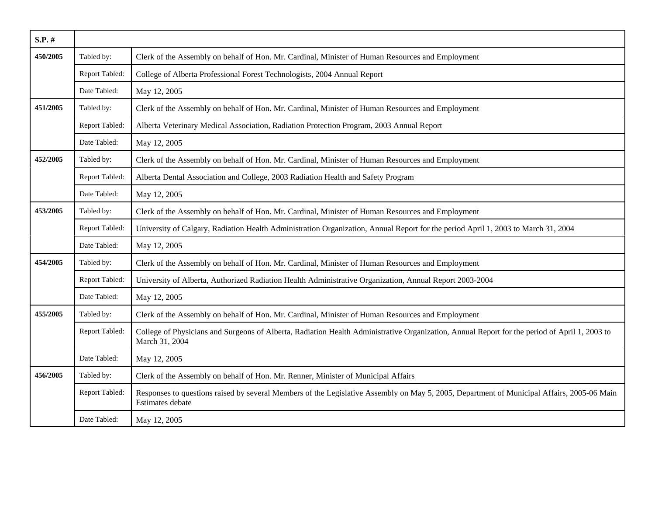| $S.P.$ # |                |                                                                                                                                                                 |
|----------|----------------|-----------------------------------------------------------------------------------------------------------------------------------------------------------------|
| 450/2005 | Tabled by:     | Clerk of the Assembly on behalf of Hon. Mr. Cardinal, Minister of Human Resources and Employment                                                                |
|          | Report Tabled: | College of Alberta Professional Forest Technologists, 2004 Annual Report                                                                                        |
|          | Date Tabled:   | May 12, 2005                                                                                                                                                    |
| 451/2005 | Tabled by:     | Clerk of the Assembly on behalf of Hon. Mr. Cardinal, Minister of Human Resources and Employment                                                                |
|          | Report Tabled: | Alberta Veterinary Medical Association, Radiation Protection Program, 2003 Annual Report                                                                        |
|          | Date Tabled:   | May 12, 2005                                                                                                                                                    |
| 452/2005 | Tabled by:     | Clerk of the Assembly on behalf of Hon. Mr. Cardinal, Minister of Human Resources and Employment                                                                |
|          | Report Tabled: | Alberta Dental Association and College, 2003 Radiation Health and Safety Program                                                                                |
|          | Date Tabled:   | May 12, 2005                                                                                                                                                    |
| 453/2005 | Tabled by:     | Clerk of the Assembly on behalf of Hon. Mr. Cardinal, Minister of Human Resources and Employment                                                                |
|          | Report Tabled: | University of Calgary, Radiation Health Administration Organization, Annual Report for the period April 1, 2003 to March 31, 2004                               |
|          | Date Tabled:   | May 12, 2005                                                                                                                                                    |
| 454/2005 | Tabled by:     | Clerk of the Assembly on behalf of Hon. Mr. Cardinal, Minister of Human Resources and Employment                                                                |
|          | Report Tabled: | University of Alberta, Authorized Radiation Health Administrative Organization, Annual Report 2003-2004                                                         |
|          | Date Tabled:   | May 12, 2005                                                                                                                                                    |
| 455/2005 | Tabled by:     | Clerk of the Assembly on behalf of Hon. Mr. Cardinal, Minister of Human Resources and Employment                                                                |
|          | Report Tabled: | College of Physicians and Surgeons of Alberta, Radiation Health Administrative Organization, Annual Report for the period of April 1, 2003 to<br>March 31, 2004 |
|          | Date Tabled:   | May 12, 2005                                                                                                                                                    |
| 456/2005 | Tabled by:     | Clerk of the Assembly on behalf of Hon. Mr. Renner, Minister of Municipal Affairs                                                                               |
|          | Report Tabled: | Responses to questions raised by several Members of the Legislative Assembly on May 5, 2005, Department of Municipal Affairs, 2005-06 Main<br>Estimates debate  |
|          | Date Tabled:   | May 12, 2005                                                                                                                                                    |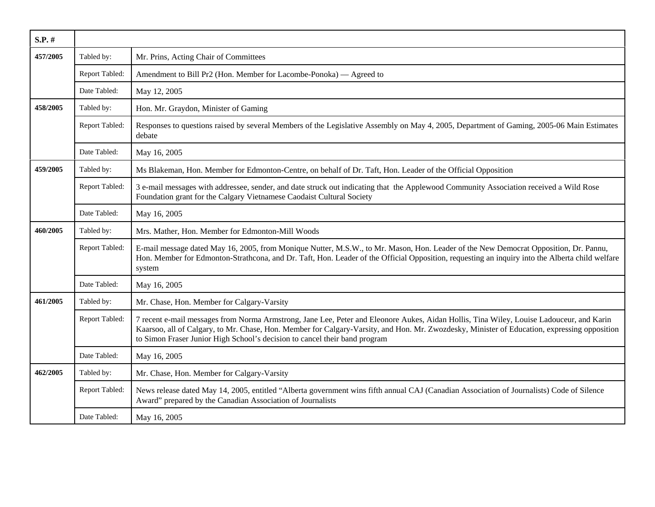| S.P. #   |                |                                                                                                                                                                                                                                                                                                                                                                        |
|----------|----------------|------------------------------------------------------------------------------------------------------------------------------------------------------------------------------------------------------------------------------------------------------------------------------------------------------------------------------------------------------------------------|
| 457/2005 | Tabled by:     | Mr. Prins, Acting Chair of Committees                                                                                                                                                                                                                                                                                                                                  |
|          | Report Tabled: | Amendment to Bill Pr2 (Hon. Member for Lacombe-Ponoka) — Agreed to                                                                                                                                                                                                                                                                                                     |
|          | Date Tabled:   | May 12, 2005                                                                                                                                                                                                                                                                                                                                                           |
| 458/2005 | Tabled by:     | Hon. Mr. Graydon, Minister of Gaming                                                                                                                                                                                                                                                                                                                                   |
|          | Report Tabled: | Responses to questions raised by several Members of the Legislative Assembly on May 4, 2005, Department of Gaming, 2005-06 Main Estimates<br>debate                                                                                                                                                                                                                    |
|          | Date Tabled:   | May 16, 2005                                                                                                                                                                                                                                                                                                                                                           |
| 459/2005 | Tabled by:     | Ms Blakeman, Hon. Member for Edmonton-Centre, on behalf of Dr. Taft, Hon. Leader of the Official Opposition                                                                                                                                                                                                                                                            |
|          | Report Tabled: | 3 e-mail messages with addressee, sender, and date struck out indicating that the Applewood Community Association received a Wild Rose<br>Foundation grant for the Calgary Vietnamese Caodaist Cultural Society                                                                                                                                                        |
|          | Date Tabled:   | May 16, 2005                                                                                                                                                                                                                                                                                                                                                           |
| 460/2005 | Tabled by:     | Mrs. Mather, Hon. Member for Edmonton-Mill Woods                                                                                                                                                                                                                                                                                                                       |
|          | Report Tabled: | E-mail message dated May 16, 2005, from Monique Nutter, M.S.W., to Mr. Mason, Hon. Leader of the New Democrat Opposition, Dr. Pannu,<br>Hon. Member for Edmonton-Strathcona, and Dr. Taft, Hon. Leader of the Official Opposition, requesting an inquiry into the Alberta child welfare<br>system                                                                      |
|          | Date Tabled:   | May 16, 2005                                                                                                                                                                                                                                                                                                                                                           |
| 461/2005 | Tabled by:     | Mr. Chase, Hon. Member for Calgary-Varsity                                                                                                                                                                                                                                                                                                                             |
|          | Report Tabled: | 7 recent e-mail messages from Norma Armstrong, Jane Lee, Peter and Eleonore Aukes, Aidan Hollis, Tina Wiley, Louise Ladouceur, and Karin<br>Kaarsoo, all of Calgary, to Mr. Chase, Hon. Member for Calgary-Varsity, and Hon. Mr. Zwozdesky, Minister of Education, expressing opposition<br>to Simon Fraser Junior High School's decision to cancel their band program |
|          | Date Tabled:   | May 16, 2005                                                                                                                                                                                                                                                                                                                                                           |
| 462/2005 | Tabled by:     | Mr. Chase, Hon. Member for Calgary-Varsity                                                                                                                                                                                                                                                                                                                             |
|          | Report Tabled: | News release dated May 14, 2005, entitled "Alberta government wins fifth annual CAJ (Canadian Association of Journalists) Code of Silence<br>Award" prepared by the Canadian Association of Journalists                                                                                                                                                                |
|          | Date Tabled:   | May 16, 2005                                                                                                                                                                                                                                                                                                                                                           |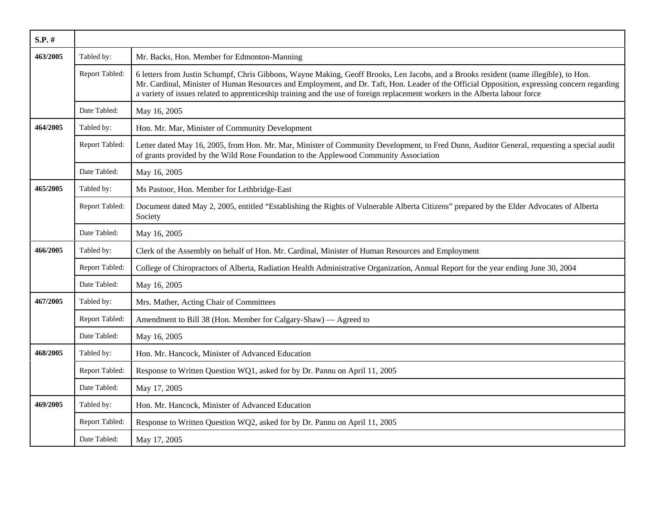| S.P. #   |                       |                                                                                                                                                                                                                                                                                                                                                                                                                        |
|----------|-----------------------|------------------------------------------------------------------------------------------------------------------------------------------------------------------------------------------------------------------------------------------------------------------------------------------------------------------------------------------------------------------------------------------------------------------------|
| 463/2005 | Tabled by:            | Mr. Backs, Hon. Member for Edmonton-Manning                                                                                                                                                                                                                                                                                                                                                                            |
|          | Report Tabled:        | 6 letters from Justin Schumpf, Chris Gibbons, Wayne Making, Geoff Brooks, Len Jacobs, and a Brooks resident (name illegible), to Hon.<br>Mr. Cardinal, Minister of Human Resources and Employment, and Dr. Taft, Hon. Leader of the Official Opposition, expressing concern regarding<br>a variety of issues related to apprenticeship training and the use of foreign replacement workers in the Alberta labour force |
|          | Date Tabled:          | May 16, 2005                                                                                                                                                                                                                                                                                                                                                                                                           |
| 464/2005 | Tabled by:            | Hon. Mr. Mar, Minister of Community Development                                                                                                                                                                                                                                                                                                                                                                        |
|          | Report Tabled:        | Letter dated May 16, 2005, from Hon. Mr. Mar, Minister of Community Development, to Fred Dunn, Auditor General, requesting a special audit<br>of grants provided by the Wild Rose Foundation to the Applewood Community Association                                                                                                                                                                                    |
|          | Date Tabled:          | May 16, 2005                                                                                                                                                                                                                                                                                                                                                                                                           |
| 465/2005 | Tabled by:            | Ms Pastoor, Hon. Member for Lethbridge-East                                                                                                                                                                                                                                                                                                                                                                            |
|          | Report Tabled:        | Document dated May 2, 2005, entitled "Establishing the Rights of Vulnerable Alberta Citizens" prepared by the Elder Advocates of Alberta<br>Society                                                                                                                                                                                                                                                                    |
|          | Date Tabled:          | May 16, 2005                                                                                                                                                                                                                                                                                                                                                                                                           |
| 466/2005 | Tabled by:            | Clerk of the Assembly on behalf of Hon. Mr. Cardinal, Minister of Human Resources and Employment                                                                                                                                                                                                                                                                                                                       |
|          | Report Tabled:        | College of Chiropractors of Alberta, Radiation Health Administrative Organization, Annual Report for the year ending June 30, 2004                                                                                                                                                                                                                                                                                     |
|          | Date Tabled:          | May 16, 2005                                                                                                                                                                                                                                                                                                                                                                                                           |
| 467/2005 | Tabled by:            | Mrs. Mather, Acting Chair of Committees                                                                                                                                                                                                                                                                                                                                                                                |
|          | Report Tabled:        | Amendment to Bill 38 (Hon. Member for Calgary-Shaw) — Agreed to                                                                                                                                                                                                                                                                                                                                                        |
|          | Date Tabled:          | May 16, 2005                                                                                                                                                                                                                                                                                                                                                                                                           |
| 468/2005 | Tabled by:            | Hon. Mr. Hancock, Minister of Advanced Education                                                                                                                                                                                                                                                                                                                                                                       |
|          | Report Tabled:        | Response to Written Question WQ1, asked for by Dr. Pannu on April 11, 2005                                                                                                                                                                                                                                                                                                                                             |
|          | Date Tabled:          | May 17, 2005                                                                                                                                                                                                                                                                                                                                                                                                           |
| 469/2005 | Tabled by:            | Hon. Mr. Hancock, Minister of Advanced Education                                                                                                                                                                                                                                                                                                                                                                       |
|          | <b>Report Tabled:</b> | Response to Written Question WQ2, asked for by Dr. Pannu on April 11, 2005                                                                                                                                                                                                                                                                                                                                             |
|          | Date Tabled:          | May 17, 2005                                                                                                                                                                                                                                                                                                                                                                                                           |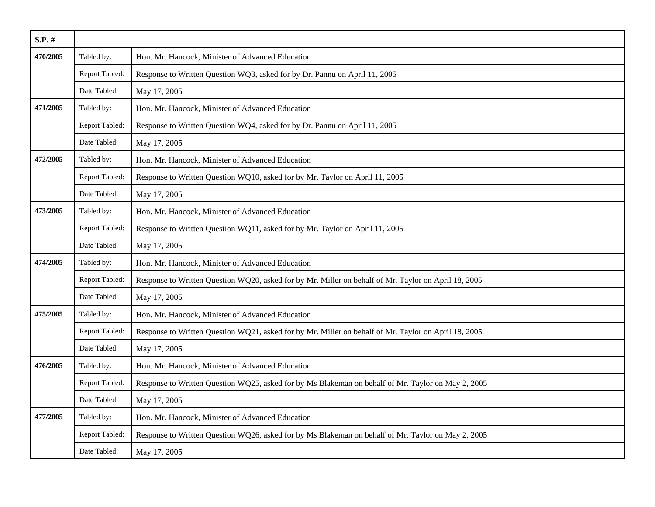| $S.P.$ # |                |                                                                                                      |
|----------|----------------|------------------------------------------------------------------------------------------------------|
| 470/2005 | Tabled by:     | Hon. Mr. Hancock, Minister of Advanced Education                                                     |
|          | Report Tabled: | Response to Written Question WQ3, asked for by Dr. Pannu on April 11, 2005                           |
|          | Date Tabled:   | May 17, 2005                                                                                         |
| 471/2005 | Tabled by:     | Hon. Mr. Hancock, Minister of Advanced Education                                                     |
|          | Report Tabled: | Response to Written Question WQ4, asked for by Dr. Pannu on April 11, 2005                           |
|          | Date Tabled:   | May 17, 2005                                                                                         |
| 472/2005 | Tabled by:     | Hon. Mr. Hancock, Minister of Advanced Education                                                     |
|          | Report Tabled: | Response to Written Question WQ10, asked for by Mr. Taylor on April 11, 2005                         |
|          | Date Tabled:   | May 17, 2005                                                                                         |
| 473/2005 | Tabled by:     | Hon. Mr. Hancock, Minister of Advanced Education                                                     |
|          | Report Tabled: | Response to Written Question WQ11, asked for by Mr. Taylor on April 11, 2005                         |
|          | Date Tabled:   | May 17, 2005                                                                                         |
| 474/2005 | Tabled by:     | Hon. Mr. Hancock, Minister of Advanced Education                                                     |
|          | Report Tabled: | Response to Written Question WQ20, asked for by Mr. Miller on behalf of Mr. Taylor on April 18, 2005 |
|          | Date Tabled:   | May 17, 2005                                                                                         |
| 475/2005 | Tabled by:     | Hon. Mr. Hancock, Minister of Advanced Education                                                     |
|          | Report Tabled: | Response to Written Question WQ21, asked for by Mr. Miller on behalf of Mr. Taylor on April 18, 2005 |
|          | Date Tabled:   | May 17, 2005                                                                                         |
| 476/2005 | Tabled by:     | Hon. Mr. Hancock, Minister of Advanced Education                                                     |
|          | Report Tabled: | Response to Written Question WQ25, asked for by Ms Blakeman on behalf of Mr. Taylor on May 2, 2005   |
|          | Date Tabled:   | May 17, 2005                                                                                         |
| 477/2005 | Tabled by:     | Hon. Mr. Hancock, Minister of Advanced Education                                                     |
|          | Report Tabled: | Response to Written Question WQ26, asked for by Ms Blakeman on behalf of Mr. Taylor on May 2, 2005   |
|          | Date Tabled:   | May 17, 2005                                                                                         |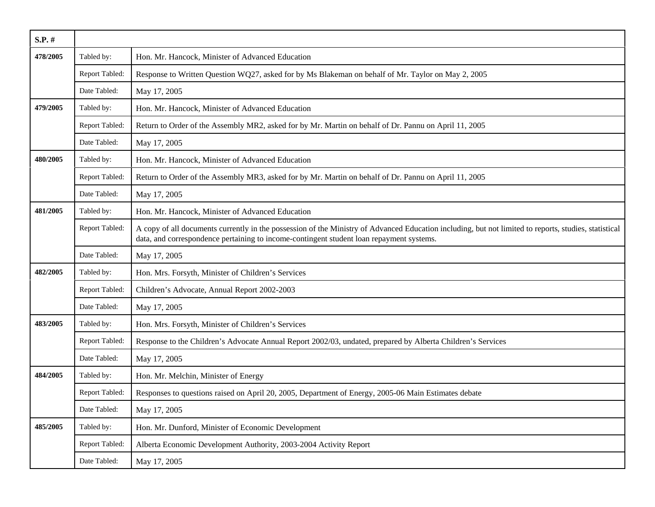| $S.P.$ # |                |                                                                                                                                                                                                                                                   |
|----------|----------------|---------------------------------------------------------------------------------------------------------------------------------------------------------------------------------------------------------------------------------------------------|
| 478/2005 | Tabled by:     | Hon. Mr. Hancock, Minister of Advanced Education                                                                                                                                                                                                  |
|          | Report Tabled: | Response to Written Question WQ27, asked for by Ms Blakeman on behalf of Mr. Taylor on May 2, 2005                                                                                                                                                |
|          | Date Tabled:   | May 17, 2005                                                                                                                                                                                                                                      |
| 479/2005 | Tabled by:     | Hon. Mr. Hancock, Minister of Advanced Education                                                                                                                                                                                                  |
|          | Report Tabled: | Return to Order of the Assembly MR2, asked for by Mr. Martin on behalf of Dr. Pannu on April 11, 2005                                                                                                                                             |
|          | Date Tabled:   | May 17, 2005                                                                                                                                                                                                                                      |
| 480/2005 | Tabled by:     | Hon. Mr. Hancock, Minister of Advanced Education                                                                                                                                                                                                  |
|          | Report Tabled: | Return to Order of the Assembly MR3, asked for by Mr. Martin on behalf of Dr. Pannu on April 11, 2005                                                                                                                                             |
|          | Date Tabled:   | May 17, 2005                                                                                                                                                                                                                                      |
| 481/2005 | Tabled by:     | Hon. Mr. Hancock, Minister of Advanced Education                                                                                                                                                                                                  |
|          | Report Tabled: | A copy of all documents currently in the possession of the Ministry of Advanced Education including, but not limited to reports, studies, statistical<br>data, and correspondence pertaining to income-contingent student loan repayment systems. |
|          | Date Tabled:   | May 17, 2005                                                                                                                                                                                                                                      |
| 482/2005 | Tabled by:     | Hon. Mrs. Forsyth, Minister of Children's Services                                                                                                                                                                                                |
|          | Report Tabled: | Children's Advocate, Annual Report 2002-2003                                                                                                                                                                                                      |
|          | Date Tabled:   | May 17, 2005                                                                                                                                                                                                                                      |
| 483/2005 | Tabled by:     | Hon. Mrs. Forsyth, Minister of Children's Services                                                                                                                                                                                                |
|          | Report Tabled: | Response to the Children's Advocate Annual Report 2002/03, undated, prepared by Alberta Children's Services                                                                                                                                       |
|          | Date Tabled:   | May 17, 2005                                                                                                                                                                                                                                      |
| 484/2005 | Tabled by:     | Hon. Mr. Melchin, Minister of Energy                                                                                                                                                                                                              |
|          | Report Tabled: | Responses to questions raised on April 20, 2005, Department of Energy, 2005-06 Main Estimates debate                                                                                                                                              |
|          | Date Tabled:   | May 17, 2005                                                                                                                                                                                                                                      |
| 485/2005 | Tabled by:     | Hon. Mr. Dunford, Minister of Economic Development                                                                                                                                                                                                |
|          | Report Tabled: | Alberta Economic Development Authority, 2003-2004 Activity Report                                                                                                                                                                                 |
|          | Date Tabled:   | May 17, 2005                                                                                                                                                                                                                                      |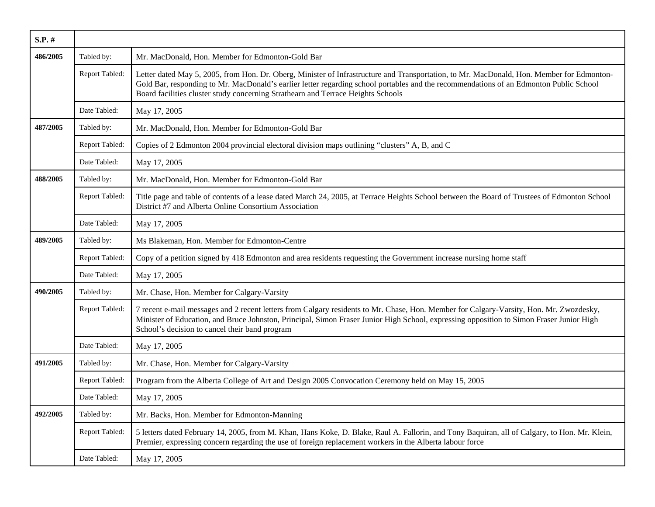| $S.P.$ # |                |                                                                                                                                                                                                                                                                                                                                                                         |
|----------|----------------|-------------------------------------------------------------------------------------------------------------------------------------------------------------------------------------------------------------------------------------------------------------------------------------------------------------------------------------------------------------------------|
| 486/2005 | Tabled by:     | Mr. MacDonald, Hon. Member for Edmonton-Gold Bar                                                                                                                                                                                                                                                                                                                        |
|          | Report Tabled: | Letter dated May 5, 2005, from Hon. Dr. Oberg, Minister of Infrastructure and Transportation, to Mr. MacDonald, Hon. Member for Edmonton-<br>Gold Bar, responding to Mr. MacDonald's earlier letter regarding school portables and the recommendations of an Edmonton Public School<br>Board facilities cluster study concerning Strathearn and Terrace Heights Schools |
|          | Date Tabled:   | May 17, 2005                                                                                                                                                                                                                                                                                                                                                            |
| 487/2005 | Tabled by:     | Mr. MacDonald, Hon. Member for Edmonton-Gold Bar                                                                                                                                                                                                                                                                                                                        |
|          | Report Tabled: | Copies of 2 Edmonton 2004 provincial electoral division maps outlining "clusters" A, B, and C                                                                                                                                                                                                                                                                           |
|          | Date Tabled:   | May 17, 2005                                                                                                                                                                                                                                                                                                                                                            |
| 488/2005 | Tabled by:     | Mr. MacDonald, Hon. Member for Edmonton-Gold Bar                                                                                                                                                                                                                                                                                                                        |
|          | Report Tabled: | Title page and table of contents of a lease dated March 24, 2005, at Terrace Heights School between the Board of Trustees of Edmonton School<br>District #7 and Alberta Online Consortium Association                                                                                                                                                                   |
|          | Date Tabled:   | May 17, 2005                                                                                                                                                                                                                                                                                                                                                            |
| 489/2005 | Tabled by:     | Ms Blakeman, Hon. Member for Edmonton-Centre                                                                                                                                                                                                                                                                                                                            |
|          | Report Tabled: | Copy of a petition signed by 418 Edmonton and area residents requesting the Government increase nursing home staff                                                                                                                                                                                                                                                      |
|          | Date Tabled:   | May 17, 2005                                                                                                                                                                                                                                                                                                                                                            |
| 490/2005 | Tabled by:     | Mr. Chase, Hon. Member for Calgary-Varsity                                                                                                                                                                                                                                                                                                                              |
|          | Report Tabled: | 7 recent e-mail messages and 2 recent letters from Calgary residents to Mr. Chase, Hon. Member for Calgary-Varsity, Hon. Mr. Zwozdesky,<br>Minister of Education, and Bruce Johnston, Principal, Simon Fraser Junior High School, expressing opposition to Simon Fraser Junior High<br>School's decision to cancel their band program                                   |
|          | Date Tabled:   | May 17, 2005                                                                                                                                                                                                                                                                                                                                                            |
| 491/2005 | Tabled by:     | Mr. Chase, Hon. Member for Calgary-Varsity                                                                                                                                                                                                                                                                                                                              |
|          | Report Tabled: | Program from the Alberta College of Art and Design 2005 Convocation Ceremony held on May 15, 2005                                                                                                                                                                                                                                                                       |
|          | Date Tabled:   | May 17, 2005                                                                                                                                                                                                                                                                                                                                                            |
| 492/2005 | Tabled by:     | Mr. Backs, Hon. Member for Edmonton-Manning                                                                                                                                                                                                                                                                                                                             |
|          | Report Tabled: | 5 letters dated February 14, 2005, from M. Khan, Hans Koke, D. Blake, Raul A. Fallorin, and Tony Baquiran, all of Calgary, to Hon. Mr. Klein,<br>Premier, expressing concern regarding the use of foreign replacement workers in the Alberta labour force                                                                                                               |
|          | Date Tabled:   | May 17, 2005                                                                                                                                                                                                                                                                                                                                                            |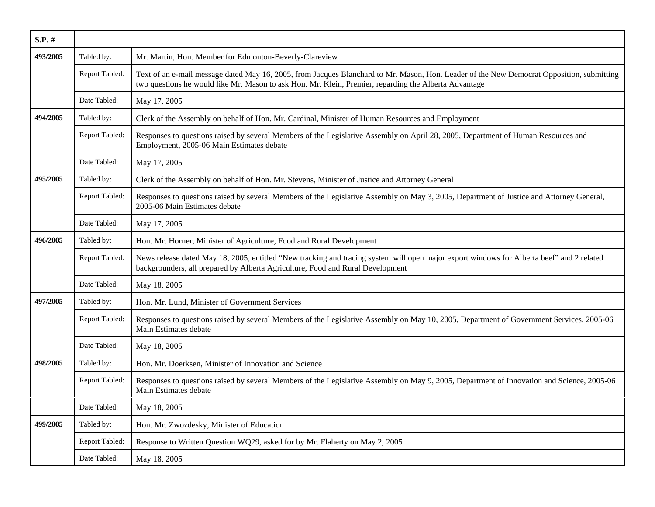| S.P. #   |                |                                                                                                                                                                                                                                                    |
|----------|----------------|----------------------------------------------------------------------------------------------------------------------------------------------------------------------------------------------------------------------------------------------------|
| 493/2005 | Tabled by:     | Mr. Martin, Hon. Member for Edmonton-Beverly-Clareview                                                                                                                                                                                             |
|          | Report Tabled: | Text of an e-mail message dated May 16, 2005, from Jacques Blanchard to Mr. Mason, Hon. Leader of the New Democrat Opposition, submitting<br>two questions he would like Mr. Mason to ask Hon. Mr. Klein, Premier, regarding the Alberta Advantage |
|          | Date Tabled:   | May 17, 2005                                                                                                                                                                                                                                       |
| 494/2005 | Tabled by:     | Clerk of the Assembly on behalf of Hon. Mr. Cardinal, Minister of Human Resources and Employment                                                                                                                                                   |
|          | Report Tabled: | Responses to questions raised by several Members of the Legislative Assembly on April 28, 2005, Department of Human Resources and<br>Employment, 2005-06 Main Estimates debate                                                                     |
|          | Date Tabled:   | May 17, 2005                                                                                                                                                                                                                                       |
| 495/2005 | Tabled by:     | Clerk of the Assembly on behalf of Hon. Mr. Stevens, Minister of Justice and Attorney General                                                                                                                                                      |
|          | Report Tabled: | Responses to questions raised by several Members of the Legislative Assembly on May 3, 2005, Department of Justice and Attorney General,<br>2005-06 Main Estimates debate                                                                          |
|          | Date Tabled:   | May 17, 2005                                                                                                                                                                                                                                       |
| 496/2005 | Tabled by:     | Hon. Mr. Horner, Minister of Agriculture, Food and Rural Development                                                                                                                                                                               |
|          | Report Tabled: | News release dated May 18, 2005, entitled "New tracking and tracing system will open major export windows for Alberta beef" and 2 related<br>backgrounders, all prepared by Alberta Agriculture, Food and Rural Development                        |
|          | Date Tabled:   | May 18, 2005                                                                                                                                                                                                                                       |
| 497/2005 | Tabled by:     | Hon. Mr. Lund, Minister of Government Services                                                                                                                                                                                                     |
|          | Report Tabled: | Responses to questions raised by several Members of the Legislative Assembly on May 10, 2005, Department of Government Services, 2005-06<br>Main Estimates debate                                                                                  |
|          | Date Tabled:   | May 18, 2005                                                                                                                                                                                                                                       |
| 498/2005 | Tabled by:     | Hon. Mr. Doerksen, Minister of Innovation and Science                                                                                                                                                                                              |
|          | Report Tabled: | Responses to questions raised by several Members of the Legislative Assembly on May 9, 2005, Department of Innovation and Science, 2005-06<br>Main Estimates debate                                                                                |
|          | Date Tabled:   | May 18, 2005                                                                                                                                                                                                                                       |
| 499/2005 | Tabled by:     | Hon. Mr. Zwozdesky, Minister of Education                                                                                                                                                                                                          |
|          | Report Tabled: | Response to Written Question WQ29, asked for by Mr. Flaherty on May 2, 2005                                                                                                                                                                        |
|          | Date Tabled:   | May 18, 2005                                                                                                                                                                                                                                       |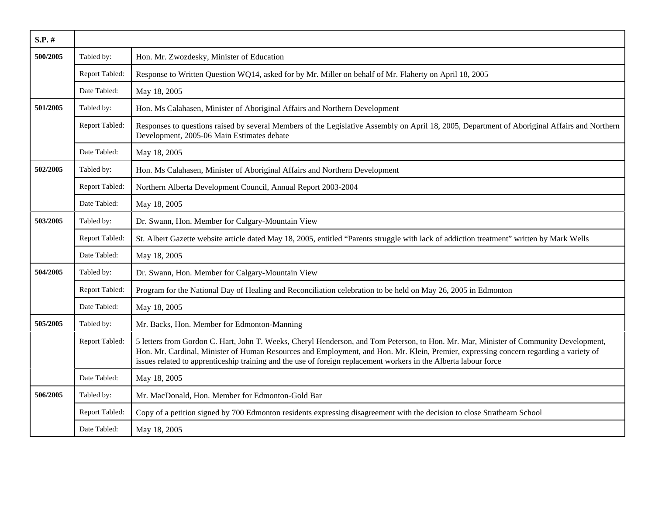| $S.P.$ # |                |                                                                                                                                                                                                                                                                                                                                                                                                    |
|----------|----------------|----------------------------------------------------------------------------------------------------------------------------------------------------------------------------------------------------------------------------------------------------------------------------------------------------------------------------------------------------------------------------------------------------|
| 500/2005 | Tabled by:     | Hon. Mr. Zwozdesky, Minister of Education                                                                                                                                                                                                                                                                                                                                                          |
|          | Report Tabled: | Response to Written Question WQ14, asked for by Mr. Miller on behalf of Mr. Flaherty on April 18, 2005                                                                                                                                                                                                                                                                                             |
|          | Date Tabled:   | May 18, 2005                                                                                                                                                                                                                                                                                                                                                                                       |
| 501/2005 | Tabled by:     | Hon. Ms Calahasen, Minister of Aboriginal Affairs and Northern Development                                                                                                                                                                                                                                                                                                                         |
|          | Report Tabled: | Responses to questions raised by several Members of the Legislative Assembly on April 18, 2005, Department of Aboriginal Affairs and Northern<br>Development, 2005-06 Main Estimates debate                                                                                                                                                                                                        |
|          | Date Tabled:   | May 18, 2005                                                                                                                                                                                                                                                                                                                                                                                       |
| 502/2005 | Tabled by:     | Hon. Ms Calahasen, Minister of Aboriginal Affairs and Northern Development                                                                                                                                                                                                                                                                                                                         |
|          | Report Tabled: | Northern Alberta Development Council, Annual Report 2003-2004                                                                                                                                                                                                                                                                                                                                      |
|          | Date Tabled:   | May 18, 2005                                                                                                                                                                                                                                                                                                                                                                                       |
| 503/2005 | Tabled by:     | Dr. Swann, Hon. Member for Calgary-Mountain View                                                                                                                                                                                                                                                                                                                                                   |
|          | Report Tabled: | St. Albert Gazette website article dated May 18, 2005, entitled "Parents struggle with lack of addiction treatment" written by Mark Wells                                                                                                                                                                                                                                                          |
|          | Date Tabled:   | May 18, 2005                                                                                                                                                                                                                                                                                                                                                                                       |
| 504/2005 | Tabled by:     | Dr. Swann, Hon. Member for Calgary-Mountain View                                                                                                                                                                                                                                                                                                                                                   |
|          | Report Tabled: | Program for the National Day of Healing and Reconciliation celebration to be held on May 26, 2005 in Edmonton                                                                                                                                                                                                                                                                                      |
|          | Date Tabled:   | May 18, 2005                                                                                                                                                                                                                                                                                                                                                                                       |
| 505/2005 | Tabled by:     | Mr. Backs, Hon. Member for Edmonton-Manning                                                                                                                                                                                                                                                                                                                                                        |
|          | Report Tabled: | 5 letters from Gordon C. Hart, John T. Weeks, Cheryl Henderson, and Tom Peterson, to Hon. Mr. Mar, Minister of Community Development,<br>Hon. Mr. Cardinal, Minister of Human Resources and Employment, and Hon. Mr. Klein, Premier, expressing concern regarding a variety of<br>issues related to apprenticeship training and the use of foreign replacement workers in the Alberta labour force |
|          | Date Tabled:   | May 18, 2005                                                                                                                                                                                                                                                                                                                                                                                       |
| 506/2005 | Tabled by:     | Mr. MacDonald, Hon. Member for Edmonton-Gold Bar                                                                                                                                                                                                                                                                                                                                                   |
|          | Report Tabled: | Copy of a petition signed by 700 Edmonton residents expressing disagreement with the decision to close Strathearn School                                                                                                                                                                                                                                                                           |
|          | Date Tabled:   | May 18, 2005                                                                                                                                                                                                                                                                                                                                                                                       |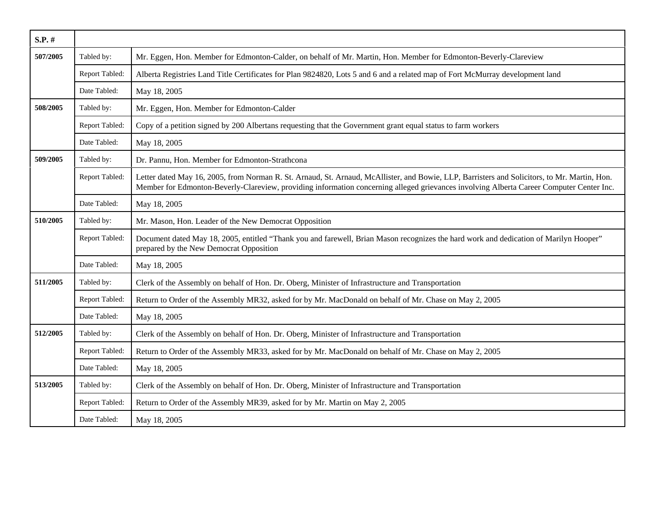| $S.P.$ # |                |                                                                                                                                                                                                                                                                                          |
|----------|----------------|------------------------------------------------------------------------------------------------------------------------------------------------------------------------------------------------------------------------------------------------------------------------------------------|
| 507/2005 | Tabled by:     | Mr. Eggen, Hon. Member for Edmonton-Calder, on behalf of Mr. Martin, Hon. Member for Edmonton-Beverly-Clareview                                                                                                                                                                          |
|          | Report Tabled: | Alberta Registries Land Title Certificates for Plan 9824820, Lots 5 and 6 and a related map of Fort McMurray development land                                                                                                                                                            |
|          | Date Tabled:   | May 18, 2005                                                                                                                                                                                                                                                                             |
| 508/2005 | Tabled by:     | Mr. Eggen, Hon. Member for Edmonton-Calder                                                                                                                                                                                                                                               |
|          | Report Tabled: | Copy of a petition signed by 200 Albertans requesting that the Government grant equal status to farm workers                                                                                                                                                                             |
|          | Date Tabled:   | May 18, 2005                                                                                                                                                                                                                                                                             |
| 509/2005 | Tabled by:     | Dr. Pannu, Hon. Member for Edmonton-Strathcona                                                                                                                                                                                                                                           |
|          | Report Tabled: | Letter dated May 16, 2005, from Norman R. St. Arnaud, St. Arnaud, McAllister, and Bowie, LLP, Barristers and Solicitors, to Mr. Martin, Hon.<br>Member for Edmonton-Beverly-Clareview, providing information concerning alleged grievances involving Alberta Career Computer Center Inc. |
|          | Date Tabled:   | May 18, 2005                                                                                                                                                                                                                                                                             |
| 510/2005 | Tabled by:     | Mr. Mason, Hon. Leader of the New Democrat Opposition                                                                                                                                                                                                                                    |
|          | Report Tabled: | Document dated May 18, 2005, entitled "Thank you and farewell, Brian Mason recognizes the hard work and dedication of Marilyn Hooper"<br>prepared by the New Democrat Opposition                                                                                                         |
|          | Date Tabled:   | May 18, 2005                                                                                                                                                                                                                                                                             |
| 511/2005 | Tabled by:     | Clerk of the Assembly on behalf of Hon. Dr. Oberg, Minister of Infrastructure and Transportation                                                                                                                                                                                         |
|          | Report Tabled: | Return to Order of the Assembly MR32, asked for by Mr. MacDonald on behalf of Mr. Chase on May 2, 2005                                                                                                                                                                                   |
|          | Date Tabled:   | May 18, 2005                                                                                                                                                                                                                                                                             |
| 512/2005 | Tabled by:     | Clerk of the Assembly on behalf of Hon. Dr. Oberg, Minister of Infrastructure and Transportation                                                                                                                                                                                         |
|          | Report Tabled: | Return to Order of the Assembly MR33, asked for by Mr. MacDonald on behalf of Mr. Chase on May 2, 2005                                                                                                                                                                                   |
|          | Date Tabled:   | May 18, 2005                                                                                                                                                                                                                                                                             |
| 513/2005 | Tabled by:     | Clerk of the Assembly on behalf of Hon. Dr. Oberg, Minister of Infrastructure and Transportation                                                                                                                                                                                         |
|          | Report Tabled: | Return to Order of the Assembly MR39, asked for by Mr. Martin on May 2, 2005                                                                                                                                                                                                             |
|          | Date Tabled:   | May 18, 2005                                                                                                                                                                                                                                                                             |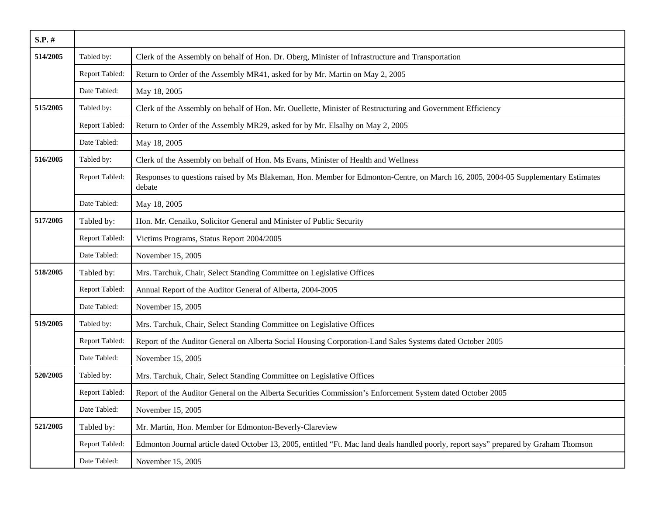| $S.P.$ # |                |                                                                                                                                             |
|----------|----------------|---------------------------------------------------------------------------------------------------------------------------------------------|
| 514/2005 | Tabled by:     | Clerk of the Assembly on behalf of Hon. Dr. Oberg, Minister of Infrastructure and Transportation                                            |
|          | Report Tabled: | Return to Order of the Assembly MR41, asked for by Mr. Martin on May 2, 2005                                                                |
|          | Date Tabled:   | May 18, 2005                                                                                                                                |
| 515/2005 | Tabled by:     | Clerk of the Assembly on behalf of Hon. Mr. Ouellette, Minister of Restructuring and Government Efficiency                                  |
|          | Report Tabled: | Return to Order of the Assembly MR29, asked for by Mr. Elsalhy on May 2, 2005                                                               |
|          | Date Tabled:   | May 18, 2005                                                                                                                                |
| 516/2005 | Tabled by:     | Clerk of the Assembly on behalf of Hon. Ms Evans, Minister of Health and Wellness                                                           |
|          | Report Tabled: | Responses to questions raised by Ms Blakeman, Hon. Member for Edmonton-Centre, on March 16, 2005, 2004-05 Supplementary Estimates<br>debate |
|          | Date Tabled:   | May 18, 2005                                                                                                                                |
| 517/2005 | Tabled by:     | Hon. Mr. Cenaiko, Solicitor General and Minister of Public Security                                                                         |
|          | Report Tabled: | Victims Programs, Status Report 2004/2005                                                                                                   |
|          | Date Tabled:   | November 15, 2005                                                                                                                           |
| 518/2005 | Tabled by:     | Mrs. Tarchuk, Chair, Select Standing Committee on Legislative Offices                                                                       |
|          | Report Tabled: | Annual Report of the Auditor General of Alberta, 2004-2005                                                                                  |
|          | Date Tabled:   | November 15, 2005                                                                                                                           |
| 519/2005 | Tabled by:     | Mrs. Tarchuk, Chair, Select Standing Committee on Legislative Offices                                                                       |
|          | Report Tabled: | Report of the Auditor General on Alberta Social Housing Corporation-Land Sales Systems dated October 2005                                   |
|          | Date Tabled:   | November 15, 2005                                                                                                                           |
| 520/2005 | Tabled by:     | Mrs. Tarchuk, Chair, Select Standing Committee on Legislative Offices                                                                       |
|          | Report Tabled: | Report of the Auditor General on the Alberta Securities Commission's Enforcement System dated October 2005                                  |
|          | Date Tabled:   | November 15, 2005                                                                                                                           |
| 521/2005 | Tabled by:     | Mr. Martin, Hon. Member for Edmonton-Beverly-Clareview                                                                                      |
|          | Report Tabled: | Edmonton Journal article dated October 13, 2005, entitled "Ft. Mac land deals handled poorly, report says" prepared by Graham Thomson       |
|          | Date Tabled:   | November 15, 2005                                                                                                                           |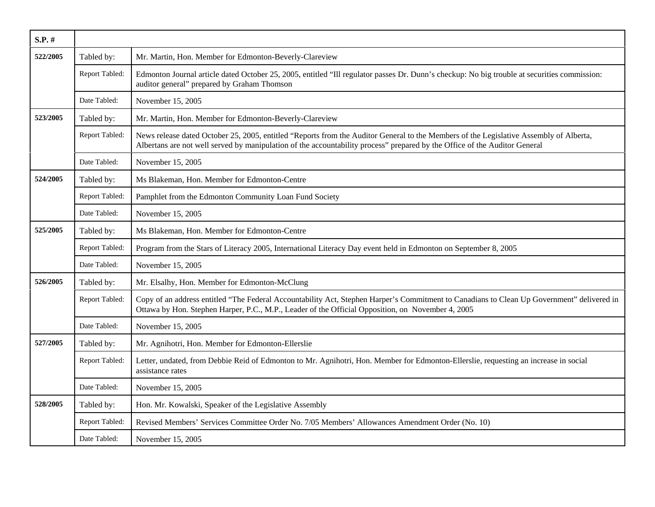| S.P. #   |                |                                                                                                                                                                                                                                                                      |
|----------|----------------|----------------------------------------------------------------------------------------------------------------------------------------------------------------------------------------------------------------------------------------------------------------------|
| 522/2005 | Tabled by:     | Mr. Martin, Hon. Member for Edmonton-Beverly-Clareview                                                                                                                                                                                                               |
|          | Report Tabled: | Edmonton Journal article dated October 25, 2005, entitled "Ill regulator passes Dr. Dunn's checkup: No big trouble at securities commission:<br>auditor general" prepared by Graham Thomson                                                                          |
|          | Date Tabled:   | November 15, 2005                                                                                                                                                                                                                                                    |
| 523/2005 | Tabled by:     | Mr. Martin, Hon. Member for Edmonton-Beverly-Clareview                                                                                                                                                                                                               |
|          | Report Tabled: | News release dated October 25, 2005, entitled "Reports from the Auditor General to the Members of the Legislative Assembly of Alberta,<br>Albertans are not well served by manipulation of the accountability process" prepared by the Office of the Auditor General |
|          | Date Tabled:   | November 15, 2005                                                                                                                                                                                                                                                    |
| 524/2005 | Tabled by:     | Ms Blakeman, Hon. Member for Edmonton-Centre                                                                                                                                                                                                                         |
|          | Report Tabled: | Pamphlet from the Edmonton Community Loan Fund Society                                                                                                                                                                                                               |
|          | Date Tabled:   | November 15, 2005                                                                                                                                                                                                                                                    |
| 525/2005 | Tabled by:     | Ms Blakeman, Hon. Member for Edmonton-Centre                                                                                                                                                                                                                         |
|          | Report Tabled: | Program from the Stars of Literacy 2005, International Literacy Day event held in Edmonton on September 8, 2005                                                                                                                                                      |
|          | Date Tabled:   | November 15, 2005                                                                                                                                                                                                                                                    |
| 526/2005 | Tabled by:     | Mr. Elsalhy, Hon. Member for Edmonton-McClung                                                                                                                                                                                                                        |
|          | Report Tabled: | Copy of an address entitled "The Federal Accountability Act, Stephen Harper's Commitment to Canadians to Clean Up Government" delivered in<br>Ottawa by Hon. Stephen Harper, P.C., M.P., Leader of the Official Opposition, on November 4, 2005                      |
|          | Date Tabled:   | November 15, 2005                                                                                                                                                                                                                                                    |
| 527/2005 | Tabled by:     | Mr. Agnihotri, Hon. Member for Edmonton-Ellerslie                                                                                                                                                                                                                    |
|          | Report Tabled: | Letter, undated, from Debbie Reid of Edmonton to Mr. Agnihotri, Hon. Member for Edmonton-Ellerslie, requesting an increase in social<br>assistance rates                                                                                                             |
|          | Date Tabled:   | November 15, 2005                                                                                                                                                                                                                                                    |
| 528/2005 | Tabled by:     | Hon. Mr. Kowalski, Speaker of the Legislative Assembly                                                                                                                                                                                                               |
|          | Report Tabled: | Revised Members' Services Committee Order No. 7/05 Members' Allowances Amendment Order (No. 10)                                                                                                                                                                      |
|          | Date Tabled:   | November 15, 2005                                                                                                                                                                                                                                                    |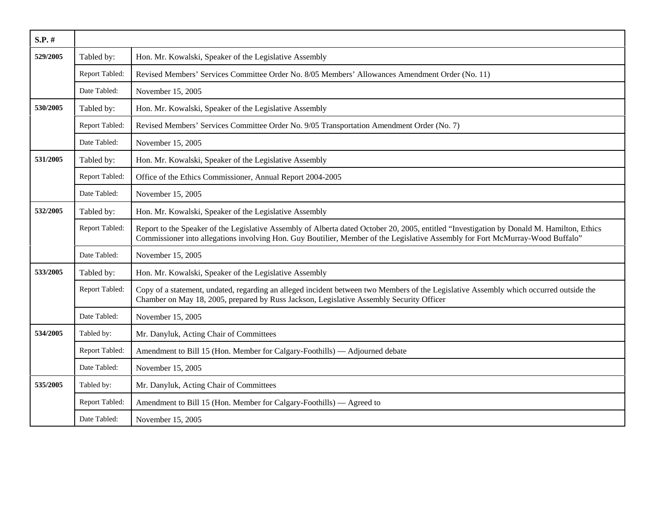| $S.P.$ # |                |                                                                                                                                                                                                                                                                              |
|----------|----------------|------------------------------------------------------------------------------------------------------------------------------------------------------------------------------------------------------------------------------------------------------------------------------|
| 529/2005 | Tabled by:     | Hon. Mr. Kowalski, Speaker of the Legislative Assembly                                                                                                                                                                                                                       |
|          | Report Tabled: | Revised Members' Services Committee Order No. 8/05 Members' Allowances Amendment Order (No. 11)                                                                                                                                                                              |
|          | Date Tabled:   | November 15, 2005                                                                                                                                                                                                                                                            |
| 530/2005 | Tabled by:     | Hon. Mr. Kowalski, Speaker of the Legislative Assembly                                                                                                                                                                                                                       |
|          | Report Tabled: | Revised Members' Services Committee Order No. 9/05 Transportation Amendment Order (No. 7)                                                                                                                                                                                    |
|          | Date Tabled:   | November 15, 2005                                                                                                                                                                                                                                                            |
| 531/2005 | Tabled by:     | Hon. Mr. Kowalski, Speaker of the Legislative Assembly                                                                                                                                                                                                                       |
|          | Report Tabled: | Office of the Ethics Commissioner, Annual Report 2004-2005                                                                                                                                                                                                                   |
|          | Date Tabled:   | November 15, 2005                                                                                                                                                                                                                                                            |
| 532/2005 | Tabled by:     | Hon. Mr. Kowalski, Speaker of the Legislative Assembly                                                                                                                                                                                                                       |
|          | Report Tabled: | Report to the Speaker of the Legislative Assembly of Alberta dated October 20, 2005, entitled "Investigation by Donald M. Hamilton, Ethics<br>Commissioner into allegations involving Hon. Guy Boutilier, Member of the Legislative Assembly for Fort McMurray-Wood Buffalo" |
|          | Date Tabled:   | November 15, 2005                                                                                                                                                                                                                                                            |
| 533/2005 | Tabled by:     | Hon. Mr. Kowalski, Speaker of the Legislative Assembly                                                                                                                                                                                                                       |
|          | Report Tabled: | Copy of a statement, undated, regarding an alleged incident between two Members of the Legislative Assembly which occurred outside the<br>Chamber on May 18, 2005, prepared by Russ Jackson, Legislative Assembly Security Officer                                           |
|          | Date Tabled:   | November 15, 2005                                                                                                                                                                                                                                                            |
| 534/2005 | Tabled by:     | Mr. Danyluk, Acting Chair of Committees                                                                                                                                                                                                                                      |
|          | Report Tabled: | Amendment to Bill 15 (Hon. Member for Calgary-Foothills) — Adjourned debate                                                                                                                                                                                                  |
|          | Date Tabled:   | November 15, 2005                                                                                                                                                                                                                                                            |
| 535/2005 | Tabled by:     | Mr. Danyluk, Acting Chair of Committees                                                                                                                                                                                                                                      |
|          | Report Tabled: | Amendment to Bill 15 (Hon. Member for Calgary-Foothills) — Agreed to                                                                                                                                                                                                         |
|          | Date Tabled:   | November 15, 2005                                                                                                                                                                                                                                                            |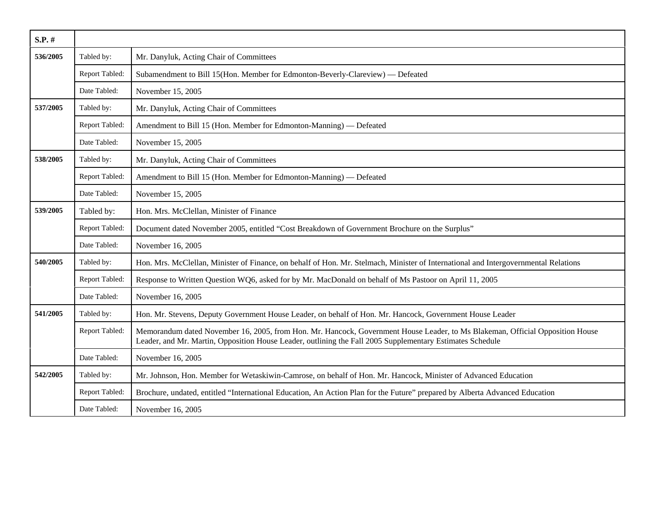| $S.P.$ # |                |                                                                                                                                                                                                                                            |
|----------|----------------|--------------------------------------------------------------------------------------------------------------------------------------------------------------------------------------------------------------------------------------------|
| 536/2005 | Tabled by:     | Mr. Danyluk, Acting Chair of Committees                                                                                                                                                                                                    |
|          | Report Tabled: | Subamendment to Bill 15(Hon. Member for Edmonton-Beverly-Clareview) — Defeated                                                                                                                                                             |
|          | Date Tabled:   | November 15, 2005                                                                                                                                                                                                                          |
| 537/2005 | Tabled by:     | Mr. Danyluk, Acting Chair of Committees                                                                                                                                                                                                    |
|          | Report Tabled: | Amendment to Bill 15 (Hon. Member for Edmonton-Manning) — Defeated                                                                                                                                                                         |
|          | Date Tabled:   | November 15, 2005                                                                                                                                                                                                                          |
| 538/2005 | Tabled by:     | Mr. Danyluk, Acting Chair of Committees                                                                                                                                                                                                    |
|          | Report Tabled: | Amendment to Bill 15 (Hon. Member for Edmonton-Manning) — Defeated                                                                                                                                                                         |
|          | Date Tabled:   | November 15, 2005                                                                                                                                                                                                                          |
| 539/2005 | Tabled by:     | Hon. Mrs. McClellan, Minister of Finance                                                                                                                                                                                                   |
|          | Report Tabled: | Document dated November 2005, entitled "Cost Breakdown of Government Brochure on the Surplus"                                                                                                                                              |
|          | Date Tabled:   | November 16, 2005                                                                                                                                                                                                                          |
| 540/2005 | Tabled by:     | Hon. Mrs. McClellan, Minister of Finance, on behalf of Hon. Mr. Stelmach, Minister of International and Intergovernmental Relations                                                                                                        |
|          | Report Tabled: | Response to Written Question WQ6, asked for by Mr. MacDonald on behalf of Ms Pastoor on April 11, 2005                                                                                                                                     |
|          | Date Tabled:   | November 16, 2005                                                                                                                                                                                                                          |
| 541/2005 | Tabled by:     | Hon. Mr. Stevens, Deputy Government House Leader, on behalf of Hon. Mr. Hancock, Government House Leader                                                                                                                                   |
|          | Report Tabled: | Memorandum dated November 16, 2005, from Hon. Mr. Hancock, Government House Leader, to Ms Blakeman, Official Opposition House<br>Leader, and Mr. Martin, Opposition House Leader, outlining the Fall 2005 Supplementary Estimates Schedule |
|          | Date Tabled:   | November 16, 2005                                                                                                                                                                                                                          |
| 542/2005 | Tabled by:     | Mr. Johnson, Hon. Member for Wetaskiwin-Camrose, on behalf of Hon. Mr. Hancock, Minister of Advanced Education                                                                                                                             |
|          | Report Tabled: | Brochure, undated, entitled "International Education, An Action Plan for the Future" prepared by Alberta Advanced Education                                                                                                                |
|          | Date Tabled:   | November 16, 2005                                                                                                                                                                                                                          |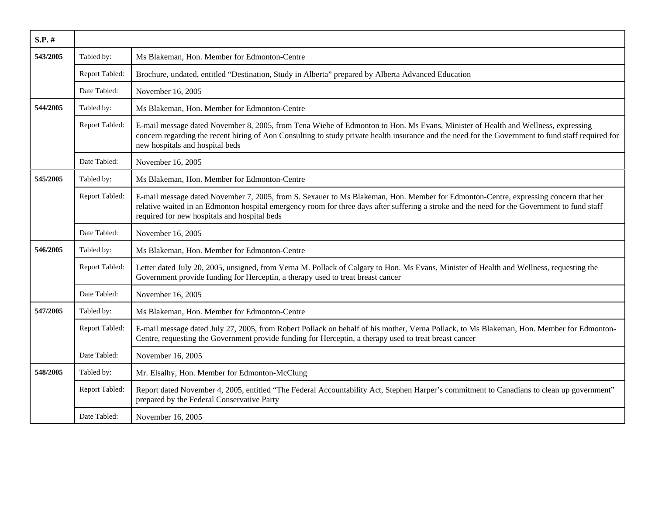| S.P. #   |                |                                                                                                                                                                                                                                                                                                                                     |
|----------|----------------|-------------------------------------------------------------------------------------------------------------------------------------------------------------------------------------------------------------------------------------------------------------------------------------------------------------------------------------|
| 543/2005 | Tabled by:     | Ms Blakeman, Hon. Member for Edmonton-Centre                                                                                                                                                                                                                                                                                        |
|          | Report Tabled: | Brochure, undated, entitled "Destination, Study in Alberta" prepared by Alberta Advanced Education                                                                                                                                                                                                                                  |
|          | Date Tabled:   | November 16, 2005                                                                                                                                                                                                                                                                                                                   |
| 544/2005 | Tabled by:     | Ms Blakeman, Hon. Member for Edmonton-Centre                                                                                                                                                                                                                                                                                        |
|          | Report Tabled: | E-mail message dated November 8, 2005, from Tena Wiebe of Edmonton to Hon. Ms Evans, Minister of Health and Wellness, expressing<br>concern regarding the recent hiring of Aon Consulting to study private health insurance and the need for the Government to fund staff required for<br>new hospitals and hospital beds           |
|          | Date Tabled:   | November 16, 2005                                                                                                                                                                                                                                                                                                                   |
| 545/2005 | Tabled by:     | Ms Blakeman, Hon. Member for Edmonton-Centre                                                                                                                                                                                                                                                                                        |
|          | Report Tabled: | E-mail message dated November 7, 2005, from S. Sexauer to Ms Blakeman, Hon. Member for Edmonton-Centre, expressing concern that her<br>relative waited in an Edmonton hospital emergency room for three days after suffering a stroke and the need for the Government to fund staff<br>required for new hospitals and hospital beds |
|          | Date Tabled:   | November 16, 2005                                                                                                                                                                                                                                                                                                                   |
| 546/2005 | Tabled by:     | Ms Blakeman, Hon. Member for Edmonton-Centre                                                                                                                                                                                                                                                                                        |
|          | Report Tabled: | Letter dated July 20, 2005, unsigned, from Verna M. Pollack of Calgary to Hon. Ms Evans, Minister of Health and Wellness, requesting the<br>Government provide funding for Herceptin, a therapy used to treat breast cancer                                                                                                         |
|          | Date Tabled:   | November 16, 2005                                                                                                                                                                                                                                                                                                                   |
| 547/2005 | Tabled by:     | Ms Blakeman, Hon. Member for Edmonton-Centre                                                                                                                                                                                                                                                                                        |
|          | Report Tabled: | E-mail message dated July 27, 2005, from Robert Pollack on behalf of his mother, Verna Pollack, to Ms Blakeman, Hon. Member for Edmonton-<br>Centre, requesting the Government provide funding for Herceptin, a therapy used to treat breast cancer                                                                                 |
|          | Date Tabled:   | November 16, 2005                                                                                                                                                                                                                                                                                                                   |
| 548/2005 | Tabled by:     | Mr. Elsalhy, Hon. Member for Edmonton-McClung                                                                                                                                                                                                                                                                                       |
|          | Report Tabled: | Report dated November 4, 2005, entitled "The Federal Accountability Act, Stephen Harper's commitment to Canadians to clean up government"<br>prepared by the Federal Conservative Party                                                                                                                                             |
|          | Date Tabled:   | November 16, 2005                                                                                                                                                                                                                                                                                                                   |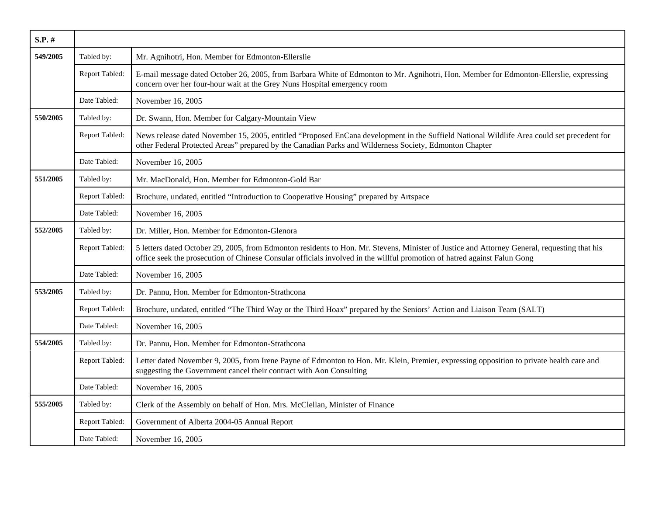| S.P. #   |                |                                                                                                                                                                                                                                                                          |
|----------|----------------|--------------------------------------------------------------------------------------------------------------------------------------------------------------------------------------------------------------------------------------------------------------------------|
| 549/2005 | Tabled by:     | Mr. Agnihotri, Hon. Member for Edmonton-Ellerslie                                                                                                                                                                                                                        |
|          | Report Tabled: | E-mail message dated October 26, 2005, from Barbara White of Edmonton to Mr. Agnihotri, Hon. Member for Edmonton-Ellerslie, expressing<br>concern over her four-hour wait at the Grey Nuns Hospital emergency room                                                       |
|          | Date Tabled:   | November 16, 2005                                                                                                                                                                                                                                                        |
| 550/2005 | Tabled by:     | Dr. Swann, Hon. Member for Calgary-Mountain View                                                                                                                                                                                                                         |
|          | Report Tabled: | News release dated November 15, 2005, entitled "Proposed EnCana development in the Suffield National Wildlife Area could set precedent for<br>other Federal Protected Areas" prepared by the Canadian Parks and Wilderness Society, Edmonton Chapter                     |
|          | Date Tabled:   | November 16, 2005                                                                                                                                                                                                                                                        |
| 551/2005 | Tabled by:     | Mr. MacDonald, Hon. Member for Edmonton-Gold Bar                                                                                                                                                                                                                         |
|          | Report Tabled: | Brochure, undated, entitled "Introduction to Cooperative Housing" prepared by Artspace                                                                                                                                                                                   |
|          | Date Tabled:   | November 16, 2005                                                                                                                                                                                                                                                        |
| 552/2005 | Tabled by:     | Dr. Miller, Hon. Member for Edmonton-Glenora                                                                                                                                                                                                                             |
|          | Report Tabled: | 5 letters dated October 29, 2005, from Edmonton residents to Hon. Mr. Stevens, Minister of Justice and Attorney General, requesting that his<br>office seek the prosecution of Chinese Consular officials involved in the willful promotion of hatred against Falun Gong |
|          | Date Tabled:   | November 16, 2005                                                                                                                                                                                                                                                        |
| 553/2005 | Tabled by:     | Dr. Pannu, Hon. Member for Edmonton-Strathcona                                                                                                                                                                                                                           |
|          | Report Tabled: | Brochure, undated, entitled "The Third Way or the Third Hoax" prepared by the Seniors' Action and Liaison Team (SALT)                                                                                                                                                    |
|          | Date Tabled:   | November 16, 2005                                                                                                                                                                                                                                                        |
| 554/2005 | Tabled by:     | Dr. Pannu, Hon. Member for Edmonton-Strathcona                                                                                                                                                                                                                           |
|          | Report Tabled: | Letter dated November 9, 2005, from Irene Payne of Edmonton to Hon. Mr. Klein, Premier, expressing opposition to private health care and<br>suggesting the Government cancel their contract with Aon Consulting                                                          |
|          | Date Tabled:   | November 16, 2005                                                                                                                                                                                                                                                        |
| 555/2005 | Tabled by:     | Clerk of the Assembly on behalf of Hon. Mrs. McClellan, Minister of Finance                                                                                                                                                                                              |
|          | Report Tabled: | Government of Alberta 2004-05 Annual Report                                                                                                                                                                                                                              |
|          | Date Tabled:   | November 16, 2005                                                                                                                                                                                                                                                        |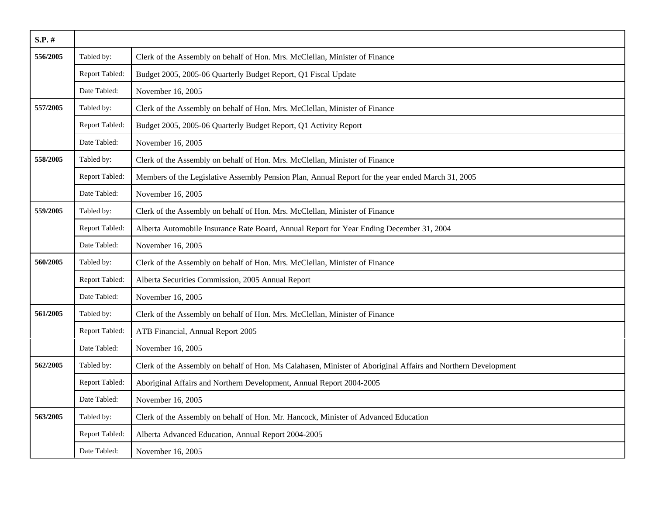| $S.P.$ # |                |                                                                                                               |
|----------|----------------|---------------------------------------------------------------------------------------------------------------|
| 556/2005 | Tabled by:     | Clerk of the Assembly on behalf of Hon. Mrs. McClellan, Minister of Finance                                   |
|          | Report Tabled: | Budget 2005, 2005-06 Quarterly Budget Report, Q1 Fiscal Update                                                |
|          | Date Tabled:   | November 16, 2005                                                                                             |
| 557/2005 | Tabled by:     | Clerk of the Assembly on behalf of Hon. Mrs. McClellan, Minister of Finance                                   |
|          | Report Tabled: | Budget 2005, 2005-06 Quarterly Budget Report, Q1 Activity Report                                              |
|          | Date Tabled:   | November 16, 2005                                                                                             |
| 558/2005 | Tabled by:     | Clerk of the Assembly on behalf of Hon. Mrs. McClellan, Minister of Finance                                   |
|          | Report Tabled: | Members of the Legislative Assembly Pension Plan, Annual Report for the year ended March 31, 2005             |
|          | Date Tabled:   | November 16, 2005                                                                                             |
| 559/2005 | Tabled by:     | Clerk of the Assembly on behalf of Hon. Mrs. McClellan, Minister of Finance                                   |
|          | Report Tabled: | Alberta Automobile Insurance Rate Board, Annual Report for Year Ending December 31, 2004                      |
|          | Date Tabled:   | November 16, 2005                                                                                             |
| 560/2005 | Tabled by:     | Clerk of the Assembly on behalf of Hon. Mrs. McClellan, Minister of Finance                                   |
|          | Report Tabled: | Alberta Securities Commission, 2005 Annual Report                                                             |
|          | Date Tabled:   | November 16, 2005                                                                                             |
| 561/2005 | Tabled by:     | Clerk of the Assembly on behalf of Hon. Mrs. McClellan, Minister of Finance                                   |
|          | Report Tabled: | ATB Financial, Annual Report 2005                                                                             |
|          | Date Tabled:   | November 16, 2005                                                                                             |
| 562/2005 | Tabled by:     | Clerk of the Assembly on behalf of Hon. Ms Calahasen, Minister of Aboriginal Affairs and Northern Development |
|          | Report Tabled: | Aboriginal Affairs and Northern Development, Annual Report 2004-2005                                          |
|          | Date Tabled:   | November 16, 2005                                                                                             |
| 563/2005 | Tabled by:     | Clerk of the Assembly on behalf of Hon. Mr. Hancock, Minister of Advanced Education                           |
|          | Report Tabled: | Alberta Advanced Education, Annual Report 2004-2005                                                           |
|          | Date Tabled:   | November 16, 2005                                                                                             |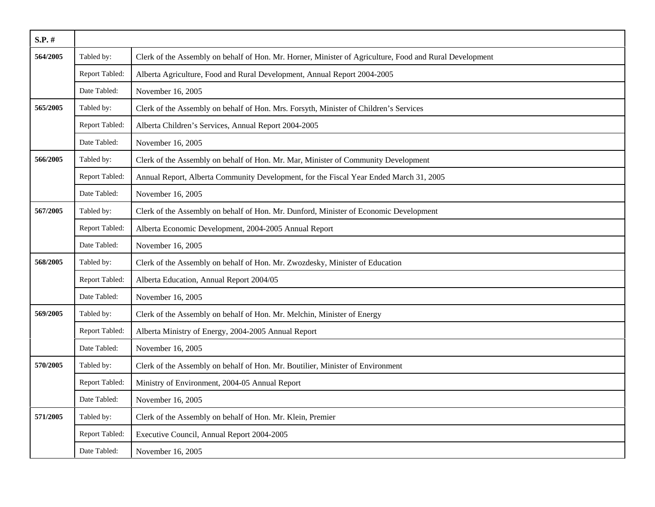| $S.P.$ # |                |                                                                                                         |
|----------|----------------|---------------------------------------------------------------------------------------------------------|
| 564/2005 | Tabled by:     | Clerk of the Assembly on behalf of Hon. Mr. Horner, Minister of Agriculture, Food and Rural Development |
|          | Report Tabled: | Alberta Agriculture, Food and Rural Development, Annual Report 2004-2005                                |
|          | Date Tabled:   | November 16, 2005                                                                                       |
| 565/2005 | Tabled by:     | Clerk of the Assembly on behalf of Hon. Mrs. Forsyth, Minister of Children's Services                   |
|          | Report Tabled: | Alberta Children's Services, Annual Report 2004-2005                                                    |
|          | Date Tabled:   | November 16, 2005                                                                                       |
| 566/2005 | Tabled by:     | Clerk of the Assembly on behalf of Hon. Mr. Mar, Minister of Community Development                      |
|          | Report Tabled: | Annual Report, Alberta Community Development, for the Fiscal Year Ended March 31, 2005                  |
|          | Date Tabled:   | November 16, 2005                                                                                       |
| 567/2005 | Tabled by:     | Clerk of the Assembly on behalf of Hon. Mr. Dunford, Minister of Economic Development                   |
|          | Report Tabled: | Alberta Economic Development, 2004-2005 Annual Report                                                   |
|          | Date Tabled:   | November 16, 2005                                                                                       |
| 568/2005 | Tabled by:     | Clerk of the Assembly on behalf of Hon. Mr. Zwozdesky, Minister of Education                            |
|          | Report Tabled: | Alberta Education, Annual Report 2004/05                                                                |
|          | Date Tabled:   | November 16, 2005                                                                                       |
| 569/2005 | Tabled by:     | Clerk of the Assembly on behalf of Hon. Mr. Melchin, Minister of Energy                                 |
|          | Report Tabled: | Alberta Ministry of Energy, 2004-2005 Annual Report                                                     |
|          | Date Tabled:   | November 16, 2005                                                                                       |
| 570/2005 | Tabled by:     | Clerk of the Assembly on behalf of Hon. Mr. Boutilier, Minister of Environment                          |
|          | Report Tabled: | Ministry of Environment, 2004-05 Annual Report                                                          |
|          | Date Tabled:   | November 16, 2005                                                                                       |
| 571/2005 | Tabled by:     | Clerk of the Assembly on behalf of Hon. Mr. Klein, Premier                                              |
|          | Report Tabled: | Executive Council, Annual Report 2004-2005                                                              |
|          | Date Tabled:   | November 16, 2005                                                                                       |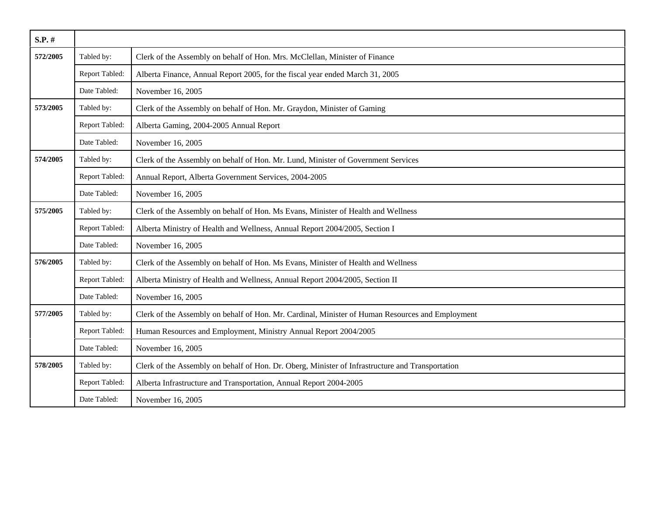| $S.P.$ # |                |                                                                                                  |
|----------|----------------|--------------------------------------------------------------------------------------------------|
| 572/2005 | Tabled by:     | Clerk of the Assembly on behalf of Hon. Mrs. McClellan, Minister of Finance                      |
|          | Report Tabled: | Alberta Finance, Annual Report 2005, for the fiscal year ended March 31, 2005                    |
|          | Date Tabled:   | November 16, 2005                                                                                |
| 573/2005 | Tabled by:     | Clerk of the Assembly on behalf of Hon. Mr. Graydon, Minister of Gaming                          |
|          | Report Tabled: | Alberta Gaming, 2004-2005 Annual Report                                                          |
|          | Date Tabled:   | November 16, 2005                                                                                |
| 574/2005 | Tabled by:     | Clerk of the Assembly on behalf of Hon. Mr. Lund, Minister of Government Services                |
|          | Report Tabled: | Annual Report, Alberta Government Services, 2004-2005                                            |
|          | Date Tabled:   | November 16, 2005                                                                                |
| 575/2005 | Tabled by:     | Clerk of the Assembly on behalf of Hon. Ms Evans, Minister of Health and Wellness                |
|          | Report Tabled: | Alberta Ministry of Health and Wellness, Annual Report 2004/2005, Section I                      |
|          | Date Tabled:   | November 16, 2005                                                                                |
| 576/2005 | Tabled by:     | Clerk of the Assembly on behalf of Hon. Ms Evans, Minister of Health and Wellness                |
|          | Report Tabled: | Alberta Ministry of Health and Wellness, Annual Report 2004/2005, Section II                     |
|          | Date Tabled:   | November 16, 2005                                                                                |
| 577/2005 | Tabled by:     | Clerk of the Assembly on behalf of Hon. Mr. Cardinal, Minister of Human Resources and Employment |
|          | Report Tabled: | Human Resources and Employment, Ministry Annual Report 2004/2005                                 |
|          | Date Tabled:   | November 16, 2005                                                                                |
| 578/2005 | Tabled by:     | Clerk of the Assembly on behalf of Hon. Dr. Oberg, Minister of Infrastructure and Transportation |
|          | Report Tabled: | Alberta Infrastructure and Transportation, Annual Report 2004-2005                               |
|          | Date Tabled:   | November 16, 2005                                                                                |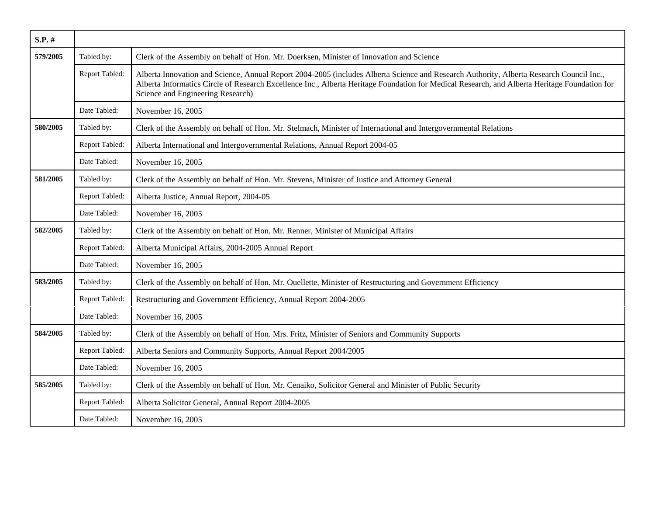| S.P. #   |                |                                                                                                                                                                                                                                                                                                                                |
|----------|----------------|--------------------------------------------------------------------------------------------------------------------------------------------------------------------------------------------------------------------------------------------------------------------------------------------------------------------------------|
| 579/2005 | Tabled by:     | Clerk of the Assembly on behalf of Hon. Mr. Doerksen, Minister of Innovation and Science                                                                                                                                                                                                                                       |
|          | Report Tabled: | Alberta Innovation and Science, Annual Report 2004-2005 (includes Alberta Science and Research Authority, Alberta Research Council Inc.,<br>Alberta Informatics Circle of Research Excellence Inc., Alberta Heritage Foundation for Medical Research, and Alberta Heritage Foundation for<br>Science and Engineering Research) |
|          | Date Tabled:   | November 16, 2005                                                                                                                                                                                                                                                                                                              |
| 580/2005 | Tabled by:     | Clerk of the Assembly on behalf of Hon. Mr. Stelmach, Minister of International and Intergovernmental Relations                                                                                                                                                                                                                |
|          | Report Tabled: | Alberta International and Intergovernmental Relations, Annual Report 2004-05                                                                                                                                                                                                                                                   |
|          | Date Tabled:   | November 16, 2005                                                                                                                                                                                                                                                                                                              |
| 581/2005 | Tabled by:     | Clerk of the Assembly on behalf of Hon. Mr. Stevens, Minister of Justice and Attorney General                                                                                                                                                                                                                                  |
|          | Report Tabled: | Alberta Justice, Annual Report, 2004-05                                                                                                                                                                                                                                                                                        |
|          | Date Tabled:   | November 16, 2005                                                                                                                                                                                                                                                                                                              |
| 582/2005 | Tabled by:     | Clerk of the Assembly on behalf of Hon. Mr. Renner, Minister of Municipal Affairs                                                                                                                                                                                                                                              |
|          | Report Tabled: | Alberta Municipal Affairs, 2004-2005 Annual Report                                                                                                                                                                                                                                                                             |
|          | Date Tabled:   | November 16, 2005                                                                                                                                                                                                                                                                                                              |
| 583/2005 | Tabled by:     | Clerk of the Assembly on behalf of Hon. Mr. Ouellette, Minister of Restructuring and Government Efficiency                                                                                                                                                                                                                     |
|          | Report Tabled: | Restructuring and Government Efficiency, Annual Report 2004-2005                                                                                                                                                                                                                                                               |
|          | Date Tabled:   | November 16, 2005                                                                                                                                                                                                                                                                                                              |
| 584/2005 | Tabled by:     | Clerk of the Assembly on behalf of Hon. Mrs. Fritz, Minister of Seniors and Community Supports                                                                                                                                                                                                                                 |
|          | Report Tabled: | Alberta Seniors and Community Supports, Annual Report 2004/2005                                                                                                                                                                                                                                                                |
|          | Date Tabled:   | November 16, 2005                                                                                                                                                                                                                                                                                                              |
| 585/2005 | Tabled by:     | Clerk of the Assembly on behalf of Hon. Mr. Cenaiko, Solicitor General and Minister of Public Security                                                                                                                                                                                                                         |
|          | Report Tabled: | Alberta Solicitor General, Annual Report 2004-2005                                                                                                                                                                                                                                                                             |
|          | Date Tabled:   | November 16, 2005                                                                                                                                                                                                                                                                                                              |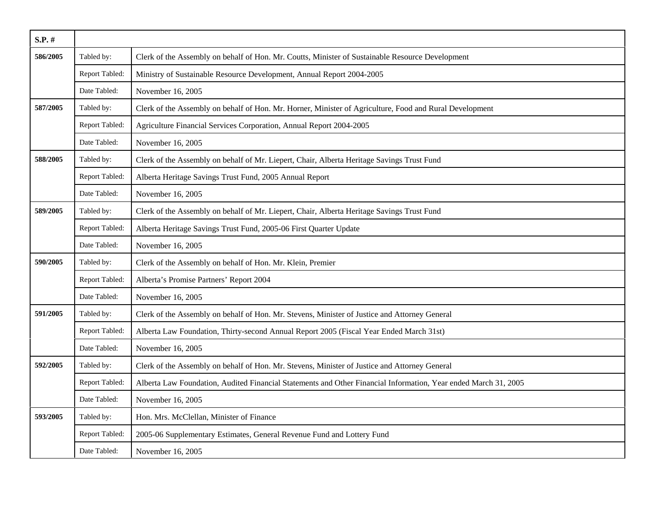| $S.P.$ # |                |                                                                                                                 |
|----------|----------------|-----------------------------------------------------------------------------------------------------------------|
| 586/2005 | Tabled by:     | Clerk of the Assembly on behalf of Hon. Mr. Coutts, Minister of Sustainable Resource Development                |
|          | Report Tabled: | Ministry of Sustainable Resource Development, Annual Report 2004-2005                                           |
|          | Date Tabled:   | November 16, 2005                                                                                               |
| 587/2005 | Tabled by:     | Clerk of the Assembly on behalf of Hon. Mr. Horner, Minister of Agriculture, Food and Rural Development         |
|          | Report Tabled: | Agriculture Financial Services Corporation, Annual Report 2004-2005                                             |
|          | Date Tabled:   | November 16, 2005                                                                                               |
| 588/2005 | Tabled by:     | Clerk of the Assembly on behalf of Mr. Liepert, Chair, Alberta Heritage Savings Trust Fund                      |
|          | Report Tabled: | Alberta Heritage Savings Trust Fund, 2005 Annual Report                                                         |
|          | Date Tabled:   | November 16, 2005                                                                                               |
| 589/2005 | Tabled by:     | Clerk of the Assembly on behalf of Mr. Liepert, Chair, Alberta Heritage Savings Trust Fund                      |
|          | Report Tabled: | Alberta Heritage Savings Trust Fund, 2005-06 First Quarter Update                                               |
|          | Date Tabled:   | November 16, 2005                                                                                               |
| 590/2005 | Tabled by:     | Clerk of the Assembly on behalf of Hon. Mr. Klein, Premier                                                      |
|          | Report Tabled: | Alberta's Promise Partners' Report 2004                                                                         |
|          | Date Tabled:   | November 16, 2005                                                                                               |
| 591/2005 | Tabled by:     | Clerk of the Assembly on behalf of Hon. Mr. Stevens, Minister of Justice and Attorney General                   |
|          | Report Tabled: | Alberta Law Foundation, Thirty-second Annual Report 2005 (Fiscal Year Ended March 31st)                         |
|          | Date Tabled:   | November 16, 2005                                                                                               |
| 592/2005 | Tabled by:     | Clerk of the Assembly on behalf of Hon. Mr. Stevens, Minister of Justice and Attorney General                   |
|          | Report Tabled: | Alberta Law Foundation, Audited Financial Statements and Other Financial Information, Year ended March 31, 2005 |
|          | Date Tabled:   | November 16, 2005                                                                                               |
| 593/2005 | Tabled by:     | Hon. Mrs. McClellan, Minister of Finance                                                                        |
|          | Report Tabled: | 2005-06 Supplementary Estimates, General Revenue Fund and Lottery Fund                                          |
|          | Date Tabled:   | November 16, 2005                                                                                               |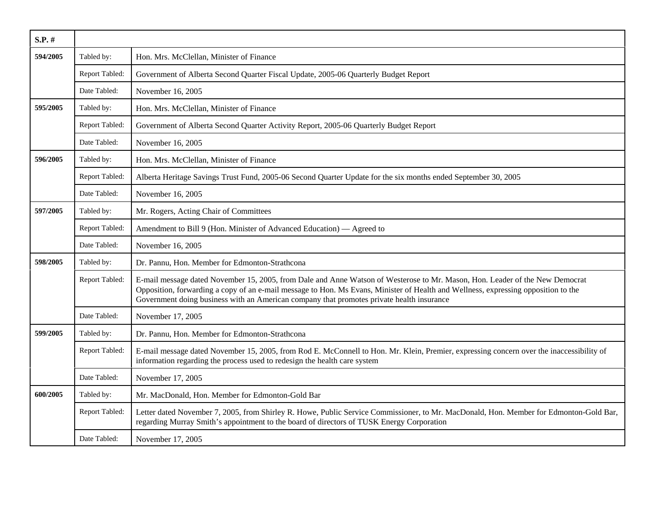| $S.P.$ # |                |                                                                                                                                                                                                                                                                                                                                                                 |
|----------|----------------|-----------------------------------------------------------------------------------------------------------------------------------------------------------------------------------------------------------------------------------------------------------------------------------------------------------------------------------------------------------------|
| 594/2005 | Tabled by:     | Hon. Mrs. McClellan, Minister of Finance                                                                                                                                                                                                                                                                                                                        |
|          | Report Tabled: | Government of Alberta Second Quarter Fiscal Update, 2005-06 Quarterly Budget Report                                                                                                                                                                                                                                                                             |
|          | Date Tabled:   | November 16, 2005                                                                                                                                                                                                                                                                                                                                               |
| 595/2005 | Tabled by:     | Hon. Mrs. McClellan, Minister of Finance                                                                                                                                                                                                                                                                                                                        |
|          | Report Tabled: | Government of Alberta Second Quarter Activity Report, 2005-06 Quarterly Budget Report                                                                                                                                                                                                                                                                           |
|          | Date Tabled:   | November 16, 2005                                                                                                                                                                                                                                                                                                                                               |
| 596/2005 | Tabled by:     | Hon. Mrs. McClellan, Minister of Finance                                                                                                                                                                                                                                                                                                                        |
|          | Report Tabled: | Alberta Heritage Savings Trust Fund, 2005-06 Second Quarter Update for the six months ended September 30, 2005                                                                                                                                                                                                                                                  |
|          | Date Tabled:   | November 16, 2005                                                                                                                                                                                                                                                                                                                                               |
| 597/2005 | Tabled by:     | Mr. Rogers, Acting Chair of Committees                                                                                                                                                                                                                                                                                                                          |
|          | Report Tabled: | Amendment to Bill 9 (Hon. Minister of Advanced Education) — Agreed to                                                                                                                                                                                                                                                                                           |
|          | Date Tabled:   | November 16, 2005                                                                                                                                                                                                                                                                                                                                               |
| 598/2005 | Tabled by:     | Dr. Pannu, Hon. Member for Edmonton-Strathcona                                                                                                                                                                                                                                                                                                                  |
|          | Report Tabled: | E-mail message dated November 15, 2005, from Dale and Anne Watson of Westerose to Mr. Mason, Hon. Leader of the New Democrat<br>Opposition, forwarding a copy of an e-mail message to Hon. Ms Evans, Minister of Health and Wellness, expressing opposition to the<br>Government doing business with an American company that promotes private health insurance |
|          | Date Tabled:   | November 17, 2005                                                                                                                                                                                                                                                                                                                                               |
| 599/2005 | Tabled by:     | Dr. Pannu, Hon. Member for Edmonton-Strathcona                                                                                                                                                                                                                                                                                                                  |
|          | Report Tabled: | E-mail message dated November 15, 2005, from Rod E. McConnell to Hon. Mr. Klein, Premier, expressing concern over the inaccessibility of<br>information regarding the process used to redesign the health care system                                                                                                                                           |
|          | Date Tabled:   | November 17, 2005                                                                                                                                                                                                                                                                                                                                               |
| 600/2005 | Tabled by:     | Mr. MacDonald, Hon. Member for Edmonton-Gold Bar                                                                                                                                                                                                                                                                                                                |
|          | Report Tabled: | Letter dated November 7, 2005, from Shirley R. Howe, Public Service Commissioner, to Mr. MacDonald, Hon. Member for Edmonton-Gold Bar,<br>regarding Murray Smith's appointment to the board of directors of TUSK Energy Corporation                                                                                                                             |
|          | Date Tabled:   | November 17, 2005                                                                                                                                                                                                                                                                                                                                               |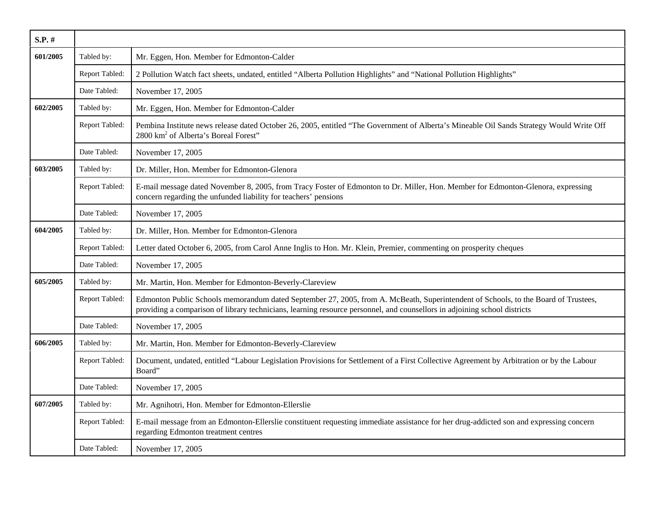| S.P. #   |                |                                                                                                                                                                                                                                                                 |
|----------|----------------|-----------------------------------------------------------------------------------------------------------------------------------------------------------------------------------------------------------------------------------------------------------------|
| 601/2005 | Tabled by:     | Mr. Eggen, Hon. Member for Edmonton-Calder                                                                                                                                                                                                                      |
|          | Report Tabled: | 2 Pollution Watch fact sheets, undated, entitled "Alberta Pollution Highlights" and "National Pollution Highlights"                                                                                                                                             |
|          | Date Tabled:   | November 17, 2005                                                                                                                                                                                                                                               |
| 602/2005 | Tabled by:     | Mr. Eggen, Hon. Member for Edmonton-Calder                                                                                                                                                                                                                      |
|          | Report Tabled: | Pembina Institute news release dated October 26, 2005, entitled "The Government of Alberta's Mineable Oil Sands Strategy Would Write Off<br>2800 km <sup>2</sup> of Alberta's Boreal Forest"                                                                    |
|          | Date Tabled:   | November 17, 2005                                                                                                                                                                                                                                               |
| 603/2005 | Tabled by:     | Dr. Miller, Hon. Member for Edmonton-Glenora                                                                                                                                                                                                                    |
|          | Report Tabled: | E-mail message dated November 8, 2005, from Tracy Foster of Edmonton to Dr. Miller, Hon. Member for Edmonton-Glenora, expressing<br>concern regarding the unfunded liability for teachers' pensions                                                             |
|          | Date Tabled:   | November 17, 2005                                                                                                                                                                                                                                               |
| 604/2005 | Tabled by:     | Dr. Miller, Hon. Member for Edmonton-Glenora                                                                                                                                                                                                                    |
|          | Report Tabled: | Letter dated October 6, 2005, from Carol Anne Inglis to Hon. Mr. Klein, Premier, commenting on prosperity cheques                                                                                                                                               |
|          | Date Tabled:   | November 17, 2005                                                                                                                                                                                                                                               |
| 605/2005 | Tabled by:     | Mr. Martin, Hon. Member for Edmonton-Beverly-Clareview                                                                                                                                                                                                          |
|          | Report Tabled: | Edmonton Public Schools memorandum dated September 27, 2005, from A. McBeath, Superintendent of Schools, to the Board of Trustees,<br>providing a comparison of library technicians, learning resource personnel, and counsellors in adjoining school districts |
|          | Date Tabled:   | November 17, 2005                                                                                                                                                                                                                                               |
| 606/2005 | Tabled by:     | Mr. Martin, Hon. Member for Edmonton-Beverly-Clareview                                                                                                                                                                                                          |
|          | Report Tabled: | Document, undated, entitled "Labour Legislation Provisions for Settlement of a First Collective Agreement by Arbitration or by the Labour<br>Board"                                                                                                             |
|          | Date Tabled:   | November 17, 2005                                                                                                                                                                                                                                               |
| 607/2005 | Tabled by:     | Mr. Agnihotri, Hon. Member for Edmonton-Ellerslie                                                                                                                                                                                                               |
|          | Report Tabled: | E-mail message from an Edmonton-Ellerslie constituent requesting immediate assistance for her drug-addicted son and expressing concern<br>regarding Edmonton treatment centres                                                                                  |
|          | Date Tabled:   | November 17, 2005                                                                                                                                                                                                                                               |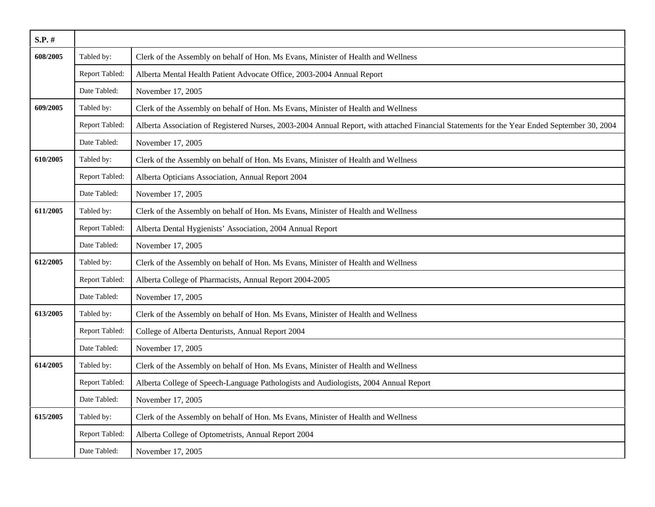| $S.P.$ # |                       |                                                                                                                                             |
|----------|-----------------------|---------------------------------------------------------------------------------------------------------------------------------------------|
| 608/2005 | Tabled by:            | Clerk of the Assembly on behalf of Hon. Ms Evans, Minister of Health and Wellness                                                           |
|          | Report Tabled:        | Alberta Mental Health Patient Advocate Office, 2003-2004 Annual Report                                                                      |
|          | Date Tabled:          | November 17, 2005                                                                                                                           |
| 609/2005 | Tabled by:            | Clerk of the Assembly on behalf of Hon. Ms Evans, Minister of Health and Wellness                                                           |
|          | Report Tabled:        | Alberta Association of Registered Nurses, 2003-2004 Annual Report, with attached Financial Statements for the Year Ended September 30, 2004 |
|          | Date Tabled:          | November 17, 2005                                                                                                                           |
| 610/2005 | Tabled by:            | Clerk of the Assembly on behalf of Hon. Ms Evans, Minister of Health and Wellness                                                           |
|          | Report Tabled:        | Alberta Opticians Association, Annual Report 2004                                                                                           |
|          | Date Tabled:          | November 17, 2005                                                                                                                           |
| 611/2005 | Tabled by:            | Clerk of the Assembly on behalf of Hon. Ms Evans, Minister of Health and Wellness                                                           |
|          | Report Tabled:        | Alberta Dental Hygienists' Association, 2004 Annual Report                                                                                  |
|          | Date Tabled:          | November 17, 2005                                                                                                                           |
| 612/2005 | Tabled by:            | Clerk of the Assembly on behalf of Hon. Ms Evans, Minister of Health and Wellness                                                           |
|          | Report Tabled:        | Alberta College of Pharmacists, Annual Report 2004-2005                                                                                     |
|          | Date Tabled:          | November 17, 2005                                                                                                                           |
| 613/2005 | Tabled by:            | Clerk of the Assembly on behalf of Hon. Ms Evans, Minister of Health and Wellness                                                           |
|          | Report Tabled:        | College of Alberta Denturists, Annual Report 2004                                                                                           |
|          | Date Tabled:          | November 17, 2005                                                                                                                           |
| 614/2005 | Tabled by:            | Clerk of the Assembly on behalf of Hon. Ms Evans, Minister of Health and Wellness                                                           |
|          | Report Tabled:        | Alberta College of Speech-Language Pathologists and Audiologists, 2004 Annual Report                                                        |
|          | Date Tabled:          | November 17, 2005                                                                                                                           |
| 615/2005 | Tabled by:            | Clerk of the Assembly on behalf of Hon. Ms Evans, Minister of Health and Wellness                                                           |
|          | <b>Report Tabled:</b> | Alberta College of Optometrists, Annual Report 2004                                                                                         |
|          | Date Tabled:          | November 17, 2005                                                                                                                           |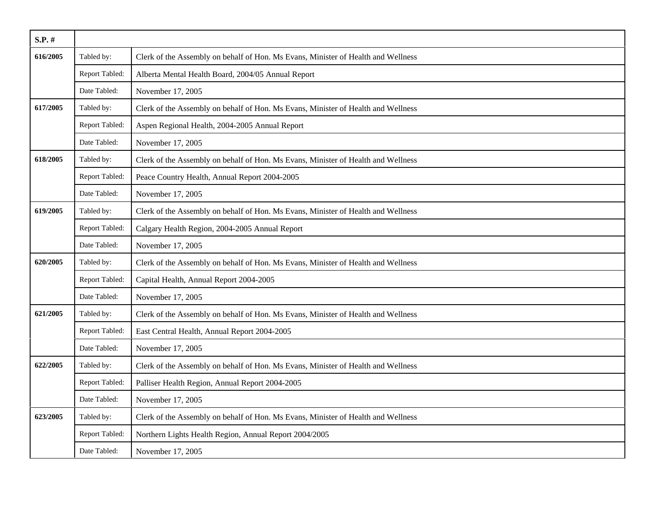| $S.P.$ # |                |                                                                                   |
|----------|----------------|-----------------------------------------------------------------------------------|
| 616/2005 | Tabled by:     | Clerk of the Assembly on behalf of Hon. Ms Evans, Minister of Health and Wellness |
|          | Report Tabled: | Alberta Mental Health Board, 2004/05 Annual Report                                |
|          | Date Tabled:   | November 17, 2005                                                                 |
| 617/2005 | Tabled by:     | Clerk of the Assembly on behalf of Hon. Ms Evans, Minister of Health and Wellness |
|          | Report Tabled: | Aspen Regional Health, 2004-2005 Annual Report                                    |
|          | Date Tabled:   | November 17, 2005                                                                 |
| 618/2005 | Tabled by:     | Clerk of the Assembly on behalf of Hon. Ms Evans, Minister of Health and Wellness |
|          | Report Tabled: | Peace Country Health, Annual Report 2004-2005                                     |
|          | Date Tabled:   | November 17, 2005                                                                 |
| 619/2005 | Tabled by:     | Clerk of the Assembly on behalf of Hon. Ms Evans, Minister of Health and Wellness |
|          | Report Tabled: | Calgary Health Region, 2004-2005 Annual Report                                    |
|          | Date Tabled:   | November 17, 2005                                                                 |
| 620/2005 | Tabled by:     | Clerk of the Assembly on behalf of Hon. Ms Evans, Minister of Health and Wellness |
|          | Report Tabled: | Capital Health, Annual Report 2004-2005                                           |
|          | Date Tabled:   | November 17, 2005                                                                 |
| 621/2005 | Tabled by:     | Clerk of the Assembly on behalf of Hon. Ms Evans, Minister of Health and Wellness |
|          | Report Tabled: | East Central Health, Annual Report 2004-2005                                      |
|          | Date Tabled:   | November 17, 2005                                                                 |
| 622/2005 | Tabled by:     | Clerk of the Assembly on behalf of Hon. Ms Evans, Minister of Health and Wellness |
|          | Report Tabled: | Palliser Health Region, Annual Report 2004-2005                                   |
|          | Date Tabled:   | November 17, 2005                                                                 |
| 623/2005 | Tabled by:     | Clerk of the Assembly on behalf of Hon. Ms Evans, Minister of Health and Wellness |
|          | Report Tabled: | Northern Lights Health Region, Annual Report 2004/2005                            |
|          | Date Tabled:   | November 17, 2005                                                                 |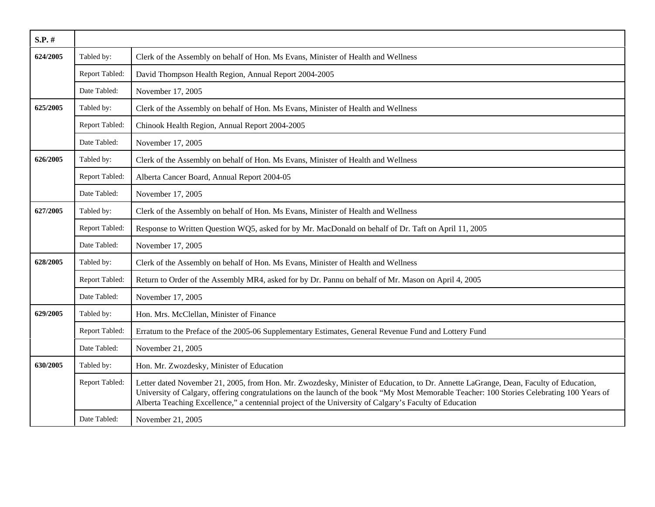| $S.P.$ # |                |                                                                                                                                                                                                                                                                                                                                                                                              |
|----------|----------------|----------------------------------------------------------------------------------------------------------------------------------------------------------------------------------------------------------------------------------------------------------------------------------------------------------------------------------------------------------------------------------------------|
| 624/2005 | Tabled by:     | Clerk of the Assembly on behalf of Hon. Ms Evans, Minister of Health and Wellness                                                                                                                                                                                                                                                                                                            |
|          | Report Tabled: | David Thompson Health Region, Annual Report 2004-2005                                                                                                                                                                                                                                                                                                                                        |
|          | Date Tabled:   | November 17, 2005                                                                                                                                                                                                                                                                                                                                                                            |
| 625/2005 | Tabled by:     | Clerk of the Assembly on behalf of Hon. Ms Evans, Minister of Health and Wellness                                                                                                                                                                                                                                                                                                            |
|          | Report Tabled: | Chinook Health Region, Annual Report 2004-2005                                                                                                                                                                                                                                                                                                                                               |
|          | Date Tabled:   | November 17, 2005                                                                                                                                                                                                                                                                                                                                                                            |
| 626/2005 | Tabled by:     | Clerk of the Assembly on behalf of Hon. Ms Evans, Minister of Health and Wellness                                                                                                                                                                                                                                                                                                            |
|          | Report Tabled: | Alberta Cancer Board, Annual Report 2004-05                                                                                                                                                                                                                                                                                                                                                  |
|          | Date Tabled:   | November 17, 2005                                                                                                                                                                                                                                                                                                                                                                            |
| 627/2005 | Tabled by:     | Clerk of the Assembly on behalf of Hon. Ms Evans, Minister of Health and Wellness                                                                                                                                                                                                                                                                                                            |
|          | Report Tabled: | Response to Written Question WQ5, asked for by Mr. MacDonald on behalf of Dr. Taft on April 11, 2005                                                                                                                                                                                                                                                                                         |
|          | Date Tabled:   | November 17, 2005                                                                                                                                                                                                                                                                                                                                                                            |
| 628/2005 | Tabled by:     | Clerk of the Assembly on behalf of Hon. Ms Evans, Minister of Health and Wellness                                                                                                                                                                                                                                                                                                            |
|          | Report Tabled: | Return to Order of the Assembly MR4, asked for by Dr. Pannu on behalf of Mr. Mason on April 4, 2005                                                                                                                                                                                                                                                                                          |
|          | Date Tabled:   | November 17, 2005                                                                                                                                                                                                                                                                                                                                                                            |
| 629/2005 | Tabled by:     | Hon. Mrs. McClellan, Minister of Finance                                                                                                                                                                                                                                                                                                                                                     |
|          | Report Tabled: | Erratum to the Preface of the 2005-06 Supplementary Estimates, General Revenue Fund and Lottery Fund                                                                                                                                                                                                                                                                                         |
|          | Date Tabled:   | November 21, 2005                                                                                                                                                                                                                                                                                                                                                                            |
| 630/2005 | Tabled by:     | Hon. Mr. Zwozdesky, Minister of Education                                                                                                                                                                                                                                                                                                                                                    |
|          | Report Tabled: | Letter dated November 21, 2005, from Hon. Mr. Zwozdesky, Minister of Education, to Dr. Annette LaGrange, Dean, Faculty of Education,<br>University of Calgary, offering congratulations on the launch of the book "My Most Memorable Teacher: 100 Stories Celebrating 100 Years of<br>Alberta Teaching Excellence," a centennial project of the University of Calgary's Faculty of Education |
|          | Date Tabled:   | November 21, 2005                                                                                                                                                                                                                                                                                                                                                                            |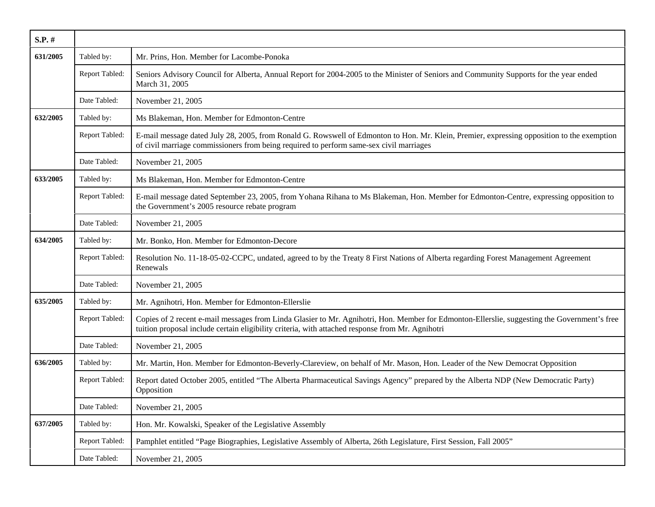| $S.P.$ # |                |                                                                                                                                                                                                                                                  |
|----------|----------------|--------------------------------------------------------------------------------------------------------------------------------------------------------------------------------------------------------------------------------------------------|
| 631/2005 | Tabled by:     | Mr. Prins, Hon. Member for Lacombe-Ponoka                                                                                                                                                                                                        |
|          | Report Tabled: | Seniors Advisory Council for Alberta, Annual Report for 2004-2005 to the Minister of Seniors and Community Supports for the year ended<br>March 31, 2005                                                                                         |
|          | Date Tabled:   | November 21, 2005                                                                                                                                                                                                                                |
| 632/2005 | Tabled by:     | Ms Blakeman, Hon. Member for Edmonton-Centre                                                                                                                                                                                                     |
|          | Report Tabled: | E-mail message dated July 28, 2005, from Ronald G. Rowswell of Edmonton to Hon. Mr. Klein, Premier, expressing opposition to the exemption<br>of civil marriage commissioners from being required to perform same-sex civil marriages            |
|          | Date Tabled:   | November 21, 2005                                                                                                                                                                                                                                |
| 633/2005 | Tabled by:     | Ms Blakeman, Hon. Member for Edmonton-Centre                                                                                                                                                                                                     |
|          | Report Tabled: | E-mail message dated September 23, 2005, from Yohana Rihana to Ms Blakeman, Hon. Member for Edmonton-Centre, expressing opposition to<br>the Government's 2005 resource rebate program                                                           |
|          | Date Tabled:   | November 21, 2005                                                                                                                                                                                                                                |
| 634/2005 | Tabled by:     | Mr. Bonko, Hon. Member for Edmonton-Decore                                                                                                                                                                                                       |
|          | Report Tabled: | Resolution No. 11-18-05-02-CCPC, undated, agreed to by the Treaty 8 First Nations of Alberta regarding Forest Management Agreement<br>Renewals                                                                                                   |
|          | Date Tabled:   | November 21, 2005                                                                                                                                                                                                                                |
| 635/2005 | Tabled by:     | Mr. Agnihotri, Hon. Member for Edmonton-Ellerslie                                                                                                                                                                                                |
|          | Report Tabled: | Copies of 2 recent e-mail messages from Linda Glasier to Mr. Agnihotri, Hon. Member for Edmonton-Ellerslie, suggesting the Government's free<br>tuition proposal include certain eligibility criteria, with attached response from Mr. Agnihotri |
|          | Date Tabled:   | November 21, 2005                                                                                                                                                                                                                                |
| 636/2005 | Tabled by:     | Mr. Martin, Hon. Member for Edmonton-Beverly-Clareview, on behalf of Mr. Mason, Hon. Leader of the New Democrat Opposition                                                                                                                       |
|          | Report Tabled: | Report dated October 2005, entitled "The Alberta Pharmaceutical Savings Agency" prepared by the Alberta NDP (New Democratic Party)<br>Opposition                                                                                                 |
|          | Date Tabled:   | November 21, 2005                                                                                                                                                                                                                                |
| 637/2005 | Tabled by:     | Hon. Mr. Kowalski, Speaker of the Legislative Assembly                                                                                                                                                                                           |
|          | Report Tabled: | Pamphlet entitled "Page Biographies, Legislative Assembly of Alberta, 26th Legislature, First Session, Fall 2005"                                                                                                                                |
|          | Date Tabled:   | November 21, 2005                                                                                                                                                                                                                                |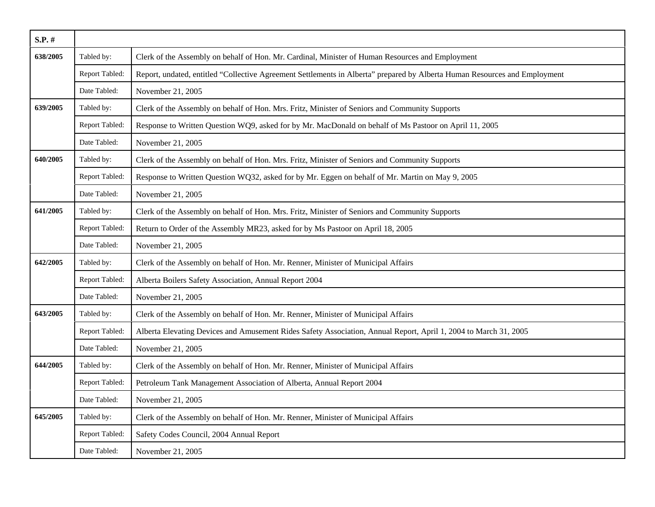| S.P. #   |                |                                                                                                                            |
|----------|----------------|----------------------------------------------------------------------------------------------------------------------------|
| 638/2005 | Tabled by:     | Clerk of the Assembly on behalf of Hon. Mr. Cardinal, Minister of Human Resources and Employment                           |
|          | Report Tabled: | Report, undated, entitled "Collective Agreement Settlements in Alberta" prepared by Alberta Human Resources and Employment |
|          | Date Tabled:   | November 21, 2005                                                                                                          |
| 639/2005 | Tabled by:     | Clerk of the Assembly on behalf of Hon. Mrs. Fritz, Minister of Seniors and Community Supports                             |
|          | Report Tabled: | Response to Written Question WQ9, asked for by Mr. MacDonald on behalf of Ms Pastoor on April 11, 2005                     |
|          | Date Tabled:   | November 21, 2005                                                                                                          |
| 640/2005 | Tabled by:     | Clerk of the Assembly on behalf of Hon. Mrs. Fritz, Minister of Seniors and Community Supports                             |
|          | Report Tabled: | Response to Written Question WQ32, asked for by Mr. Eggen on behalf of Mr. Martin on May 9, 2005                           |
|          | Date Tabled:   | November 21, 2005                                                                                                          |
| 641/2005 | Tabled by:     | Clerk of the Assembly on behalf of Hon. Mrs. Fritz, Minister of Seniors and Community Supports                             |
|          | Report Tabled: | Return to Order of the Assembly MR23, asked for by Ms Pastoor on April 18, 2005                                            |
|          | Date Tabled:   | November 21, 2005                                                                                                          |
| 642/2005 | Tabled by:     | Clerk of the Assembly on behalf of Hon. Mr. Renner, Minister of Municipal Affairs                                          |
|          | Report Tabled: | Alberta Boilers Safety Association, Annual Report 2004                                                                     |
|          | Date Tabled:   | November 21, 2005                                                                                                          |
| 643/2005 | Tabled by:     | Clerk of the Assembly on behalf of Hon. Mr. Renner, Minister of Municipal Affairs                                          |
|          | Report Tabled: | Alberta Elevating Devices and Amusement Rides Safety Association, Annual Report, April 1, 2004 to March 31, 2005           |
|          | Date Tabled:   | November 21, 2005                                                                                                          |
| 644/2005 | Tabled by:     | Clerk of the Assembly on behalf of Hon. Mr. Renner, Minister of Municipal Affairs                                          |
|          | Report Tabled: | Petroleum Tank Management Association of Alberta, Annual Report 2004                                                       |
|          | Date Tabled:   | November 21, 2005                                                                                                          |
| 645/2005 | Tabled by:     | Clerk of the Assembly on behalf of Hon. Mr. Renner, Minister of Municipal Affairs                                          |
|          | Report Tabled: | Safety Codes Council, 2004 Annual Report                                                                                   |
|          | Date Tabled:   | November 21, 2005                                                                                                          |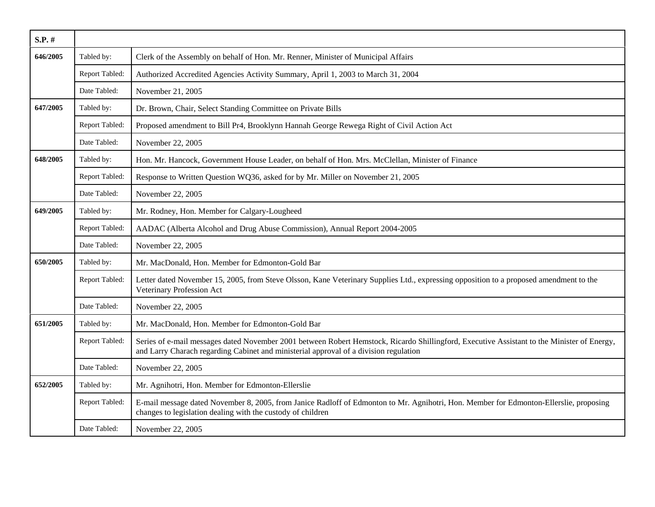| $S.P.$ # |                |                                                                                                                                                                                                                                      |
|----------|----------------|--------------------------------------------------------------------------------------------------------------------------------------------------------------------------------------------------------------------------------------|
| 646/2005 | Tabled by:     | Clerk of the Assembly on behalf of Hon. Mr. Renner, Minister of Municipal Affairs                                                                                                                                                    |
|          | Report Tabled: | Authorized Accredited Agencies Activity Summary, April 1, 2003 to March 31, 2004                                                                                                                                                     |
|          | Date Tabled:   | November 21, 2005                                                                                                                                                                                                                    |
| 647/2005 | Tabled by:     | Dr. Brown, Chair, Select Standing Committee on Private Bills                                                                                                                                                                         |
|          | Report Tabled: | Proposed amendment to Bill Pr4, Brooklynn Hannah George Rewega Right of Civil Action Act                                                                                                                                             |
|          | Date Tabled:   | November 22, 2005                                                                                                                                                                                                                    |
| 648/2005 | Tabled by:     | Hon. Mr. Hancock, Government House Leader, on behalf of Hon. Mrs. McClellan, Minister of Finance                                                                                                                                     |
|          | Report Tabled: | Response to Written Question WQ36, asked for by Mr. Miller on November 21, 2005                                                                                                                                                      |
|          | Date Tabled:   | November 22, 2005                                                                                                                                                                                                                    |
| 649/2005 | Tabled by:     | Mr. Rodney, Hon. Member for Calgary-Lougheed                                                                                                                                                                                         |
|          | Report Tabled: | AADAC (Alberta Alcohol and Drug Abuse Commission), Annual Report 2004-2005                                                                                                                                                           |
|          | Date Tabled:   | November 22, 2005                                                                                                                                                                                                                    |
| 650/2005 | Tabled by:     | Mr. MacDonald, Hon. Member for Edmonton-Gold Bar                                                                                                                                                                                     |
|          | Report Tabled: | Letter dated November 15, 2005, from Steve Olsson, Kane Veterinary Supplies Ltd., expressing opposition to a proposed amendment to the<br>Veterinary Profession Act                                                                  |
|          | Date Tabled:   | November 22, 2005                                                                                                                                                                                                                    |
| 651/2005 | Tabled by:     | Mr. MacDonald, Hon. Member for Edmonton-Gold Bar                                                                                                                                                                                     |
|          | Report Tabled: | Series of e-mail messages dated November 2001 between Robert Hemstock, Ricardo Shillingford, Executive Assistant to the Minister of Energy,<br>and Larry Charach regarding Cabinet and ministerial approval of a division regulation |
|          | Date Tabled:   | November 22, 2005                                                                                                                                                                                                                    |
| 652/2005 | Tabled by:     | Mr. Agnihotri, Hon. Member for Edmonton-Ellerslie                                                                                                                                                                                    |
|          | Report Tabled: | E-mail message dated November 8, 2005, from Janice Radloff of Edmonton to Mr. Agnihotri, Hon. Member for Edmonton-Ellerslie, proposing<br>changes to legislation dealing with the custody of children                                |
|          | Date Tabled:   | November 22, 2005                                                                                                                                                                                                                    |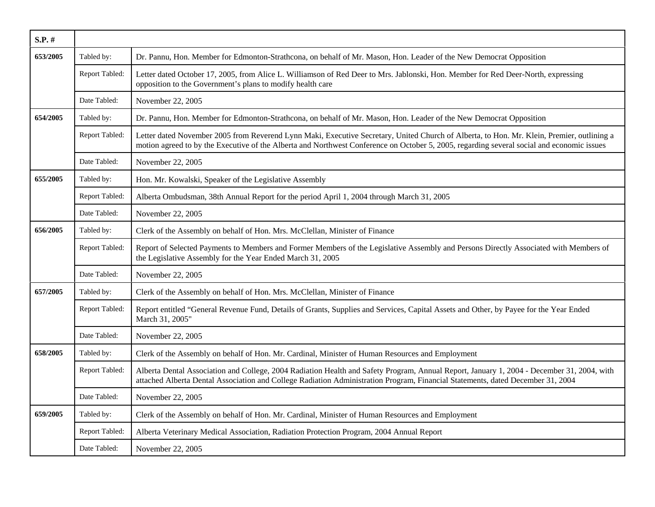| $S.P.$ # |                |                                                                                                                                                                                                                                                                                          |
|----------|----------------|------------------------------------------------------------------------------------------------------------------------------------------------------------------------------------------------------------------------------------------------------------------------------------------|
| 653/2005 | Tabled by:     | Dr. Pannu, Hon. Member for Edmonton-Strathcona, on behalf of Mr. Mason, Hon. Leader of the New Democrat Opposition                                                                                                                                                                       |
|          | Report Tabled: | Letter dated October 17, 2005, from Alice L. Williamson of Red Deer to Mrs. Jablonski, Hon. Member for Red Deer-North, expressing<br>opposition to the Government's plans to modify health care                                                                                          |
|          | Date Tabled:   | November 22, 2005                                                                                                                                                                                                                                                                        |
| 654/2005 | Tabled by:     | Dr. Pannu, Hon. Member for Edmonton-Strathcona, on behalf of Mr. Mason, Hon. Leader of the New Democrat Opposition                                                                                                                                                                       |
|          | Report Tabled: | Letter dated November 2005 from Reverend Lynn Maki, Executive Secretary, United Church of Alberta, to Hon. Mr. Klein, Premier, outlining a<br>motion agreed to by the Executive of the Alberta and Northwest Conference on October 5, 2005, regarding several social and economic issues |
|          | Date Tabled:   | November 22, 2005                                                                                                                                                                                                                                                                        |
| 655/2005 | Tabled by:     | Hon. Mr. Kowalski, Speaker of the Legislative Assembly                                                                                                                                                                                                                                   |
|          | Report Tabled: | Alberta Ombudsman, 38th Annual Report for the period April 1, 2004 through March 31, 2005                                                                                                                                                                                                |
|          | Date Tabled:   | November 22, 2005                                                                                                                                                                                                                                                                        |
| 656/2005 | Tabled by:     | Clerk of the Assembly on behalf of Hon. Mrs. McClellan, Minister of Finance                                                                                                                                                                                                              |
|          | Report Tabled: | Report of Selected Payments to Members and Former Members of the Legislative Assembly and Persons Directly Associated with Members of<br>the Legislative Assembly for the Year Ended March 31, 2005                                                                                      |
|          | Date Tabled:   | November 22, 2005                                                                                                                                                                                                                                                                        |
| 657/2005 | Tabled by:     | Clerk of the Assembly on behalf of Hon. Mrs. McClellan, Minister of Finance                                                                                                                                                                                                              |
|          | Report Tabled: | Report entitled "General Revenue Fund, Details of Grants, Supplies and Services, Capital Assets and Other, by Payee for the Year Ended<br>March 31, 2005"                                                                                                                                |
|          | Date Tabled:   | November 22, 2005                                                                                                                                                                                                                                                                        |
| 658/2005 | Tabled by:     | Clerk of the Assembly on behalf of Hon. Mr. Cardinal, Minister of Human Resources and Employment                                                                                                                                                                                         |
|          | Report Tabled: | Alberta Dental Association and College, 2004 Radiation Health and Safety Program, Annual Report, January 1, 2004 - December 31, 2004, with<br>attached Alberta Dental Association and College Radiation Administration Program, Financial Statements, dated December 31, 2004            |
|          | Date Tabled:   | November 22, 2005                                                                                                                                                                                                                                                                        |
| 659/2005 | Tabled by:     | Clerk of the Assembly on behalf of Hon. Mr. Cardinal, Minister of Human Resources and Employment                                                                                                                                                                                         |
|          | Report Tabled: | Alberta Veterinary Medical Association, Radiation Protection Program, 2004 Annual Report                                                                                                                                                                                                 |
|          | Date Tabled:   | November 22, 2005                                                                                                                                                                                                                                                                        |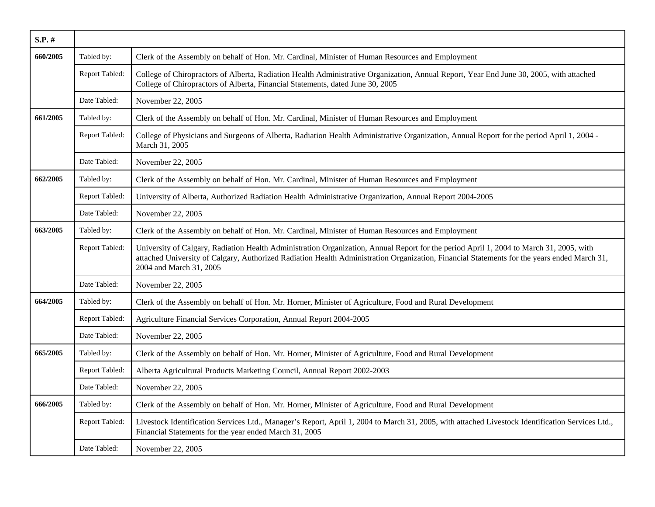| $S.P.$ # |                |                                                                                                                                                                                                                                                                                                                   |
|----------|----------------|-------------------------------------------------------------------------------------------------------------------------------------------------------------------------------------------------------------------------------------------------------------------------------------------------------------------|
| 660/2005 | Tabled by:     | Clerk of the Assembly on behalf of Hon. Mr. Cardinal, Minister of Human Resources and Employment                                                                                                                                                                                                                  |
|          | Report Tabled: | College of Chiropractors of Alberta, Radiation Health Administrative Organization, Annual Report, Year End June 30, 2005, with attached<br>College of Chiropractors of Alberta, Financial Statements, dated June 30, 2005                                                                                         |
|          | Date Tabled:   | November 22, 2005                                                                                                                                                                                                                                                                                                 |
| 661/2005 | Tabled by:     | Clerk of the Assembly on behalf of Hon. Mr. Cardinal, Minister of Human Resources and Employment                                                                                                                                                                                                                  |
|          | Report Tabled: | College of Physicians and Surgeons of Alberta, Radiation Health Administrative Organization, Annual Report for the period April 1, 2004 -<br>March 31, 2005                                                                                                                                                       |
|          | Date Tabled:   | November 22, 2005                                                                                                                                                                                                                                                                                                 |
| 662/2005 | Tabled by:     | Clerk of the Assembly on behalf of Hon. Mr. Cardinal, Minister of Human Resources and Employment                                                                                                                                                                                                                  |
|          | Report Tabled: | University of Alberta, Authorized Radiation Health Administrative Organization, Annual Report 2004-2005                                                                                                                                                                                                           |
|          | Date Tabled:   | November 22, 2005                                                                                                                                                                                                                                                                                                 |
| 663/2005 | Tabled by:     | Clerk of the Assembly on behalf of Hon. Mr. Cardinal, Minister of Human Resources and Employment                                                                                                                                                                                                                  |
|          | Report Tabled: | University of Calgary, Radiation Health Administration Organization, Annual Report for the period April 1, 2004 to March 31, 2005, with<br>attached University of Calgary, Authorized Radiation Health Administration Organization, Financial Statements for the years ended March 31,<br>2004 and March 31, 2005 |
|          | Date Tabled:   | November 22, 2005                                                                                                                                                                                                                                                                                                 |
| 664/2005 | Tabled by:     | Clerk of the Assembly on behalf of Hon. Mr. Horner, Minister of Agriculture, Food and Rural Development                                                                                                                                                                                                           |
|          | Report Tabled: | Agriculture Financial Services Corporation, Annual Report 2004-2005                                                                                                                                                                                                                                               |
|          | Date Tabled:   | November 22, 2005                                                                                                                                                                                                                                                                                                 |
| 665/2005 | Tabled by:     | Clerk of the Assembly on behalf of Hon. Mr. Horner, Minister of Agriculture, Food and Rural Development                                                                                                                                                                                                           |
|          | Report Tabled: | Alberta Agricultural Products Marketing Council, Annual Report 2002-2003                                                                                                                                                                                                                                          |
|          | Date Tabled:   | November 22, 2005                                                                                                                                                                                                                                                                                                 |
| 666/2005 | Tabled by:     | Clerk of the Assembly on behalf of Hon. Mr. Horner, Minister of Agriculture, Food and Rural Development                                                                                                                                                                                                           |
|          | Report Tabled: | Livestock Identification Services Ltd., Manager's Report, April 1, 2004 to March 31, 2005, with attached Livestock Identification Services Ltd.,<br>Financial Statements for the year ended March 31, 2005                                                                                                        |
|          | Date Tabled:   | November 22, 2005                                                                                                                                                                                                                                                                                                 |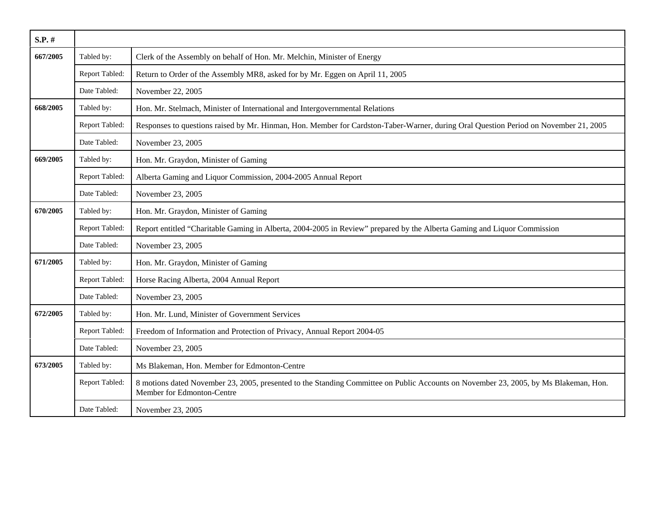| $S.P.$ # |                |                                                                                                                                                                    |
|----------|----------------|--------------------------------------------------------------------------------------------------------------------------------------------------------------------|
| 667/2005 | Tabled by:     | Clerk of the Assembly on behalf of Hon. Mr. Melchin, Minister of Energy                                                                                            |
|          | Report Tabled: | Return to Order of the Assembly MR8, asked for by Mr. Eggen on April 11, 2005                                                                                      |
|          | Date Tabled:   | November 22, 2005                                                                                                                                                  |
| 668/2005 | Tabled by:     | Hon. Mr. Stelmach, Minister of International and Intergovernmental Relations                                                                                       |
|          | Report Tabled: | Responses to questions raised by Mr. Hinman, Hon. Member for Cardston-Taber-Warner, during Oral Question Period on November 21, 2005                               |
|          | Date Tabled:   | November 23, 2005                                                                                                                                                  |
| 669/2005 | Tabled by:     | Hon. Mr. Graydon, Minister of Gaming                                                                                                                               |
|          | Report Tabled: | Alberta Gaming and Liquor Commission, 2004-2005 Annual Report                                                                                                      |
|          | Date Tabled:   | November 23, 2005                                                                                                                                                  |
| 670/2005 | Tabled by:     | Hon. Mr. Graydon, Minister of Gaming                                                                                                                               |
|          | Report Tabled: | Report entitled "Charitable Gaming in Alberta, 2004-2005 in Review" prepared by the Alberta Gaming and Liquor Commission                                           |
|          | Date Tabled:   | November 23, 2005                                                                                                                                                  |
| 671/2005 | Tabled by:     | Hon. Mr. Graydon, Minister of Gaming                                                                                                                               |
|          | Report Tabled: | Horse Racing Alberta, 2004 Annual Report                                                                                                                           |
|          | Date Tabled:   | November 23, 2005                                                                                                                                                  |
| 672/2005 | Tabled by:     | Hon. Mr. Lund, Minister of Government Services                                                                                                                     |
|          | Report Tabled: | Freedom of Information and Protection of Privacy, Annual Report 2004-05                                                                                            |
|          | Date Tabled:   | November 23, 2005                                                                                                                                                  |
| 673/2005 | Tabled by:     | Ms Blakeman, Hon. Member for Edmonton-Centre                                                                                                                       |
|          | Report Tabled: | 8 motions dated November 23, 2005, presented to the Standing Committee on Public Accounts on November 23, 2005, by Ms Blakeman, Hon.<br>Member for Edmonton-Centre |
|          | Date Tabled:   | November 23, 2005                                                                                                                                                  |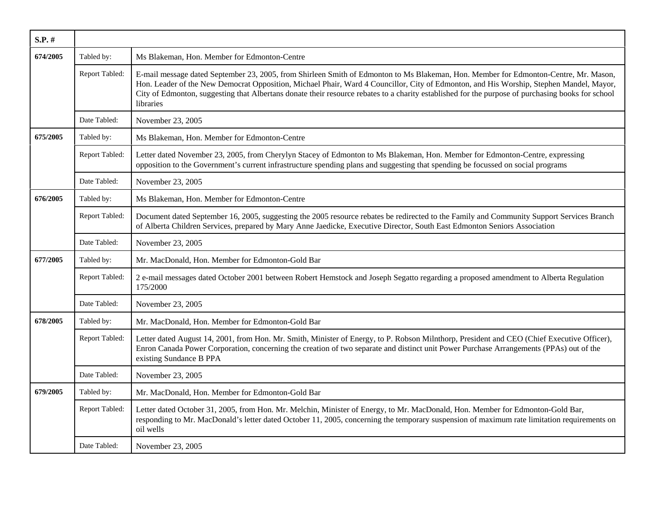| $S.P.$ # |                |                                                                                                                                                                                                                                                                                                                                                                                                                                                   |
|----------|----------------|---------------------------------------------------------------------------------------------------------------------------------------------------------------------------------------------------------------------------------------------------------------------------------------------------------------------------------------------------------------------------------------------------------------------------------------------------|
| 674/2005 | Tabled by:     | Ms Blakeman, Hon. Member for Edmonton-Centre                                                                                                                                                                                                                                                                                                                                                                                                      |
|          | Report Tabled: | E-mail message dated September 23, 2005, from Shirleen Smith of Edmonton to Ms Blakeman, Hon. Member for Edmonton-Centre, Mr. Mason,<br>Hon. Leader of the New Democrat Opposition, Michael Phair, Ward 4 Councillor, City of Edmonton, and His Worship, Stephen Mandel, Mayor,<br>City of Edmonton, suggesting that Albertans donate their resource rebates to a charity established for the purpose of purchasing books for school<br>libraries |
|          | Date Tabled:   | November 23, 2005                                                                                                                                                                                                                                                                                                                                                                                                                                 |
| 675/2005 | Tabled by:     | Ms Blakeman, Hon. Member for Edmonton-Centre                                                                                                                                                                                                                                                                                                                                                                                                      |
|          | Report Tabled: | Letter dated November 23, 2005, from Cherylyn Stacey of Edmonton to Ms Blakeman, Hon. Member for Edmonton-Centre, expressing<br>opposition to the Government's current infrastructure spending plans and suggesting that spending be focussed on social programs                                                                                                                                                                                  |
|          | Date Tabled:   | November 23, 2005                                                                                                                                                                                                                                                                                                                                                                                                                                 |
| 676/2005 | Tabled by:     | Ms Blakeman, Hon. Member for Edmonton-Centre                                                                                                                                                                                                                                                                                                                                                                                                      |
|          | Report Tabled: | Document dated September 16, 2005, suggesting the 2005 resource rebates be redirected to the Family and Community Support Services Branch<br>of Alberta Children Services, prepared by Mary Anne Jaedicke, Executive Director, South East Edmonton Seniors Association                                                                                                                                                                            |
|          | Date Tabled:   | November 23, 2005                                                                                                                                                                                                                                                                                                                                                                                                                                 |
| 677/2005 | Tabled by:     | Mr. MacDonald, Hon. Member for Edmonton-Gold Bar                                                                                                                                                                                                                                                                                                                                                                                                  |
|          | Report Tabled: | 2 e-mail messages dated October 2001 between Robert Hemstock and Joseph Segatto regarding a proposed amendment to Alberta Regulation<br>175/2000                                                                                                                                                                                                                                                                                                  |
|          | Date Tabled:   | November 23, 2005                                                                                                                                                                                                                                                                                                                                                                                                                                 |
| 678/2005 | Tabled by:     | Mr. MacDonald, Hon. Member for Edmonton-Gold Bar                                                                                                                                                                                                                                                                                                                                                                                                  |
|          | Report Tabled: | Letter dated August 14, 2001, from Hon. Mr. Smith, Minister of Energy, to P. Robson Milnthorp, President and CEO (Chief Executive Officer),<br>Enron Canada Power Corporation, concerning the creation of two separate and distinct unit Power Purchase Arrangements (PPAs) out of the<br>existing Sundance B PPA                                                                                                                                 |
|          | Date Tabled:   | November 23, 2005                                                                                                                                                                                                                                                                                                                                                                                                                                 |
| 679/2005 | Tabled by:     | Mr. MacDonald, Hon. Member for Edmonton-Gold Bar                                                                                                                                                                                                                                                                                                                                                                                                  |
|          | Report Tabled: | Letter dated October 31, 2005, from Hon. Mr. Melchin, Minister of Energy, to Mr. MacDonald, Hon. Member for Edmonton-Gold Bar,<br>responding to Mr. MacDonald's letter dated October 11, 2005, concerning the temporary suspension of maximum rate limitation requirements on<br>oil wells                                                                                                                                                        |
|          | Date Tabled:   | November 23, 2005                                                                                                                                                                                                                                                                                                                                                                                                                                 |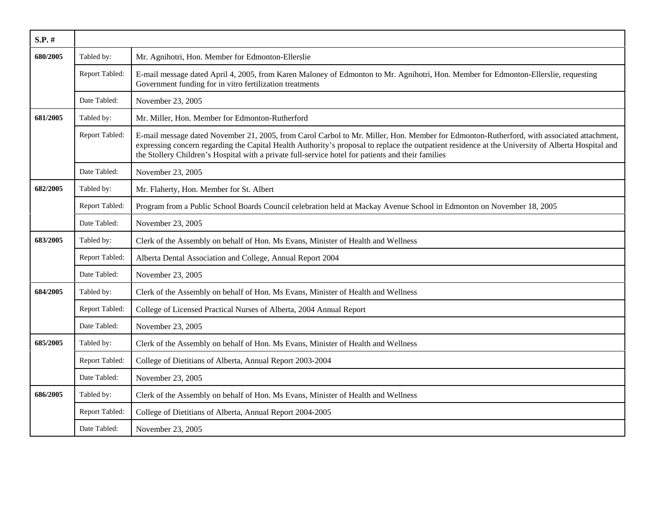| S.P. #   |                |                                                                                                                                                                                                                                                                                                                                                                                                       |
|----------|----------------|-------------------------------------------------------------------------------------------------------------------------------------------------------------------------------------------------------------------------------------------------------------------------------------------------------------------------------------------------------------------------------------------------------|
| 680/2005 | Tabled by:     | Mr. Agnihotri, Hon. Member for Edmonton-Ellerslie                                                                                                                                                                                                                                                                                                                                                     |
|          | Report Tabled: | E-mail message dated April 4, 2005, from Karen Maloney of Edmonton to Mr. Agnihotri, Hon. Member for Edmonton-Ellerslie, requesting<br>Government funding for in vitro fertilization treatments                                                                                                                                                                                                       |
|          | Date Tabled:   | November 23, 2005                                                                                                                                                                                                                                                                                                                                                                                     |
| 681/2005 | Tabled by:     | Mr. Miller, Hon. Member for Edmonton-Rutherford                                                                                                                                                                                                                                                                                                                                                       |
|          | Report Tabled: | E-mail message dated November 21, 2005, from Carol Carbol to Mr. Miller, Hon. Member for Edmonton-Rutherford, with associated attachment,<br>expressing concern regarding the Capital Health Authority's proposal to replace the outpatient residence at the University of Alberta Hospital and<br>the Stollery Children's Hospital with a private full-service hotel for patients and their families |
|          | Date Tabled:   | November 23, 2005                                                                                                                                                                                                                                                                                                                                                                                     |
| 682/2005 | Tabled by:     | Mr. Flaherty, Hon. Member for St. Albert                                                                                                                                                                                                                                                                                                                                                              |
|          | Report Tabled: | Program from a Public School Boards Council celebration held at Mackay Avenue School in Edmonton on November 18, 2005                                                                                                                                                                                                                                                                                 |
|          | Date Tabled:   | November 23, 2005                                                                                                                                                                                                                                                                                                                                                                                     |
| 683/2005 | Tabled by:     | Clerk of the Assembly on behalf of Hon. Ms Evans, Minister of Health and Wellness                                                                                                                                                                                                                                                                                                                     |
|          | Report Tabled: | Alberta Dental Association and College, Annual Report 2004                                                                                                                                                                                                                                                                                                                                            |
|          | Date Tabled:   | November 23, 2005                                                                                                                                                                                                                                                                                                                                                                                     |
| 684/2005 | Tabled by:     | Clerk of the Assembly on behalf of Hon. Ms Evans, Minister of Health and Wellness                                                                                                                                                                                                                                                                                                                     |
|          | Report Tabled: | College of Licensed Practical Nurses of Alberta, 2004 Annual Report                                                                                                                                                                                                                                                                                                                                   |
|          | Date Tabled:   | November 23, 2005                                                                                                                                                                                                                                                                                                                                                                                     |
| 685/2005 | Tabled by:     | Clerk of the Assembly on behalf of Hon. Ms Evans, Minister of Health and Wellness                                                                                                                                                                                                                                                                                                                     |
|          | Report Tabled: | College of Dietitians of Alberta, Annual Report 2003-2004                                                                                                                                                                                                                                                                                                                                             |
|          | Date Tabled:   | November 23, 2005                                                                                                                                                                                                                                                                                                                                                                                     |
| 686/2005 | Tabled by:     | Clerk of the Assembly on behalf of Hon. Ms Evans, Minister of Health and Wellness                                                                                                                                                                                                                                                                                                                     |
|          | Report Tabled: | College of Dietitians of Alberta, Annual Report 2004-2005                                                                                                                                                                                                                                                                                                                                             |
|          | Date Tabled:   | November 23, 2005                                                                                                                                                                                                                                                                                                                                                                                     |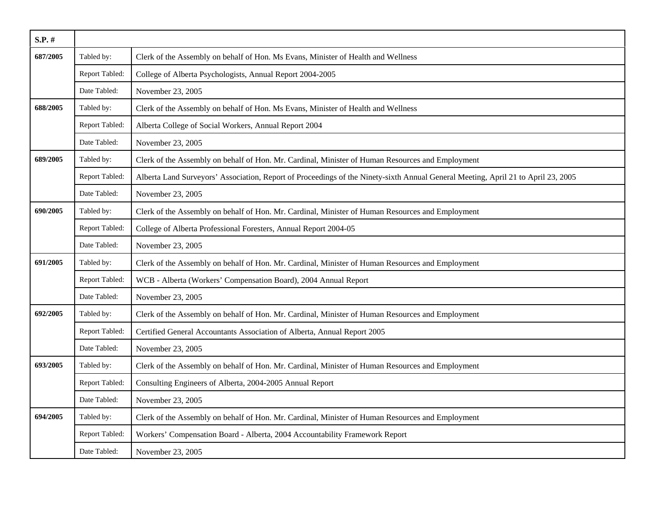| $S.P.$ # |                |                                                                                                                                   |
|----------|----------------|-----------------------------------------------------------------------------------------------------------------------------------|
| 687/2005 | Tabled by:     | Clerk of the Assembly on behalf of Hon. Ms Evans, Minister of Health and Wellness                                                 |
|          | Report Tabled: | College of Alberta Psychologists, Annual Report 2004-2005                                                                         |
|          | Date Tabled:   | November 23, 2005                                                                                                                 |
| 688/2005 | Tabled by:     | Clerk of the Assembly on behalf of Hon. Ms Evans, Minister of Health and Wellness                                                 |
|          | Report Tabled: | Alberta College of Social Workers, Annual Report 2004                                                                             |
|          | Date Tabled:   | November 23, 2005                                                                                                                 |
| 689/2005 | Tabled by:     | Clerk of the Assembly on behalf of Hon. Mr. Cardinal, Minister of Human Resources and Employment                                  |
|          | Report Tabled: | Alberta Land Surveyors' Association, Report of Proceedings of the Ninety-sixth Annual General Meeting, April 21 to April 23, 2005 |
|          | Date Tabled:   | November 23, 2005                                                                                                                 |
| 690/2005 | Tabled by:     | Clerk of the Assembly on behalf of Hon. Mr. Cardinal, Minister of Human Resources and Employment                                  |
|          | Report Tabled: | College of Alberta Professional Foresters, Annual Report 2004-05                                                                  |
|          | Date Tabled:   | November 23, 2005                                                                                                                 |
| 691/2005 | Tabled by:     | Clerk of the Assembly on behalf of Hon. Mr. Cardinal, Minister of Human Resources and Employment                                  |
|          | Report Tabled: | WCB - Alberta (Workers' Compensation Board), 2004 Annual Report                                                                   |
|          | Date Tabled:   | November 23, 2005                                                                                                                 |
| 692/2005 | Tabled by:     | Clerk of the Assembly on behalf of Hon. Mr. Cardinal, Minister of Human Resources and Employment                                  |
|          | Report Tabled: | Certified General Accountants Association of Alberta, Annual Report 2005                                                          |
|          | Date Tabled:   | November 23, 2005                                                                                                                 |
| 693/2005 | Tabled by:     | Clerk of the Assembly on behalf of Hon. Mr. Cardinal, Minister of Human Resources and Employment                                  |
|          | Report Tabled: | Consulting Engineers of Alberta, 2004-2005 Annual Report                                                                          |
|          | Date Tabled:   | November 23, 2005                                                                                                                 |
| 694/2005 | Tabled by:     | Clerk of the Assembly on behalf of Hon. Mr. Cardinal, Minister of Human Resources and Employment                                  |
|          | Report Tabled: | Workers' Compensation Board - Alberta, 2004 Accountability Framework Report                                                       |
|          | Date Tabled:   | November 23, 2005                                                                                                                 |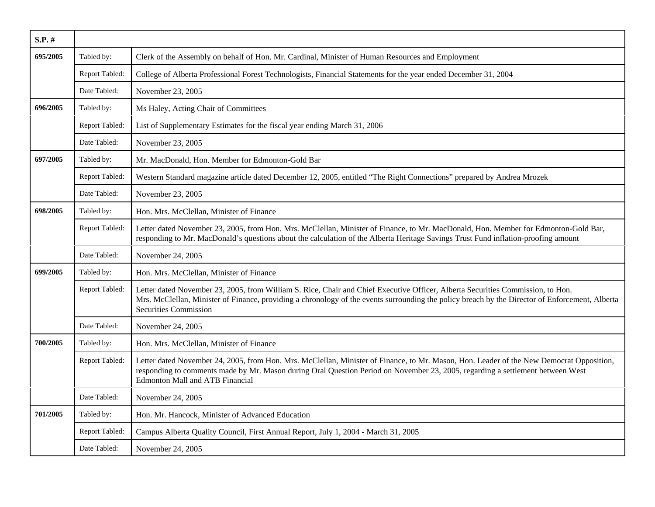| S.P. #   |                |                                                                                                                                                                                                                                                                                                                      |
|----------|----------------|----------------------------------------------------------------------------------------------------------------------------------------------------------------------------------------------------------------------------------------------------------------------------------------------------------------------|
| 695/2005 | Tabled by:     | Clerk of the Assembly on behalf of Hon. Mr. Cardinal, Minister of Human Resources and Employment                                                                                                                                                                                                                     |
|          | Report Tabled: | College of Alberta Professional Forest Technologists, Financial Statements for the year ended December 31, 2004                                                                                                                                                                                                      |
|          | Date Tabled:   | November 23, 2005                                                                                                                                                                                                                                                                                                    |
| 696/2005 | Tabled by:     | Ms Haley, Acting Chair of Committees                                                                                                                                                                                                                                                                                 |
|          | Report Tabled: | List of Supplementary Estimates for the fiscal year ending March 31, 2006                                                                                                                                                                                                                                            |
|          | Date Tabled:   | November 23, 2005                                                                                                                                                                                                                                                                                                    |
| 697/2005 | Tabled by:     | Mr. MacDonald, Hon. Member for Edmonton-Gold Bar                                                                                                                                                                                                                                                                     |
|          | Report Tabled: | Western Standard magazine article dated December 12, 2005, entitled "The Right Connections" prepared by Andrea Mrozek                                                                                                                                                                                                |
|          | Date Tabled:   | November 23, 2005                                                                                                                                                                                                                                                                                                    |
| 698/2005 | Tabled by:     | Hon. Mrs. McClellan, Minister of Finance                                                                                                                                                                                                                                                                             |
|          | Report Tabled: | Letter dated November 23, 2005, from Hon. Mrs. McClellan, Minister of Finance, to Mr. MacDonald, Hon. Member for Edmonton-Gold Bar,<br>responding to Mr. MacDonald's questions about the calculation of the Alberta Heritage Savings Trust Fund inflation-proofing amount                                            |
|          | Date Tabled:   | November 24, 2005                                                                                                                                                                                                                                                                                                    |
| 699/2005 | Tabled by:     | Hon. Mrs. McClellan, Minister of Finance                                                                                                                                                                                                                                                                             |
|          | Report Tabled: | Letter dated November 23, 2005, from William S. Rice, Chair and Chief Executive Officer, Alberta Securities Commission, to Hon.<br>Mrs. McClellan, Minister of Finance, providing a chronology of the events surrounding the policy breach by the Director of Enforcement, Alberta<br><b>Securities Commission</b>   |
|          | Date Tabled:   | November 24, 2005                                                                                                                                                                                                                                                                                                    |
| 700/2005 | Tabled by:     | Hon. Mrs. McClellan, Minister of Finance                                                                                                                                                                                                                                                                             |
|          | Report Tabled: | Letter dated November 24, 2005, from Hon. Mrs. McClellan, Minister of Finance, to Mr. Mason, Hon. Leader of the New Democrat Opposition,<br>responding to comments made by Mr. Mason during Oral Question Period on November 23, 2005, regarding a settlement between West<br><b>Edmonton Mall and ATB Financial</b> |
|          | Date Tabled:   | November 24, 2005                                                                                                                                                                                                                                                                                                    |
| 701/2005 | Tabled by:     | Hon. Mr. Hancock, Minister of Advanced Education                                                                                                                                                                                                                                                                     |
|          | Report Tabled: | Campus Alberta Quality Council, First Annual Report, July 1, 2004 - March 31, 2005                                                                                                                                                                                                                                   |
|          | Date Tabled:   | November 24, 2005                                                                                                                                                                                                                                                                                                    |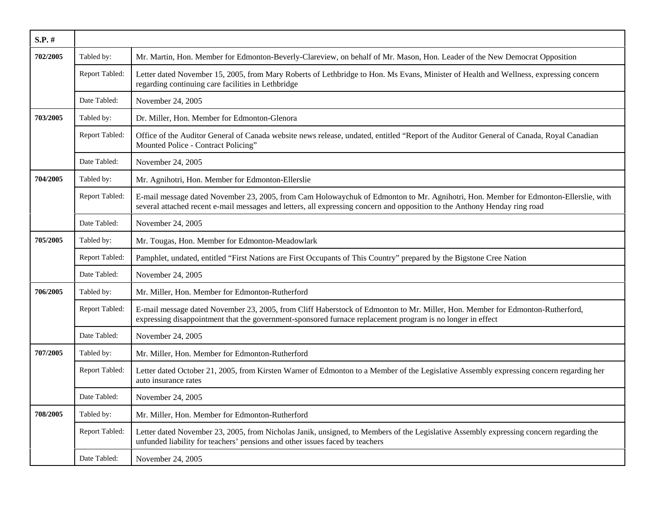| $S.P.$ # |                |                                                                                                                                                                                                                                                                   |
|----------|----------------|-------------------------------------------------------------------------------------------------------------------------------------------------------------------------------------------------------------------------------------------------------------------|
| 702/2005 | Tabled by:     | Mr. Martin, Hon. Member for Edmonton-Beverly-Clareview, on behalf of Mr. Mason, Hon. Leader of the New Democrat Opposition                                                                                                                                        |
|          | Report Tabled: | Letter dated November 15, 2005, from Mary Roberts of Lethbridge to Hon. Ms Evans, Minister of Health and Wellness, expressing concern<br>regarding continuing care facilities in Lethbridge                                                                       |
|          | Date Tabled:   | November 24, 2005                                                                                                                                                                                                                                                 |
| 703/2005 | Tabled by:     | Dr. Miller, Hon. Member for Edmonton-Glenora                                                                                                                                                                                                                      |
|          | Report Tabled: | Office of the Auditor General of Canada website news release, undated, entitled "Report of the Auditor General of Canada, Royal Canadian<br>Mounted Police - Contract Policing"                                                                                   |
|          | Date Tabled:   | November 24, 2005                                                                                                                                                                                                                                                 |
| 704/2005 | Tabled by:     | Mr. Agnihotri, Hon. Member for Edmonton-Ellerslie                                                                                                                                                                                                                 |
|          | Report Tabled: | E-mail message dated November 23, 2005, from Cam Holowaychuk of Edmonton to Mr. Agnihotri, Hon. Member for Edmonton-Ellerslie, with<br>several attached recent e-mail messages and letters, all expressing concern and opposition to the Anthony Henday ring road |
|          | Date Tabled:   | November 24, 2005                                                                                                                                                                                                                                                 |
| 705/2005 | Tabled by:     | Mr. Tougas, Hon. Member for Edmonton-Meadowlark                                                                                                                                                                                                                   |
|          | Report Tabled: | Pamphlet, undated, entitled "First Nations are First Occupants of This Country" prepared by the Bigstone Cree Nation                                                                                                                                              |
|          | Date Tabled:   | November 24, 2005                                                                                                                                                                                                                                                 |
| 706/2005 | Tabled by:     | Mr. Miller, Hon. Member for Edmonton-Rutherford                                                                                                                                                                                                                   |
|          | Report Tabled: | E-mail message dated November 23, 2005, from Cliff Haberstock of Edmonton to Mr. Miller, Hon. Member for Edmonton-Rutherford,<br>expressing disappointment that the government-sponsored furnace replacement program is no longer in effect                       |
|          | Date Tabled:   | November 24, 2005                                                                                                                                                                                                                                                 |
| 707/2005 | Tabled by:     | Mr. Miller, Hon. Member for Edmonton-Rutherford                                                                                                                                                                                                                   |
|          | Report Tabled: | Letter dated October 21, 2005, from Kirsten Warner of Edmonton to a Member of the Legislative Assembly expressing concern regarding her<br>auto insurance rates                                                                                                   |
|          | Date Tabled:   | November 24, 2005                                                                                                                                                                                                                                                 |
| 708/2005 | Tabled by:     | Mr. Miller, Hon. Member for Edmonton-Rutherford                                                                                                                                                                                                                   |
|          | Report Tabled: | Letter dated November 23, 2005, from Nicholas Janik, unsigned, to Members of the Legislative Assembly expressing concern regarding the<br>unfunded liability for teachers' pensions and other issues faced by teachers                                            |
|          | Date Tabled:   | November 24, 2005                                                                                                                                                                                                                                                 |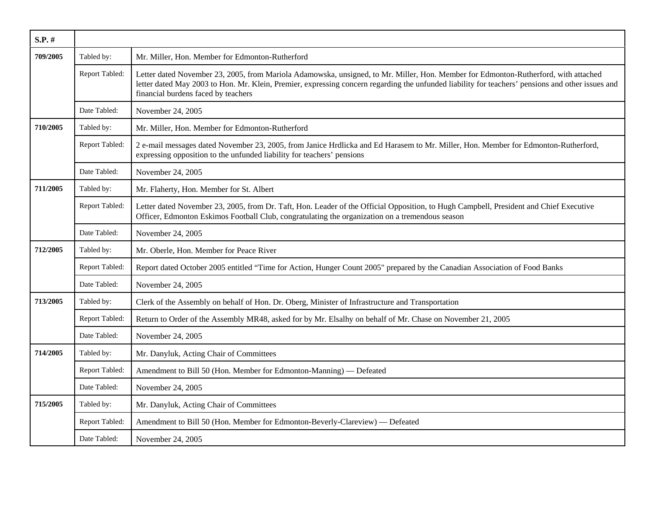| $S.P.$ # |                |                                                                                                                                                                                                                                                                                                                                 |
|----------|----------------|---------------------------------------------------------------------------------------------------------------------------------------------------------------------------------------------------------------------------------------------------------------------------------------------------------------------------------|
| 709/2005 | Tabled by:     | Mr. Miller, Hon. Member for Edmonton-Rutherford                                                                                                                                                                                                                                                                                 |
|          | Report Tabled: | Letter dated November 23, 2005, from Mariola Adamowska, unsigned, to Mr. Miller, Hon. Member for Edmonton-Rutherford, with attached<br>letter dated May 2003 to Hon. Mr. Klein, Premier, expressing concern regarding the unfunded liability for teachers' pensions and other issues and<br>financial burdens faced by teachers |
|          | Date Tabled:   | November 24, 2005                                                                                                                                                                                                                                                                                                               |
| 710/2005 | Tabled by:     | Mr. Miller, Hon. Member for Edmonton-Rutherford                                                                                                                                                                                                                                                                                 |
|          | Report Tabled: | 2 e-mail messages dated November 23, 2005, from Janice Hrdlicka and Ed Harasem to Mr. Miller, Hon. Member for Edmonton-Rutherford,<br>expressing opposition to the unfunded liability for teachers' pensions                                                                                                                    |
|          | Date Tabled:   | November 24, 2005                                                                                                                                                                                                                                                                                                               |
| 711/2005 | Tabled by:     | Mr. Flaherty, Hon. Member for St. Albert                                                                                                                                                                                                                                                                                        |
|          | Report Tabled: | Letter dated November 23, 2005, from Dr. Taft, Hon. Leader of the Official Opposition, to Hugh Campbell, President and Chief Executive<br>Officer, Edmonton Eskimos Football Club, congratulating the organization on a tremendous season                                                                                       |
|          | Date Tabled:   | November 24, 2005                                                                                                                                                                                                                                                                                                               |
| 712/2005 | Tabled by:     | Mr. Oberle, Hon. Member for Peace River                                                                                                                                                                                                                                                                                         |
|          | Report Tabled: | Report dated October 2005 entitled "Time for Action, Hunger Count 2005" prepared by the Canadian Association of Food Banks                                                                                                                                                                                                      |
|          | Date Tabled:   | November 24, 2005                                                                                                                                                                                                                                                                                                               |
| 713/2005 | Tabled by:     | Clerk of the Assembly on behalf of Hon. Dr. Oberg, Minister of Infrastructure and Transportation                                                                                                                                                                                                                                |
|          | Report Tabled: | Return to Order of the Assembly MR48, asked for by Mr. Elsalhy on behalf of Mr. Chase on November 21, 2005                                                                                                                                                                                                                      |
|          | Date Tabled:   | November 24, 2005                                                                                                                                                                                                                                                                                                               |
| 714/2005 | Tabled by:     | Mr. Danyluk, Acting Chair of Committees                                                                                                                                                                                                                                                                                         |
|          | Report Tabled: | Amendment to Bill 50 (Hon. Member for Edmonton-Manning) — Defeated                                                                                                                                                                                                                                                              |
|          | Date Tabled:   | November 24, 2005                                                                                                                                                                                                                                                                                                               |
| 715/2005 | Tabled by:     | Mr. Danyluk, Acting Chair of Committees                                                                                                                                                                                                                                                                                         |
|          | Report Tabled: | Amendment to Bill 50 (Hon. Member for Edmonton-Beverly-Clareview) — Defeated                                                                                                                                                                                                                                                    |
|          | Date Tabled:   | November 24, 2005                                                                                                                                                                                                                                                                                                               |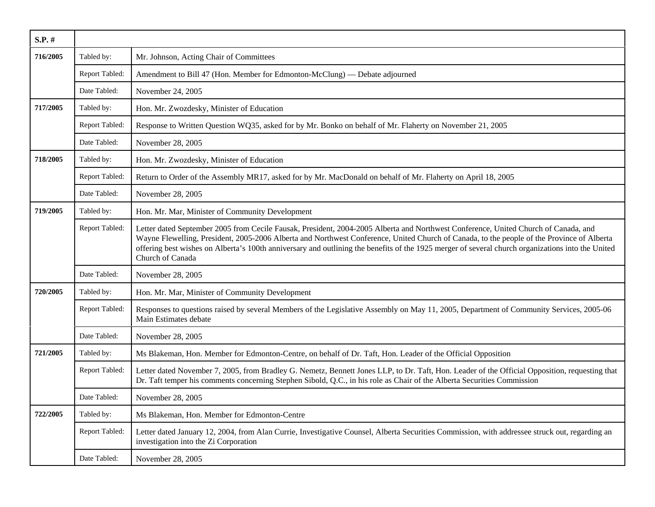| $S.P.$ # |                |                                                                                                                                                                                                                                                                                                                                                                                                                                                            |
|----------|----------------|------------------------------------------------------------------------------------------------------------------------------------------------------------------------------------------------------------------------------------------------------------------------------------------------------------------------------------------------------------------------------------------------------------------------------------------------------------|
| 716/2005 | Tabled by:     | Mr. Johnson, Acting Chair of Committees                                                                                                                                                                                                                                                                                                                                                                                                                    |
|          | Report Tabled: | Amendment to Bill 47 (Hon. Member for Edmonton-McClung) — Debate adjourned                                                                                                                                                                                                                                                                                                                                                                                 |
|          | Date Tabled:   | November 24, 2005                                                                                                                                                                                                                                                                                                                                                                                                                                          |
| 717/2005 | Tabled by:     | Hon. Mr. Zwozdesky, Minister of Education                                                                                                                                                                                                                                                                                                                                                                                                                  |
|          | Report Tabled: | Response to Written Question WQ35, asked for by Mr. Bonko on behalf of Mr. Flaherty on November 21, 2005                                                                                                                                                                                                                                                                                                                                                   |
|          | Date Tabled:   | November 28, 2005                                                                                                                                                                                                                                                                                                                                                                                                                                          |
| 718/2005 | Tabled by:     | Hon. Mr. Zwozdesky, Minister of Education                                                                                                                                                                                                                                                                                                                                                                                                                  |
|          | Report Tabled: | Return to Order of the Assembly MR17, asked for by Mr. MacDonald on behalf of Mr. Flaherty on April 18, 2005                                                                                                                                                                                                                                                                                                                                               |
|          | Date Tabled:   | November 28, 2005                                                                                                                                                                                                                                                                                                                                                                                                                                          |
| 719/2005 | Tabled by:     | Hon. Mr. Mar, Minister of Community Development                                                                                                                                                                                                                                                                                                                                                                                                            |
|          | Report Tabled: | Letter dated September 2005 from Cecile Fausak, President, 2004-2005 Alberta and Northwest Conference, United Church of Canada, and<br>Wayne Flewelling, President, 2005-2006 Alberta and Northwest Conference, United Church of Canada, to the people of the Province of Alberta<br>offering best wishes on Alberta's 100th anniversary and outlining the benefits of the 1925 merger of several church organizations into the United<br>Church of Canada |
|          | Date Tabled:   | November 28, 2005                                                                                                                                                                                                                                                                                                                                                                                                                                          |
| 720/2005 | Tabled by:     | Hon. Mr. Mar, Minister of Community Development                                                                                                                                                                                                                                                                                                                                                                                                            |
|          | Report Tabled: | Responses to questions raised by several Members of the Legislative Assembly on May 11, 2005, Department of Community Services, 2005-06<br>Main Estimates debate                                                                                                                                                                                                                                                                                           |
|          | Date Tabled:   | November 28, 2005                                                                                                                                                                                                                                                                                                                                                                                                                                          |
| 721/2005 | Tabled by:     | Ms Blakeman, Hon. Member for Edmonton-Centre, on behalf of Dr. Taft, Hon. Leader of the Official Opposition                                                                                                                                                                                                                                                                                                                                                |
|          | Report Tabled: | Letter dated November 7, 2005, from Bradley G. Nemetz, Bennett Jones LLP, to Dr. Taft, Hon. Leader of the Official Opposition, requesting that<br>Dr. Taft temper his comments concerning Stephen Sibold, Q.C., in his role as Chair of the Alberta Securities Commission                                                                                                                                                                                  |
|          | Date Tabled:   | November 28, 2005                                                                                                                                                                                                                                                                                                                                                                                                                                          |
| 722/2005 | Tabled by:     | Ms Blakeman, Hon. Member for Edmonton-Centre                                                                                                                                                                                                                                                                                                                                                                                                               |
|          | Report Tabled: | Letter dated January 12, 2004, from Alan Currie, Investigative Counsel, Alberta Securities Commission, with addressee struck out, regarding an<br>investigation into the Zi Corporation                                                                                                                                                                                                                                                                    |
|          | Date Tabled:   | November 28, 2005                                                                                                                                                                                                                                                                                                                                                                                                                                          |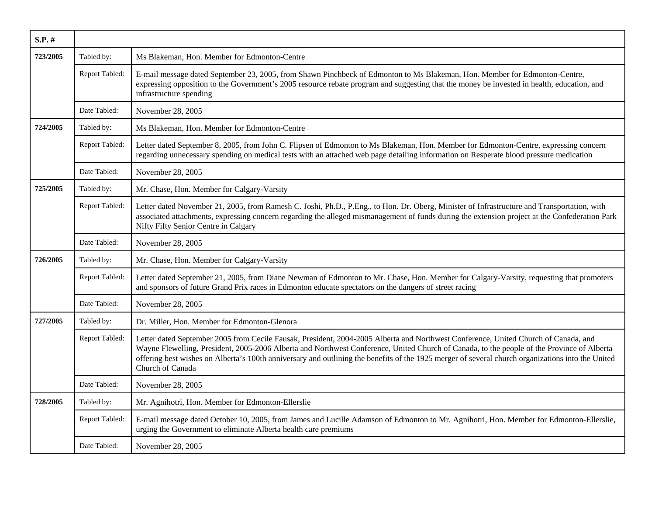| $S.P.$ # |                |                                                                                                                                                                                                                                                                                                                                                                                                                                                            |
|----------|----------------|------------------------------------------------------------------------------------------------------------------------------------------------------------------------------------------------------------------------------------------------------------------------------------------------------------------------------------------------------------------------------------------------------------------------------------------------------------|
| 723/2005 | Tabled by:     | Ms Blakeman, Hon. Member for Edmonton-Centre                                                                                                                                                                                                                                                                                                                                                                                                               |
|          | Report Tabled: | E-mail message dated September 23, 2005, from Shawn Pinchbeck of Edmonton to Ms Blakeman, Hon. Member for Edmonton-Centre,<br>expressing opposition to the Government's 2005 resource rebate program and suggesting that the money be invested in health, education, and<br>infrastructure spending                                                                                                                                                        |
|          | Date Tabled:   | November 28, 2005                                                                                                                                                                                                                                                                                                                                                                                                                                          |
| 724/2005 | Tabled by:     | Ms Blakeman, Hon. Member for Edmonton-Centre                                                                                                                                                                                                                                                                                                                                                                                                               |
|          | Report Tabled: | Letter dated September 8, 2005, from John C. Flipsen of Edmonton to Ms Blakeman, Hon. Member for Edmonton-Centre, expressing concern<br>regarding unnecessary spending on medical tests with an attached web page detailing information on Resperate blood pressure medication                                                                                                                                                                             |
|          | Date Tabled:   | November 28, 2005                                                                                                                                                                                                                                                                                                                                                                                                                                          |
| 725/2005 | Tabled by:     | Mr. Chase, Hon. Member for Calgary-Varsity                                                                                                                                                                                                                                                                                                                                                                                                                 |
|          | Report Tabled: | Letter dated November 21, 2005, from Ramesh C. Joshi, Ph.D., P.Eng., to Hon. Dr. Oberg, Minister of Infrastructure and Transportation, with<br>associated attachments, expressing concern regarding the alleged mismanagement of funds during the extension project at the Confederation Park<br>Nifty Fifty Senior Centre in Calgary                                                                                                                      |
|          | Date Tabled:   | November 28, 2005                                                                                                                                                                                                                                                                                                                                                                                                                                          |
| 726/2005 | Tabled by:     | Mr. Chase, Hon. Member for Calgary-Varsity                                                                                                                                                                                                                                                                                                                                                                                                                 |
|          | Report Tabled: | Letter dated September 21, 2005, from Diane Newman of Edmonton to Mr. Chase, Hon. Member for Calgary-Varsity, requesting that promoters<br>and sponsors of future Grand Prix races in Edmonton educate spectators on the dangers of street racing                                                                                                                                                                                                          |
|          | Date Tabled:   | November 28, 2005                                                                                                                                                                                                                                                                                                                                                                                                                                          |
| 727/2005 | Tabled by:     | Dr. Miller, Hon. Member for Edmonton-Glenora                                                                                                                                                                                                                                                                                                                                                                                                               |
|          | Report Tabled: | Letter dated September 2005 from Cecile Fausak, President, 2004-2005 Alberta and Northwest Conference, United Church of Canada, and<br>Wayne Flewelling, President, 2005-2006 Alberta and Northwest Conference, United Church of Canada, to the people of the Province of Alberta<br>offering best wishes on Alberta's 100th anniversary and outlining the benefits of the 1925 merger of several church organizations into the United<br>Church of Canada |
|          | Date Tabled:   | November 28, 2005                                                                                                                                                                                                                                                                                                                                                                                                                                          |
| 728/2005 | Tabled by:     | Mr. Agnihotri, Hon. Member for Edmonton-Ellerslie                                                                                                                                                                                                                                                                                                                                                                                                          |
|          | Report Tabled: | E-mail message dated October 10, 2005, from James and Lucille Adamson of Edmonton to Mr. Agnihotri, Hon. Member for Edmonton-Ellerslie,<br>urging the Government to eliminate Alberta health care premiums                                                                                                                                                                                                                                                 |
|          | Date Tabled:   | November 28, 2005                                                                                                                                                                                                                                                                                                                                                                                                                                          |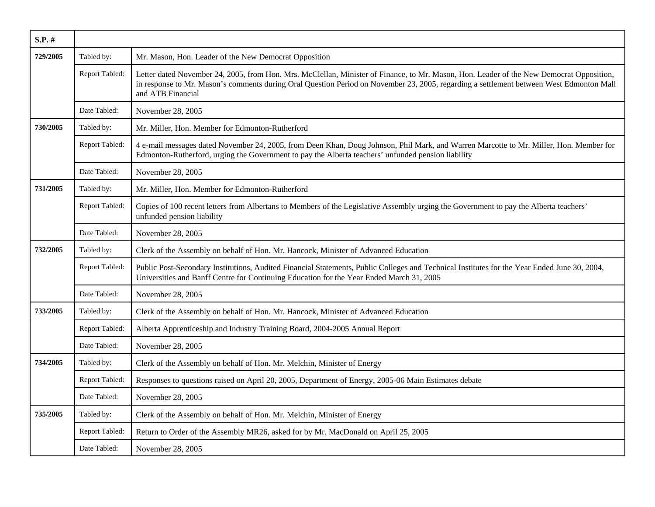| $S.P.$ # |                |                                                                                                                                                                                                                                                                                                          |
|----------|----------------|----------------------------------------------------------------------------------------------------------------------------------------------------------------------------------------------------------------------------------------------------------------------------------------------------------|
| 729/2005 | Tabled by:     | Mr. Mason, Hon. Leader of the New Democrat Opposition                                                                                                                                                                                                                                                    |
|          | Report Tabled: | Letter dated November 24, 2005, from Hon. Mrs. McClellan, Minister of Finance, to Mr. Mason, Hon. Leader of the New Democrat Opposition,<br>in response to Mr. Mason's comments during Oral Question Period on November 23, 2005, regarding a settlement between West Edmonton Mall<br>and ATB Financial |
|          | Date Tabled:   | November 28, 2005                                                                                                                                                                                                                                                                                        |
| 730/2005 | Tabled by:     | Mr. Miller, Hon. Member for Edmonton-Rutherford                                                                                                                                                                                                                                                          |
|          | Report Tabled: | 4 e-mail messages dated November 24, 2005, from Deen Khan, Doug Johnson, Phil Mark, and Warren Marcotte to Mr. Miller, Hon. Member for<br>Edmonton-Rutherford, urging the Government to pay the Alberta teachers' unfunded pension liability                                                             |
|          | Date Tabled:   | November 28, 2005                                                                                                                                                                                                                                                                                        |
| 731/2005 | Tabled by:     | Mr. Miller, Hon. Member for Edmonton-Rutherford                                                                                                                                                                                                                                                          |
|          | Report Tabled: | Copies of 100 recent letters from Albertans to Members of the Legislative Assembly urging the Government to pay the Alberta teachers'<br>unfunded pension liability                                                                                                                                      |
|          | Date Tabled:   | November 28, 2005                                                                                                                                                                                                                                                                                        |
| 732/2005 | Tabled by:     | Clerk of the Assembly on behalf of Hon. Mr. Hancock, Minister of Advanced Education                                                                                                                                                                                                                      |
|          | Report Tabled: | Public Post-Secondary Institutions, Audited Financial Statements, Public Colleges and Technical Institutes for the Year Ended June 30, 2004,<br>Universities and Banff Centre for Continuing Education for the Year Ended March 31, 2005                                                                 |
|          | Date Tabled:   | November 28, 2005                                                                                                                                                                                                                                                                                        |
| 733/2005 | Tabled by:     | Clerk of the Assembly on behalf of Hon. Mr. Hancock, Minister of Advanced Education                                                                                                                                                                                                                      |
|          | Report Tabled: | Alberta Apprenticeship and Industry Training Board, 2004-2005 Annual Report                                                                                                                                                                                                                              |
|          | Date Tabled:   | November 28, 2005                                                                                                                                                                                                                                                                                        |
| 734/2005 | Tabled by:     | Clerk of the Assembly on behalf of Hon. Mr. Melchin, Minister of Energy                                                                                                                                                                                                                                  |
|          | Report Tabled: | Responses to questions raised on April 20, 2005, Department of Energy, 2005-06 Main Estimates debate                                                                                                                                                                                                     |
|          | Date Tabled:   | November 28, 2005                                                                                                                                                                                                                                                                                        |
| 735/2005 | Tabled by:     | Clerk of the Assembly on behalf of Hon. Mr. Melchin, Minister of Energy                                                                                                                                                                                                                                  |
|          | Report Tabled: | Return to Order of the Assembly MR26, asked for by Mr. MacDonald on April 25, 2005                                                                                                                                                                                                                       |
|          | Date Tabled:   | November 28, 2005                                                                                                                                                                                                                                                                                        |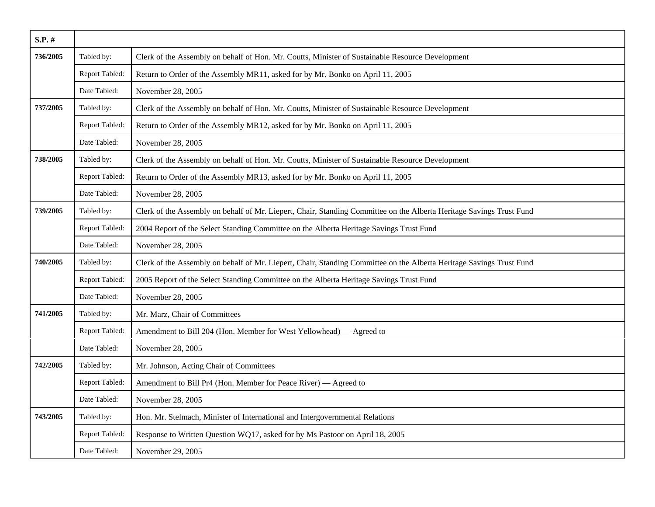| $S.P.$ # |                |                                                                                                                      |
|----------|----------------|----------------------------------------------------------------------------------------------------------------------|
| 736/2005 | Tabled by:     | Clerk of the Assembly on behalf of Hon. Mr. Coutts, Minister of Sustainable Resource Development                     |
|          | Report Tabled: | Return to Order of the Assembly MR11, asked for by Mr. Bonko on April 11, 2005                                       |
|          | Date Tabled:   | November 28, 2005                                                                                                    |
| 737/2005 | Tabled by:     | Clerk of the Assembly on behalf of Hon. Mr. Coutts, Minister of Sustainable Resource Development                     |
|          | Report Tabled: | Return to Order of the Assembly MR12, asked for by Mr. Bonko on April 11, 2005                                       |
|          | Date Tabled:   | November 28, 2005                                                                                                    |
| 738/2005 | Tabled by:     | Clerk of the Assembly on behalf of Hon. Mr. Coutts, Minister of Sustainable Resource Development                     |
|          | Report Tabled: | Return to Order of the Assembly MR13, asked for by Mr. Bonko on April 11, 2005                                       |
|          | Date Tabled:   | November 28, 2005                                                                                                    |
| 739/2005 | Tabled by:     | Clerk of the Assembly on behalf of Mr. Liepert, Chair, Standing Committee on the Alberta Heritage Savings Trust Fund |
|          | Report Tabled: | 2004 Report of the Select Standing Committee on the Alberta Heritage Savings Trust Fund                              |
|          | Date Tabled:   | November 28, 2005                                                                                                    |
| 740/2005 | Tabled by:     | Clerk of the Assembly on behalf of Mr. Liepert, Chair, Standing Committee on the Alberta Heritage Savings Trust Fund |
|          | Report Tabled: | 2005 Report of the Select Standing Committee on the Alberta Heritage Savings Trust Fund                              |
|          | Date Tabled:   | November 28, 2005                                                                                                    |
| 741/2005 | Tabled by:     | Mr. Marz, Chair of Committees                                                                                        |
|          | Report Tabled: | Amendment to Bill 204 (Hon. Member for West Yellowhead) — Agreed to                                                  |
|          | Date Tabled:   | November 28, 2005                                                                                                    |
| 742/2005 | Tabled by:     | Mr. Johnson, Acting Chair of Committees                                                                              |
|          | Report Tabled: | Amendment to Bill Pr4 (Hon. Member for Peace River) — Agreed to                                                      |
|          | Date Tabled:   | November 28, 2005                                                                                                    |
| 743/2005 | Tabled by:     | Hon. Mr. Stelmach, Minister of International and Intergovernmental Relations                                         |
|          | Report Tabled: | Response to Written Question WQ17, asked for by Ms Pastoor on April 18, 2005                                         |
|          | Date Tabled:   | November 29, 2005                                                                                                    |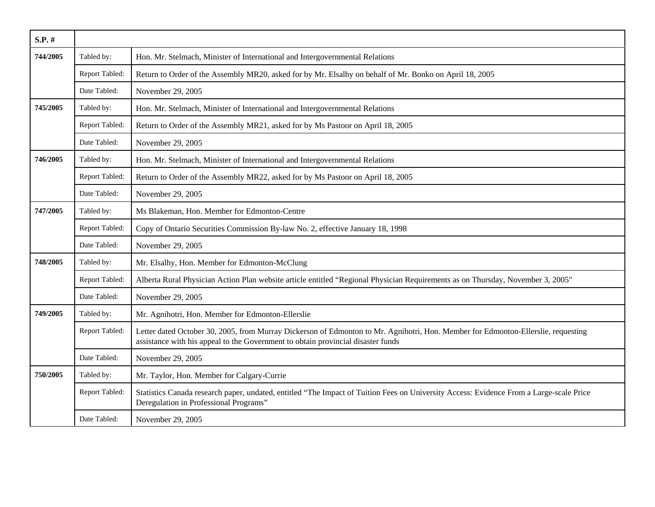| $S.P.$ # |                |                                                                                                                                                                                                                       |
|----------|----------------|-----------------------------------------------------------------------------------------------------------------------------------------------------------------------------------------------------------------------|
| 744/2005 | Tabled by:     | Hon. Mr. Stelmach, Minister of International and Intergovernmental Relations                                                                                                                                          |
|          | Report Tabled: | Return to Order of the Assembly MR20, asked for by Mr. Elsalhy on behalf of Mr. Bonko on April 18, 2005                                                                                                               |
|          | Date Tabled:   | November 29, 2005                                                                                                                                                                                                     |
| 745/2005 | Tabled by:     | Hon. Mr. Stelmach, Minister of International and Intergovernmental Relations                                                                                                                                          |
|          | Report Tabled: | Return to Order of the Assembly MR21, asked for by Ms Pastoor on April 18, 2005                                                                                                                                       |
|          | Date Tabled:   | November 29, 2005                                                                                                                                                                                                     |
| 746/2005 | Tabled by:     | Hon. Mr. Stelmach, Minister of International and Intergovernmental Relations                                                                                                                                          |
|          | Report Tabled: | Return to Order of the Assembly MR22, asked for by Ms Pastoor on April 18, 2005                                                                                                                                       |
|          | Date Tabled:   | November 29, 2005                                                                                                                                                                                                     |
| 747/2005 | Tabled by:     | Ms Blakeman, Hon. Member for Edmonton-Centre                                                                                                                                                                          |
|          | Report Tabled: | Copy of Ontario Securities Commission By-law No. 2, effective January 18, 1998                                                                                                                                        |
|          | Date Tabled:   | November 29, 2005                                                                                                                                                                                                     |
| 748/2005 | Tabled by:     | Mr. Elsalhy, Hon. Member for Edmonton-McClung                                                                                                                                                                         |
|          | Report Tabled: | Alberta Rural Physician Action Plan website article entitled "Regional Physician Requirements as on Thursday, November 3, 2005"                                                                                       |
|          | Date Tabled:   | November 29, 2005                                                                                                                                                                                                     |
| 749/2005 | Tabled by:     | Mr. Agnihotri, Hon. Member for Edmonton-Ellerslie                                                                                                                                                                     |
|          | Report Tabled: | Letter dated October 30, 2005, from Murray Dickerson of Edmonton to Mr. Agnihotri, Hon. Member for Edmonton-Ellerslie, requesting<br>assistance with his appeal to the Government to obtain provincial disaster funds |
|          | Date Tabled:   | November 29, 2005                                                                                                                                                                                                     |
| 750/2005 | Tabled by:     | Mr. Taylor, Hon. Member for Calgary-Currie                                                                                                                                                                            |
|          | Report Tabled: | Statistics Canada research paper, undated, entitled "The Impact of Tuition Fees on University Access: Evidence From a Large-scale Price<br>Deregulation in Professional Programs"                                     |
|          | Date Tabled:   | November 29, 2005                                                                                                                                                                                                     |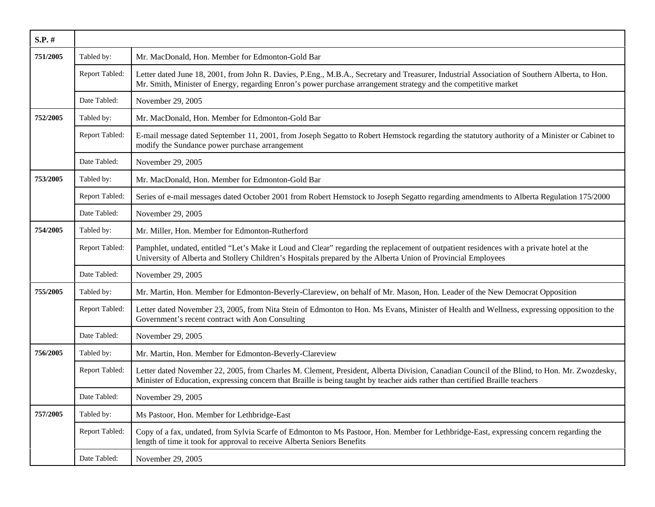| $S.P.$ # |                |                                                                                                                                                                                                                                                                              |
|----------|----------------|------------------------------------------------------------------------------------------------------------------------------------------------------------------------------------------------------------------------------------------------------------------------------|
| 751/2005 | Tabled by:     | Mr. MacDonald, Hon. Member for Edmonton-Gold Bar                                                                                                                                                                                                                             |
|          | Report Tabled: | Letter dated June 18, 2001, from John R. Davies, P.Eng., M.B.A., Secretary and Treasurer, Industrial Association of Southern Alberta, to Hon.<br>Mr. Smith, Minister of Energy, regarding Enron's power purchase arrangement strategy and the competitive market             |
|          | Date Tabled:   | November 29, 2005                                                                                                                                                                                                                                                            |
| 752/2005 | Tabled by:     | Mr. MacDonald, Hon. Member for Edmonton-Gold Bar                                                                                                                                                                                                                             |
|          | Report Tabled: | E-mail message dated September 11, 2001, from Joseph Segatto to Robert Hemstock regarding the statutory authority of a Minister or Cabinet to<br>modify the Sundance power purchase arrangement                                                                              |
|          | Date Tabled:   | November 29, 2005                                                                                                                                                                                                                                                            |
| 753/2005 | Tabled by:     | Mr. MacDonald, Hon. Member for Edmonton-Gold Bar                                                                                                                                                                                                                             |
|          | Report Tabled: | Series of e-mail messages dated October 2001 from Robert Hemstock to Joseph Segatto regarding amendments to Alberta Regulation 175/2000                                                                                                                                      |
|          | Date Tabled:   | November 29, 2005                                                                                                                                                                                                                                                            |
| 754/2005 | Tabled by:     | Mr. Miller, Hon. Member for Edmonton-Rutherford                                                                                                                                                                                                                              |
|          | Report Tabled: | Pamphlet, undated, entitled "Let's Make it Loud and Clear" regarding the replacement of outpatient residences with a private hotel at the<br>University of Alberta and Stollery Children's Hospitals prepared by the Alberta Union of Provincial Employees                   |
|          | Date Tabled:   | November 29, 2005                                                                                                                                                                                                                                                            |
| 755/2005 | Tabled by:     | Mr. Martin, Hon. Member for Edmonton-Beverly-Clareview, on behalf of Mr. Mason, Hon. Leader of the New Democrat Opposition                                                                                                                                                   |
|          | Report Tabled: | Letter dated November 23, 2005, from Nita Stein of Edmonton to Hon. Ms Evans, Minister of Health and Wellness, expressing opposition to the<br>Government's recent contract with Aon Consulting                                                                              |
|          | Date Tabled:   | November 29, 2005                                                                                                                                                                                                                                                            |
| 756/2005 | Tabled by:     | Mr. Martin, Hon. Member for Edmonton-Beverly-Clareview                                                                                                                                                                                                                       |
|          | Report Tabled: | Letter dated November 22, 2005, from Charles M. Clement, President, Alberta Division, Canadian Council of the Blind, to Hon. Mr. Zwozdesky,<br>Minister of Education, expressing concern that Braille is being taught by teacher aids rather than certified Braille teachers |
|          | Date Tabled:   | November 29, 2005                                                                                                                                                                                                                                                            |
| 757/2005 | Tabled by:     | Ms Pastoor, Hon. Member for Lethbridge-East                                                                                                                                                                                                                                  |
|          | Report Tabled: | Copy of a fax, undated, from Sylvia Scarfe of Edmonton to Ms Pastoor, Hon. Member for Lethbridge-East, expressing concern regarding the<br>length of time it took for approval to receive Alberta Seniors Benefits                                                           |
|          | Date Tabled:   | November 29, 2005                                                                                                                                                                                                                                                            |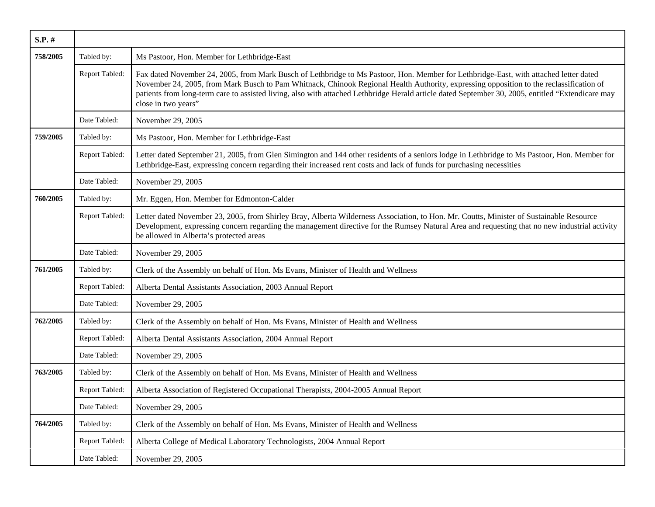| $S.P.$ # |                |                                                                                                                                                                                                                                                                                                                                                                                                                                                              |
|----------|----------------|--------------------------------------------------------------------------------------------------------------------------------------------------------------------------------------------------------------------------------------------------------------------------------------------------------------------------------------------------------------------------------------------------------------------------------------------------------------|
| 758/2005 | Tabled by:     | Ms Pastoor, Hon. Member for Lethbridge-East                                                                                                                                                                                                                                                                                                                                                                                                                  |
|          | Report Tabled: | Fax dated November 24, 2005, from Mark Busch of Lethbridge to Ms Pastoor, Hon. Member for Lethbridge-East, with attached letter dated<br>November 24, 2005, from Mark Busch to Pam Whitnack, Chinook Regional Health Authority, expressing opposition to the reclassification of<br>patients from long-term care to assisted living, also with attached Lethbridge Herald article dated September 30, 2005, entitled "Extendicare may<br>close in two years" |
|          | Date Tabled:   | November 29, 2005                                                                                                                                                                                                                                                                                                                                                                                                                                            |
| 759/2005 | Tabled by:     | Ms Pastoor, Hon. Member for Lethbridge-East                                                                                                                                                                                                                                                                                                                                                                                                                  |
|          | Report Tabled: | Letter dated September 21, 2005, from Glen Simington and 144 other residents of a seniors lodge in Lethbridge to Ms Pastoor, Hon. Member for<br>Lethbridge-East, expressing concern regarding their increased rent costs and lack of funds for purchasing necessities                                                                                                                                                                                        |
|          | Date Tabled:   | November 29, 2005                                                                                                                                                                                                                                                                                                                                                                                                                                            |
| 760/2005 | Tabled by:     | Mr. Eggen, Hon. Member for Edmonton-Calder                                                                                                                                                                                                                                                                                                                                                                                                                   |
|          | Report Tabled: | Letter dated November 23, 2005, from Shirley Bray, Alberta Wilderness Association, to Hon. Mr. Coutts, Minister of Sustainable Resource<br>Development, expressing concern regarding the management directive for the Rumsey Natural Area and requesting that no new industrial activity<br>be allowed in Alberta's protected areas                                                                                                                          |
|          | Date Tabled:   | November 29, 2005                                                                                                                                                                                                                                                                                                                                                                                                                                            |
| 761/2005 | Tabled by:     | Clerk of the Assembly on behalf of Hon. Ms Evans, Minister of Health and Wellness                                                                                                                                                                                                                                                                                                                                                                            |
|          | Report Tabled: | Alberta Dental Assistants Association, 2003 Annual Report                                                                                                                                                                                                                                                                                                                                                                                                    |
|          | Date Tabled:   | November 29, 2005                                                                                                                                                                                                                                                                                                                                                                                                                                            |
| 762/2005 | Tabled by:     | Clerk of the Assembly on behalf of Hon. Ms Evans, Minister of Health and Wellness                                                                                                                                                                                                                                                                                                                                                                            |
|          | Report Tabled: | Alberta Dental Assistants Association, 2004 Annual Report                                                                                                                                                                                                                                                                                                                                                                                                    |
|          | Date Tabled:   | November 29, 2005                                                                                                                                                                                                                                                                                                                                                                                                                                            |
| 763/2005 | Tabled by:     | Clerk of the Assembly on behalf of Hon. Ms Evans, Minister of Health and Wellness                                                                                                                                                                                                                                                                                                                                                                            |
|          | Report Tabled: | Alberta Association of Registered Occupational Therapists, 2004-2005 Annual Report                                                                                                                                                                                                                                                                                                                                                                           |
|          | Date Tabled:   | November 29, 2005                                                                                                                                                                                                                                                                                                                                                                                                                                            |
| 764/2005 | Tabled by:     | Clerk of the Assembly on behalf of Hon. Ms Evans, Minister of Health and Wellness                                                                                                                                                                                                                                                                                                                                                                            |
|          | Report Tabled: | Alberta College of Medical Laboratory Technologists, 2004 Annual Report                                                                                                                                                                                                                                                                                                                                                                                      |
|          | Date Tabled:   | November 29, 2005                                                                                                                                                                                                                                                                                                                                                                                                                                            |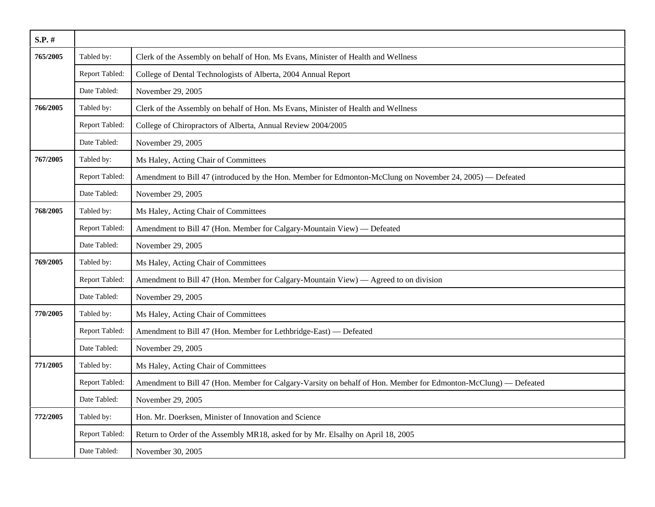| $S.P.$ # |                |                                                                                                                 |
|----------|----------------|-----------------------------------------------------------------------------------------------------------------|
| 765/2005 | Tabled by:     | Clerk of the Assembly on behalf of Hon. Ms Evans, Minister of Health and Wellness                               |
|          | Report Tabled: | College of Dental Technologists of Alberta, 2004 Annual Report                                                  |
|          | Date Tabled:   | November 29, 2005                                                                                               |
| 766/2005 | Tabled by:     | Clerk of the Assembly on behalf of Hon. Ms Evans, Minister of Health and Wellness                               |
|          | Report Tabled: | College of Chiropractors of Alberta, Annual Review 2004/2005                                                    |
|          | Date Tabled:   | November 29, 2005                                                                                               |
| 767/2005 | Tabled by:     | Ms Haley, Acting Chair of Committees                                                                            |
|          | Report Tabled: | Amendment to Bill 47 (introduced by the Hon. Member for Edmonton-McClung on November 24, 2005) — Defeated       |
|          | Date Tabled:   | November 29, 2005                                                                                               |
| 768/2005 | Tabled by:     | Ms Haley, Acting Chair of Committees                                                                            |
|          | Report Tabled: | Amendment to Bill 47 (Hon. Member for Calgary-Mountain View) — Defeated                                         |
|          | Date Tabled:   | November 29, 2005                                                                                               |
| 769/2005 | Tabled by:     | Ms Haley, Acting Chair of Committees                                                                            |
|          | Report Tabled: | Amendment to Bill 47 (Hon. Member for Calgary-Mountain View) — Agreed to on division                            |
|          | Date Tabled:   | November 29, 2005                                                                                               |
| 770/2005 | Tabled by:     | Ms Haley, Acting Chair of Committees                                                                            |
|          | Report Tabled: | Amendment to Bill 47 (Hon. Member for Lethbridge-East) — Defeated                                               |
|          | Date Tabled:   | November 29, 2005                                                                                               |
| 771/2005 | Tabled by:     | Ms Haley, Acting Chair of Committees                                                                            |
|          | Report Tabled: | Amendment to Bill 47 (Hon. Member for Calgary-Varsity on behalf of Hon. Member for Edmonton-McClung) - Defeated |
|          | Date Tabled:   | November 29, 2005                                                                                               |
| 772/2005 | Tabled by:     | Hon. Mr. Doerksen, Minister of Innovation and Science                                                           |
|          | Report Tabled: | Return to Order of the Assembly MR18, asked for by Mr. Elsalhy on April 18, 2005                                |
|          | Date Tabled:   | November 30, 2005                                                                                               |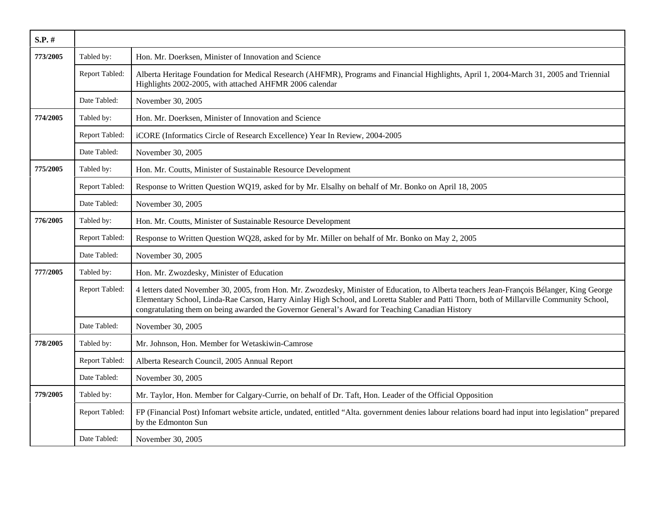| S.P. #   |                |                                                                                                                                                                                                                                                                                                                                                                                            |
|----------|----------------|--------------------------------------------------------------------------------------------------------------------------------------------------------------------------------------------------------------------------------------------------------------------------------------------------------------------------------------------------------------------------------------------|
| 773/2005 | Tabled by:     | Hon. Mr. Doerksen, Minister of Innovation and Science                                                                                                                                                                                                                                                                                                                                      |
|          | Report Tabled: | Alberta Heritage Foundation for Medical Research (AHFMR), Programs and Financial Highlights, April 1, 2004-March 31, 2005 and Triennial<br>Highlights 2002-2005, with attached AHFMR 2006 calendar                                                                                                                                                                                         |
|          | Date Tabled:   | November 30, 2005                                                                                                                                                                                                                                                                                                                                                                          |
| 774/2005 | Tabled by:     | Hon. Mr. Doerksen, Minister of Innovation and Science                                                                                                                                                                                                                                                                                                                                      |
|          | Report Tabled: | iCORE (Informatics Circle of Research Excellence) Year In Review, 2004-2005                                                                                                                                                                                                                                                                                                                |
|          | Date Tabled:   | November 30, 2005                                                                                                                                                                                                                                                                                                                                                                          |
| 775/2005 | Tabled by:     | Hon. Mr. Coutts, Minister of Sustainable Resource Development                                                                                                                                                                                                                                                                                                                              |
|          | Report Tabled: | Response to Written Question WQ19, asked for by Mr. Elsalhy on behalf of Mr. Bonko on April 18, 2005                                                                                                                                                                                                                                                                                       |
|          | Date Tabled:   | November 30, 2005                                                                                                                                                                                                                                                                                                                                                                          |
| 776/2005 | Tabled by:     | Hon. Mr. Coutts, Minister of Sustainable Resource Development                                                                                                                                                                                                                                                                                                                              |
|          | Report Tabled: | Response to Written Question WQ28, asked for by Mr. Miller on behalf of Mr. Bonko on May 2, 2005                                                                                                                                                                                                                                                                                           |
|          | Date Tabled:   | November 30, 2005                                                                                                                                                                                                                                                                                                                                                                          |
| 777/2005 | Tabled by:     | Hon. Mr. Zwozdesky, Minister of Education                                                                                                                                                                                                                                                                                                                                                  |
|          | Report Tabled: | 4 letters dated November 30, 2005, from Hon. Mr. Zwozdesky, Minister of Education, to Alberta teachers Jean-François Bélanger, King George<br>Elementary School, Linda-Rae Carson, Harry Ainlay High School, and Loretta Stabler and Patti Thorn, both of Millarville Community School,<br>congratulating them on being awarded the Governor General's Award for Teaching Canadian History |
|          | Date Tabled:   | November 30, 2005                                                                                                                                                                                                                                                                                                                                                                          |
| 778/2005 | Tabled by:     | Mr. Johnson, Hon. Member for Wetaskiwin-Camrose                                                                                                                                                                                                                                                                                                                                            |
|          | Report Tabled: | Alberta Research Council, 2005 Annual Report                                                                                                                                                                                                                                                                                                                                               |
|          | Date Tabled:   | November 30, 2005                                                                                                                                                                                                                                                                                                                                                                          |
| 779/2005 | Tabled by:     | Mr. Taylor, Hon. Member for Calgary-Currie, on behalf of Dr. Taft, Hon. Leader of the Official Opposition                                                                                                                                                                                                                                                                                  |
|          | Report Tabled: | FP (Financial Post) Infomart website article, undated, entitled "Alta. government denies labour relations board had input into legislation" prepared<br>by the Edmonton Sun                                                                                                                                                                                                                |
|          | Date Tabled:   | November 30, 2005                                                                                                                                                                                                                                                                                                                                                                          |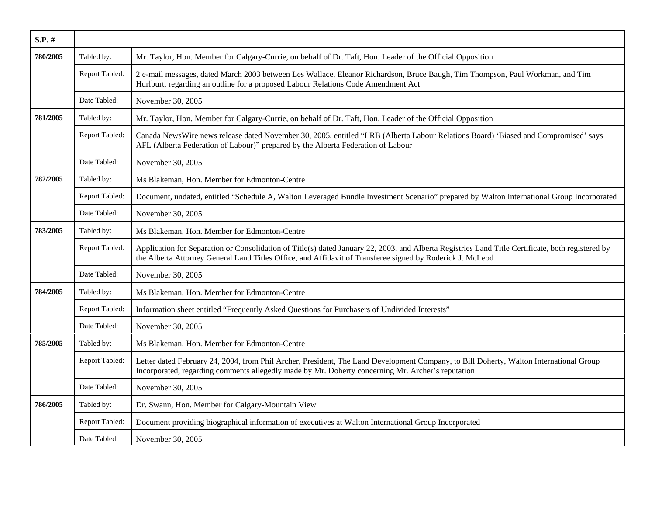| $S.P.$ # |                |                                                                                                                                                                                                                                                                |
|----------|----------------|----------------------------------------------------------------------------------------------------------------------------------------------------------------------------------------------------------------------------------------------------------------|
| 780/2005 | Tabled by:     | Mr. Taylor, Hon. Member for Calgary-Currie, on behalf of Dr. Taft, Hon. Leader of the Official Opposition                                                                                                                                                      |
|          | Report Tabled: | 2 e-mail messages, dated March 2003 between Les Wallace, Eleanor Richardson, Bruce Baugh, Tim Thompson, Paul Workman, and Tim<br>Hurlburt, regarding an outline for a proposed Labour Relations Code Amendment Act                                             |
|          | Date Tabled:   | November 30, 2005                                                                                                                                                                                                                                              |
| 781/2005 | Tabled by:     | Mr. Taylor, Hon. Member for Calgary-Currie, on behalf of Dr. Taft, Hon. Leader of the Official Opposition                                                                                                                                                      |
|          | Report Tabled: | Canada NewsWire news release dated November 30, 2005, entitled "LRB (Alberta Labour Relations Board) 'Biased and Compromised' says<br>AFL (Alberta Federation of Labour)" prepared by the Alberta Federation of Labour                                         |
|          | Date Tabled:   | November 30, 2005                                                                                                                                                                                                                                              |
| 782/2005 | Tabled by:     | Ms Blakeman, Hon. Member for Edmonton-Centre                                                                                                                                                                                                                   |
|          | Report Tabled: | Document, undated, entitled "Schedule A, Walton Leveraged Bundle Investment Scenario" prepared by Walton International Group Incorporated                                                                                                                      |
|          | Date Tabled:   | November 30, 2005                                                                                                                                                                                                                                              |
| 783/2005 | Tabled by:     | Ms Blakeman, Hon. Member for Edmonton-Centre                                                                                                                                                                                                                   |
|          | Report Tabled: | Application for Separation or Consolidation of Title(s) dated January 22, 2003, and Alberta Registries Land Title Certificate, both registered by<br>the Alberta Attorney General Land Titles Office, and Affidavit of Transferee signed by Roderick J. McLeod |
|          | Date Tabled:   | November 30, 2005                                                                                                                                                                                                                                              |
| 784/2005 | Tabled by:     | Ms Blakeman, Hon. Member for Edmonton-Centre                                                                                                                                                                                                                   |
|          | Report Tabled: | Information sheet entitled "Frequently Asked Questions for Purchasers of Undivided Interests"                                                                                                                                                                  |
|          | Date Tabled:   | November 30, 2005                                                                                                                                                                                                                                              |
| 785/2005 | Tabled by:     | Ms Blakeman, Hon. Member for Edmonton-Centre                                                                                                                                                                                                                   |
|          | Report Tabled: | Letter dated February 24, 2004, from Phil Archer, President, The Land Development Company, to Bill Doherty, Walton International Group<br>Incorporated, regarding comments allegedly made by Mr. Doherty concerning Mr. Archer's reputation                    |
|          | Date Tabled:   | November 30, 2005                                                                                                                                                                                                                                              |
| 786/2005 | Tabled by:     | Dr. Swann, Hon. Member for Calgary-Mountain View                                                                                                                                                                                                               |
|          | Report Tabled: | Document providing biographical information of executives at Walton International Group Incorporated                                                                                                                                                           |
|          | Date Tabled:   | November 30, 2005                                                                                                                                                                                                                                              |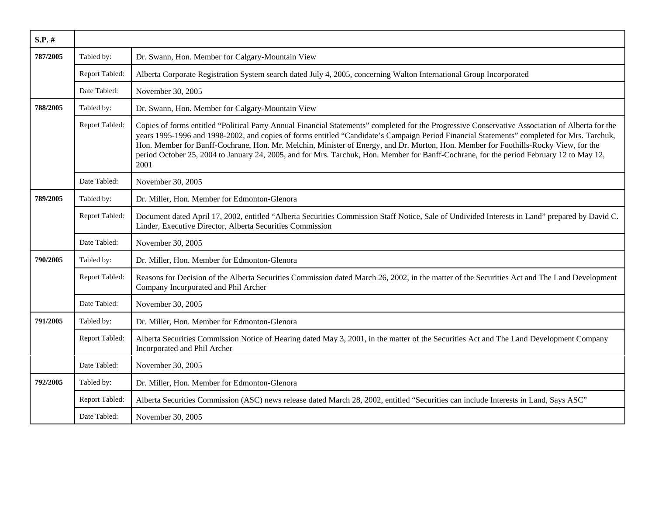| $S.P.$ # |                |                                                                                                                                                                                                                                                                                                                                                                                                                                                                                                                                                                                           |
|----------|----------------|-------------------------------------------------------------------------------------------------------------------------------------------------------------------------------------------------------------------------------------------------------------------------------------------------------------------------------------------------------------------------------------------------------------------------------------------------------------------------------------------------------------------------------------------------------------------------------------------|
| 787/2005 | Tabled by:     | Dr. Swann, Hon. Member for Calgary-Mountain View                                                                                                                                                                                                                                                                                                                                                                                                                                                                                                                                          |
|          | Report Tabled: | Alberta Corporate Registration System search dated July 4, 2005, concerning Walton International Group Incorporated                                                                                                                                                                                                                                                                                                                                                                                                                                                                       |
|          | Date Tabled:   | November 30, 2005                                                                                                                                                                                                                                                                                                                                                                                                                                                                                                                                                                         |
| 788/2005 | Tabled by:     | Dr. Swann, Hon. Member for Calgary-Mountain View                                                                                                                                                                                                                                                                                                                                                                                                                                                                                                                                          |
|          | Report Tabled: | Copies of forms entitled "Political Party Annual Financial Statements" completed for the Progressive Conservative Association of Alberta for the<br>years 1995-1996 and 1998-2002, and copies of forms entitled "Candidate's Campaign Period Financial Statements" completed for Mrs. Tarchuk,<br>Hon. Member for Banff-Cochrane, Hon. Mr. Melchin, Minister of Energy, and Dr. Morton, Hon. Member for Foothills-Rocky View, for the<br>period October 25, 2004 to January 24, 2005, and for Mrs. Tarchuk, Hon. Member for Banff-Cochrane, for the period February 12 to May 12,<br>2001 |
|          | Date Tabled:   | November 30, 2005                                                                                                                                                                                                                                                                                                                                                                                                                                                                                                                                                                         |
| 789/2005 | Tabled by:     | Dr. Miller, Hon. Member for Edmonton-Glenora                                                                                                                                                                                                                                                                                                                                                                                                                                                                                                                                              |
|          | Report Tabled: | Document dated April 17, 2002, entitled "Alberta Securities Commission Staff Notice, Sale of Undivided Interests in Land" prepared by David C.<br>Linder, Executive Director, Alberta Securities Commission                                                                                                                                                                                                                                                                                                                                                                               |
|          | Date Tabled:   | November 30, 2005                                                                                                                                                                                                                                                                                                                                                                                                                                                                                                                                                                         |
| 790/2005 | Tabled by:     | Dr. Miller, Hon. Member for Edmonton-Glenora                                                                                                                                                                                                                                                                                                                                                                                                                                                                                                                                              |
|          | Report Tabled: | Reasons for Decision of the Alberta Securities Commission dated March 26, 2002, in the matter of the Securities Act and The Land Development<br>Company Incorporated and Phil Archer                                                                                                                                                                                                                                                                                                                                                                                                      |
|          | Date Tabled:   | November 30, 2005                                                                                                                                                                                                                                                                                                                                                                                                                                                                                                                                                                         |
| 791/2005 | Tabled by:     | Dr. Miller, Hon. Member for Edmonton-Glenora                                                                                                                                                                                                                                                                                                                                                                                                                                                                                                                                              |
|          | Report Tabled: | Alberta Securities Commission Notice of Hearing dated May 3, 2001, in the matter of the Securities Act and The Land Development Company<br>Incorporated and Phil Archer                                                                                                                                                                                                                                                                                                                                                                                                                   |
|          | Date Tabled:   | November 30, 2005                                                                                                                                                                                                                                                                                                                                                                                                                                                                                                                                                                         |
| 792/2005 | Tabled by:     | Dr. Miller, Hon. Member for Edmonton-Glenora                                                                                                                                                                                                                                                                                                                                                                                                                                                                                                                                              |
|          | Report Tabled: | Alberta Securities Commission (ASC) news release dated March 28, 2002, entitled "Securities can include Interests in Land, Says ASC"                                                                                                                                                                                                                                                                                                                                                                                                                                                      |
|          | Date Tabled:   | November 30, 2005                                                                                                                                                                                                                                                                                                                                                                                                                                                                                                                                                                         |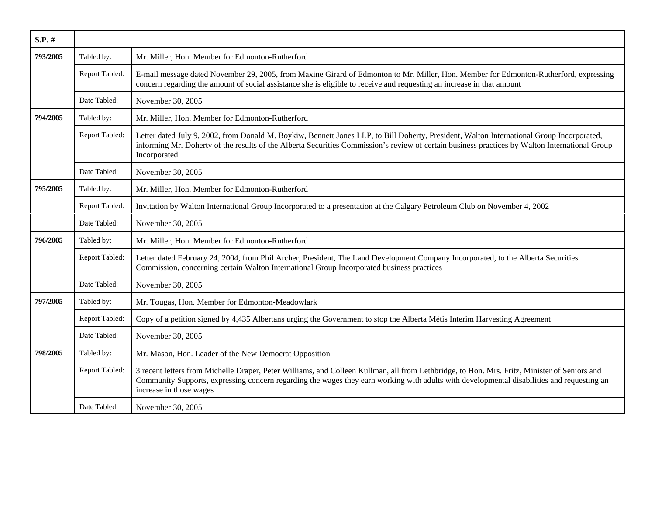| S.P. #   |                |                                                                                                                                                                                                                                                                                                                       |
|----------|----------------|-----------------------------------------------------------------------------------------------------------------------------------------------------------------------------------------------------------------------------------------------------------------------------------------------------------------------|
| 793/2005 | Tabled by:     | Mr. Miller, Hon. Member for Edmonton-Rutherford                                                                                                                                                                                                                                                                       |
|          | Report Tabled: | E-mail message dated November 29, 2005, from Maxine Girard of Edmonton to Mr. Miller, Hon. Member for Edmonton-Rutherford, expressing<br>concern regarding the amount of social assistance she is eligible to receive and requesting an increase in that amount                                                       |
|          | Date Tabled:   | November 30, 2005                                                                                                                                                                                                                                                                                                     |
| 794/2005 | Tabled by:     | Mr. Miller, Hon. Member for Edmonton-Rutherford                                                                                                                                                                                                                                                                       |
|          | Report Tabled: | Letter dated July 9, 2002, from Donald M. Boykiw, Bennett Jones LLP, to Bill Doherty, President, Walton International Group Incorporated,<br>informing Mr. Doherty of the results of the Alberta Securities Commission's review of certain business practices by Walton International Group<br>Incorporated           |
|          | Date Tabled:   | November 30, 2005                                                                                                                                                                                                                                                                                                     |
| 795/2005 | Tabled by:     | Mr. Miller, Hon. Member for Edmonton-Rutherford                                                                                                                                                                                                                                                                       |
|          | Report Tabled: | Invitation by Walton International Group Incorporated to a presentation at the Calgary Petroleum Club on November 4, 2002                                                                                                                                                                                             |
|          | Date Tabled:   | November 30, 2005                                                                                                                                                                                                                                                                                                     |
| 796/2005 | Tabled by:     | Mr. Miller, Hon. Member for Edmonton-Rutherford                                                                                                                                                                                                                                                                       |
|          | Report Tabled: | Letter dated February 24, 2004, from Phil Archer, President, The Land Development Company Incorporated, to the Alberta Securities<br>Commission, concerning certain Walton International Group Incorporated business practices                                                                                        |
|          | Date Tabled:   | November 30, 2005                                                                                                                                                                                                                                                                                                     |
| 797/2005 | Tabled by:     | Mr. Tougas, Hon. Member for Edmonton-Meadowlark                                                                                                                                                                                                                                                                       |
|          | Report Tabled: | Copy of a petition signed by 4,435 Albertans urging the Government to stop the Alberta Métis Interim Harvesting Agreement                                                                                                                                                                                             |
|          | Date Tabled:   | November 30, 2005                                                                                                                                                                                                                                                                                                     |
| 798/2005 | Tabled by:     | Mr. Mason, Hon. Leader of the New Democrat Opposition                                                                                                                                                                                                                                                                 |
|          | Report Tabled: | 3 recent letters from Michelle Draper, Peter Williams, and Colleen Kullman, all from Lethbridge, to Hon. Mrs. Fritz, Minister of Seniors and<br>Community Supports, expressing concern regarding the wages they earn working with adults with developmental disabilities and requesting an<br>increase in those wages |
|          | Date Tabled:   | November 30, 2005                                                                                                                                                                                                                                                                                                     |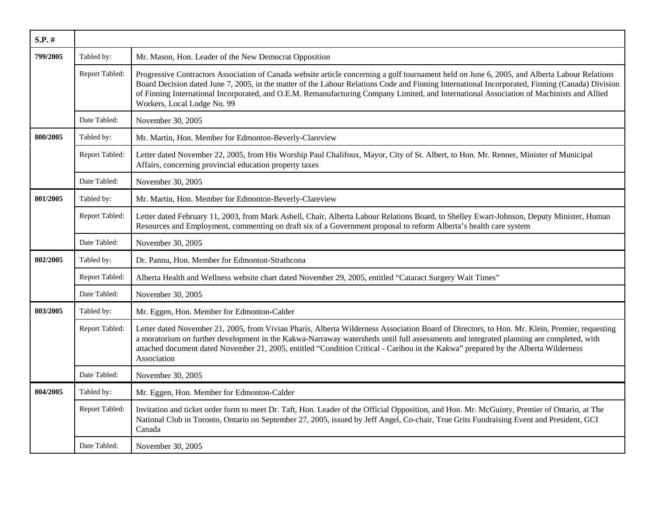| S.P. #   |                |                                                                                                                                                                                                                                                                                                                                                                                                                                                                              |
|----------|----------------|------------------------------------------------------------------------------------------------------------------------------------------------------------------------------------------------------------------------------------------------------------------------------------------------------------------------------------------------------------------------------------------------------------------------------------------------------------------------------|
| 799/2005 | Tabled by:     | Mr. Mason, Hon. Leader of the New Democrat Opposition                                                                                                                                                                                                                                                                                                                                                                                                                        |
|          | Report Tabled: | Progressive Contractors Association of Canada website article concerning a golf tournament held on June 6, 2005, and Alberta Labour Relations<br>Board Decision dated June 7, 2005, in the matter of the Labour Relations Code and Finning International Incorporated, Finning (Canada) Division<br>of Finning International Incorporated, and O.E.M. Remanufacturing Company Limited, and International Association of Machinists and Allied<br>Workers, Local Lodge No. 99 |
|          | Date Tabled:   | November 30, 2005                                                                                                                                                                                                                                                                                                                                                                                                                                                            |
| 800/2005 | Tabled by:     | Mr. Martin, Hon. Member for Edmonton-Beverly-Clareview                                                                                                                                                                                                                                                                                                                                                                                                                       |
|          | Report Tabled: | Letter dated November 22, 2005, from His Worship Paul Chalifoux, Mayor, City of St. Albert, to Hon. Mr. Renner, Minister of Municipal<br>Affairs, concerning provincial education property taxes                                                                                                                                                                                                                                                                             |
|          | Date Tabled:   | November 30, 2005                                                                                                                                                                                                                                                                                                                                                                                                                                                            |
| 801/2005 | Tabled by:     | Mr. Martin, Hon. Member for Edmonton-Beverly-Clareview                                                                                                                                                                                                                                                                                                                                                                                                                       |
|          | Report Tabled: | Letter dated February 11, 2003, from Mark Asbell, Chair, Alberta Labour Relations Board, to Shelley Ewart-Johnson, Deputy Minister, Human<br>Resources and Employment, commenting on draft six of a Government proposal to reform Alberta's health care system                                                                                                                                                                                                               |
|          | Date Tabled:   | November 30, 2005                                                                                                                                                                                                                                                                                                                                                                                                                                                            |
| 802/2005 | Tabled by:     | Dr. Pannu, Hon. Member for Edmonton-Strathcona                                                                                                                                                                                                                                                                                                                                                                                                                               |
|          | Report Tabled: | Alberta Health and Wellness website chart dated November 29, 2005, entitled "Cataract Surgery Wait Times"                                                                                                                                                                                                                                                                                                                                                                    |
|          | Date Tabled:   | November 30, 2005                                                                                                                                                                                                                                                                                                                                                                                                                                                            |
| 803/2005 | Tabled by:     | Mr. Eggen, Hon. Member for Edmonton-Calder                                                                                                                                                                                                                                                                                                                                                                                                                                   |
|          | Report Tabled: | Letter dated November 21, 2005, from Vivian Pharis, Alberta Wilderness Association Board of Directors, to Hon. Mr. Klein, Premier, requesting<br>a moratorium on further development in the Kakwa-Narraway watersheds until full assessments and integrated planning are completed, with<br>attached document dated November 21, 2005, entitled "Condition Critical - Caribou in the Kakwa" prepared by the Alberta Wilderness<br>Association                                |
|          | Date Tabled:   | November 30, 2005                                                                                                                                                                                                                                                                                                                                                                                                                                                            |
| 804/2005 | Tabled by:     | Mr. Eggen, Hon. Member for Edmonton-Calder                                                                                                                                                                                                                                                                                                                                                                                                                                   |
|          | Report Tabled: | Invitation and ticket order form to meet Dr. Taft, Hon. Leader of the Official Opposition, and Hon. Mr. McGuinty, Premier of Ontario, at The<br>National Club in Toronto, Ontario on September 27, 2005, issued by Jeff Angel, Co-chair, True Grits Fundraising Event and President, GCI<br>Canada                                                                                                                                                                           |
|          | Date Tabled:   | November 30, 2005                                                                                                                                                                                                                                                                                                                                                                                                                                                            |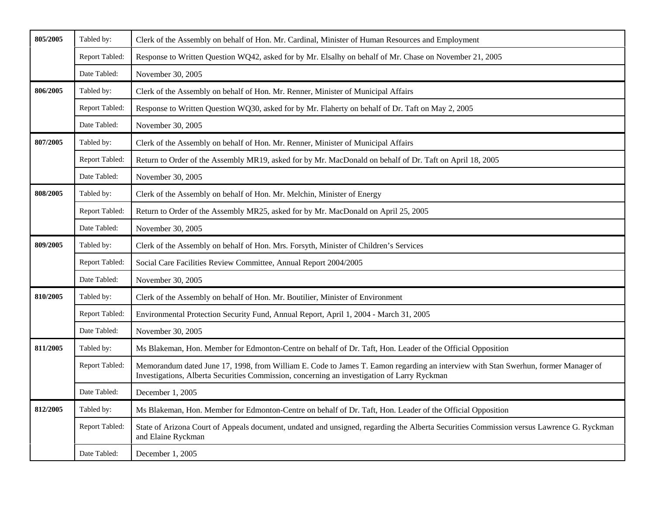| 805/2005 | Tabled by:            | Clerk of the Assembly on behalf of Hon. Mr. Cardinal, Minister of Human Resources and Employment                                                                                                                                  |
|----------|-----------------------|-----------------------------------------------------------------------------------------------------------------------------------------------------------------------------------------------------------------------------------|
|          | Report Tabled:        | Response to Written Question WQ42, asked for by Mr. Elsalhy on behalf of Mr. Chase on November 21, 2005                                                                                                                           |
|          | Date Tabled:          | November 30, 2005                                                                                                                                                                                                                 |
| 806/2005 | Tabled by:            | Clerk of the Assembly on behalf of Hon. Mr. Renner, Minister of Municipal Affairs                                                                                                                                                 |
|          | Report Tabled:        | Response to Written Question WQ30, asked for by Mr. Flaherty on behalf of Dr. Taft on May 2, 2005                                                                                                                                 |
|          | Date Tabled:          | November 30, 2005                                                                                                                                                                                                                 |
| 807/2005 | Tabled by:            | Clerk of the Assembly on behalf of Hon. Mr. Renner, Minister of Municipal Affairs                                                                                                                                                 |
|          | Report Tabled:        | Return to Order of the Assembly MR19, asked for by Mr. MacDonald on behalf of Dr. Taft on April 18, 2005                                                                                                                          |
|          | Date Tabled:          | November 30, 2005                                                                                                                                                                                                                 |
| 808/2005 | Tabled by:            | Clerk of the Assembly on behalf of Hon. Mr. Melchin, Minister of Energy                                                                                                                                                           |
|          | <b>Report Tabled:</b> | Return to Order of the Assembly MR25, asked for by Mr. MacDonald on April 25, 2005                                                                                                                                                |
|          | Date Tabled:          | November 30, 2005                                                                                                                                                                                                                 |
| 809/2005 | Tabled by:            | Clerk of the Assembly on behalf of Hon. Mrs. Forsyth, Minister of Children's Services                                                                                                                                             |
|          | Report Tabled:        | Social Care Facilities Review Committee, Annual Report 2004/2005                                                                                                                                                                  |
|          | Date Tabled:          | November 30, 2005                                                                                                                                                                                                                 |
| 810/2005 | Tabled by:            | Clerk of the Assembly on behalf of Hon. Mr. Boutilier, Minister of Environment                                                                                                                                                    |
|          | Report Tabled:        | Environmental Protection Security Fund, Annual Report, April 1, 2004 - March 31, 2005                                                                                                                                             |
|          | Date Tabled:          | November 30, 2005                                                                                                                                                                                                                 |
| 811/2005 | Tabled by:            | Ms Blakeman, Hon. Member for Edmonton-Centre on behalf of Dr. Taft, Hon. Leader of the Official Opposition                                                                                                                        |
|          | Report Tabled:        | Memorandum dated June 17, 1998, from William E. Code to James T. Eamon regarding an interview with Stan Swerhun, former Manager of<br>Investigations, Alberta Securities Commission, concerning an investigation of Larry Ryckman |
|          | Date Tabled:          | December 1, 2005                                                                                                                                                                                                                  |
| 812/2005 | Tabled by:            | Ms Blakeman, Hon. Member for Edmonton-Centre on behalf of Dr. Taft, Hon. Leader of the Official Opposition                                                                                                                        |
|          | Report Tabled:        | State of Arizona Court of Appeals document, undated and unsigned, regarding the Alberta Securities Commission versus Lawrence G. Ryckman<br>and Elaine Ryckman                                                                    |
|          | Date Tabled:          | December 1, 2005                                                                                                                                                                                                                  |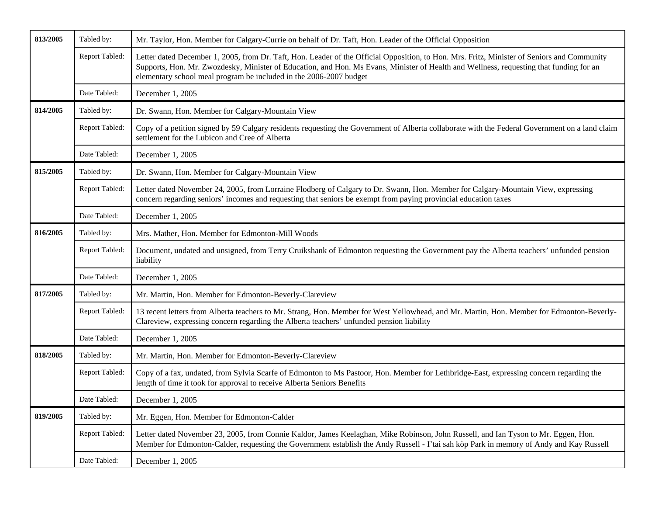| 813/2005 | Tabled by:     | Mr. Taylor, Hon. Member for Calgary-Currie on behalf of Dr. Taft, Hon. Leader of the Official Opposition                                                                                                                                                                                                                                                     |
|----------|----------------|--------------------------------------------------------------------------------------------------------------------------------------------------------------------------------------------------------------------------------------------------------------------------------------------------------------------------------------------------------------|
|          | Report Tabled: | Letter dated December 1, 2005, from Dr. Taft, Hon. Leader of the Official Opposition, to Hon. Mrs. Fritz, Minister of Seniors and Community<br>Supports, Hon. Mr. Zwozdesky, Minister of Education, and Hon. Ms Evans, Minister of Health and Wellness, requesting that funding for an<br>elementary school meal program be included in the 2006-2007 budget |
|          | Date Tabled:   | December 1, 2005                                                                                                                                                                                                                                                                                                                                             |
| 814/2005 | Tabled by:     | Dr. Swann, Hon. Member for Calgary-Mountain View                                                                                                                                                                                                                                                                                                             |
|          | Report Tabled: | Copy of a petition signed by 59 Calgary residents requesting the Government of Alberta collaborate with the Federal Government on a land claim<br>settlement for the Lubicon and Cree of Alberta                                                                                                                                                             |
|          | Date Tabled:   | December 1, 2005                                                                                                                                                                                                                                                                                                                                             |
| 815/2005 | Tabled by:     | Dr. Swann, Hon. Member for Calgary-Mountain View                                                                                                                                                                                                                                                                                                             |
|          | Report Tabled: | Letter dated November 24, 2005, from Lorraine Flodberg of Calgary to Dr. Swann, Hon. Member for Calgary-Mountain View, expressing<br>concern regarding seniors' incomes and requesting that seniors be exempt from paying provincial education taxes                                                                                                         |
|          | Date Tabled:   | December 1, 2005                                                                                                                                                                                                                                                                                                                                             |
| 816/2005 | Tabled by:     | Mrs. Mather, Hon. Member for Edmonton-Mill Woods                                                                                                                                                                                                                                                                                                             |
|          | Report Tabled: | Document, undated and unsigned, from Terry Cruikshank of Edmonton requesting the Government pay the Alberta teachers' unfunded pension<br>liability                                                                                                                                                                                                          |
|          | Date Tabled:   | December 1, 2005                                                                                                                                                                                                                                                                                                                                             |
| 817/2005 | Tabled by:     | Mr. Martin, Hon. Member for Edmonton-Beverly-Clareview                                                                                                                                                                                                                                                                                                       |
|          | Report Tabled: | 13 recent letters from Alberta teachers to Mr. Strang, Hon. Member for West Yellowhead, and Mr. Martin, Hon. Member for Edmonton-Beverly-<br>Clareview, expressing concern regarding the Alberta teachers' unfunded pension liability                                                                                                                        |
|          | Date Tabled:   | December 1, 2005                                                                                                                                                                                                                                                                                                                                             |
| 818/2005 | Tabled by:     | Mr. Martin, Hon. Member for Edmonton-Beverly-Clareview                                                                                                                                                                                                                                                                                                       |
|          | Report Tabled: | Copy of a fax, undated, from Sylvia Scarfe of Edmonton to Ms Pastoor, Hon. Member for Lethbridge-East, expressing concern regarding the<br>length of time it took for approval to receive Alberta Seniors Benefits                                                                                                                                           |
|          | Date Tabled:   | December $1, 2005$                                                                                                                                                                                                                                                                                                                                           |
| 819/2005 | Tabled by:     | Mr. Eggen, Hon. Member for Edmonton-Calder                                                                                                                                                                                                                                                                                                                   |
|          | Report Tabled: | Letter dated November 23, 2005, from Connie Kaldor, James Keelaghan, Mike Robinson, John Russell, and Ian Tyson to Mr. Eggen, Hon.<br>Member for Edmonton-Calder, requesting the Government establish the Andy Russell - I'tai sah kòp Park in memory of Andy and Kay Russell                                                                                |
|          | Date Tabled:   | December 1, 2005                                                                                                                                                                                                                                                                                                                                             |